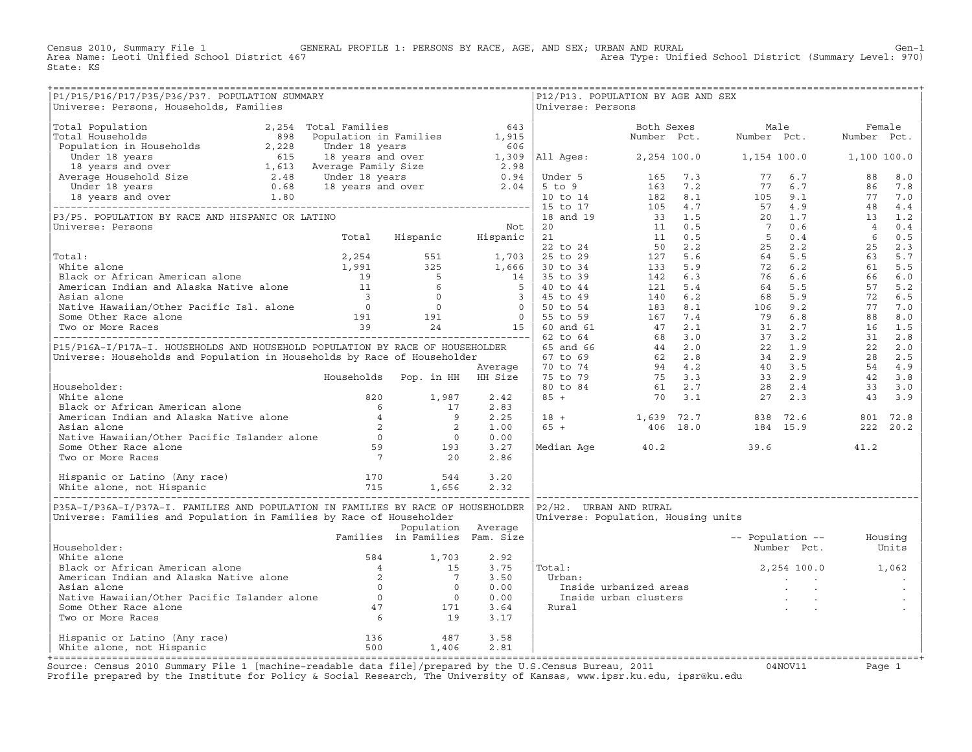Census 2010, Summary File 1 GENERAL PROFILE 1: PERSONS BY RACE, AGE, AND SEX; URBAN AND RURAL Genosi Unified School District (Summary Level: 970)<br>Area Name: Leoti Unified School District 467 Area Type: Unified School District (Summary Level: 970) State: KS

| P1/P15/P16/P17/P35/P36/P37. POPULATION SUMMARY<br>Universe: Persons, Households, Families                                                                                                                                                           |                                |                    |      | Universe: Persons | P12/P13. POPULATION BY AGE AND SEX  |                          |                   |  |
|-----------------------------------------------------------------------------------------------------------------------------------------------------------------------------------------------------------------------------------------------------|--------------------------------|--------------------|------|-------------------|-------------------------------------|--------------------------|-------------------|--|
| Universe: Persons, Mouseholds, Pamilies (1992)<br>(1991-18: The Mouseholds (1992)<br>(1991-18: The Mouseholds (1992)<br>(1992-18: The Mouseholds (1992-19: 1992-19: 1992)<br>(1992-18: 1992-19: 1992-19: 1992-19: 1992-19: 1992-19: 1               |                                |                    |      |                   |                                     |                          |                   |  |
|                                                                                                                                                                                                                                                     |                                |                    |      |                   |                                     |                          |                   |  |
|                                                                                                                                                                                                                                                     |                                |                    |      |                   |                                     |                          |                   |  |
|                                                                                                                                                                                                                                                     |                                |                    |      |                   |                                     |                          |                   |  |
|                                                                                                                                                                                                                                                     |                                |                    |      |                   |                                     |                          |                   |  |
|                                                                                                                                                                                                                                                     |                                |                    |      |                   |                                     |                          |                   |  |
|                                                                                                                                                                                                                                                     |                                |                    |      |                   |                                     |                          |                   |  |
|                                                                                                                                                                                                                                                     |                                |                    |      |                   |                                     |                          |                   |  |
|                                                                                                                                                                                                                                                     |                                |                    |      |                   |                                     |                          |                   |  |
|                                                                                                                                                                                                                                                     |                                |                    |      |                   |                                     |                          |                   |  |
|                                                                                                                                                                                                                                                     |                                |                    |      |                   |                                     |                          |                   |  |
|                                                                                                                                                                                                                                                     |                                |                    |      |                   |                                     |                          |                   |  |
|                                                                                                                                                                                                                                                     |                                |                    |      |                   |                                     |                          |                   |  |
|                                                                                                                                                                                                                                                     |                                |                    |      |                   |                                     |                          |                   |  |
|                                                                                                                                                                                                                                                     |                                |                    |      |                   |                                     |                          |                   |  |
|                                                                                                                                                                                                                                                     |                                |                    |      |                   |                                     |                          |                   |  |
|                                                                                                                                                                                                                                                     |                                |                    |      |                   |                                     |                          |                   |  |
|                                                                                                                                                                                                                                                     |                                |                    |      |                   |                                     |                          |                   |  |
|                                                                                                                                                                                                                                                     |                                |                    |      |                   |                                     |                          |                   |  |
|                                                                                                                                                                                                                                                     |                                |                    |      |                   |                                     |                          |                   |  |
|                                                                                                                                                                                                                                                     |                                |                    |      |                   |                                     |                          |                   |  |
|                                                                                                                                                                                                                                                     |                                |                    |      |                   |                                     |                          |                   |  |
|                                                                                                                                                                                                                                                     |                                |                    |      |                   |                                     |                          |                   |  |
|                                                                                                                                                                                                                                                     |                                |                    |      |                   |                                     |                          |                   |  |
|                                                                                                                                                                                                                                                     |                                |                    |      |                   |                                     |                          |                   |  |
|                                                                                                                                                                                                                                                     |                                |                    |      |                   |                                     |                          |                   |  |
|                                                                                                                                                                                                                                                     |                                |                    |      |                   |                                     |                          |                   |  |
|                                                                                                                                                                                                                                                     |                                |                    |      |                   |                                     |                          |                   |  |
| = White alone<br>Minte alone<br>Minte alone<br>Minte alone<br>Minte alone<br>Minte alone<br>American Indian and Alaska Native alone<br>American Indian and Alaska Native alone<br>Asian alone<br>Asian alone<br>Asian alone<br>Asian alone<br>Asian |                                |                    |      |                   |                                     |                          |                   |  |
|                                                                                                                                                                                                                                                     |                                |                    |      |                   |                                     |                          |                   |  |
|                                                                                                                                                                                                                                                     |                                |                    |      |                   |                                     |                          |                   |  |
|                                                                                                                                                                                                                                                     |                                |                    |      |                   |                                     |                          |                   |  |
|                                                                                                                                                                                                                                                     |                                |                    |      |                   |                                     |                          |                   |  |
|                                                                                                                                                                                                                                                     |                                |                    |      |                   |                                     |                          |                   |  |
| P35A-I/P36A-I/P37A-I. FAMILIES AND POPULATION IN FAMILIES BY RACE OF HOUSEHOLDER 1P2/H2. URBAN AND RURAL                                                                                                                                            |                                |                    |      |                   |                                     |                          |                   |  |
| Universe: Families and Population in Families by Race of Householder                                                                                                                                                                                |                                |                    |      |                   | Universe: Population, Housing units |                          |                   |  |
|                                                                                                                                                                                                                                                     |                                | Population Average |      |                   |                                     |                          |                   |  |
|                                                                                                                                                                                                                                                     | Families in Families Fam. Size |                    |      |                   |                                     | -- Population -- Housing |                   |  |
| Householder:                                                                                                                                                                                                                                        |                                |                    |      |                   |                                     |                          | Number Pct. Units |  |
|                                                                                                                                                                                                                                                     |                                |                    |      | Total:            |                                     | 2, 254 100.0 1, 062      |                   |  |
|                                                                                                                                                                                                                                                     |                                |                    |      |                   |                                     |                          |                   |  |
|                                                                                                                                                                                                                                                     |                                |                    |      |                   |                                     |                          |                   |  |
|                                                                                                                                                                                                                                                     |                                |                    |      |                   |                                     |                          |                   |  |
|                                                                                                                                                                                                                                                     |                                |                    |      |                   |                                     |                          |                   |  |
| Mouse<br>White alone and Alaska Native alone 584 1,703 2.92<br>American Indian and Alaska Native alone 2 7 3.50<br>Asian alone 6 0 0.00<br>Native Hawaiian/Other Pacific Islander alone 0 0 0.00<br>Some Other Race alone 47 171 3.64<br>T          |                                |                    |      |                   |                                     |                          |                   |  |
|                                                                                                                                                                                                                                                     |                                |                    |      |                   |                                     |                          |                   |  |
| Hispanic or Latino (Any race) 136 136 487<br>White alone, not Hispanic 1,406 500 1,406                                                                                                                                                              |                                |                    | 3.58 |                   |                                     |                          |                   |  |
|                                                                                                                                                                                                                                                     |                                |                    | 2.81 |                   |                                     |                          |                   |  |

+===================================================================================================================================================+Source: Census 2010 Summary File 1 [machine−readable data file]/prepared by the U.S.Census Bureau, 2011 04NOV11 Page 1 Profile prepared by the Institute for Policy & Social Research, The University of Kansas, www.ipsr.ku.edu, ipsr@ku.edu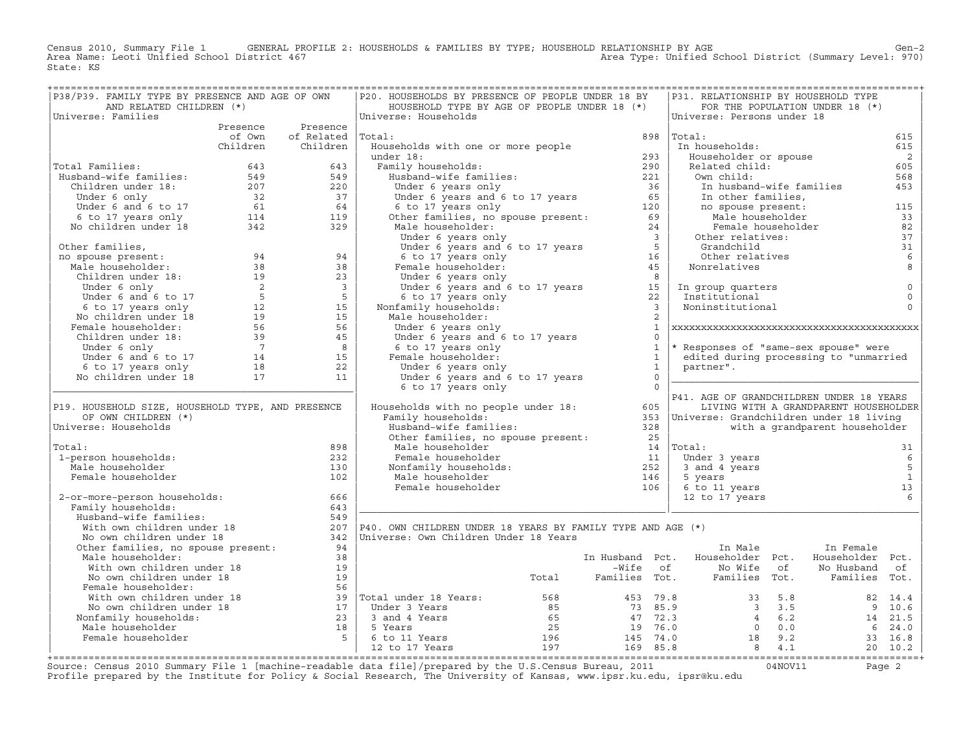Census 2010, Summary File 1 GENERAL PROFILE 2: HOUSEHOLDS & FAMILIES BY TYPE; HOUSEHOLD RELATIONSHIP BY AGE GEN<br>Area Name: Leoti Unified School District 467 Area Type: Unified School District (Summary Level: 970) State: KS

| P38/P39. FAMILY TYPE BY PRESENCE AND AGE OF OWN                                                                                                                                                                                                  |                            | P20. HOUSEHOLDS BY PRESENCE OF PEOPLE UNDER 18 BY                                                                                                                                                                                                  |                         |              | P31. RELATIONSHIP BY HOUSEHOLD TYPE                                                      |                                       |                            |
|--------------------------------------------------------------------------------------------------------------------------------------------------------------------------------------------------------------------------------------------------|----------------------------|----------------------------------------------------------------------------------------------------------------------------------------------------------------------------------------------------------------------------------------------------|-------------------------|--------------|------------------------------------------------------------------------------------------|---------------------------------------|----------------------------|
| AND RELATED CHILDREN (*)                                                                                                                                                                                                                         |                            | HOUSEHOLD TYPE BY AGE OF PEOPLE UNDER 18 (*)                                                                                                                                                                                                       |                         |              |                                                                                          | FOR THE POPULATION UNDER 18 (*)       |                            |
| Universe: Families                                                                                                                                                                                                                               |                            | Universe: Households                                                                                                                                                                                                                               |                         |              | Universe: Persons under 18                                                               |                                       |                            |
|                                                                                                                                                                                                                                                  | Presence Presence          |                                                                                                                                                                                                                                                    |                         |              |                                                                                          |                                       |                            |
|                                                                                                                                                                                                                                                  | of Own of Related   Total: |                                                                                                                                                                                                                                                    |                         |              | 898 Total:                                                                               |                                       | 615                        |
|                                                                                                                                                                                                                                                  | Children Children          | Households with one or more people                                                                                                                                                                                                                 |                         |              | In households:                                                                           |                                       | 615                        |
|                                                                                                                                                                                                                                                  |                            |                                                                                                                                                                                                                                                    |                         |              | Householder or spouse<br>Related child:                                                  |                                       | $\overline{\phantom{0}}^2$ |
| Total Families:                                                                                                                                                                                                                                  |                            |                                                                                                                                                                                                                                                    |                         |              |                                                                                          |                                       | 605                        |
|                                                                                                                                                                                                                                                  |                            |                                                                                                                                                                                                                                                    |                         |              | Own child:                                                                               |                                       | 568                        |
|                                                                                                                                                                                                                                                  |                            |                                                                                                                                                                                                                                                    |                         |              | In husband-wife families<br>In other families,<br>no spouse present:<br>Male householder | In husband-wife families              | 453                        |
|                                                                                                                                                                                                                                                  |                            |                                                                                                                                                                                                                                                    |                         |              |                                                                                          |                                       |                            |
|                                                                                                                                                                                                                                                  |                            |                                                                                                                                                                                                                                                    |                         |              |                                                                                          |                                       | 115                        |
|                                                                                                                                                                                                                                                  |                            |                                                                                                                                                                                                                                                    |                         |              |                                                                                          |                                       | 33                         |
| Total Families: 643<br>Husband-wife families: 549<br>Children under 18: 549<br>Under 6 only 32<br>Under 6 and 6 to 17<br>6 6 6 17 years only 114<br>119<br>No children under 18<br>342<br>232<br>329                                             |                            | Nouseholds with one or more people<br>under 18:<br>Tamily households:<br>Husband-wife families:<br>Under 6 years only<br>Under 6 years and 6 to 17 years<br>65<br>6 to 17 years and 6 to 17 years<br>65<br>6 to 17 years only<br>Male householder: |                         |              |                                                                                          | Female householder                    | 82                         |
|                                                                                                                                                                                                                                                  |                            |                                                                                                                                                                                                                                                    |                         |              | Other relatives:                                                                         |                                       | 37                         |
|                                                                                                                                                                                                                                                  |                            |                                                                                                                                                                                                                                                    |                         |              | Grandchild<br>Other relatives                                                            |                                       | 31<br>6                    |
|                                                                                                                                                                                                                                                  |                            |                                                                                                                                                                                                                                                    |                         |              | Nonrelatives                                                                             |                                       | 8                          |
|                                                                                                                                                                                                                                                  |                            |                                                                                                                                                                                                                                                    |                         |              |                                                                                          |                                       |                            |
|                                                                                                                                                                                                                                                  |                            |                                                                                                                                                                                                                                                    |                         |              |                                                                                          |                                       | $\mathsf 0$                |
|                                                                                                                                                                                                                                                  |                            |                                                                                                                                                                                                                                                    |                         |              | In group quarters<br>Institutional<br>Institutional                                      |                                       | $\circ$                    |
|                                                                                                                                                                                                                                                  |                            |                                                                                                                                                                                                                                                    |                         |              | Noninstitutional                                                                         |                                       | $\circ$                    |
|                                                                                                                                                                                                                                                  |                            | Male householder:                                                                                                                                                                                                                                  |                         |              |                                                                                          |                                       |                            |
|                                                                                                                                                                                                                                                  |                            |                                                                                                                                                                                                                                                    |                         | $\mathbf{1}$ |                                                                                          |                                       |                            |
|                                                                                                                                                                                                                                                  |                            |                                                                                                                                                                                                                                                    |                         | $\Omega$     |                                                                                          |                                       |                            |
|                                                                                                                                                                                                                                                  |                            |                                                                                                                                                                                                                                                    | $\overline{1}$          |              | * Responses of "same-sex spouse" were                                                    |                                       |                            |
|                                                                                                                                                                                                                                                  |                            |                                                                                                                                                                                                                                                    | $\sim$ 1                |              | edited during processing to "unmarried                                                   |                                       |                            |
|                                                                                                                                                                                                                                                  |                            |                                                                                                                                                                                                                                                    | $\overline{\mathbf{1}}$ |              | partner".                                                                                |                                       |                            |
|                                                                                                                                                                                                                                                  |                            | Under 6 years only<br>Under 6 years and 6 to 17 years<br>6 to 17 years only<br>Female householder:<br>Under 6 years only<br>Under 6 years and 6 to 17 cm<br>Under 6 years only<br>Under 6 years and 6 to 17 years                                  | $\overline{0}$          |              |                                                                                          |                                       |                            |
|                                                                                                                                                                                                                                                  |                            | 6 to 17 years only                                                                                                                                                                                                                                 | $\overline{0}$          |              |                                                                                          |                                       |                            |
|                                                                                                                                                                                                                                                  |                            | Bould your complement of the south of the series of the series of the series of the series of the series of the series of the series of the series of the series of the series of the series of the series of the series of th                     |                         |              | P41. AGE OF GRANDCHILDREN UNDER 18 YEARS                                                 |                                       |                            |
| P19. HOUSEHOLD SIZE, HOUSEHOLD TYPE, AND PRESENCE                                                                                                                                                                                                |                            |                                                                                                                                                                                                                                                    |                         |              |                                                                                          | LIVING WITH A GRANDPARENT HOUSEHOLDER |                            |
| OF OWN CHILDREN (*)                                                                                                                                                                                                                              |                            |                                                                                                                                                                                                                                                    |                         |              |                                                                                          |                                       |                            |
| Universe: Households                                                                                                                                                                                                                             |                            |                                                                                                                                                                                                                                                    |                         |              |                                                                                          | with a grandparent householder        |                            |
|                                                                                                                                                                                                                                                  |                            | amily nonconcolor state<br>Busband-wife families: 328<br>Other families, no spouse present: 35                                                                                                                                                     |                         |              |                                                                                          |                                       |                            |
| Total:                                                                                                                                                                                                                                           | 898                        | Male householder                                                                                                                                                                                                                                   |                         |              | $14$ Total:                                                                              |                                       | 31                         |
| 1-person households:                                                                                                                                                                                                                             | 232                        |                                                                                                                                                                                                                                                    |                         |              | Under 3 years                                                                            |                                       | 6                          |
| Male householder                                                                                                                                                                                                                                 | 130                        |                                                                                                                                                                                                                                                    |                         |              | 3 and 4 years                                                                            |                                       | 5                          |
| Female householder                                                                                                                                                                                                                               | 102                        |                                                                                                                                                                                                                                                    |                         |              | 5 years                                                                                  |                                       | $\overline{1}$             |
|                                                                                                                                                                                                                                                  |                            |                                                                                                                                                                                                                                                    |                         |              | 6 to 11 years                                                                            |                                       | 13                         |
| 2-or-more-person households:                                                                                                                                                                                                                     | 666                        | Female householder<br>Monfamily householder<br>Male householder<br>Female householder<br>Female householder<br>106                                                                                                                                 |                         |              | 12 to 17 years                                                                           |                                       | $6\overline{6}$            |
| Family households:                                                                                                                                                                                                                               | 643                        |                                                                                                                                                                                                                                                    |                         |              |                                                                                          |                                       |                            |
|                                                                                                                                                                                                                                                  | 549                        |                                                                                                                                                                                                                                                    |                         |              |                                                                                          |                                       |                            |
|                                                                                                                                                                                                                                                  |                            | 207 $ P40.$ OWN CHILDREN UNDER 18 YEARS BY FAMILY TYPE AND AGE $(*)$                                                                                                                                                                               |                         |              |                                                                                          |                                       |                            |
| :<br>Rusband-wife families:<br>With own children under 18<br>No own children under 18<br>Other families, no spouse present:<br>Nother families, no spouse present:                                                                               |                            | 342   Universe: Own Children Under 18 Years                                                                                                                                                                                                        |                         |              |                                                                                          |                                       |                            |
|                                                                                                                                                                                                                                                  | 94                         |                                                                                                                                                                                                                                                    |                         |              | In Male                                                                                  | In Female                             |                            |
| Male householder:                                                                                                                                                                                                                                | 38                         |                                                                                                                                                                                                                                                    |                         |              | In Husband Pct. Householder Pct.                                                         | Householder Pct.                      |                            |
|                                                                                                                                                                                                                                                  |                            |                                                                                                                                                                                                                                                    |                         |              |                                                                                          |                                       |                            |
|                                                                                                                                                                                                                                                  |                            |                                                                                                                                                                                                                                                    |                         |              |                                                                                          |                                       |                            |
|                                                                                                                                                                                                                                                  |                            |                                                                                                                                                                                                                                                    |                         |              |                                                                                          |                                       |                            |
|                                                                                                                                                                                                                                                  |                            |                                                                                                                                                                                                                                                    |                         |              |                                                                                          |                                       |                            |
|                                                                                                                                                                                                                                                  |                            |                                                                                                                                                                                                                                                    |                         |              |                                                                                          |                                       |                            |
|                                                                                                                                                                                                                                                  |                            |                                                                                                                                                                                                                                                    |                         |              |                                                                                          |                                       |                            |
|                                                                                                                                                                                                                                                  |                            |                                                                                                                                                                                                                                                    |                         |              |                                                                                          |                                       |                            |
|                                                                                                                                                                                                                                                  |                            |                                                                                                                                                                                                                                                    |                         |              |                                                                                          |                                       |                            |
| Mich ouseholder:<br>Mich own children under 18<br>No own children under 18<br>No own children under 18<br>No own children under 18<br>Pemale householder:<br>Mich own children under 18<br>Pemale households:<br>Mich own children under 18<br>2 |                            |                                                                                                                                                                                                                                                    |                         |              |                                                                                          |                                       |                            |
|                                                                                                                                                                                                                                                  |                            |                                                                                                                                                                                                                                                    |                         |              |                                                                                          |                                       |                            |

+===================================================================================================================================================+Source: Census 2010 Summary File 1 [machine−readable data file]/prepared by the U.S.Census Bureau, 2011 04NOV11 Page 2 Profile prepared by the Institute for Policy & Social Research, The University of Kansas, www.ipsr.ku.edu, ipsr@ku.edu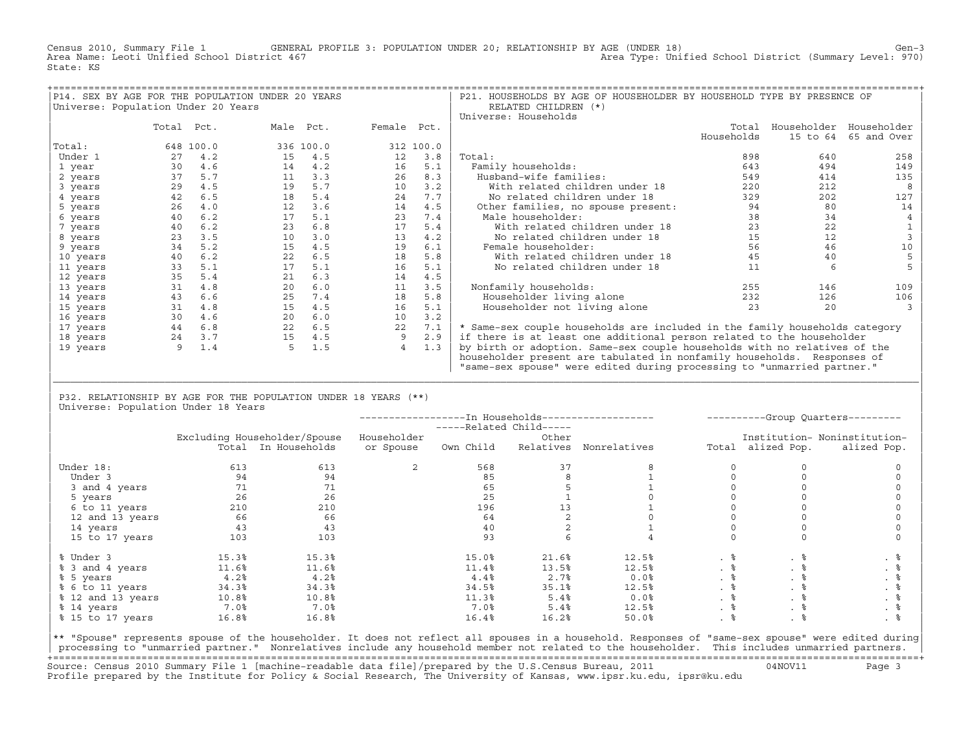Census 2010, Summary File 1 GENERAL PROFILE 3: POPULATION UNDER 20; RELATIONSHIP BY AGE (UNDER 18) Gen−3<br>Area Name: Leoti Unified School District 467 Area Type: Unified School District (Summary Level: 970) Area Type: Unified School District (Summary Level: 970) State: KS

| P14. SEX BY AGE FOR THE POPULATION UNDER 20 YEARS |            |           |           |           |                |           | P21. HOUSEHOLDS BY AGE OF HOUSEHOLDER BY HOUSEHOLD TYPE BY PRESENCE OF      |            |          |                         |
|---------------------------------------------------|------------|-----------|-----------|-----------|----------------|-----------|-----------------------------------------------------------------------------|------------|----------|-------------------------|
| Universe: Population Under 20 Years               |            |           |           |           |                |           | RELATED CHILDREN (*)                                                        |            |          |                         |
|                                                   |            |           |           |           |                |           | Universe: Households                                                        |            |          |                         |
|                                                   | Total Pct. |           | Male Pct. |           | Female Pct.    |           |                                                                             | Total      |          | Householder Householder |
|                                                   |            |           |           |           |                |           |                                                                             | Households | 15 to 64 | 65 and Over             |
| Total:                                            |            | 648 100.0 |           | 336 100.0 |                | 312 100.0 |                                                                             |            |          |                         |
| Under 1                                           | 27         | 4.2       | 15        | 4.5       | 12             | 3.8       | Total:                                                                      | 898        | 640      | 258                     |
| 1 year                                            | 30         | 4.6       | 14        | 4.2       | 16             | 5.1       | Family households:                                                          | 643        | 494      | 149                     |
| 2 years                                           | 37         | 5.7       | 11        | 3.3       | 26             | 8.3       | Husband-wife families:                                                      | 549        | 414      | 135                     |
| 3 years                                           | 29         | 4.5       | 19        | 5.7       | 10             | 3.2       | With related children under 18                                              | 220        | 212      |                         |
| 4 years                                           | 42         | 6.5       | 18        | 5.4       | 24             | 7.7       | No related children under 18                                                | 329        | 202      | 127                     |
| 5 years                                           | 26         | 4.0       | 12        | 3.6       | 14             | 4.5       | Other families, no spouse present:                                          | 94         | 80       | 14                      |
| 6 years                                           | 40         | 6.2       | 17        | 5.1       | 23             | 7.4       | Male householder:                                                           | 38         | 34       |                         |
| 7 years                                           | 40         | 6.2       | 23        | 6.8       | 17             | 5.4       | With related children under 18                                              | 23         | 22       |                         |
| 8 years                                           | 23         | 3.5       | 10        | 3.0       | 13             | 4.2       | No related children under 18                                                | 15         | 12       |                         |
| 9 years                                           | 34         | 5.2       | 15        | 4.5       | 19             | 6.1       | Female householder:                                                         | 56         | 46       | 10                      |
| 10 years                                          | 40         | 6.2       | 22        | 6.5       | 18             | 5.8       | With related children under 18                                              | 45         | 40       |                         |
| 11 years                                          | 33         | 5.1       | 17        | 5.1       | 16             | 5.1       | No related children under 18                                                | 11         |          |                         |
| 12 years                                          | 35         | 5.4       | 21        | 6.3       | 14             | 4.5       |                                                                             |            |          |                         |
| 13 years                                          | 31         | 4.8       | 20        | 6.0       | 11             | 3.5       | Nonfamily households:                                                       | 255        | 146      | 109                     |
| 14 years                                          | 43         | 6.6       | 25        | 7.4       | 18             | 5.8       | Householder living alone                                                    | 232        | 126      | 106                     |
| 15 years                                          | 31         | 4.8       | 15        | 4.5       | 16             | 5.1       | Householder not living alone                                                | 23         | 20       |                         |
| 16 years                                          | 30         | 4.6       | 20        | 6.0       | 10             | 3.2       |                                                                             |            |          |                         |
| 17 years                                          | 44         | 6.8       | 22        | 6.5       | 22             | 7.1       | * Same-sex couple households are included in the family households category |            |          |                         |
| 18 years                                          | 24         | 3.7       | 15        | 4.5       | 9              | 2.9       | if there is at least one additional person related to the householder       |            |          |                         |
| 19 years                                          | 9          | 1.4       |           | 1.5       | $\overline{4}$ | 1.3       | by birth or adoption. Same-sex couple households with no relatives of the   |            |          |                         |
|                                                   |            |           |           |           |                |           | householder present are tabulated in nonfamily households. Responses of     |            |          |                         |
|                                                   |            |           |           |           |                |           | "same-sex spouse" were edited during processing to "unmarried partner."     |            |          |                         |

| P32. RELATIONSHIP BY AGE FOR THE POPULATION UNDER 18 YEARS (\*\*) | Universe: Population Under 18 Years

|                   |       |                              |             | -----Related Child----- |           | --------------In Households------------------- |           |                   | ----------Group Ouarters--------- |
|-------------------|-------|------------------------------|-------------|-------------------------|-----------|------------------------------------------------|-----------|-------------------|-----------------------------------|
|                   |       | Excluding Householder/Spouse | Householder |                         | Other     |                                                |           |                   | Institution- Noninstitution-      |
|                   |       | Total In Households          | or Spouse   | Own Child               | Relatives | Nonrelatives                                   |           | Total alized Pop. | alized Pop.                       |
|                   |       |                              |             |                         |           |                                                |           |                   |                                   |
| Under 18:         | 613   | 613                          |             | 568                     | 37        |                                                |           |                   |                                   |
| Under 3           | 94    | 94                           |             | 85                      |           |                                                |           |                   |                                   |
| 3 and 4 years     | 71    | 71                           |             | 65                      |           |                                                |           |                   |                                   |
| 5 years           | 26    | 26                           |             | 25                      |           |                                                |           |                   |                                   |
| 6 to 11 years     | 210   | 210                          |             | 196                     | 13        |                                                |           |                   |                                   |
| 12 and 13 years   | 66    | 66                           |             | 64                      |           |                                                |           |                   |                                   |
| 14 years          | 43    | 43                           |             | 40                      |           |                                                |           |                   |                                   |
| 15 to 17 years    | 103   | 103                          |             | 93                      |           |                                                |           |                   |                                   |
| % Under 3         | 15.3% | 15.3%                        |             | 15.0%                   | 21.6%     | 12.5%                                          |           | . 응               | . そ                               |
| % 3 and 4 years   | 11.6% | 11.6%                        |             | 11.4%                   | 13.5%     | 12.5%                                          | $. \circ$ |                   | . 응                               |
| % 5 years         | 4.2%  | 4.2%                         |             | 4.4%                    | 2.7%      | 0.0%                                           | . 응       | . 응               |                                   |
| % 6 to 11 years   | 34.3% | 34.3%                        |             | 34.5%                   | 35.1%     | 12.5%                                          | . 응       | . 응               |                                   |
| % 12 and 13 years | 10.8% | 10.8%                        |             | 11.3%                   | 5.4%      | 0.0%                                           | .  응      |                   | . 응                               |
| % 14 years        | 7.0%  | $7.0\%$                      |             | 7.0%                    | 5.4%      | 12.5%                                          | . 응       |                   | . 응                               |
| % 15 to 17 years  | 16.8% | 16.8%                        |             | 16.4%                   | 16.2%     | 50.0%                                          | .  응      |                   |                                   |
|                   |       |                              |             |                         |           |                                                |           |                   |                                   |

|\_\_\_\_\_\_\_\_\_\_\_\_\_\_\_\_\_\_\_\_\_\_\_\_\_\_\_\_\_\_\_\_\_\_\_\_\_\_\_\_\_\_\_\_\_\_\_\_\_\_\_\_\_\_\_\_\_\_\_\_\_\_\_\_\_\_\_\_\_\_\_\_\_\_\_\_\_\_\_\_\_\_\_\_\_\_\_\_\_\_\_\_\_\_\_\_\_\_\_\_\_\_\_\_\_\_\_\_\_\_\_\_\_\_\_\_\_\_\_\_\_\_\_\_\_\_\_\_\_\_\_\_\_\_\_\_\_\_\_\_\_\_\_\_\_\_\_| | |

|\*\* "Spouse" represents spouse of the householder. It does not reflect all spouses in a household. Responses of "same−sex spouse" were edited during| processing to "unmarried partner." Nonrelatives include any household member not related to the householder. This includes unmarried partners. +===================================================================================================================================================+ Source: Census 2010 Summary File 1 [machine−readable data file]/prepared by the U.S.Census Bureau, 2011 04NOV11 Page 3 Profile prepared by the Institute for Policy & Social Research, The University of Kansas, www.ipsr.ku.edu, ipsr@ku.edu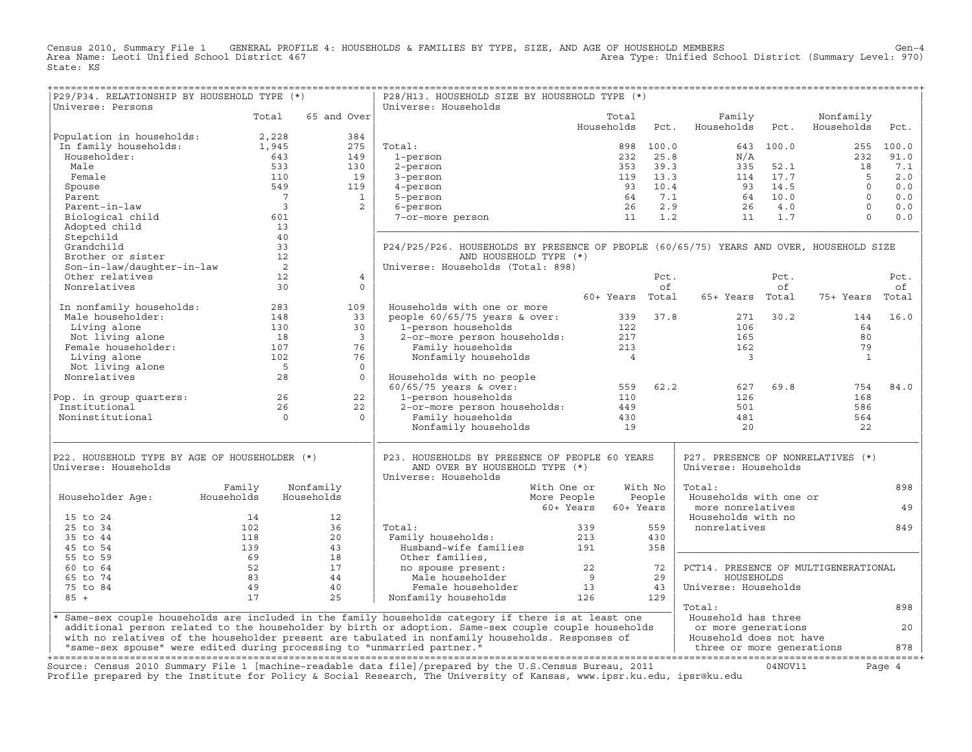Census 2010, Summary File 1 GENERAL PROFILE 4: HOUSEHOLDS & FAMILIES BY TYPE, SIZE, AND AGE OF HOUSEHOLD MEMBERS<br>Area Name: Leoti Unified School District 467 (Summary Level: 970) Area Type: Unified School District (Summar State: KS

+===================================================================================================================================================+

| P29/P34. RELATIONSHIP BY HOUSEHOLD TYPE (*)<br>Universe: Persons        |                |                         | P28/H13. HOUSEHOLD SIZE BY HOUSEHOLD TYPE (*)<br>Universe: Households                                                  |                        |         |                                                           |           |              |        |
|-------------------------------------------------------------------------|----------------|-------------------------|------------------------------------------------------------------------------------------------------------------------|------------------------|---------|-----------------------------------------------------------|-----------|--------------|--------|
|                                                                         | Total          | 65 and Over             |                                                                                                                        | Total                  |         | Family                                                    |           | Nonfamily    |        |
|                                                                         |                |                         |                                                                                                                        | Households             | Pct.    | Households                                                | Pct.      | Households   | Pct.   |
| Population in households:                                               | 2,228          | 384                     |                                                                                                                        |                        |         |                                                           |           |              |        |
| In family households:                                                   | 1,945          | 275                     | Total:                                                                                                                 | 898                    | 100.0   |                                                           | 643 100.0 | 255          | 100.0  |
| Householder:                                                            | 643            | 149                     | 1-person                                                                                                               | 232                    | 25.8    | N/A                                                       |           | 232          | 91.0   |
| Male                                                                    | 533            | 130                     | 2-person                                                                                                               | 353                    | 39.3    | 335                                                       | 52.1      | 18           | 7.1    |
| Female                                                                  | 110            | 19                      | 3-person                                                                                                               | 119                    | 13.3    | 114                                                       | 17.7      | 5            | 2.0    |
| Spouse                                                                  | 549            | 119                     | 4-person                                                                                                               | 93                     | 10.4    | 93                                                        | 14.5      | $\Omega$     | 0.0    |
| Parent                                                                  | $\overline{7}$ | $\mathbf{1}$            | 5-person                                                                                                               | 64                     | 7.1     | 64                                                        | 10.0      | $\Omega$     | 0.0    |
| Parent-in-law                                                           | $\overline{3}$ | 2                       | 6-person                                                                                                               | 26                     | 2.9     | 26                                                        | 4.0       | $\circ$      | 0.0    |
| Biological child                                                        | 601            |                         | 7-or-more person                                                                                                       | 11                     | 1.2     | 11                                                        | 1.7       | $\Omega$     | 0.0    |
| Adopted child                                                           | 13             |                         |                                                                                                                        |                        |         |                                                           |           |              |        |
| Stepchild                                                               | 40             |                         |                                                                                                                        |                        |         |                                                           |           |              |        |
| Grandchild                                                              | 33             |                         | P24/P25/P26. HOUSEHOLDS BY PRESENCE OF PEOPLE (60/65/75) YEARS AND OVER, HOUSEHOLD SIZE                                |                        |         |                                                           |           |              |        |
| Brother or sister                                                       | 12             |                         | AND HOUSEHOLD TYPE (*)                                                                                                 |                        |         |                                                           |           |              |        |
| Son-in-law/daughter-in-law                                              | $\overline{2}$ |                         | Universe: Households (Total: 898)                                                                                      |                        |         |                                                           |           |              |        |
| Other relatives                                                         | 12             | $\overline{4}$          |                                                                                                                        |                        | Pct.    |                                                           | Pct.      |              | Pct.   |
| Nonrelatives                                                            | 30             | $\Omega$                |                                                                                                                        |                        | of      |                                                           | of        |              | οf     |
|                                                                         |                |                         |                                                                                                                        | 60+ Years Total        |         | 65+ Years Total                                           |           | 75+ Years    | Total  |
| In nonfamily households:                                                | 283            | 109                     | Households with one or more                                                                                            |                        |         |                                                           |           |              |        |
| Male householder:                                                       | 148            | 33                      | people $60/65/75$ years & over:                                                                                        | 339                    | 37.8    | 271                                                       | 30.2      | 144          | 16.0   |
| Living alone                                                            | 130            | 30                      | 1-person households                                                                                                    | 122                    |         | 106                                                       |           | 64           |        |
| Not living alone                                                        | 18             | $\overline{\mathbf{3}}$ | 2-or-more person households:                                                                                           | 217                    |         | 165                                                       |           | 80           |        |
| Female householder:                                                     | 107            | 76                      | Family households                                                                                                      | 213                    |         | 162                                                       |           | 79           |        |
| Living alone                                                            | 102            | 76                      | Nonfamily households                                                                                                   | $\overline{4}$         |         | $\overline{3}$                                            |           | $\mathbf{1}$ |        |
| Not living alone                                                        | 5              | $\mathbf 0$             |                                                                                                                        |                        |         |                                                           |           |              |        |
| Nonrelatives                                                            | 28             | $\Omega$                | Households with no people                                                                                              |                        |         |                                                           |           |              |        |
|                                                                         |                |                         | $60/65/75$ years & over:                                                                                               | 559                    | 62.2    | 627                                                       | 69.8      | 754          | 84.0   |
| Pop. in group quarters:                                                 | 26             | 22                      | 1-person households                                                                                                    | 110                    |         | 126                                                       |           | 168          |        |
| Institutional                                                           | 26             | 22                      | 2-or-more person households:                                                                                           | 449                    |         | 501                                                       |           | 586          |        |
| Noninstitutional                                                        | $\Omega$       | $\Omega$                | Family households                                                                                                      | 430                    |         | 481                                                       |           | 564          |        |
|                                                                         |                |                         | Nonfamily households                                                                                                   | 19                     |         | 20                                                        |           | 22           |        |
|                                                                         |                |                         |                                                                                                                        |                        |         |                                                           |           |              |        |
| P22. HOUSEHOLD TYPE BY AGE OF HOUSEHOLDER (*)<br>Universe: Households   |                |                         | P23. HOUSEHOLDS BY PRESENCE OF PEOPLE 60 YEARS<br>AND OVER BY HOUSEHOLD TYPE (*)<br>Universe: Households               |                        |         | P27. PRESENCE OF NONRELATIVES (*)<br>Universe: Households |           |              |        |
|                                                                         | Family         | Nonfamily               | With One or                                                                                                            |                        | With No | Total:                                                    |           |              | 898    |
| Householder Age:                                                        | Households     | Households              | More People                                                                                                            |                        | People  | Households with one or                                    |           |              |        |
|                                                                         |                |                         |                                                                                                                        | 60+ Years<br>60+ Years |         | more nonrelatives                                         |           |              | 49     |
| 15 to 24                                                                | 14             | 12                      |                                                                                                                        |                        |         | Households with no                                        |           |              |        |
| 25 to 34                                                                | 102            | 36                      | Total:                                                                                                                 | 339                    | 559     | nonrelatives                                              |           |              | 849    |
| 35 to 44                                                                | 118            | 20                      | Family households:                                                                                                     | 213                    | 430     |                                                           |           |              |        |
| 45 to 54                                                                | 139            | 43                      | Husband-wife families                                                                                                  | 191                    | 358     |                                                           |           |              |        |
| 55 to 59                                                                | 69             | 18                      | Other families,                                                                                                        |                        |         |                                                           |           |              |        |
| 60 to 64                                                                | 52             | 17                      | no spouse present:                                                                                                     | 22                     | 72      | PCT14. PRESENCE OF MULTIGENERATIONAL                      |           |              |        |
| 65 to 74                                                                | 83             | 44                      | Male householder                                                                                                       | 9                      | 29      | HOUSEHOLDS                                                |           |              |        |
| 75 to 84                                                                | 49             | 40                      | Female householder                                                                                                     | 13                     | 43      | Universe: Households                                      |           |              |        |
| $85 +$                                                                  | 17             | 25                      | Nonfamily households                                                                                                   | 126                    | 129     |                                                           |           |              |        |
|                                                                         |                |                         |                                                                                                                        |                        |         | Total:                                                    |           |              | 898    |
|                                                                         |                |                         | * Same-sex couple households are included in the family households category if there is at least one                   |                        |         | Household has three                                       |           |              |        |
|                                                                         |                |                         | additional person related to the householder by birth or adoption. Same-sex couple couple households                   |                        |         | or more generations                                       |           |              | 20     |
|                                                                         |                |                         | with no relatives of the householder present are tabulated in nonfamily households. Responses of                       |                        |         | Household does not have                                   |           |              |        |
| "same-sex spouse" were edited during processing to "unmarried partner." |                |                         |                                                                                                                        |                        |         | three or more generations                                 |           |              | 878    |
|                                                                         |                |                         |                                                                                                                        |                        |         |                                                           |           |              |        |
|                                                                         |                |                         | Source: Census 2010 Summary File 1 [machine-readable data file]/prepared by the U.S.Census Bureau, 2011                |                        |         |                                                           | 04NOV11   |              | Page 4 |
|                                                                         |                |                         | Profile prepared by the Institute for Policy & Social Research, The University of Kansas, www.ipsr.ku.edu, ipsr@ku.edu |                        |         |                                                           |           |              |        |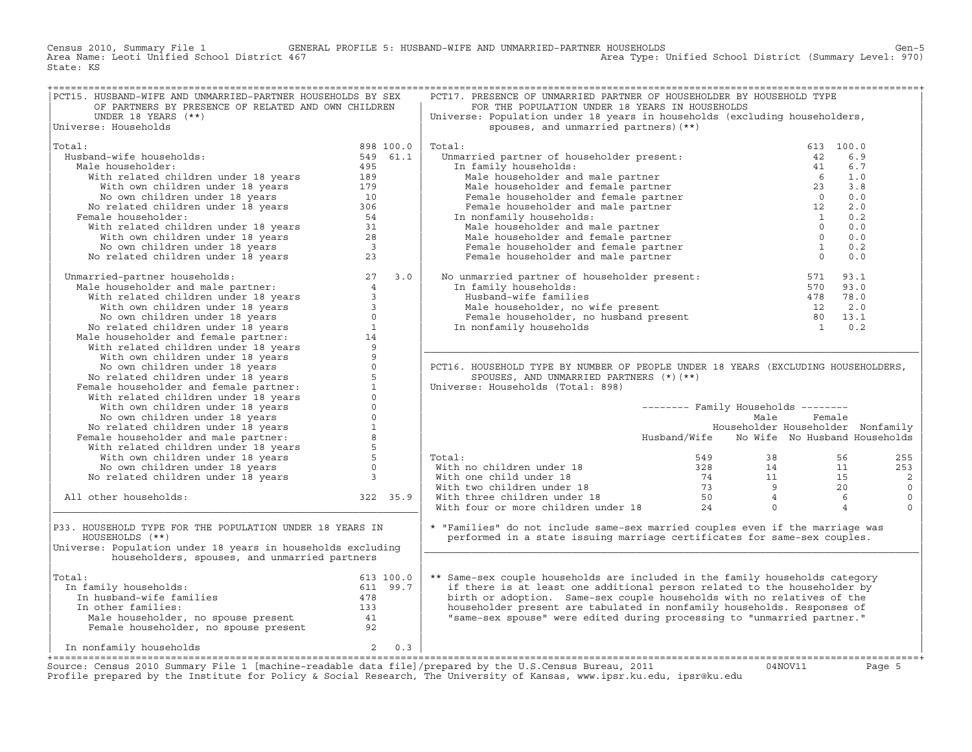Census 2010, Summary File 1 GENERAL PROFILE 5: HUSBAND−WIFE AND UNMARRIED−PARTNER HOUSEHOLDS Gen−5 Area Name: Leoti Unified School District 467 Area Type: Unified School District (Summary Level: 970) State: KS

| PCT15. HUSBAND-WIFE AND UNMARRIED-PARTNER HOUSEHOLDS BY SEX                                                                                                                                                                                                                               |           |          | PCT17. PRESENCE OF UNMARRIED PARTNER OF HOUSEHOLDER BY HOUSEHOLD TYPE                                                                                                                                                                                                                                                                                      |                                            |        |           |                |
|-------------------------------------------------------------------------------------------------------------------------------------------------------------------------------------------------------------------------------------------------------------------------------------------|-----------|----------|------------------------------------------------------------------------------------------------------------------------------------------------------------------------------------------------------------------------------------------------------------------------------------------------------------------------------------------------------------|--------------------------------------------|--------|-----------|----------------|
| OF PARTNERS BY PRESENCE OF RELATED AND OWN CHILDREN                                                                                                                                                                                                                                       |           |          | FOR THE POPULATION UNDER 18 YEARS IN HOUSEHOLDS                                                                                                                                                                                                                                                                                                            |                                            |        |           |                |
| UNDER 18 YEARS (**)                                                                                                                                                                                                                                                                       |           |          | Universe: Population under 18 years in households (excluding householders,                                                                                                                                                                                                                                                                                 |                                            |        |           |                |
| Universe: Households                                                                                                                                                                                                                                                                      |           |          | spouses, and unmarried partners) (**)                                                                                                                                                                                                                                                                                                                      |                                            |        |           |                |
|                                                                                                                                                                                                                                                                                           |           |          |                                                                                                                                                                                                                                                                                                                                                            |                                            |        |           |                |
| Total:                                                                                                                                                                                                                                                                                    | 898 100.0 |          | Total:<br>in the partner of householder present:<br>a family households:<br>Male householder and male partner<br>Male householder and female partner<br>Male householder and female partner<br>Female householder and female partner<br>$\frac{1}{2}$<br>                                                                                                  |                                            |        | 613 100.0 |                |
| $\begin{array}{rr}\n 898 & 100.0 \\  549 & 61.1\n \end{array}$<br>Husband-wife households:                                                                                                                                                                                                |           |          | otal: 613<br>Unmarried partner of householder present: 613<br>In family households: 613                                                                                                                                                                                                                                                                    |                                            |        | 6.9       |                |
|                                                                                                                                                                                                                                                                                           |           |          |                                                                                                                                                                                                                                                                                                                                                            |                                            |        |           |                |
| Male householder:                                                                                                                                                                                                                                                                         |           |          |                                                                                                                                                                                                                                                                                                                                                            |                                            |        | 6.7       |                |
|                                                                                                                                                                                                                                                                                           |           |          |                                                                                                                                                                                                                                                                                                                                                            |                                            |        | 1.0       |                |
|                                                                                                                                                                                                                                                                                           |           |          |                                                                                                                                                                                                                                                                                                                                                            |                                            |        | 3.8       |                |
| band-wife households:<br>19961.<br>19961.<br>19961.<br>19961.<br>1996.<br>1996.<br>1996.<br>1996.<br>1996.<br>1996.<br>1996.<br>1996.<br>1996.<br>1996.<br>1996.<br>1996.<br>1996.<br>1996.<br>1996.<br>1996.<br>1996.<br>1996.<br>1996.<br>1996.<br>1996.<br>1996.<br>1996.<br>1996.<br> |           |          |                                                                                                                                                                                                                                                                                                                                                            |                                            |        | 0.0       |                |
|                                                                                                                                                                                                                                                                                           |           |          |                                                                                                                                                                                                                                                                                                                                                            |                                            |        | 2.0       |                |
| Female householder:                                                                                                                                                                                                                                                                       |           |          | In nonfamily households:                                                                                                                                                                                                                                                                                                                                   |                                            |        | 0.2       |                |
|                                                                                                                                                                                                                                                                                           |           |          |                                                                                                                                                                                                                                                                                                                                                            |                                            |        | 0.0       |                |
|                                                                                                                                                                                                                                                                                           |           |          |                                                                                                                                                                                                                                                                                                                                                            |                                            |        | 0.0       |                |
|                                                                                                                                                                                                                                                                                           |           |          |                                                                                                                                                                                                                                                                                                                                                            |                                            |        | 0.2       |                |
|                                                                                                                                                                                                                                                                                           |           |          |                                                                                                                                                                                                                                                                                                                                                            |                                            |        | 0.0       |                |
|                                                                                                                                                                                                                                                                                           |           |          |                                                                                                                                                                                                                                                                                                                                                            |                                            |        |           |                |
|                                                                                                                                                                                                                                                                                           |           |          | No unmarried partner of householder present: $\begin{array}{llllllll} 571 & 93.1 \\ \text{In family households:} & 570 & 93.0 \\ \text{Hushand-wife families} & 478 & 78.0 \\ \text{Male householder, no wife present} & 12 & 2.0 \\ \text{Female householder, no husband present} & 80 & 13.1 \\ \text{In nonfamily households} & 1 & 0.2 \\ \end{array}$ |                                            |        |           |                |
|                                                                                                                                                                                                                                                                                           |           |          |                                                                                                                                                                                                                                                                                                                                                            |                                            |        |           |                |
|                                                                                                                                                                                                                                                                                           |           |          |                                                                                                                                                                                                                                                                                                                                                            |                                            |        |           |                |
|                                                                                                                                                                                                                                                                                           |           |          |                                                                                                                                                                                                                                                                                                                                                            |                                            |        |           |                |
|                                                                                                                                                                                                                                                                                           |           |          |                                                                                                                                                                                                                                                                                                                                                            |                                            |        |           |                |
|                                                                                                                                                                                                                                                                                           |           |          |                                                                                                                                                                                                                                                                                                                                                            |                                            |        |           |                |
|                                                                                                                                                                                                                                                                                           |           |          |                                                                                                                                                                                                                                                                                                                                                            |                                            |        |           |                |
|                                                                                                                                                                                                                                                                                           |           |          |                                                                                                                                                                                                                                                                                                                                                            |                                            |        |           |                |
|                                                                                                                                                                                                                                                                                           |           |          |                                                                                                                                                                                                                                                                                                                                                            |                                            |        |           |                |
|                                                                                                                                                                                                                                                                                           |           |          |                                                                                                                                                                                                                                                                                                                                                            |                                            |        |           |                |
|                                                                                                                                                                                                                                                                                           |           |          | PCT16. HOUSEHOLD TYPE BY NUMBER OF PEOPLE UNDER 18 YEARS (EXCLUDING HOUSEHOLDERS,                                                                                                                                                                                                                                                                          |                                            |        |           |                |
|                                                                                                                                                                                                                                                                                           |           |          | SPOUSES, AND UNMARRIED PARTNERS (*) (**)                                                                                                                                                                                                                                                                                                                   |                                            |        |           |                |
|                                                                                                                                                                                                                                                                                           |           |          | Universe: Households (Total: 898)                                                                                                                                                                                                                                                                                                                          |                                            |        |           |                |
|                                                                                                                                                                                                                                                                                           |           |          |                                                                                                                                                                                                                                                                                                                                                            |                                            |        |           |                |
|                                                                                                                                                                                                                                                                                           |           |          |                                                                                                                                                                                                                                                                                                                                                            |                                            |        |           |                |
|                                                                                                                                                                                                                                                                                           |           |          |                                                                                                                                                                                                                                                                                                                                                            | -------- Family Households --------        |        |           |                |
|                                                                                                                                                                                                                                                                                           |           |          |                                                                                                                                                                                                                                                                                                                                                            | Male                                       | Female |           |                |
|                                                                                                                                                                                                                                                                                           |           |          |                                                                                                                                                                                                                                                                                                                                                            | Householder Householder Nonfamily          |        |           |                |
|                                                                                                                                                                                                                                                                                           |           |          |                                                                                                                                                                                                                                                                                                                                                            | Husband/Wife No Wife No Husband Households |        |           |                |
|                                                                                                                                                                                                                                                                                           |           |          |                                                                                                                                                                                                                                                                                                                                                            |                                            |        |           |                |
|                                                                                                                                                                                                                                                                                           |           |          | Total:                                                                                                                                                                                                                                                                                                                                                     |                                            |        |           | 255            |
|                                                                                                                                                                                                                                                                                           |           |          |                                                                                                                                                                                                                                                                                                                                                            |                                            |        |           | 253            |
|                                                                                                                                                                                                                                                                                           |           |          |                                                                                                                                                                                                                                                                                                                                                            |                                            |        |           |                |
|                                                                                                                                                                                                                                                                                           |           |          |                                                                                                                                                                                                                                                                                                                                                            |                                            |        |           |                |
|                                                                                                                                                                                                                                                                                           |           |          |                                                                                                                                                                                                                                                                                                                                                            |                                            |        |           | $\overline{c}$ |
| No related children under 18 years<br>Manarried-partner households:<br>Male householder and male partner:<br>With wellated children under 18 years<br>With own children under 18 years<br>No own children under 18 years<br>No own childre                                                |           |          |                                                                                                                                                                                                                                                                                                                                                            |                                            |        |           | $\mathbb O$    |
| All other households:                                                                                                                                                                                                                                                                     |           | 322 35.9 |                                                                                                                                                                                                                                                                                                                                                            |                                            |        |           | $\mathbb O$    |
|                                                                                                                                                                                                                                                                                           |           |          |                                                                                                                                                                                                                                                                                                                                                            |                                            |        |           | $\mathbf 0$    |
|                                                                                                                                                                                                                                                                                           |           |          | Total: 549 38 56<br>With no children under 18 328 14 11<br>With one child under 18 74 11 15<br>With two children under 18 73 9 20<br>With three children under 18 50 4 6<br>With four or more children under 18 24 0 4                                                                                                                                     |                                            |        |           |                |
| P33. HOUSEHOLD TYPE FOR THE POPULATION UNDER 18 YEARS IN                                                                                                                                                                                                                                  |           |          | * "Families" do not include same-sex married couples even if the marriage was                                                                                                                                                                                                                                                                              |                                            |        |           |                |
| HOUSEHOLDS (**)                                                                                                                                                                                                                                                                           |           |          | performed in a state issuing marriage certificates for same-sex couples.                                                                                                                                                                                                                                                                                   |                                            |        |           |                |
| Universe: Population under 18 years in households excluding                                                                                                                                                                                                                               |           |          |                                                                                                                                                                                                                                                                                                                                                            |                                            |        |           |                |
| householders, spouses, and unmarried partners                                                                                                                                                                                                                                             |           |          |                                                                                                                                                                                                                                                                                                                                                            |                                            |        |           |                |
|                                                                                                                                                                                                                                                                                           |           |          |                                                                                                                                                                                                                                                                                                                                                            |                                            |        |           |                |
| Total:                                                                                                                                                                                                                                                                                    |           |          | ** Same-sex couple households are included in the family households category                                                                                                                                                                                                                                                                               |                                            |        |           |                |
|                                                                                                                                                                                                                                                                                           |           |          |                                                                                                                                                                                                                                                                                                                                                            |                                            |        |           |                |
|                                                                                                                                                                                                                                                                                           |           |          | if there is at least one additional person related to the householder by                                                                                                                                                                                                                                                                                   |                                            |        |           |                |
|                                                                                                                                                                                                                                                                                           |           |          | birth or adoption. Same-sex couple households with no relatives of the                                                                                                                                                                                                                                                                                     |                                            |        |           |                |
|                                                                                                                                                                                                                                                                                           |           |          | householder present are tabulated in nonfamily households. Responses of                                                                                                                                                                                                                                                                                    |                                            |        |           |                |
|                                                                                                                                                                                                                                                                                           |           |          | "same-sex spouse" were edited during processing to "unmarried partner."                                                                                                                                                                                                                                                                                    |                                            |        |           |                |
|                                                                                                                                                                                                                                                                                           |           |          |                                                                                                                                                                                                                                                                                                                                                            |                                            |        |           |                |
| % otal:<br>100.0<br>100.0<br>100.0<br>100.0<br>100.0<br>100.0<br>511 100.0<br>51 100.0<br>51 100.0<br>51 100.0<br>51 100.0<br>51 99.7<br>51 99.7<br>51 99.7<br>478<br>53 133<br>53 133<br>54 133<br>Female householder, no spouse present<br>54<br>52                                     |           |          |                                                                                                                                                                                                                                                                                                                                                            |                                            |        |           |                |
| $2 \t 0.3$<br>In nonfamily households                                                                                                                                                                                                                                                     |           |          |                                                                                                                                                                                                                                                                                                                                                            |                                            |        |           |                |

Source: Census 2010 Summary File 1 [machine-readable data file]/prepared by the U.S.Census Bureau, 2011 Page 5<br>Profile prepared by the Institute for Policy & Social Research, The University of Kansas, www.ip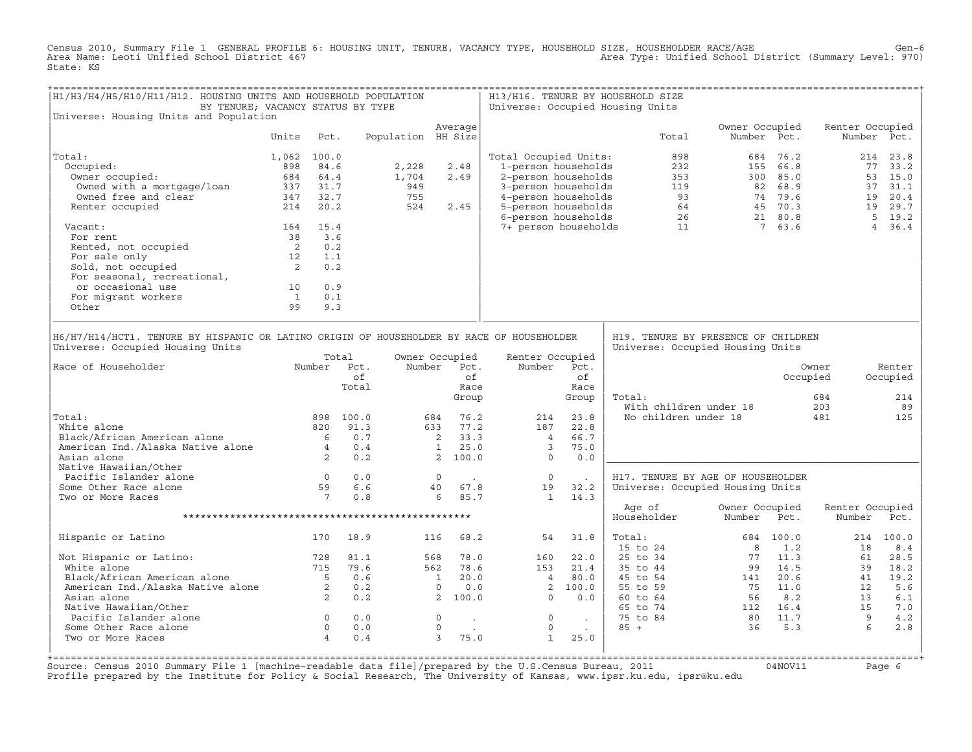Census 2010, Summary File 1 GENERAL PROFILE 6: HOUSING UNIT, TENURE, VACANCY TYPE, HOUSEHOLD SIZE, HOUSEHOLDER RACE/AGE<br>Area Name: Leoti Unified School District 467 State: KS

| H1/H3/H4/H5/H10/H11/H12. HOUSING UNITS AND HOUSEHOLD POPULATION<br>BY TENURE; VACANCY STATUS BY TYPE                                                                |                                            |          |                                                                 |                    |                                                      |                          | H13/H16. TENURE BY HOUSEHOLD SIZE<br>Universe: Occupied Housing Units                     |                    |                                                                                                                                                                                                                                                                      |       |                                                                         |             |                                                                                                                                                              |                   |
|---------------------------------------------------------------------------------------------------------------------------------------------------------------------|--------------------------------------------|----------|-----------------------------------------------------------------|--------------------|------------------------------------------------------|--------------------------|-------------------------------------------------------------------------------------------|--------------------|----------------------------------------------------------------------------------------------------------------------------------------------------------------------------------------------------------------------------------------------------------------------|-------|-------------------------------------------------------------------------|-------------|--------------------------------------------------------------------------------------------------------------------------------------------------------------|-------------------|
| Universe: Housing Units and Population                                                                                                                              |                                            |          |                                                                 |                    | Average                                              |                          |                                                                                           |                    |                                                                                                                                                                                                                                                                      |       | Owner Occupied                                                          |             | Renter Occupied                                                                                                                                              |                   |
|                                                                                                                                                                     | Units                                      | Pct.     |                                                                 | Population HH Size |                                                      |                          |                                                                                           |                    |                                                                                                                                                                                                                                                                      | Total |                                                                         | Number Pct. |                                                                                                                                                              | Number Pct.       |
| Total:                                                                                                                                                              | 1,062 100.0                                |          |                                                                 |                    |                                                      |                          | Total Occupied Units:                                                                     |                    |                                                                                                                                                                                                                                                                      | 898   |                                                                         | 684 76.2    |                                                                                                                                                              | 214 23.8          |
| Occupied:                                                                                                                                                           | 898                                        | 84.6     |                                                                 | 2,228              | 2.48                                                 |                          |                                                                                           |                    |                                                                                                                                                                                                                                                                      |       |                                                                         |             |                                                                                                                                                              | 77 33.2           |
| Owner occupied:                                                                                                                                                     |                                            | 684 64.4 |                                                                 | 1,704              | 2.49                                                 |                          |                                                                                           |                    |                                                                                                                                                                                                                                                                      |       |                                                                         |             |                                                                                                                                                              | 53 15.0           |
|                                                                                                                                                                     |                                            |          |                                                                 | 949                |                                                      |                          |                                                                                           |                    |                                                                                                                                                                                                                                                                      |       |                                                                         |             |                                                                                                                                                              | 37 31.1           |
|                                                                                                                                                                     |                                            |          |                                                                 | 755                |                                                      |                          |                                                                                           |                    |                                                                                                                                                                                                                                                                      |       |                                                                         |             |                                                                                                                                                              | 19 20.4           |
| owned with a mortgage/loan<br>0wned free and clear<br>237 31.7<br>214 20.2<br>Renter occupied                                                                       |                                            |          |                                                                 | 524                | 2.45                                                 |                          |                                                                                           |                    | 322<br>232<br>232<br>2-person households<br>353<br>350 85.0<br>3-person households<br>4-person households<br>5-person households<br>5-person households<br>64<br>45 70.3<br>6-person households<br>74 79.6<br>64<br>45 70.3<br>82 88.9<br>74 79.6<br>82 68.9<br>74 7 |       |                                                                         |             |                                                                                                                                                              | 19 29.7           |
| Vacant:                                                                                                                                                             |                                            | 164 15.4 |                                                                 |                    |                                                      |                          |                                                                                           |                    |                                                                                                                                                                                                                                                                      |       |                                                                         |             |                                                                                                                                                              | 5 19.2<br>4, 36.4 |
| For rent                                                                                                                                                            | 38 3.6                                     |          |                                                                 |                    |                                                      |                          |                                                                                           |                    |                                                                                                                                                                                                                                                                      |       |                                                                         |             |                                                                                                                                                              |                   |
| For rent<br>Rented, not occupied<br>For sale only<br>Sold, not occupied<br>2                                                                                        |                                            | 0.2      |                                                                 |                    |                                                      |                          |                                                                                           |                    |                                                                                                                                                                                                                                                                      |       |                                                                         |             |                                                                                                                                                              |                   |
|                                                                                                                                                                     |                                            | 1.1      |                                                                 |                    |                                                      |                          |                                                                                           |                    |                                                                                                                                                                                                                                                                      |       |                                                                         |             |                                                                                                                                                              |                   |
|                                                                                                                                                                     |                                            | 0.2      |                                                                 |                    |                                                      |                          |                                                                                           |                    |                                                                                                                                                                                                                                                                      |       |                                                                         |             |                                                                                                                                                              |                   |
| For seasonal, recreational,                                                                                                                                         |                                            |          |                                                                 |                    |                                                      |                          |                                                                                           |                    |                                                                                                                                                                                                                                                                      |       |                                                                         |             |                                                                                                                                                              |                   |
| or occasional use                                                                                                                                                   | 10                                         | 0.9      |                                                                 |                    |                                                      |                          |                                                                                           |                    |                                                                                                                                                                                                                                                                      |       |                                                                         |             |                                                                                                                                                              |                   |
| For migrant workers                                                                                                                                                 | $\overline{1}$                             | 0.1      |                                                                 |                    |                                                      |                          |                                                                                           |                    |                                                                                                                                                                                                                                                                      |       |                                                                         |             |                                                                                                                                                              |                   |
| Other                                                                                                                                                               | 99                                         | 9.3      |                                                                 |                    |                                                      |                          |                                                                                           |                    |                                                                                                                                                                                                                                                                      |       |                                                                         |             |                                                                                                                                                              |                   |
| H6/H7/H14/HCT1. TENURE BY HISPANIC OR LATINO ORIGIN OF HOUSEHOLDER BY RACE OF HOUSEHOLDER<br>Universe: Occupied Housing Units<br>Number Pct.<br>Race of Householder |                                            |          | Total                                                           |                    | Owner Occupied<br>Number Pct.                        |                          | Renter Occupied<br>Number                                                                 | Pct.               |                                                                                                                                                                                                                                                                      |       | H19. TENURE BY PRESENCE OF CHILDREN<br>Universe: Occupied Housing Units |             | Owner                                                                                                                                                        | Renter            |
|                                                                                                                                                                     |                                            |          | of                                                              |                    |                                                      | of                       |                                                                                           | of                 |                                                                                                                                                                                                                                                                      |       |                                                                         |             | Occupied                                                                                                                                                     | Occupied          |
|                                                                                                                                                                     |                                            |          | Total                                                           |                    |                                                      | Race                     |                                                                                           | Race               |                                                                                                                                                                                                                                                                      |       |                                                                         |             |                                                                                                                                                              |                   |
|                                                                                                                                                                     |                                            |          |                                                                 |                    |                                                      | Group                    |                                                                                           | Group              | Total:                                                                                                                                                                                                                                                               |       |                                                                         |             | 684                                                                                                                                                          | 214               |
|                                                                                                                                                                     |                                            |          |                                                                 |                    |                                                      |                          |                                                                                           |                    |                                                                                                                                                                                                                                                                      |       | With children under 18                                                  |             | 203                                                                                                                                                          | 89                |
| Total:                                                                                                                                                              |                                            |          | 898 100.0                                                       |                    | 684 76.2                                             |                          | 214                                                                                       | 23.8               |                                                                                                                                                                                                                                                                      |       | No children under 18                                                    |             | 481                                                                                                                                                          | 125               |
| White alone                                                                                                                                                         |                                            |          | 820 91.3                                                        |                    | 633 77.2                                             |                          | 187                                                                                       | 22.8               |                                                                                                                                                                                                                                                                      |       |                                                                         |             |                                                                                                                                                              |                   |
| Black/African American alone 6 0.7<br>American Ind./Alaska Native alone 4 0.4<br>Asian alone 2 0.2                                                                  |                                            |          |                                                                 |                    | $\begin{array}{cc} 2 & 33.3 \\ 1 & 25.0 \end{array}$ |                          | $\overline{4}$                                                                            | 66.7               |                                                                                                                                                                                                                                                                      |       |                                                                         |             |                                                                                                                                                              |                   |
|                                                                                                                                                                     |                                            |          |                                                                 |                    | $\frac{1}{2}$ $\frac{25.0}{100.0}$                   |                          | $\overline{\phantom{a}}$                                                                  | 75.0               |                                                                                                                                                                                                                                                                      |       |                                                                         |             |                                                                                                                                                              |                   |
|                                                                                                                                                                     |                                            |          |                                                                 |                    |                                                      |                          | $\overline{0}$                                                                            | 0.0                |                                                                                                                                                                                                                                                                      |       |                                                                         |             |                                                                                                                                                              |                   |
| Native Hawaiian/Other<br>Pacific Islander alone                                                                                                                     |                                            |          |                                                                 |                    |                                                      |                          | $\overline{0}$                                                                            |                    |                                                                                                                                                                                                                                                                      |       | H17. TENURE BY AGE OF HOUSEHOLDER                                       |             |                                                                                                                                                              |                   |
| Some Other Race alone                                                                                                                                               |                                            |          |                                                                 |                    | $\begin{matrix}0&.&\\40&&67.8\end{matrix}$           | <b>Contractor</b>        | 19                                                                                        | $\sim 100$<br>32.2 |                                                                                                                                                                                                                                                                      |       | Universe: Occupied Housing Units                                        |             |                                                                                                                                                              |                   |
| Two or More Races                                                                                                                                                   |                                            |          | $\begin{array}{ccc} 0 & 0.0 \\ 59 & 6.6 \\ 7 & 0.8 \end{array}$ |                    | 6 85.7                                               |                          | $\mathbf{1}$                                                                              | 14.3               |                                                                                                                                                                                                                                                                      |       |                                                                         |             |                                                                                                                                                              |                   |
|                                                                                                                                                                     |                                            |          |                                                                 |                    |                                                      |                          |                                                                                           |                    | Age of                                                                                                                                                                                                                                                               |       | Owner Occupied                                                          |             | Renter Occupied                                                                                                                                              |                   |
|                                                                                                                                                                     |                                            |          |                                                                 |                    |                                                      |                          |                                                                                           |                    | Householder                                                                                                                                                                                                                                                          |       | Number                                                                  | Pct.        | Number                                                                                                                                                       | Pct.              |
| Hispanic or Latino                                                                                                                                                  |                                            | 170      | 18.9                                                            |                    | 116                                                  | 68.2                     | 54                                                                                        | 31.8               | Total:                                                                                                                                                                                                                                                               |       |                                                                         | 684 100.0   |                                                                                                                                                              | 214 100.0         |
|                                                                                                                                                                     |                                            |          |                                                                 |                    |                                                      |                          |                                                                                           |                    | $\begin{array}{r} 0.24 \\ \hline 0.34 \\ \hline 5 \thinspace \text{to} 644 \\ 5 \thinspace \text{to} 54 \\ 60 \thinspace \text{to} 64 \\ 65 \thinspace \text{to} 74 \\ 75 \thinspace \text{to} 84 \end{array}$                                                       |       | $\overline{R}$                                                          | 1.2         | 18                                                                                                                                                           | 8.4               |
| Not Hispanic or Latino: 728<br>White alone 715                                                                                                                      |                                            |          | 81.1                                                            |                    | 568 78.0                                             |                          | 160                                                                                       | 22.0               |                                                                                                                                                                                                                                                                      |       |                                                                         | 77 11.3     | 61                                                                                                                                                           | 28.5              |
|                                                                                                                                                                     |                                            |          | 79.6                                                            |                    |                                                      |                          |                                                                                           |                    |                                                                                                                                                                                                                                                                      |       |                                                                         |             |                                                                                                                                                              | 18.2              |
|                                                                                                                                                                     |                                            |          | 0.6                                                             |                    |                                                      |                          |                                                                                           |                    |                                                                                                                                                                                                                                                                      |       |                                                                         |             |                                                                                                                                                              | 19.2              |
|                                                                                                                                                                     |                                            |          | 0.2                                                             |                    |                                                      |                          | $\begin{array}{cccc} 1.53 & 21.4 \\ 1 & 20.0 & 4 & 80.0 \\ 0 & 0.0 & 1 & 0.0 \end{array}$ |                    |                                                                                                                                                                                                                                                                      |       |                                                                         |             |                                                                                                                                                              | 5.6               |
| White alone<br>Black/African American alone<br>American Ind./Alaska Native alone<br>2                                                                               |                                            |          | 0.2                                                             | 2 100.0            |                                                      |                          | $20.0$<br>0.0<br>$0.0$<br>$\overline{0}$                                                  | 0.0                |                                                                                                                                                                                                                                                                      |       |                                                                         |             |                                                                                                                                                              | 6.1               |
| Native Hawaiian/Other                                                                                                                                               |                                            |          |                                                                 |                    |                                                      |                          |                                                                                           |                    |                                                                                                                                                                                                                                                                      |       |                                                                         |             |                                                                                                                                                              | 7.0               |
| Pacific Islander alone                                                                                                                                              | $\begin{array}{c} 0 \\ 0 \\ 4 \end{array}$ |          | 0.0                                                             |                    | $\overline{0}$                                       | <b>Contract Contract</b> | $\overline{0}$                                                                            | $\sim$ $\sim$      |                                                                                                                                                                                                                                                                      |       |                                                                         |             |                                                                                                                                                              | 4.2               |
| Some Other Race alone                                                                                                                                               |                                            |          | 0.0                                                             |                    | $\Omega$                                             |                          | $\Omega$                                                                                  |                    |                                                                                                                                                                                                                                                                      |       |                                                                         |             |                                                                                                                                                              | 2.8               |
| Two or More Races                                                                                                                                                   |                                            |          | 0.4                                                             |                    | $\overline{3}$                                       | 75.0                     | 1                                                                                         | 25.0               |                                                                                                                                                                                                                                                                      |       |                                                                         |             | $\begin{array}{cccc} & 5 & 14.5 & 61 \\ 141 & 20.6 & 41 \\ 75 & 11.0 & 12 \\ 56 & 8.2 & 13 \\ 112 & 16.4 & 15 \\ 80 & 11.7 & 9 \\ 36 & 5.3 & 7 \end{array}.$ |                   |
|                                                                                                                                                                     |                                            |          |                                                                 |                    |                                                      |                          |                                                                                           |                    |                                                                                                                                                                                                                                                                      |       |                                                                         |             |                                                                                                                                                              |                   |

+===================================================================================================================================================+Source: Census 2010 Summary File 1 [machine−readable data file]/prepared by the U.S.Census Bureau, 2011 04NOV11 Page 6 Profile prepared by the Institute for Policy & Social Research, The University of Kansas, www.ipsr.ku.edu, ipsr@ku.edu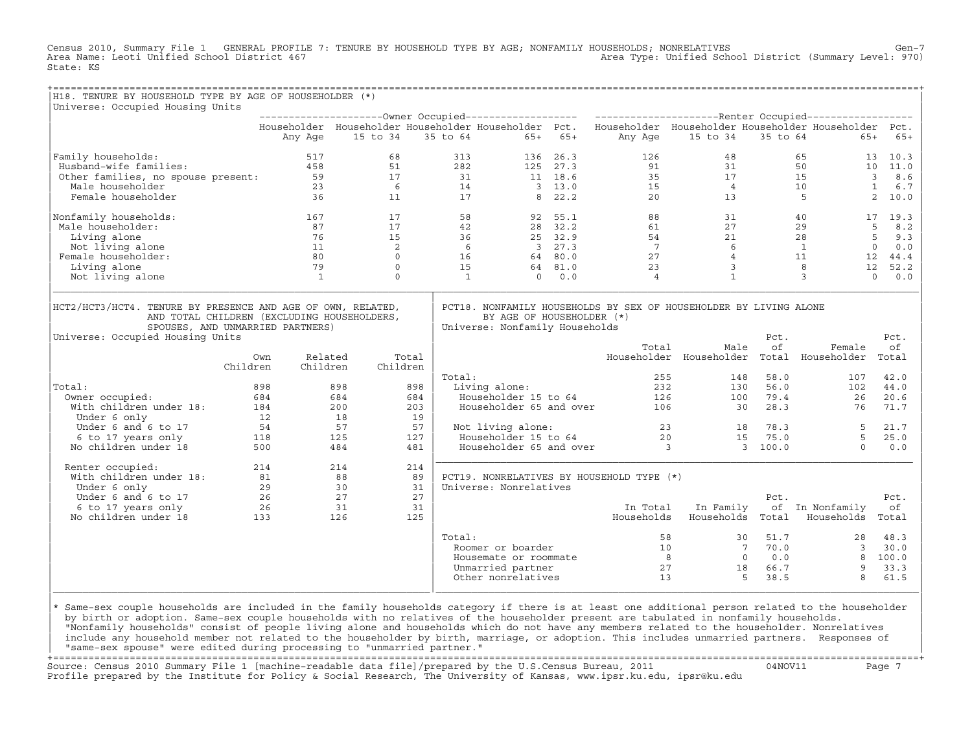Census 2010, Summary File 1 GENERAL PROFILE 7: TENURE BY HOUSEHOLD TYPE BY AGE; NONFAMILY HOUSEHOLDS; NONRELATIVES Gen−7<br>Area Name: Leoti Unified School District 467 Area Type: Unified School District (Summary Level: 970) State: KS

+===================================================================================================================================================+

| H18. TENURE BY HOUSEHOLD TYPE BY AGE OF HOUSEHOLDER (*)                                                                                                                            |                 |                     |          |          |                                                                                                                                  |         |                              |                         |              |                 |                     |
|------------------------------------------------------------------------------------------------------------------------------------------------------------------------------------|-----------------|---------------------|----------|----------|----------------------------------------------------------------------------------------------------------------------------------|---------|------------------------------|-------------------------|--------------|-----------------|---------------------|
| Universe: Occupied Housing Units                                                                                                                                                   |                 |                     |          |          |                                                                                                                                  |         |                              |                         |              |                 |                     |
|                                                                                                                                                                                    |                 |                     |          |          | Householder Householder Householder Householder Pct. Householder Householder Householder Householder Pct.                        |         |                              |                         |              |                 |                     |
|                                                                                                                                                                                    |                 | Any Age             | 15 to 34 | 35 to 64 | $65+$                                                                                                                            | $65+$   | Any Age                      | 15 to 34                | 35 to 64     | $65+$           | $65+$               |
| Family households:                                                                                                                                                                 |                 | 517                 | 68       |          | 313<br>136                                                                                                                       | 26.3    | 126                          | 48                      |              | 65              | 10.3<br>13          |
| Husband-wife families:                                                                                                                                                             |                 | 458                 | 51       |          | 282<br>125                                                                                                                       | 27.3    | 91                           | 31                      |              | 50<br>10        | 11.0                |
| Other families, no spouse present:                                                                                                                                                 |                 | 59                  | 17       |          | 31                                                                                                                               | 11 18.6 | 35                           | 17                      |              | 15              | 3<br>8.6            |
| Male householder                                                                                                                                                                   |                 | 23                  | 6        |          | 14                                                                                                                               | 3, 13.0 | 15                           | $\overline{4}$          |              | 10              | $\mathbf{1}$<br>6.7 |
| Female householder                                                                                                                                                                 |                 | 36                  | 11       |          | 17<br>8                                                                                                                          | 22.2    | 20                           | 13                      |              | 5               | 2<br>10.0           |
| Nonfamily households:                                                                                                                                                              |                 | 167                 | 17       |          | 58<br>92                                                                                                                         | 55.1    | 88                           | 31                      |              | 40              | 17<br>19.3          |
| Male householder:                                                                                                                                                                  |                 | 87                  | 17       |          | 42                                                                                                                               | 28 32.2 | 61                           | 27                      |              | 29              | 5<br>8.2            |
| Living alone                                                                                                                                                                       |                 | 76                  | 15       |          | 36                                                                                                                               | 25 32.9 | 54                           | 21                      |              | 28              | 5<br>9.3            |
| Not living alone                                                                                                                                                                   |                 | 11                  | 2        |          | 6                                                                                                                                | 3 27.3  | $7\phantom{.0}\phantom{.0}7$ | 6                       |              | $\mathbf{1}$    | $\circ$<br>0.0      |
| Female householder:                                                                                                                                                                |                 | 80                  | $\circ$  |          | 16                                                                                                                               | 64 80.0 | 27                           | $\overline{4}$          |              | 11              | 12<br>44.4          |
| Living alone                                                                                                                                                                       |                 | 79                  | $\circ$  |          | 15                                                                                                                               | 64 81.0 | 23                           | 3                       |              | 8               | 12<br>52.2          |
| Not living alone                                                                                                                                                                   |                 | $\mathbf{1}$        | $\Omega$ |          | <sup>1</sup><br>$\Omega$                                                                                                         | 0.0     | $\overline{4}$               | <sup>1</sup>            |              | 3               | $\Omega$<br>0.0     |
| HCT2/HCT3/HCT4. TENURE BY PRESENCE AND AGE OF OWN, RELATED,<br>AND TOTAL CHILDREN (EXCLUDING HOUSEHOLDERS,<br>SPOUSES, AND UNMARRIED PARTNERS)<br>Universe: Occupied Housing Units |                 |                     |          |          | PCT18. NONFAMILY HOUSEHOLDS BY SEX OF HOUSEHOLDER BY LIVING ALONE<br>BY AGE OF HOUSEHOLDER (*)<br>Universe: Nonfamily Households |         | Total                        | Male                    | Pct.<br>of   | Female          | Pct.<br>οf          |
|                                                                                                                                                                                    | Own<br>Children | Related<br>Children | Children | Total    |                                                                                                                                  |         |                              | Householder Householder | Total        | Householder     | Total               |
| Total:                                                                                                                                                                             | 898             |                     | 898      | 898      | Total:<br>Living alone:                                                                                                          |         | 255<br>232                   | 148<br>130              | 58.0<br>56.0 | 107<br>102      | 42.0<br>44.0        |
| Owner occupied:                                                                                                                                                                    | 684             |                     | 684      | 684      | Householder 15 to 64                                                                                                             |         | 126                          | 100                     | 79.4         | 26              | 20.6                |
| With children under 18:                                                                                                                                                            | 184             |                     | 200      | 203      | Householder 65 and over                                                                                                          |         | 106                          | 30                      | 28.3         | 76              | 71.7                |
| Under 6 only                                                                                                                                                                       | 12              |                     | 18       | 19       |                                                                                                                                  |         |                              |                         |              |                 |                     |
| Under 6 and 6 to 17                                                                                                                                                                | 54              |                     | 57       | 57       | Not living alone:                                                                                                                |         | 23                           | 18                      | 78.3         | 5               | 21.7                |
| 6 to 17 years only                                                                                                                                                                 | 118             |                     | 125      | 127      | Householder 15 to 64                                                                                                             |         | 20                           | 15                      | 75.0         | 5               | 25.0                |
| No children under 18                                                                                                                                                               | 500             |                     | 484      | 481      | Householder 65 and over                                                                                                          |         |                              | $\overline{\mathbf{3}}$ | 3, 100.0     | $\Omega$        | 0.0                 |
| Renter occupied:                                                                                                                                                                   | 214             |                     | 214      | 214      |                                                                                                                                  |         |                              |                         |              |                 |                     |
| With children under 18:                                                                                                                                                            | 81              |                     | 88       | 89       | PCT19. NONRELATIVES BY HOUSEHOLD TYPE (*)                                                                                        |         |                              |                         |              |                 |                     |
| Under 6 only                                                                                                                                                                       | 29              |                     | 30       | 31       | Universe: Nonrelatives                                                                                                           |         |                              |                         |              |                 |                     |
| Under 6 and 6 to 17                                                                                                                                                                | 26              |                     | 27       | 27       |                                                                                                                                  |         |                              |                         | Pct.         |                 | Pct.                |
| 6 to 17 years only                                                                                                                                                                 | 26              |                     | 31       | 31       |                                                                                                                                  |         | In Total                     | In Family               |              | of In Nonfamily | оf                  |
| No children under 18                                                                                                                                                               | 133             |                     | 126      | 125      |                                                                                                                                  |         | Households                   | Households              | Total        | Households      | Total               |
|                                                                                                                                                                                    |                 |                     |          |          | Total:                                                                                                                           |         | 58                           | 30                      | 51.7         | 28              | 48.3                |
|                                                                                                                                                                                    |                 |                     |          |          | Roomer or boarder                                                                                                                |         | 10                           | 7                       | 70.0         | 3               | 30.0                |
|                                                                                                                                                                                    |                 |                     |          |          | Housemate or roommate                                                                                                            |         |                              | 8<br>$\circ$            | 0.0          |                 | 100.0               |
|                                                                                                                                                                                    |                 |                     |          |          | Unmarried partner                                                                                                                |         | 27                           | 18                      | 66.7         | 9               | 33.3                |
|                                                                                                                                                                                    |                 |                     |          |          | Other nonrelatives                                                                                                               |         | 13                           | 5                       | 38.5         | 8               | 61.5                |

design to the control of the control of the control of the control of the control of the control of the control of the control of the control of the control of the control of the control of the control of the control of th |\* Same−sex couple households are included in the family households category if there is at least one additional person related to the householder | | by birth or adoption. Same−sex couple households with no relatives of the householder present are tabulated in nonfamily households. | | "Nonfamily households" consist of people living alone and households which do not have any members related to the householder. Nonrelatives | include any household member not related to the householder by birth, marriage, or adoption. This includes unmarried partners. Responses of | "same−sex spouse" were edited during processing to "unmarried partner." |

|\_\_\_\_\_\_\_\_\_\_\_\_\_\_\_\_\_\_\_\_\_\_\_\_\_\_\_\_\_\_\_\_\_\_\_\_\_\_\_\_\_\_\_\_\_\_\_\_\_\_\_\_\_\_\_\_\_\_\_\_\_\_\_\_|\_\_\_\_\_\_\_\_\_\_\_\_\_\_\_\_\_\_\_\_\_\_\_\_\_\_\_\_\_\_\_\_\_\_\_\_\_\_\_\_\_\_\_\_\_\_\_\_\_\_\_\_\_\_\_\_\_\_\_\_\_\_\_\_\_\_\_\_\_\_\_\_\_\_\_\_\_\_\_\_\_\_|

+===================================================================================================================================================+ Source: Census 2010 Summary File 1 [machine−readable data file]/prepared by the U.S.Census Bureau, 2011 04NOV11 Page 7 Profile prepared by the Institute for Policy & Social Research, The University of Kansas, www.ipsr.ku.edu, ipsr@ku.edu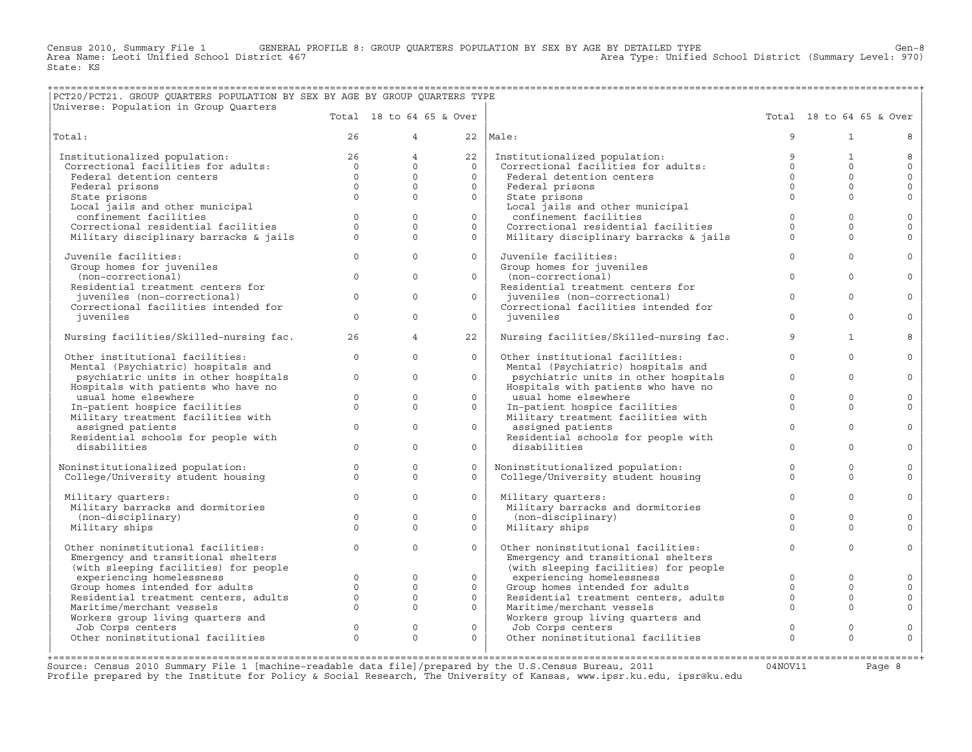Census 2010, Summary File 1 GENERAL PROFILE 8: GROUP QUARTERS POPULATION BY SEX BY AGE BY DETAILED TYPE Ghool District (Summary Level: 970)<br>Area Name: Leoti Unified School District 467 (970) Area Type: Unified School Dist State: KS

## +===================================================================================================================================================+ |PCT20/PCT21. GROUP QUARTERS POPULATION BY SEX BY AGE BY GROUP QUARTERS TYPE |

|Universe: Population in Group Quarters | |

| ourverse: Roburgeron in Group Quarcers  |              | Total 18 to 64 65 & Over |              |                                         |             | Total 18 to 64 65 & Over |              |
|-----------------------------------------|--------------|--------------------------|--------------|-----------------------------------------|-------------|--------------------------|--------------|
| Total:                                  | 26           | $\overline{4}$           | 22           | Male:                                   | 9           | $\mathbf{1}$             | 8            |
| Institutionalized population:           | 26           | $\overline{4}$           | 22           | Institutionalized population:           | 9           | 1                        | 8            |
| Correctional facilities for adults:     | $\Omega$     | $\circ$                  | $\Omega$     | Correctional facilities for adults:     | $\Omega$    | $\Omega$                 | $\circ$      |
| Federal detention centers               | $\Omega$     | $\Omega$                 | $\Omega$     | Federal detention centers               | $\Omega$    | $\Omega$                 | $\circ$      |
| Federal prisons                         | $\Omega$     | $\Omega$                 | $\circ$      | Federal prisons                         | $\Omega$    | $\Omega$                 | $\circ$      |
| State prisons                           | $\Omega$     | $\Omega$                 | $\circ$      | State prisons                           | $\Omega$    | $\Omega$                 | $\Omega$     |
| Local jails and other municipal         |              |                          |              | Local jails and other municipal         |             |                          |              |
| confinement facilities                  | $\Omega$     | $\Omega$                 | $\Omega$     | confinement facilities                  | $\circ$     | $\Omega$                 | $\mathbf 0$  |
| Correctional residential facilities     | $\Omega$     | $\Omega$                 | $\circ$      | Correctional residential facilities     | $\Omega$    | $\Omega$                 | $\Omega$     |
| Military disciplinary barracks & jails  | $\Omega$     | $\Omega$                 | $\Omega$     | Military disciplinary barracks & jails  | $\Omega$    | $\Omega$                 | $\Omega$     |
| Juvenile facilities:                    | $\mathbf{0}$ | $\Omega$                 | $\circ$      | Juvenile facilities:                    | $\Omega$    | $\Omega$                 | $\mathbf 0$  |
| Group homes for juveniles               |              |                          |              | Group homes for juveniles               |             |                          |              |
| (non-correctional)                      | $\Omega$     | $\Omega$                 | $\Omega$     | (non-correctional)                      | $\Omega$    | $\Omega$                 | $\Omega$     |
| Residential treatment centers for       |              |                          |              | Residential treatment centers for       |             |                          |              |
| juveniles (non-correctional)            | $\mathbf{0}$ | $\Omega$                 | $\Omega$     | juveniles (non-correctional)            | $\Omega$    | $\Omega$                 | $\mathbf{0}$ |
| Correctional facilities intended for    |              |                          |              | Correctional facilities intended for    |             |                          |              |
| iuveniles                               | $\Omega$     | $\Omega$                 | $\Omega$     | juveniles                               | $\Omega$    | $\Omega$                 | $\Omega$     |
| Nursing facilities/Skilled-nursing fac. | 26           | $\overline{4}$           | 22           | Nursing facilities/Skilled-nursing fac. | 9           | $\mathbf{1}$             | 8            |
| Other institutional facilities:         | $\Omega$     | $\Omega$                 | $\Omega$     | Other institutional facilities:         | $\Omega$    | $\Omega$                 | $\Omega$     |
| Mental (Psychiatric) hospitals and      |              |                          |              | Mental (Psychiatric) hospitals and      |             |                          |              |
| psychiatric units in other hospitals    | $\Omega$     | $\Omega$                 | $\Omega$     | psychiatric units in other hospitals    | $\Omega$    | $\Omega$                 | $\Omega$     |
| Hospitals with patients who have no     |              |                          |              | Hospitals with patients who have no     |             |                          |              |
| usual home elsewhere                    | $\mathbf{0}$ | $\mathbf 0$              | $\circ$      | usual home elsewhere                    | $\circ$     | $\mathbf{0}$             | $\circ$      |
| In-patient hospice facilities           | $\Omega$     | $\Omega$                 | $\Omega$     | In-patient hospice facilities           | $\Omega$    | $\Omega$                 | $\mathbf{0}$ |
| Military treatment facilities with      |              |                          |              | Military treatment facilities with      |             |                          |              |
| assigned patients                       | $\mathbf{0}$ | $\mathbf{0}$             | $\circ$      | assigned patients                       | $\Omega$    | $\Omega$                 | $\circ$      |
| Residential schools for people with     |              |                          |              | Residential schools for people with     |             |                          |              |
| disabilities                            | $\Omega$     | $\Omega$                 | $\circ$      | disabilities                            | $\Omega$    | $\Omega$                 | $\circ$      |
| Noninstitutionalized population:        | $\mathbf{0}$ | $\mathbf{0}$             | $\circ$      | Noninstitutionalized population:        | $\mathbf 0$ | $\Omega$                 | $\mathbf{0}$ |
| College/University student housing      | $\mathbf{0}$ | $\mathbf{0}$             | $\circ$      | College/University student housing      | $\Omega$    | $\Omega$                 | $\Omega$     |
|                                         |              |                          |              |                                         |             |                          |              |
| Military quarters:                      | $\Omega$     | $\Omega$                 | $\Omega$     | Military quarters:                      | $\Omega$    | $\Omega$                 | $\Omega$     |
| Military barracks and dormitories       |              |                          |              | Military barracks and dormitories       |             |                          |              |
| (non-disciplinary)                      | $\Omega$     | $\Omega$                 | $\Omega$     | (non-disciplinary)                      | $\Omega$    | $\Omega$                 | $\circ$      |
| Military ships                          | $\Omega$     | $\Omega$                 | $\Omega$     | Military ships                          | $\Omega$    | $\Omega$                 | $\Omega$     |
|                                         |              |                          |              |                                         |             |                          |              |
| Other noninstitutional facilities:      | $\Omega$     | $\Omega$                 | $\Omega$     | Other noninstitutional facilities:      | $\Omega$    | $\Omega$                 | $\mathbf{0}$ |
| Emergency and transitional shelters     |              |                          |              | Emergency and transitional shelters     |             |                          |              |
| (with sleeping facilities) for people   |              |                          |              | (with sleeping facilities) for people   |             |                          |              |
| experiencing homelessness               | $\circ$      | $\mathbf{0}$             | $\circ$      | experiencing homelessness               | $\Omega$    | $\Omega$                 | $\circ$      |
| Group homes intended for adults         | $\Omega$     | $\mathbf{0}$             | $\circ$      | Group homes intended for adults         | $\Omega$    | $\Omega$                 | $\circ$      |
| Residential treatment centers, adults   | $\Omega$     | $\Omega$                 | $\Omega$     | Residential treatment centers, adults   | $\Omega$    | $\Omega$                 | $\circ$      |
| Maritime/merchant vessels               | $\Omega$     | $\Omega$                 | $\Omega$     | Maritime/merchant vessels               | $\Omega$    | $\Omega$                 | $\Omega$     |
| Workers group living quarters and       |              |                          |              | Workers group living quarters and       |             |                          |              |
| Job Corps centers                       | $\Omega$     | $\mathbf{0}$             | $\mathbf{0}$ | Job Corps centers                       | $\Omega$    | $\Omega$                 | $\mathbf{0}$ |
| Other noninstitutional facilities       | $\Omega$     | $\Omega$                 | $\Omega$     | Other noninstitutional facilities       | $\Omega$    | $\Omega$                 | $\Omega$     |
|                                         |              |                          |              |                                         |             |                          |              |

+===================================================================================================================================================+Source: Census 2010 Summary File 1 [machine−readable data file]/prepared by the U.S.Census Bureau, 2011 04NOV11 Page 8 Profile prepared by the Institute for Policy & Social Research, The University of Kansas, www.ipsr.ku.edu, ipsr@ku.edu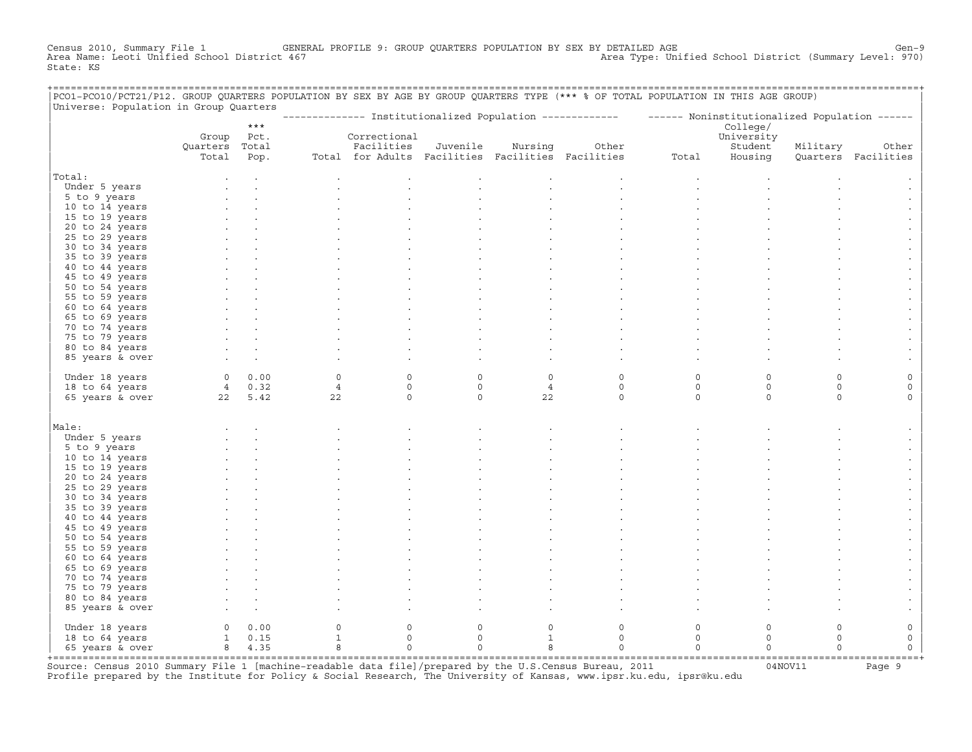Census 2010, Summary File 1 GENERAL PROFILE 9: GROUP QUARTERS POPULATION BY SEX BY DETAILED AGE GENOOL District (Summary Level: 970)<br>Area Name: Leoti Unified School District 467 Area Type: Unified School District (Summary Level: 970) State: KS

| PCO1-PCO10/PCT21/P12. GROUP QUARTERS POPULATION BY SEX BY AGE BY GROUP QUARTERS TYPE (*** % OF TOTAL POPULATION IN THIS AGE GROUP)<br>Universe: Population in Group Quarters |                |        |                |                                                   |             |                |                                                                                                           |          |             |          |                     |
|------------------------------------------------------------------------------------------------------------------------------------------------------------------------------|----------------|--------|----------------|---------------------------------------------------|-------------|----------------|-----------------------------------------------------------------------------------------------------------|----------|-------------|----------|---------------------|
|                                                                                                                                                                              |                |        |                |                                                   |             |                | -------------- Institutionalized Population ------------- - ------ Noninstitutionalized Population ------ |          |             |          |                     |
|                                                                                                                                                                              |                | $***$  |                |                                                   |             |                |                                                                                                           |          | College/    |          |                     |
|                                                                                                                                                                              | Group Pct.     |        |                | Correctional                                      |             |                |                                                                                                           |          | University  |          |                     |
|                                                                                                                                                                              | Quarters Total |        |                | Facilities                                        | Juvenile    | Nursing        | Other                                                                                                     |          | Student     | Military | Other               |
|                                                                                                                                                                              | Total          | Pop.   |                | Total for Adults Facilities Facilities Facilities |             |                |                                                                                                           | Total    | Housing     |          | Quarters Facilities |
| Total:                                                                                                                                                                       |                |        |                |                                                   |             |                |                                                                                                           |          |             |          |                     |
| Under 5 years                                                                                                                                                                |                |        |                |                                                   |             |                |                                                                                                           |          |             |          |                     |
| 5 to 9 years                                                                                                                                                                 |                |        |                |                                                   |             |                |                                                                                                           |          |             |          |                     |
| 10 to 14 years                                                                                                                                                               |                |        |                |                                                   |             |                |                                                                                                           |          |             |          |                     |
| 15 to 19 years                                                                                                                                                               |                |        |                |                                                   |             |                |                                                                                                           |          |             |          |                     |
| 20 to 24 years                                                                                                                                                               |                |        |                |                                                   |             |                |                                                                                                           |          |             |          |                     |
| 25 to 29 years                                                                                                                                                               |                |        |                |                                                   |             |                |                                                                                                           |          |             |          |                     |
| 30 to 34 years                                                                                                                                                               |                |        |                |                                                   |             |                |                                                                                                           |          |             |          |                     |
| 35 to 39 years                                                                                                                                                               |                |        |                |                                                   |             |                |                                                                                                           |          |             |          |                     |
| 40 to 44 years                                                                                                                                                               |                |        |                |                                                   |             |                |                                                                                                           |          |             |          |                     |
| 45 to 49 years                                                                                                                                                               |                |        |                |                                                   |             |                |                                                                                                           |          |             |          |                     |
| 50 to 54 years                                                                                                                                                               |                |        |                |                                                   |             |                |                                                                                                           |          |             |          |                     |
| 55 to 59 years                                                                                                                                                               |                |        |                |                                                   |             |                |                                                                                                           |          |             |          |                     |
| 60 to 64 years                                                                                                                                                               |                |        |                |                                                   |             |                |                                                                                                           |          |             |          |                     |
|                                                                                                                                                                              |                |        |                |                                                   |             |                |                                                                                                           |          |             |          |                     |
| 65 to 69 years                                                                                                                                                               |                |        |                |                                                   |             |                |                                                                                                           |          |             |          |                     |
| 70 to 74 years                                                                                                                                                               |                |        |                |                                                   |             |                |                                                                                                           |          |             |          |                     |
| 75 to 79 years                                                                                                                                                               |                |        |                |                                                   |             |                |                                                                                                           |          |             |          |                     |
| 80 to 84 years                                                                                                                                                               |                |        |                |                                                   |             |                |                                                                                                           |          |             |          |                     |
| 85 years & over                                                                                                                                                              |                |        |                |                                                   |             |                |                                                                                                           |          |             |          |                     |
| Under 18 years                                                                                                                                                               |                | 0 0.00 | $\Omega$       | $\Omega$                                          | $\Omega$    | $\Omega$       | $\Omega$                                                                                                  | 0        | $\Omega$    | $\Omega$ |                     |
| 18 to 64 years                                                                                                                                                               |                | 4 0.32 | $\overline{4}$ | $\circ$                                           | $\circ$     | $\overline{4}$ | $\circ$                                                                                                   | $\circ$  | $\mathbf 0$ | $\circ$  | $\mathbf 0$         |
| 65 years & over                                                                                                                                                              | 22 5.42        |        | 22             | $\mathbf 0$                                       | $\Omega$    | 22             | $\Omega$                                                                                                  | $\Omega$ | $\Omega$    | $\Omega$ | $\Omega$            |
|                                                                                                                                                                              |                |        |                |                                                   |             |                |                                                                                                           |          |             |          |                     |
| Male:                                                                                                                                                                        |                |        |                |                                                   |             |                |                                                                                                           |          |             |          |                     |
| Under 5 years                                                                                                                                                                |                |        |                |                                                   |             |                |                                                                                                           |          |             |          |                     |
|                                                                                                                                                                              |                |        |                |                                                   |             |                |                                                                                                           |          |             |          |                     |
| 5 to 9 years                                                                                                                                                                 |                |        |                |                                                   |             |                |                                                                                                           |          |             |          |                     |
| 10 to 14 years                                                                                                                                                               |                |        |                |                                                   |             |                |                                                                                                           |          |             |          |                     |
| 15 to 19 years                                                                                                                                                               |                |        |                |                                                   |             |                |                                                                                                           |          |             |          |                     |
| 20 to 24 years                                                                                                                                                               |                |        |                |                                                   |             |                |                                                                                                           |          |             |          |                     |
| 25 to 29 years<br>30 to 34 years                                                                                                                                             |                |        |                |                                                   |             |                |                                                                                                           |          |             |          |                     |
| 35 to 39 years                                                                                                                                                               |                |        |                |                                                   |             |                |                                                                                                           |          |             |          |                     |
| 40 to 44 years                                                                                                                                                               |                |        |                |                                                   |             |                |                                                                                                           |          |             |          |                     |
| 45 to 49 years                                                                                                                                                               |                |        |                |                                                   |             |                |                                                                                                           |          |             |          |                     |
| 50 to 54 years                                                                                                                                                               |                |        |                |                                                   |             |                |                                                                                                           |          |             |          |                     |
|                                                                                                                                                                              |                |        |                |                                                   |             |                |                                                                                                           |          |             |          |                     |
| 55 to 59 years<br>60 to 64 years                                                                                                                                             |                |        |                |                                                   |             |                |                                                                                                           |          |             |          |                     |
|                                                                                                                                                                              |                |        |                |                                                   |             |                |                                                                                                           |          |             |          |                     |
| 65 to 69 years                                                                                                                                                               |                |        |                |                                                   |             |                |                                                                                                           |          |             |          |                     |
| 70 to 74 years                                                                                                                                                               |                |        |                |                                                   |             |                |                                                                                                           |          |             |          |                     |
| 75 to 79 years                                                                                                                                                               |                |        |                |                                                   |             |                |                                                                                                           |          |             |          |                     |
| 80 to 84 years                                                                                                                                                               |                |        |                |                                                   |             |                |                                                                                                           |          |             |          |                     |
| 85 years & over                                                                                                                                                              |                |        |                |                                                   |             |                |                                                                                                           |          |             |          |                     |
| Under 18 years                                                                                                                                                               | $\overline{0}$ | 0.00   | 0              | $\mathbf 0$                                       | $\circ$     | $\circ$        | $\mathbf 0$                                                                                               | 0        | $\circ$     | $\circ$  | 0                   |
| 18 to 64 years                                                                                                                                                               | $1 \t 0.15$    |        | $\mathbf{1}$   | $\circ$                                           | $\mathbf 0$ | $\mathbf{1}$   | $\circ$                                                                                                   | $\circ$  | $\circ$     | $\Omega$ | $\mathsf{O}\xspace$ |
| 65 years & over                                                                                                                                                              |                | 8 4.35 | 8              | $\circ$                                           | $\circ$     | 8              | $\mathbf 0$                                                                                               | $\circ$  | $\circ$     | $\Omega$ | $\mathsf{O}\xspace$ |
|                                                                                                                                                                              |                |        |                |                                                   |             |                |                                                                                                           |          |             |          |                     |

+===================================================================================================================================================+Source: Census 2010 Summary File 1 [machine−readable data file]/prepared by the U.S.Census Bureau, 2011 04NOV11 Page 9 Profile prepared by the Institute for Policy & Social Research, The University of Kansas, www.ipsr.ku.edu, ipsr@ku.edu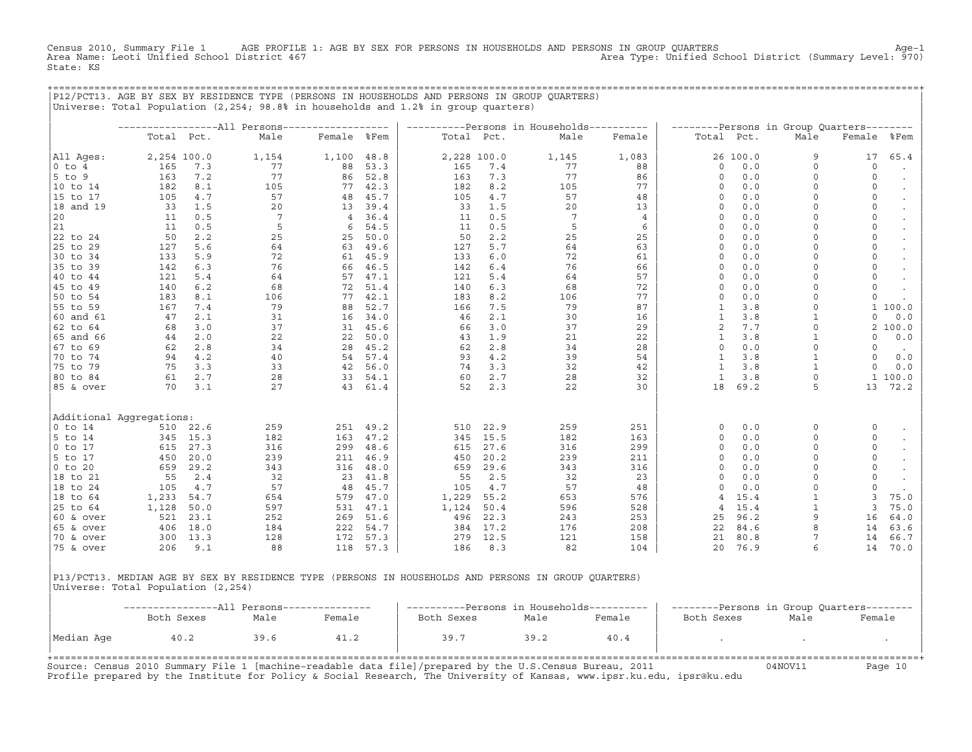Census 2010, Summary File 1 AGE PROFILE 1: AGE BY SEX FOR PERSONS IN HOUSEHOLDS AND PERSONS IN GROUP QUARTERS (Summary Level: 970)<br>Area Name: Leoti Unified School District 467 Area Type: Unified School District (Summary Level: 970) State: KS

+===================================================================================================================================================+

|P12/PCT13. AGE BY SEX BY RESIDENCE TYPE (PERSONS IN HOUSEHOLDS AND PERSONS IN GROUP QUARTERS) | |Universe: Total Population (2,254; 98.8% in households and 1.2% in group quarters) | | | | −−−−−−−−−−−−−−−−−All Persons−−−−−−−−−−−−−−−−−− | −−−−−−−−−−Persons in Households−−−−−−−−−− | −−−−−−−−Persons in Group Quarters−−−−−−−− | | Total Pct. Male Female %Fem | Total Pct. Male Female | Total Pct. Male Female %Fem | | | | | |All Ages: 2,254 100.0 1,154 1,100 48.8 | 2,228 100.0 1,145 1,083 | 26 100.0 9 17 65.4 | |0 to 4 165 7.3 77 88 53.3 | 165 7.4 77 88 | 0 0.0 0 0 . | |5 to 9 163 7.2 77 86 52.8 | 163 7.3 77 86 | 0 0.0 0 0 . | |10 to 14 182 8.1 105 77 42.3 | 182 8.2 105 77 | 0 0.0 0 0 . | |15 to 17 105 4.7 57 48 45.7 | 105 4.7 57 48 | 0 0.0 0 0 . | |18 and 19 33 1.5 20 13 39.4 | 33 1.5 20 13 | 0 0.0 0 0 . |  $|20$  11 0.5 7 4 36.4 11 0.5 7 4 0 0.0 0 0 0 0 .  $|21$  11 0.5 5 6 54.5 | 11 0.5 5 6 | 0 0.0 0 0 0 . |22 to 24 50 2.2 25 25 50.0 | 50 2.2 25 25 | 0 0.0 0 0 . | |25 to 29 127 5.6 64 63 49.6 | 127 5.7 64 63 | 0 0.0 0 0 . | |30 to 34 133 5.9 72 61 45.9 | 133 6.0 72 61 | 0 0.0 0 0 . | |35 to 39 142 6.3 76 66 46.5 | 142 6.4 76 66 | 0 0.0 0 0 . | |40 to 44 121 5.4 64 57 47.1 | 121 5.4 64 57 | 0 0.0 0 0 0 0 . |45 to 49 140 6.2 68 72 51.4 | 140 6.3 68 72 | 0 0.0 0 0 0 0 . |50 to 54 183 8.1 106 77 42.1 | 183 8.2 106 77 | 0 0.0 0 0 . | |55 to 59 167 7.4 79 88 52.7 | 166 7.5 79 87 | 1 3.8 0 1 100.0 | |60 and 61 47 2.1 31 16 34.0 | 46 2.1 30 16 | 1 3.8 1 0 0.0 | |62 to 64 68 3.0 37 31 45.6 | 66 3.0 37 29 | 2 7.7 0 2 100.0 | |65 and 66 44 2.0 22 22 50.0 | 43 1.9 21 22 | 1 3.8 1 0 0.0 | |67 to 69 62 2.8 34 28 45.2 | 62 2.8 34 28 | 0 0.0 0 0 . | |70 to 74 94 4.2 40 54 57.4 | 93 4.2 39 54 | 1 3.8 1 0 0.0 | |75 to 79 75 3.3 33 42 56.0 | 74 3.3 32 42 | 1 3.8 1 0 0.0 | |80 to 84 61 2.7 28 33 54.1 | 60 2.7 28 32 | 1 3.8 0 1 100.0 | |85 & over 70 3.1 27 43 61.4 | 52 2.3 22 30 | 18 69.2 5 13 72.2 | | | | | | | | | |Additional Aggregations: | | | |0 to 14 510 22.6 259 251 49.2 | 510 22.9 259 251 | 0 0.0 0 0 . | |5 to 14 345 15.3 182 163 47.2 | 345 15.5 182 163 | 0 0.0 0 0 . | |0 to 17 615 27.3 316 299 48.6 | 615 27.6 316 299 | 0 0.0 0 0 . | |5 to 17 450 20.0 239 211 46.9 | 450 20.2 239 211 | 0 0.0 0 0 . | |0 to 20 659 29.2 343 316 48.0 | 659 29.6 343 316 | 0 0.0 0 0 . | |18 to 21 55 2.4 32 23 41.8 | 55 2.5 32 23 | 0 0.0 0 0 0 0  $\cdot$ |18 to 24 105 4.7 57 48 45.7 | 105 4.7 57 48 | 0 0.0 0 0 0 0 . |18 to 64 1,233 54.7 654 579 47.0 | 1,229 55.2 653 576 | 4 15.4 1 3 75.0 | |25 to 64 1,128 50.0 597 531 47.1 | 1,124 50.4 596 528 | 4 15.4 1 3 75.0 | |60 & over 521 23.1 252 269 51.6 | 496 22.3 243 253 | 25 96.2 9 16 64.0 | |65 & over 406 18.0 184 222 54.7 | 384 17.2 176 208 | 22 84.6 8 14 63.6 | |70 & over 300 13.3 128 172 57.3 | 279 12.5 121 158 | 21 80.8 7 14 66.7 | |75 & over 206 9.1 88 118 57.3 | 186 8.3 82 104 | 20 76.9 6 14 70.0 | | | | | |P13/PCT13. MEDIAN AGE BY SEX BY RESIDENCE TYPE (PERSONS IN HOUSEHOLDS AND PERSONS IN GROUP QUARTERS) |

|Universe: Total Population (2,254) |

|            | --------------All Persons--------------- |      |        | ----------Persons in Households---------- |      |        | --------Persons in Group Quarters-------- |      |        |
|------------|------------------------------------------|------|--------|-------------------------------------------|------|--------|-------------------------------------------|------|--------|
|            | Both Sexes                               | Male | Female | Both Sexes                                | Male | Female | Both Sexes                                | Male | Female |
| Median Age | 40.2                                     | 39.6 | 41.2   | 39.7                                      | 39.2 | 40.4   |                                           |      |        |

Source: Census 2010 Summary File 1 [machine−readable data file]/prepared by the U.S.Census Bureau, 2011 04NOV11 Page 10 Profile prepared by the Institute for Policy & Social Research, The University of Kansas, www.ipsr.ku.edu, ipsr@ku.edu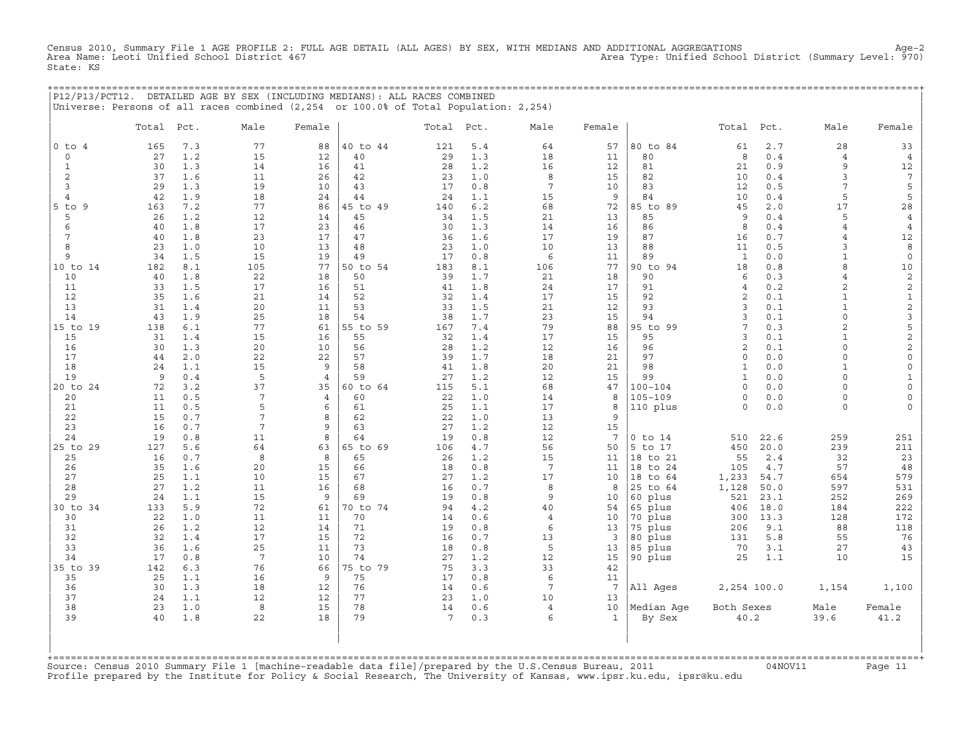Census 2010, Summary File 1 AGE PROFILE 2: FULL AGE DETAIL (ALL AGES) BY SEX, WITH MEDIANS AND ADDITIONAL AGGREGATIONS<br>Area Name: Leoti Unified School District 467 Area Type: Unified Schoo State: KS

+===================================================================================================================================================+

|                | Total    | Pct.       | Male                  | Female              |          | Total Pct. |            | Male                 | Female                |                        | Total              | Pct.       | Male               | Female               |
|----------------|----------|------------|-----------------------|---------------------|----------|------------|------------|----------------------|-----------------------|------------------------|--------------------|------------|--------------------|----------------------|
| $0$ to $4$     | 165      | 7.3        | 77                    | 88                  | 40 to 44 | 121        | 5.4        | 64                   | 57                    | 80 to 84               | 61                 | 2.7        | 28                 | 33                   |
| $\mathsf O$    | 27       | 1.2        | 15                    | 12                  | 40       | 29         | 1.3        | 18                   | 11                    | 80                     | 8                  | 0.4        | $\overline{4}$     | $\overline{4}$       |
| $\mathbf{1}$   | 30       | 1.3        | 14                    | 16                  | 41       | 28         | 1.2        | 16                   | 12                    | 81                     | 21                 | 0.9        | 9                  | 12                   |
| 2              | 37       | 1.6        | 11                    | 26                  | 42       | 23         | 1.0        | 8                    | 15                    | 82                     | 10                 | 0.4        | 3                  | $7\phantom{.0}$      |
| 3              | 29       | 1.3        | 19                    | 10                  | 43       | 17         | 0.8        | $7\phantom{.0}$      | 10                    | 83                     | 12                 | 0.5        | 7                  | 5                    |
| $\overline{4}$ | 42       | 1.9        | 18                    | 24                  | 44       | 24         | 1.1        | 15                   | 9                     | 84                     | 10                 | 0.4        | 5                  | 5                    |
| $5$ to $9$     | 163      | 7.2        | 77                    | 86                  | 45 to 49 | 140        | 6.2        | 68                   | 72                    | 85 to 89               | 45                 | 2.0        | 17                 | 28                   |
| 5              | 26       | 1.2<br>1.8 | 12                    | 14<br>23            | 45       | 34         | 1.5        | 21                   | 13                    | 85<br>86               | 9<br>8             | 0.4<br>0.4 | 5                  | $\overline{4}$       |
| 6<br>7         | 40<br>40 | 1.8        | 17<br>23              | 17                  | 46<br>47 | 30<br>36   | 1.3<br>1.6 | 14<br>17             | 16<br>19              | 87                     | 16                 | 0.7        | 4<br>4             | $\overline{4}$<br>12 |
| 8              | 23       | 1.0        | 10                    | 13                  | 48       | 23         | 1.0        | 10                   | 13                    | 88                     | 11                 | 0.5        | 3                  | 8                    |
| 9              | 34       | 1.5        | 15                    | 19                  | 49       | 17         | 0.8        | 6                    | 11                    | 89                     | $\mathbf{1}$       | 0.0        | $\mathbf{1}$       | $\mathbf 0$          |
| 10 to 14       | 182      | 8.1        | 105                   | 77                  | 50 to 54 | 183        | 8.1        | 106                  | 77                    | 90 to 94               | 18                 | 0.8        | 8                  | 10                   |
| 10             | 40       | 1.8        | 22                    | 18                  | 50       | 39         | 1.7        | 21                   | 18                    | 90                     | 6                  | 0.3        | $\overline{4}$     | $\sqrt{2}$           |
| 11             | 33       | 1.5        | 17                    | 16                  | 51       | 41         | 1.8        | 24                   | 17                    | 91                     | $\overline{4}$     | 0.2        | 2                  | $\overline{c}$       |
| 12             | 35       | 1.6        | 21                    | 14                  | 52       | 32         | 1.4        | 17                   | 15                    | 92                     | 2                  | 0.1        | $\mathbf{1}$       | $\mathbf{1}$         |
| 13             | 31       | 1.4        | 20                    | 11                  | 53       | 33         | 1.5        | 21                   | 12                    | 93                     | 3                  | 0.1        | $\mathbf{1}$       | $\mathbf{2}$         |
| 14             | 43       | 1.9        | 25                    | 18                  | 54       | 38         | 1.7        | 23                   | 15                    | 94                     | $\overline{3}$     | 0.1        | $\circ$            | 3                    |
| 15 to 19       | 138      | 6.1        | 77                    | 61                  | 55 to 59 | 167        | 7.4        | 79                   | 88                    | 95 to 99               | $7\phantom{.0}$    | 0.3        | $\overline{a}$     | 5                    |
| 15             | 31       | 1.4        | 15                    | 16                  | 55       | 32         | 1.4        | 17                   | 15                    | 95                     | 3                  | $0.1$      | $\mathbf{1}$       | $\overline{c}$       |
| 16             | 30       | 1.3        | 20                    | 10                  | 56       | 28         | 1.2        | 12                   | 16                    | 96                     | 2                  | 0.1        | 0                  | $\overline{c}$       |
| 17             | 44       | 2.0        | 22                    | 22                  | 57       | 39         | 1.7        | 18                   | 21                    | 97                     | $\circ$            | 0.0        | $\circ$            | $\circ$              |
| 18             | 24       | 1.1        | 15                    | 9                   | 58       | 41         | 1.8        | 20                   | 21                    | 98                     | $\mathbf{1}$       | 0.0        | $\mathbf{1}$       | $\mathsf{O}\xspace$  |
| 19             | 9        | 0.4        | 5                     | $\overline{4}$      | 59       | 27         | 1.2        | 12                   | 15                    | 99                     | $\mathbf{1}$       | 0.0        | $\circ$            | $\mathbf{1}$         |
| 20 to 24       | 72       | 3.2        | 37<br>$7\overline{ }$ | 35                  | 60 to 64 | 115        | 5.1        | 68                   | 47                    | $100 - 104$<br>105-109 | $\Omega$           | 0.0        | $\Omega$           | $\circ$              |
| 20             | 11       | 0.5<br>0.5 |                       | $\overline{4}$<br>6 | 60       | 22<br>25   | 1.0<br>1.1 | 14<br>17             | 8<br>8                |                        | $\circ$<br>$\circ$ | 0.0        | $\circ$<br>$\circ$ | $\circ$              |
| 21<br>22       | 11<br>15 | 0.7        | 5<br>7                | 8                   | 61<br>62 | 22         | 1.0        | 13                   | 9                     | 110 plus               |                    | $0.0$      |                    | $\mathsf{O}$         |
| 23             | 16       | 0.7        | 7                     | 9                   | 63       | 27         | 1.2        | 12                   | 15                    |                        |                    |            |                    |                      |
| 24             | 19       | 0.8        | 11                    | 8                   | 64       | 19         | 0.8        | 12                   | $7\phantom{.0}$       | $0$ to $14$            | 510                | 22.6       | 259                | 251                  |
| 25 to 29       | 127      | 5.6        | 64                    | 63                  | 65 to 69 | 106        | 4.7        | 56                   | 50                    | 5 to 17                | 450                | 20.0       | 239                | 211                  |
| 25             | 16       | 0.7        | 8                     | 8                   | 65       | 26         | 1.2        | 15                   | 11                    | 18 to 21               | 55                 | 2.4        | 32                 | 23                   |
| 26             | 35       | 1.6        | 20                    | 15                  | 66       | 18         | 0.8        | $\overline{7}$       | 11                    | 18 to 24               | 105                | 4.7        | 57                 | 48                   |
| 27             | 25       | 1.1        | 10                    | 15                  | 67       | 27         | 1.2        | 17                   | 10                    | 18 to 64               | 1,233              | 54.7       | 654                | 579                  |
| 28             | 27       | 1.2        | 11                    | 16                  | 68       | 16         | 0.7        | 8                    | 8                     | 25 to 64               | 1,128              | 50.0       | 597                | 531                  |
| 29             | 24       | 1.1        | 15                    | 9                   | 69       | 19         | 0.8        | 9                    | 10                    | 60 plus                | 521                | 23.1       | 252                | 269                  |
| 30 to 34       | 133      | 5.9        | 72                    | 61                  | 70 to 74 | 94         | 4.2        | 40                   | 54                    | 65 plus                | 406                | 18.0       | 184                | 222                  |
| 30             | 22       | 1.0        | 11                    | 11                  | 70       | 14         | 0.6        | $\overline{4}$       | 10                    | 70 plus                | 300                | 13.3       | 128                | 172                  |
| 31             | 26       | 1.2        | 12                    | 14                  | 71       | 19         | 0.8        | 6                    | 13                    | 75 plus                | 206                | 9.1        | 88                 | 118                  |
| 32             | 32       | 1.4        | 17                    | 15                  | 72       | 16         | $0.7$      | 13                   | 3                     | 80 plus                | 131                | $5.8$      | 55                 | 76                   |
| 33             | 36       | 1.6        | 25                    | 11                  | 73       | 18         | 0.8        | 5                    | 13                    | 85 plus                | 70                 | 3.1        | 27                 | 43                   |
| 34             | 17       | 0.8        | $7\overline{ }$       | 10                  | 74       | 27         | 1.2        | 12                   | 15                    | 90 plus                | 25                 | 1.1        | 10                 | 15                   |
| 35 to 39       | 142      | 6.3        | 76                    | 66                  | 75 to 79 | 75         | 3.3        | 33                   | 42                    |                        |                    |            |                    |                      |
| 35             | 25<br>30 | 1.1<br>1.3 | 16                    | 9                   | 75<br>76 | 17         | 0.8<br>0.6 | 6<br>$7\phantom{.0}$ | 11<br>$7\phantom{.0}$ | All Ages               |                    |            |                    |                      |
| 36<br>37       | 24       | 1.1        | 18<br>12              | 12<br>12            | 77       | 14<br>23   | 1.0        | 10                   | 13                    |                        | 2,254 100.0        |            | 1,154              | 1,100                |
| 38             | 23       | 1.0        | 8                     | 15                  | 78       | 14         | 0.6        | $\overline{4}$       | 10                    | Median Aqe             | Both Sexes         |            | Male               | Female               |
| 39             | 40       | $1.8\,$    | 22                    | 18                  | 79       | 7          | 0.3        | 6                    | 1                     | By Sex                 | 40.2               |            | 39.6               | 41.2                 |

| | +===================================================================================================================================================+ Source: Census 2010 Summary File 1 [machine−readable data file]/prepared by the U.S.Census Bureau, 2011 04NOV11 Page 11 Source: Census 2010 Summary File 1 [machine-readable data file]/prepared by the U.S.Census Bureau, 2011<br>Profile prepared by the Institute for Policy & Social Research, The University of Kansas, www.ipsr.ku.edu, ipsr@ku.edu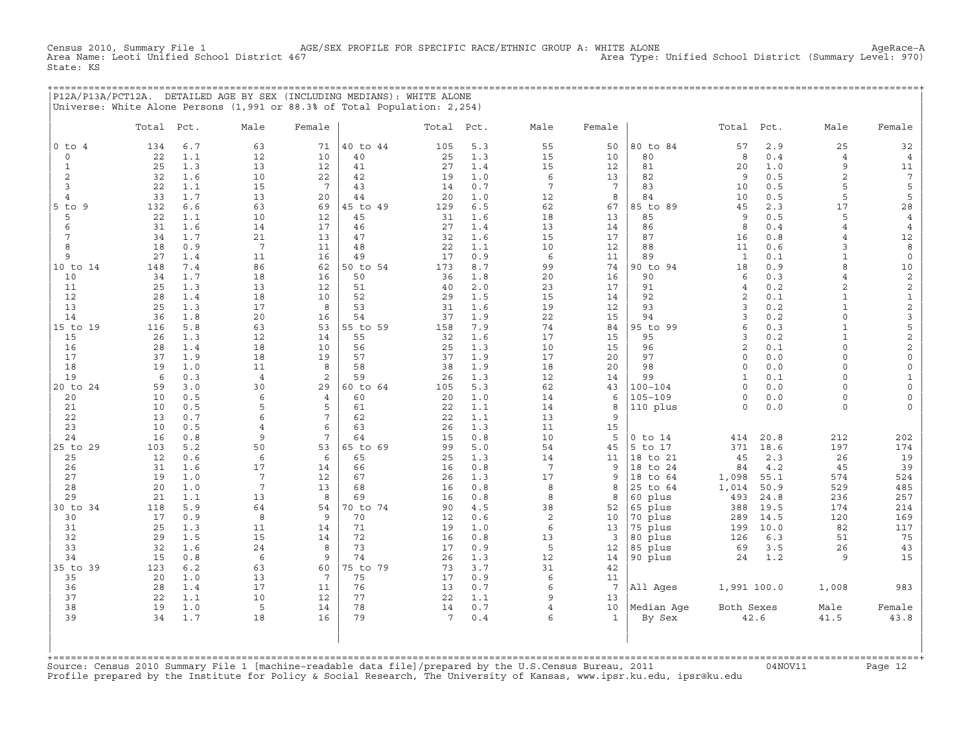Census 2010, Summary File 1 AGE/SEX PROFILE FOR SPECIFIC RACE/ETHNIC GROUP A: WHITE ALONE AgeRace-A<br>Area Name: Leoti Unified School District 467 Area Type: Unified School District (Summary Level: 970) Area Type: Unified School District (Summary Level: 970) State: KS

+===================================================================================================================================================+ |P12A/P13A/PCT12A. DETAILED AGE BY SEX (INCLUDING MEDIANS): WHITE ALONE | |Universe: White Alone Persons (1,991 or 88.3% of Total Population: 2,254) |

|                           | Total     | Pct.       | Male                  | Female          |                | Total Pct.      |            | Male                | Female          |                        | Total          | Pct.         | Male                | Female              |
|---------------------------|-----------|------------|-----------------------|-----------------|----------------|-----------------|------------|---------------------|-----------------|------------------------|----------------|--------------|---------------------|---------------------|
| $0$ to $4$                | 134       | 6.7        | 63                    | 71              | 40 to 44       | 105             | 5.3        | 55                  | 50              | 80 to 84               | 57             | 2.9          | 25                  | 32                  |
| $\circ$                   | 22        | 1.1        | 12                    | 10              | 40             | 25              | 1.3        | 15                  | 10              | 80                     | 8              | 0.4          | $\overline{4}$      | $\overline{4}$      |
| $\mathbf{1}$              | 25        | 1.3        | 13                    | 12              | 41             | 27              | 1.4        | 15                  | 12              | 81                     | 20             | 1.0          | 9                   | 11                  |
| 2                         | 32        | 1.6        | 10                    | 22              | 42             | 19              | 1.0        | 6                   | 13              | 82                     | 9              | 0.5          | $\overline{c}$      | $7\phantom{.0}$     |
| 3                         | 22        | 1.1        | 15                    | $7\phantom{.0}$ | 43             | 14              | 0.7        | $7\phantom{.0}$     | $7\phantom{.0}$ | 83                     | 10             | 0.5          | 5                   | 5                   |
| $\overline{4}$            | 33        | 1.7        | 13                    | 20              | 44             | 20              | 1.0        | 12                  | 8               | 84                     | 10             | 0.5          | 5                   | 5                   |
| $5$ to<br>9               | 132       | 6.6        | 63                    | 69              | 45 to 49       | 129             | 6.5        | 62                  | 67              | 85 to 89               | 45             | 2.3          | 17                  | 28                  |
| 5                         | 22        | 1.1        | 10                    | 12              | 45             | 31              | 1.6        | 18                  | 13              | 85                     | 9              | 0.5          | 5                   | $\overline{4}$      |
| 6                         | 31        | 1.6        | 14                    | 17              | 46             | 27              | 1.4        | 13                  | 14              | 86                     | 8              | 0.4          | $\overline{4}$      | $\overline{4}$      |
| $7\phantom{.0}$<br>8      | 34<br>18  | 1.7        | 21<br>$7\overline{ }$ | 13<br>11        | 47<br>48       | 32<br>22        | 1.6<br>1.1 | 15<br>10            | 17              | 87<br>88               | 16<br>11       | 0.8<br>0.6   | $\overline{4}$<br>3 | 12<br>8             |
| 9                         | 27        | 0.9<br>1.4 | 11                    | 16              | 49             | 17              | 0.9        | 6                   | 12<br>11        | 89                     | $\mathbf{1}$   | 0.1          | $\mathbf{1}$        | $\mathsf O$         |
| 10 to 14                  | 148       | 7.4        | 86                    | 62              | 50 to 54       | 173             | 8.7        | 99                  | 74              | 90 to 94               | 18             | 0.9          | 8                   | $10$                |
| 10                        | 34        | 1.7        | 18                    | 16              | 50             | 36              | 1.8        | 20                  | 16              | 90                     | 6              | 0.3          | $\overline{4}$      | $\overline{c}$      |
| 11                        | 25        | 1.3        | 13                    | 12              | 51             | 40              | 2.0        | 23                  | 17              | 91                     | $\overline{4}$ | 0.2          | $\overline{c}$      | $\sqrt{2}$          |
| 12                        | 28        | 1.4        | 18                    | 10              | 52             | 29              | 1.5        | 15                  | 14              | 92                     | 2              | 0.1          | $\mathbf{1}$        | $\mathbf 1$         |
| 13                        | 25        | 1.3        | 17                    | 8               | 53             | 31              | 1.6        | 19                  | 12              | 93                     | 3              | 0.2          | $\mathbf{1}$        | $\mathbf{c}$        |
| 14                        | 36        | 1.8        | 20                    | 16              | 54             | 37              | 1.9        | 22                  | 15              | 94                     | 3              | 0.2          | $\circ$             | $\mathsf 3$         |
| 15 to 19                  | 116       | 5.8        | 63                    | 53              | 55 to 59       | 158             | 7.9        | 74                  | 84              | 95 to 99               | 6              | 0.3          | $\mathbf{1}$        | 5                   |
| 15                        | 26        | 1.3        | 12                    | 14              | 55             | 32              | 1.6        | 17                  | 15              | 95                     | 3              | 0.2          | $\mathbf{1}$        | $\overline{c}$      |
| 16                        | 28        | 1.4        | 18                    | 10              | 56             | 25              | 1.3        | 10                  | 15              | 96                     | $\overline{c}$ | 0.1          | $\circ$             | $\mathbf{2}$        |
| 17                        | 37        | 1.9        | 18                    | 19              | 57             | 37              | 1.9        | 17                  | 20              | 97                     | $\Omega$       | 0.0          | $\Omega$            | $\mathsf{O}\xspace$ |
| 18                        | 19        | 1.0        | 11                    | 8               | 58             | 38              | 1.9        | 18                  | 20              | 98                     | $\circ$        | 0.0          | $\circ$             | $\mathsf{O}\xspace$ |
| 19                        | 6         | 0.3        | $\overline{4}$        | 2               | 59             | 26              | 1.3        | 12                  | 14              | 99                     | $\mathbf{1}$   | 0.1          | 0                   | $1\,$               |
| 20 to 24                  | 59        | 3.0        | 30                    | 29              | 60 to 64       | 105             | 5.3        | 62                  | 43              | $100 - 104$            | $\Omega$       | 0.0          | $\Omega$            | $\circ$             |
| 20                        | 10        | 0.5        | 6                     | $\overline{4}$  | 60             | 20              | 1.0        | 14                  | 6               | $105 - 109$            | $\mathbf 0$    | 0.0          | $\circ$             | $\mathsf{O}\xspace$ |
| 21                        | 10        | 0.5        | 5                     | 5               | 61             | 22              | 1.1        | 14                  | 8               | 110 plus               | $\Omega$       | 0.0          | $\circ$             | $\circ$             |
| 22                        | 13        | 0.7        | 6                     | 7               | 62             | 22              | 1.1        | 13                  | 9               |                        |                |              |                     |                     |
| 23                        | 10        | 0.5        | $\overline{4}$        | 6<br>7          | 63             | 26              | 1.3        | 11                  | 15              |                        |                |              |                     |                     |
| 24<br>25 to 29            | 16<br>103 | 0.8<br>5.2 | 9<br>50               | 53              | 64<br>65 to 69 | 15<br>99        | 0.8<br>5.0 | 10<br>54            | 5<br>45         | $0$ to $14$<br>5 to 17 | 414<br>371     | 20.8<br>18.6 | 212<br>197          | 202<br>174          |
| 25                        | 12        | 0.6        | 6                     | 6               | 65             | 25              | 1.3        | 14                  | 11              | 18 to 21               | 45             | 2.3          | 26                  | 19                  |
| 26                        | 31        | 1.6        | 17                    | 14              | 66             | 16              | 0.8        | $7\phantom{.0}$     | 9               | 18 to 24               | 84             | 4.2          | 45                  | 39                  |
| 27                        | 19        | 1.0        | $7\phantom{.0}$       | 12              | 67             | 26              | 1.3        | 17                  | 9               | 18<br>to 64            | 1,098          | 55.1         | 574                 | 524                 |
| 28                        | 20        | 1.0        | $\overline{7}$        | 13              | 68             | 16              | 0.8        | 8                   | 8               | 25 to 64               | 1,014          | 50.9         | 529                 | 485                 |
| 29                        | 21        | 1.1        | 13                    | 8               | 69             | 16              | 0.8        | 8                   | 8               | 60 plus                | 493            | 24.8         | 236                 | 257                 |
| 30 to 34                  | 118       | 5.9        | 64                    | 54              | 70 to 74       | 90              | 4.5        | 38                  | 52              | 65 plus                | 388            | 19.5         | 174                 | 214                 |
| 30                        | 17        | 0.9        | 8                     | 9               | 70             | 12              | 0.6        | 2                   | 10              | 70 plus                | 289            | 14.5         | 120                 | 169                 |
| 31                        | 25        | 1.3        | 11                    | 14              | 71             | 19              | 1.0        | 6                   | 13              | 75 plus                | 199            | 10.0         | 82                  | 117                 |
| 32                        | 29        | 1.5        | 15                    | 14              | 72             | 16              | 0.8        | 13                  | 3               | 80 plus                | 126            | 6.3          | 51                  | 75                  |
| 33                        | 32        | 1.6        | 24                    | 8               | 73             | 17              | 0.9        | 5                   | 12              | 85 plus                | 69             | 3.5          | 26                  | 43                  |
| 34                        | 15        | 0.8        | 6                     | 9               | 74             | 26              | 1.3        | 12                  | 14              | 90 plus                | 24             | 1.2          | 9                   | 15                  |
| 35 to 39                  | 123       | 6.2        | 63                    | 60              | 75 to 79       | 73              | 3.7        | 31                  | 42              |                        |                |              |                     |                     |
| 35                        | 20        | 1.0        | 13                    | $7\phantom{.0}$ | 75             | 17              | 0.9        | 6                   | 11              |                        |                |              |                     |                     |
| 36                        | 28        | 1.4        | 17                    | 11              | 76             | 13              | 0.7        | 6                   | $7\phantom{.0}$ | All Ages               | 1,991 100.0    |              | 1,008               | 983                 |
| 37<br>38                  | 22<br>19  | 1.1<br>1.0 | 10<br>5               | 12<br>14        | 77<br>78       | 22<br>14        | 1.1<br>0.7 | 9<br>$\overline{4}$ | 13<br>10        | Median Age             | Both Sexes     |              | Male                | Female              |
| 39                        | 34        | 1.7        | 18                    | 16              | 79             | $7\phantom{.0}$ | 0.4        | 6                   | $\mathbf{1}$    | By Sex                 |                | 42.6         | 41.5                | 43.8                |
| $+$ = = = = = = = = = = = |           |            |                       |                 |                |                 |            |                     |                 |                        |                |              |                     |                     |

+===================================================================================================================================================+Source: Census 2010 Summary File 1 [machine−readable data file]/prepared by the U.S.Census Bureau, 2011 04NOV11 Page 12 Profile prepared by the Institute for Policy & Social Research, The University of Kansas, www.ipsr.ku.edu, ipsr@ku.edu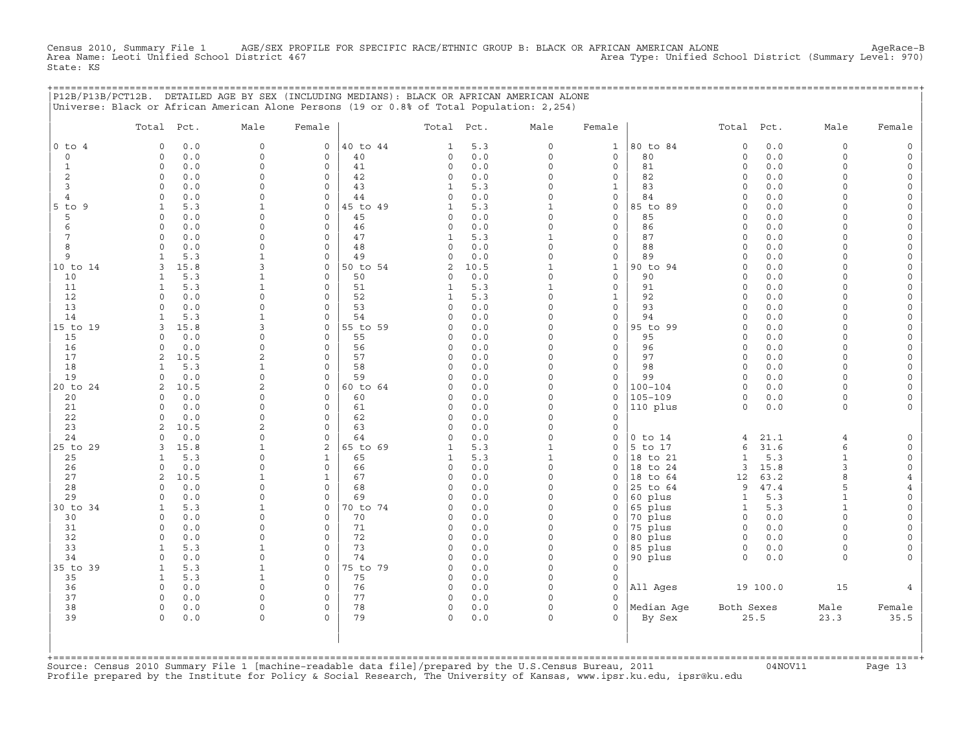Census 2010, Summary File 1 AGE/SEX PROFILE FOR SPECIFIC RACE/ETHNIC GROUP B: BLACK OR AFRICAN AMERICAN ALONE AgeRace−B Area Name: Leoti Unified School District 467 Area Type: Unified School District (Summary Level: 970) State: KS

+===================================================================================================================================================+

|                 | P12B/P13B/PCT12B. DETAILED AGE BY SEX (INCLUDING MEDIANS): BLACK OR AFRICAN AMERICAN ALONE<br>Universe: Black or African American Alone Persons (19 or 0.8% of Total Population: 2,254) |                             |                      |                |                      |            |                          |                     |                        |                      |              |                      |                            |
|-----------------|-----------------------------------------------------------------------------------------------------------------------------------------------------------------------------------------|-----------------------------|----------------------|----------------|----------------------|------------|--------------------------|---------------------|------------------------|----------------------|--------------|----------------------|----------------------------|
|                 | Total Pct.                                                                                                                                                                              | Male                        | Female               |                | Total                | Pct.       | Male                     | Female              |                        | Total Pct.           |              | Male                 | Female                     |
| $0$ to $4$      | 0.0<br>$\mathbf 0$                                                                                                                                                                      | $\mathsf{O}$                | 0                    | 40 to 44       | $\mathbf{1}$         | 5.3        | 0                        | $\mathbf{1}$        | 80 to 84               | $\mathsf O$          | 0.0          | $\mathsf O$          |                            |
| $\circ$         | 0.0<br>$\mathbf 0$                                                                                                                                                                      | $\mathsf O$                 | $\mathsf{O}\xspace$  | 40             | 0                    | $0.0$      | 0                        | $\circ$             | 80                     | $\circ$              | 0.0          | $\mathbf 0$          | $\Omega$                   |
| $\mathbf{1}$    | $\Omega$<br>0.0                                                                                                                                                                         | $\Omega$                    | $\mathbf 0$          | 41             | $\circ$              | 0.0        | $\circ$                  | $\mathbf{0}$        | 81                     | $\circ$              | 0.0          | $\Omega$             | $\Omega$                   |
| 2               | $\mathbf 0$<br>0.0                                                                                                                                                                      | $\Omega$                    | $\Omega$             | 42             | 0                    | 0.0        | $\Omega$                 | 0                   | 82                     | $\Omega$             | 0.0          | $\Omega$             | $\Omega$                   |
| 3               | 0.0<br>$\mathbf 0$                                                                                                                                                                      | $\Omega$                    | $\circ$              | 43             | $\mathbf{1}$         | 5.3        | $\circ$                  | $\mathbf 1$         | 83                     | $\Omega$             | 0.0          | $\Omega$             | $\Omega$                   |
| 4               | $\mathbf 0$<br>0.0                                                                                                                                                                      | $\mathbf 0$                 | $\mathbf 0$          | 44             | $\circ$              | 0.0        | $\circ$                  | $\circ$             | 84                     | $\Omega$             | 0.0          | $\Omega$             | $\Omega$                   |
| $5$ to $9$<br>5 | 5.3<br>1<br>$\Omega$<br>0.0                                                                                                                                                             | 1<br>$\Omega$               | 0<br>$\Omega$        | 45 to 49<br>45 | 1<br>$\Omega$        | 5.3<br>0.0 | $\mathbf{1}$<br>$\Omega$ | 0<br>$\mathbf{0}$   | 85 to 89<br>85         | $\Omega$<br>$\Omega$ | 0.0<br>0.0   | $\Omega$<br>$\cap$   | $\Omega$<br>$\Omega$       |
| 6               | $\mathbf{0}$<br>0.0                                                                                                                                                                     | $\mathbf 0$                 | $\mathsf{O}\xspace$  | 46             | 0                    | 0.0        | 0                        | $\circ$             | 86                     | $\mathsf O$          | 0.0          | $\Omega$             | $\Omega$                   |
| 7               | 0.0<br>$\Omega$                                                                                                                                                                         | $\Omega$                    | $\Omega$             | 47             | 1                    | 5.3        | $\mathbf{1}$             | 0                   | 87                     | $\Omega$             | 0.0          | $\Omega$             | $\Omega$                   |
| 8               | $\Omega$<br>0.0                                                                                                                                                                         | $\Omega$                    | $\Omega$             | 48             | $\Omega$             | 0.0        | $\Omega$                 | $\mathbf{0}$        | 88                     | $\Omega$             | 0.0          | $\Omega$             | $\Omega$                   |
| 9               | 5.3<br>1                                                                                                                                                                                | 1                           | $\mathbf 0$          | 49             | $\Omega$             | 0.0        | 0                        | $\circ$             | 89                     | $\Omega$             | 0.0          | $\Omega$             | $\Omega$                   |
| 10 to 14        | 15.8<br>3                                                                                                                                                                               | 3                           | 0                    | 50 to 54       | 2                    | 10.5       | $\mathbf{1}$             | $\mathbf{1}$        | 90 to 94               | $\mathbf 0$          | 0.0          | $\Omega$             | $\mathsf O$                |
| 10              | 5.3<br>$\mathbf{1}$                                                                                                                                                                     | $\mathbf{1}$                | $\Omega$             | 50             | $\Omega$             | 0.0        | $\Omega$                 | $\circ$             | 90                     | $\Omega$             | 0.0          | $\Omega$             | $\Omega$                   |
| 11              | 5.3<br>1                                                                                                                                                                                | $\mathbf{1}$                | $\Omega$             | 51             | 1                    | 5.3        | $\mathbf{1}$             | 0                   | 91                     | $\Omega$             | 0.0          | $\Omega$             | $\Omega$                   |
| 12              | 0.0<br>$\Omega$                                                                                                                                                                         | $\mathbf 0$                 | $\Omega$             | 52             | $\mathbf{1}$         | 5.3        | $\circ$                  | $\mathbf{1}$        | 92                     | $\Omega$             | 0.0          | $\Omega$             | $\circ$                    |
| 13              | 0.0<br>$\Omega$                                                                                                                                                                         | $\mathbf 0$                 | 0                    | 53             | $\Omega$             | 0.0        | $\circ$                  | $\circ$             | 93                     | $\Omega$             | 0.0          | $\Omega$             | $\Omega$                   |
| 14              | 5.3<br>$\mathbf{1}$                                                                                                                                                                     | $\mathbf{1}$                | $\Omega$             | 54             | $\Omega$             | 0.0        | $\Omega$                 | $\mathbf{0}$        | 94                     | $\Omega$<br>$\Omega$ | 0.0          | $\Omega$<br>$\Omega$ | $\Omega$                   |
| 15 to 19<br>15  | 3<br>15.8<br>0.0<br>$\Omega$                                                                                                                                                            | 3<br>$\Omega$               | 0<br>$\mathbf 0$     | 55 to 59<br>55 | $\Omega$<br>$\Omega$ | 0.0<br>0.0 | $\circ$<br>$\Omega$      | 0<br>$\circ$        | 95 to 99<br>95         | $\Omega$             | 0.0<br>0.0   | $\Omega$             | $\Omega$<br>$\overline{0}$ |
| 16              | $\Omega$<br>0.0                                                                                                                                                                         | $\mathbf 0$                 | $\mathbf 0$          | 56             | 0                    | 0.0        | $\circ$                  | $\circ$             | 96                     | 0                    | 0.0          | $\Omega$             | $\mathsf O$                |
| 17              | 2<br>10.5                                                                                                                                                                               | $\overline{2}$              | $\mathbf 0$          | 57             | $\circ$              | 0.0        | $\Omega$                 | $\mathbf{0}$        | 97                     | $\Omega$             | 0.0          | $\Omega$             | $\Omega$                   |
| 18              | 5.3<br>1                                                                                                                                                                                | 1                           | $\Omega$             | 58             | $\Omega$             | 0.0        | $\Omega$                 | 0                   | 98                     | $\Omega$             | 0.0          | $\Omega$             | $\Omega$                   |
| 19              | $\Omega$<br>0.0                                                                                                                                                                         | $\Omega$                    | $\Omega$             | 59             | $\Omega$             | 0.0        | $\Omega$                 | $\circ$             | 99                     | $\circ$              | 0.0          | $\Omega$             | $\Omega$                   |
| 20 to 24        | 2<br>10.5                                                                                                                                                                               | $\overline{\mathbf{c}}$     | $\mathsf{O}\xspace$  | 60 to 64       | 0                    | 0.0        | 0                        | $\mathsf{O}\xspace$ | $100 - 104$            | $\circ$              | 0.0          | $\Omega$             | $\Omega$                   |
| 20              | 0.0<br>$\Omega$                                                                                                                                                                         | $\Omega$                    | 0                    | 60             | $\Omega$             | 0.0        | $\Omega$                 | 0                   | $105 - 109$            | $\Omega$             | 0.0          | $\Omega$             |                            |
| 21              | 0.0<br>$\Omega$                                                                                                                                                                         | $\Omega$                    | $\Omega$             | 61             | $\Omega$             | 0.0        | $\Omega$                 | $\mathbf{0}$        | 110 plus               | $\Omega$             | 0.0          | $\Omega$             | $\Omega$                   |
| 22              | $\mathbf 0$<br>0.0                                                                                                                                                                      | $\mathbf 0$                 | $\mathbf 0$          | 62             | 0                    | 0.0        | 0                        | $\mathsf{O}\xspace$ |                        |                      |              |                      |                            |
| 23              | 10.5<br>2                                                                                                                                                                               | 2                           | 0<br>$\Omega$        | 63             | 0                    | 0.0        | $\circ$<br>$\Omega$      | $\mathbf 0$         |                        |                      |              |                      |                            |
| 24<br>25 to 29  | 0.0<br>$\Omega$<br>15.8<br>3                                                                                                                                                            | $\Omega$<br>1               | 2                    | 64<br>65 to 69 | $\Omega$<br>1        | 0.0<br>5.3 | $\mathbf{1}$             | $\mathbf 0$<br>0    | $0$ to $14$<br>5 to 17 | 4<br>6               | 21.1<br>31.6 | 4<br>6               | $\mathbf 0$<br>$\Omega$    |
| 25              | 5.3                                                                                                                                                                                     | $\mathbf 0$                 | $\mathbf{1}$         | 65             | $\mathbf{1}$         | 5.3        | $\mathbf{1}$             | 0                   | 18 to 21               | $\mathbf{1}$         | 5.3          | $\mathbf{1}$         | $\circ$                    |
| 26              | 0.0<br>$\Omega$                                                                                                                                                                         | $\Omega$                    | $\mathbf 0$          | 66             | $\Omega$             | 0.0        | $\Omega$                 | $\mathbf 0$         | 18 to 24               | 3                    | 15.8         | 3                    | $\Omega$                   |
| 27              | 10.5<br>2                                                                                                                                                                               | 1                           | $\mathbf{1}$         | 67             | 0                    | 0.0        | $\Omega$                 | $\Omega$            | 18 to 64               | 12                   | 63.2         | 8                    | $\overline{4}$             |
| 28              | 0.0<br>$\Omega$                                                                                                                                                                         | $\Omega$                    | $\Omega$             | 68             | $\Omega$             | 0.0        | $\circ$                  | $\mathbf 0$         | 25 to 64               | 9                    | 47.4         | 5                    | $\overline{4}$             |
| 29              | 0.0<br>$\mathbf 0$                                                                                                                                                                      | $\mathbf 0$                 | 0                    | 69             | $\Omega$             | 0.0        | $\circ$                  | 0                   | 60 plus                | $\mathbf{1}$         | 5.3          | $\mathbf{1}$         | $\mathsf{O}\xspace$        |
| 30 to 34        | $\mathbf{1}$<br>5.3                                                                                                                                                                     | $\mathbf{1}$                | 0                    | 70 to 74       | $\Omega$             | 0.0        | $\Omega$                 | 0                   | 65 plus                | $\mathbf{1}$         | 5.3          | $\mathbf{1}$         | $\circ$                    |
| 30              | $\Omega$<br>0.0                                                                                                                                                                         | $\Omega$                    | $\mathbf 0$          | 70             | 0                    | 0.0        | $\Omega$                 | 0                   | 70 plus                | $\circ$              | 0.0          | $\Omega$             | $\Omega$                   |
| 31              | 0.0<br>$\mathbf 0$                                                                                                                                                                      | $\mathbf 0$                 | 0                    | 71             | 0                    | 0.0        | $\Omega$                 | 0                   | 75 plus                | $\mathbf 0$          | 0.0          | $\Omega$             | $\Omega$                   |
| 32              | 0.0<br>$\mathbf 0$                                                                                                                                                                      | $\Omega$                    | $\Omega$<br>$\Omega$ | 72<br>73       | $\Omega$             | 0.0        | $\Omega$<br>$\Omega$     | 0                   | 80 plus                | $\circ$              | 0.0          | $\cap$<br>$\Omega$   | $\Omega$                   |
| 33<br>34        | 5.3<br>$\mathbf{1}$<br>$\Omega$<br>0.0                                                                                                                                                  | $\mathbf{1}$<br>$\mathbf 0$ | $\Omega$             | 74             | $\Omega$<br>$\Omega$ | 0.0<br>0.0 | $\Omega$                 | $\mathbf 0$<br>0    | 85 plus<br>90 plus     | $\circ$<br>$\Omega$  | 0.0<br>0.0   | $\Omega$             | $\Omega$                   |
| 35 to 39        | 5.3<br>$\mathbf{1}$                                                                                                                                                                     | $\mathbf{1}$                | $\Omega$             | 75 to 79       | $\Omega$             | 0.0        | $\Omega$                 | $\circ$             |                        |                      |              |                      |                            |
| 35              | $\mathbf{1}$<br>5.3                                                                                                                                                                     | $\mathbf{1}$                | $\mathsf{O}\xspace$  | 75             | 0                    | 0.0        | 0                        | $\mathsf{O}\xspace$ |                        |                      |              |                      |                            |
| 36              | 0.0<br>$\Omega$                                                                                                                                                                         | $\Omega$                    | $\Omega$             | 76             | 0                    | 0.0        | $\Omega$                 | $\mathbf 0$         | All Ages               |                      | 19 100.0     | 15                   |                            |
| 37              | $\Omega$<br>0.0                                                                                                                                                                         | $\Omega$                    | $\Omega$             | 77             | 0                    | 0.0        | $\Omega$                 | $\Omega$            |                        |                      |              |                      |                            |
| 38              | $\mathbf 0$<br>0.0                                                                                                                                                                      | $\circ$                     | $\mathsf{O}\xspace$  | 78             | 0                    | 0.0        | 0                        | $\mathsf{O}\xspace$ | Median Aqe             | Both Sexes           |              | Male                 | Female                     |
| 39              | $\Omega$<br>0.0                                                                                                                                                                         | $\Omega$                    | $\Omega$             | 79             | $\Omega$             | 0.0        | $\Omega$                 | $\cap$              | By Sex                 |                      | 25.5         | 23.3                 | 35.5                       |
|                 |                                                                                                                                                                                         |                             |                      |                |                      |            |                          |                     |                        |                      |              |                      |                            |

Source: Census 2010 Summary File 1 [machine-readable data file]/prepared by the U.S.Census Bureau, 2011 Page 13<br>Profile prepared by the Institute for Policy & Social Research, The University of Kansas, www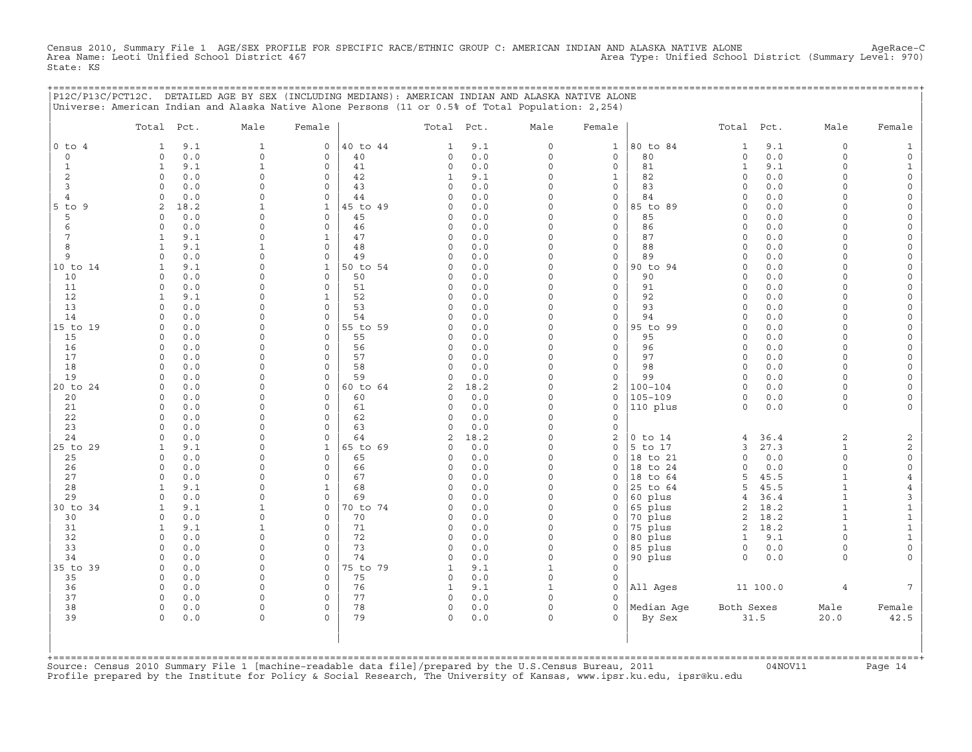Census 2010, Summary File 1 AGE/SEX PROFILE FOR SPECIFIC RACE/ETHNIC GROUP C: AMERICAN INDIAN AND ALASKA NATIVE ALONE AgeRace−C Area Name: Leoti Unified School District 467 Area Type: Unified School District (Summary Level: 970) State: KS

+===================================================================================================================================================+

|                     | P12C/P13C/PCT12C. DETAILED AGE BY SEX (INCLUDING MEDIANS): AMERICAN INDIAN AND ALASKA NATIVE ALONE<br>Universe: American Indian and Alaska Native Alone Persons (11 or 0.5% of Total Population: 2,254) |                            |                             |          |                      |            |                        |                             |                      |                     |              |                         |                                       |
|---------------------|---------------------------------------------------------------------------------------------------------------------------------------------------------------------------------------------------------|----------------------------|-----------------------------|----------|----------------------|------------|------------------------|-----------------------------|----------------------|---------------------|--------------|-------------------------|---------------------------------------|
|                     | Total Pct.                                                                                                                                                                                              | Male                       | Female                      |          | Total Pct.           |            | Male                   | Female                      |                      | Total Pct.          |              | Male                    | Female                                |
| $0$ to $4$          | 9.1<br>1                                                                                                                                                                                                | 1                          | $\mathbf 0$                 | 40 to 44 | 1                    | 9.1        | $\circ$                | $\mathbf{1}$                | 80 to 84             | 1                   | 9.1          | $\circ$                 | $\mathbf{1}$                          |
| $\mathbf 0$         | 0.0<br>$\circ$                                                                                                                                                                                          | $\mathbf 0$                | $\mathbf 0$                 | 40       | 0                    | 0.0        | $\circ$                | $\mathbf 0$                 | 80                   | $\circ$             | 0.0          | $\circ$                 | $\mathsf O$                           |
| $\mathbf{1}$        | 9.1<br>$\mathbf{1}$                                                                                                                                                                                     | $\mathbf{1}$               | $\mathsf O$                 | 41       | 0                    | $0.0$      | $\mathsf{O}\xspace$    | $\mathsf O$                 | 81                   | $\mathbf{1}$        | 9.1          | $\mathbf 0$             | $\mathbf{1}$                          |
| 2                   | $\Omega$<br>0.0                                                                                                                                                                                         | $\Omega$<br>$\mathbf 0$    | $\mathbf 0$<br>$\mathbf 0$  | 42       | 1<br>$\Omega$        | 9.1<br>0.0 | $\Omega$<br>$\Omega$   | $\mathbf{1}$<br>$\mathbf 0$ | 82<br>83             | $\circ$<br>$\Omega$ | 0.0          | $\Omega$<br>$\Omega$    | $\mathsf{O}\xspace$                   |
| 3<br>$\overline{4}$ | 0.0<br>$\circ$<br>$0.0$<br>$\Omega$                                                                                                                                                                     | $\Omega$                   | $\circ$                     | 43<br>44 | $\Omega$             | 0.0        | $\Omega$               | $\mathsf{O}$                | 84                   | $\Omega$            | 0.0<br>$0.0$ | $\Omega$                | $\mathsf{O}$<br>$\mathsf{O}\xspace$   |
| $5$ to $9$          | 18.2<br>2                                                                                                                                                                                               |                            | $\mathbf{1}$                | 45 to 49 | $\Omega$             | 0.0        | $\Omega$               | $\mathbf 0$                 | 85 to 89             | $\Omega$            | 0.0          | $\Omega$                | 0                                     |
| 5                   | 0.0<br>$\circ$                                                                                                                                                                                          | $\mathbf 0$                | $\mathsf{O}$                | 45       | $\Omega$             | 0.0        | $\Omega$               | $\mathbf 0$                 | 85                   | $\Omega$            | 0.0          | $\Omega$                | 0                                     |
| 6                   | $0.0$<br>$\circ$                                                                                                                                                                                        | $\Omega$                   | $\mathbf 0$                 | 46       | $\Omega$             | 0.0        | $\Omega$               | $\mathsf O$                 | 86                   | $\Omega$            | 0.0          | $\Omega$                | $\mathsf{O}\xspace$                   |
| 7                   | $\mathbf{1}$<br>9.1                                                                                                                                                                                     | $\Omega$                   | $\mathbf{1}$                | 47       | $\Omega$             | 0.0        | $\Omega$               | $\mathbf 0$                 | 87                   | $\Omega$            | 0.0          | $\Omega$                | 0                                     |
| 8                   | 9.1<br>$\mathbf{1}$                                                                                                                                                                                     | $\mathbf{1}$               | $\mathsf{O}$                | 48       | $\Omega$             | 0.0        | $\Omega$               | $\mathsf{O}$                | 88                   | $\Omega$            | 0.0          | $\Omega$                | 0                                     |
| 9                   | $\circ$<br>0.0                                                                                                                                                                                          | $\mathbf 0$                | $\circ$                     | 49       | $\Omega$             | 0.0        | $\Omega$               | $\mathsf O$                 | 89                   | $\Omega$            | 0.0          | $\Omega$                | $\mathsf{O}\xspace$                   |
| 10 to 14            | 9.1<br>$\mathbf{1}$<br>$\Omega$                                                                                                                                                                         | $\Omega$                   | $\mathbf{1}$<br>$\mathbf 0$ | 50 to 54 | $\Omega$<br>$\Omega$ | 0.0        | $\Omega$<br>$\Omega$   | $\mathbf 0$                 | 90 to 94             | $\circ$<br>$\Omega$ | 0.0          | $\Omega$<br>$\Omega$    | $\mathsf{O}\xspace$                   |
| 10<br>11            | 0.0<br>0.0<br>$\circ$                                                                                                                                                                                   | $\mathbf 0$<br>$\mathbf 0$ | $\circ$                     | 50<br>51 | $\Omega$             | 0.0<br>0.0 | $\Omega$               | $\mathsf{O}$<br>$\mathsf O$ | 90<br>91             | $\Omega$            | 0.0<br>0.0   | $\circ$                 | 0<br>$\mathsf{O}\xspace$              |
| 12                  | $\mathbf{1}$<br>9.1                                                                                                                                                                                     | $\Omega$                   | $\mathbf{1}$                | 52       | $\circ$              | 0.0        | $\Omega$               | $\mathbf 0$                 | 92                   | $\circ$             | 0.0          | $\Omega$                | 0                                     |
| 13                  | 0.0<br>$\Omega$                                                                                                                                                                                         | $\Omega$                   | 0                           | 53       | $\Omega$             | 0.0        | $\Omega$               | 0                           | 93                   | $\Omega$            | 0.0          | $\Omega$                | 0                                     |
| 14                  | 0.0<br>$\Omega$                                                                                                                                                                                         | $\Omega$                   | $\circ$                     | 54       | $\Omega$             | 0.0        | $\Omega$               | $\mathsf O$                 | 94                   | $\Omega$            | 0.0          | $\circ$                 | $\mathsf{O}\xspace$                   |
| 15 to 19            | $\circ$<br>0.0                                                                                                                                                                                          | $\mathbf 0$                | $\mathbf 0$                 | 55 to 59 | $\Omega$             | 0.0        | $\Omega$               | $\mathbf 0$                 | 95 to 99             | $\circ$             | 0.0          | $\Omega$                | $\mathsf{O}\xspace$                   |
| 15                  | 0.0<br>$\Omega$                                                                                                                                                                                         | $\Omega$                   | $\mathsf{O}$                | 55       | $\Omega$             | 0.0        | $\Omega$               | 0                           | 95                   | $\Omega$            | 0.0          | $\Omega$                | 0                                     |
| 16                  | $\circ$<br>0.0                                                                                                                                                                                          | $\Omega$                   | $\mathbf 0$                 | 56       | $\Omega$             | 0.0        | $\Omega$               | $\mathsf O$                 | 96                   | $\Omega$            | 0.0          | $\Omega$                | $\mathsf{O}\xspace$                   |
| 17                  | $\circ$<br>0.0                                                                                                                                                                                          | $\mathbf 0$                | $\mathbf 0$                 | 57       | 0                    | 0.0        | $\Omega$               | $\mathbf 0$                 | 97                   | $\circ$             | 0.0          | $\Omega$                | $\mathsf{O}\xspace$                   |
| 18<br>19            | 0.0<br>$\circ$<br>$0.0$<br>$\Omega$                                                                                                                                                                     | $\Omega$<br>$\Omega$       | 0<br>$\mathbf 0$            | 58<br>59 | 0<br>$\Omega$        | 0.0<br>0.0 | $\Omega$<br>$\Omega$   | 0<br>$\mathsf{O}\xspace$    | 98<br>99             | $\circ$<br>$\Omega$ | 0.0<br>0.0   | $\Omega$<br>$\Omega$    | 0<br>$\mathsf{O}\xspace$              |
| 20 to 24            | 0.0<br>$\Omega$                                                                                                                                                                                         | $\mathbf 0$                | $\mathbf 0$                 | 60 to 64 | 2                    | 18.2       | $\Omega$               | $\overline{\mathbf{c}}$     | $100 - 104$          | $\Omega$            | 0.0          | $\circ$                 | $\mathbf 0$                           |
| 20                  | 0.0<br>$\circ$                                                                                                                                                                                          | $\Omega$                   | $\mathsf{O}$                | 60       | 0                    | 0.0        | $\Omega$               | $\mathsf{O}$                | $105 - 109$          | $\circ$             | 0.0          | 0                       | 0                                     |
| 21                  | 0.0<br>$\circ$                                                                                                                                                                                          | $\Omega$                   | $\mathsf O$                 | 61       | $\Omega$             | 0.0        | $\Omega$               | $\mathsf O$                 | 110 plus             | $\circ$             | 0.0          | $\circ$                 | $\mathsf{O}\xspace$                   |
| 22                  | $\Omega$<br>0.0                                                                                                                                                                                         | $\Omega$                   | $\Omega$                    | 62       | 0                    | 0.0        | $\Omega$               | $\circ$                     |                      |                     |              |                         |                                       |
| 23                  | 0.0<br>$\Omega$                                                                                                                                                                                         | $\Omega$                   | $\mathbf 0$                 | 63       | 0                    | 0.0        | $\Omega$               | $\mathsf{O}$                |                      |                     |              |                         |                                       |
| 24                  | 0.0<br>$\circ$                                                                                                                                                                                          | $\Omega$                   | $\circ$                     | 64       | 2                    | 18.2       | $\Omega$               | $\overline{\mathbf{c}}$     | $0$ to $14$          | $\overline{4}$      | 36.4         | $\overline{c}$          | $\boldsymbol{2}$                      |
| 25 to 29            | 9.1<br>$\mathbf{1}$<br>$\Omega$                                                                                                                                                                         | $\Omega$<br>$\Omega$       | $\mathbf{1}$<br>$\mathbf 0$ | 65 to 69 | $\Omega$<br>$\Omega$ | 0.0        | $\Omega$<br>$\Omega$   | $\circ$<br>$\mathbf 0$      | 5 to 17              | 3<br>$\Omega$       | 27.3<br>0.0  | $\mathbf{1}$<br>$\circ$ | $\overline{c}$<br>$\mathsf{O}\xspace$ |
| 25<br>26            | 0.0<br>$0.0$<br>$\circ$                                                                                                                                                                                 | $\mathbf 0$                | $\mathsf O$                 | 65<br>66 | 0                    | 0.0<br>0.0 | $\Omega$               | 0                           | 18 to 21<br>18 to 24 | $\Omega$            | 0.0          | $\circ$                 | $\mathsf{O}\xspace$                   |
| 27                  | 0.0<br>$\Omega$                                                                                                                                                                                         | $\Omega$                   | $\mathbf 0$                 | 67       | $\Omega$             | 0.0        | $\Omega$               | $\Omega$                    | 18 to 64             | 5                   | 45.5         | $\mathbf{1}$            | $\overline{4}$                        |
| 28                  | $\mathbf{1}$<br>9.1                                                                                                                                                                                     | $\Omega$                   | $\mathbf{1}$                | 68       | $\Omega$             | 0.0        | $\Omega$               | $\mathbf 0$                 | 25 to 64             | 5                   | 45.5         | $\mathbf{1}$            | $\overline{4}$                        |
| 29                  | 0.0<br>$\circ$                                                                                                                                                                                          | $\mathbf 0$                | $\mathsf O$                 | 69       | $\Omega$             | 0.0        | $\Omega$               | 0                           | 60 plus              | $\overline{4}$      | 36.4         | $\mathbf{1}$            | 3                                     |
| 30 to 34            | 9.1<br>$\mathbf{1}$                                                                                                                                                                                     | $\mathbf{1}$               | $\mathbf 0$                 | 70 to 74 | $\Omega$             | 0.0        | $\Omega$               | $\mathbf 0$                 | 65 plus              | $\mathbf{2}$        | 18.2         | $\mathbf{1}$            | $\mathbf 1$                           |
| 30                  | $\circ$<br>0.0                                                                                                                                                                                          | $\mathbf 0$                | $\mathbf 0$                 | 70       | $\Omega$             | 0.0        | $\Omega$               | $\mathbf 0$                 | 70 plus              | 2                   | 18.2         | $\mathbf{1}$            | $\mathbf 1$                           |
| 31                  | 9.1<br>$\mathbf{1}$                                                                                                                                                                                     | 1                          | $\mathbf 0$                 | 71       | 0                    | 0.0        | $\Omega$               | 0                           | 75 plus              | $\sqrt{2}$          | 18.2         | $\mathbf{1}$            | $\mathbf 1$                           |
| 32                  | 0.0<br>$\Omega$                                                                                                                                                                                         | $\Omega$                   | $\mathbf 0$                 | 72       | $\Omega$             | 0.0        | $\Omega$               | $\mathbf 0$                 | 80 plus              | $\mathbf{1}$        | 9.1          | $\Omega$                | $\mathbf{1}$                          |
| 33<br>34            | $\circ$<br>0.0<br>$0.0$<br>$\circ$                                                                                                                                                                      | $\mathbf 0$<br>$\Omega$    | $\mathbf 0$<br>$\mathsf{O}$ | 73<br>74 | $\Omega$<br>$\Omega$ | 0.0<br>0.0 | $\circ$<br>$\mathbf 0$ | $\mathbf 0$<br>0            | 85 plus<br>90 plus   | $\circ$<br>$\circ$  | 0.0<br>0.0   | $\Omega$<br>$\circ$     | $\mathsf O$<br>$\circ$                |
| 35 to 39            | $\Omega$<br>0.0                                                                                                                                                                                         | $\Omega$                   | $\mathbf 0$                 | 75 to 79 | 1                    | 9.1        | $\mathbf{1}$           | $\circ$                     |                      |                     |              |                         |                                       |
| 35                  | $\circ$<br>0.0                                                                                                                                                                                          | $\mathbf 0$                | $\mathsf{O}$                | 75       | 0                    | 0.0        | $\mathsf{O}\xspace$    | $\mathsf{O}$                |                      |                     |              |                         |                                       |
| 36                  | $0.0$<br>$\circ$                                                                                                                                                                                        | $\Omega$                   | $\mathsf{O}$                | 76       | $\mathbf{1}$         | 9.1        | $\mathbf{1}$           | $\mathbf 0$                 | All Ages             |                     | 11 100.0     | $\overline{4}$          | 7                                     |
| 37                  | 0.0<br>$\Omega$                                                                                                                                                                                         | $\Omega$                   | $\mathbf 0$                 | 77       | 0                    | 0.0        | $\Omega$               | $\Omega$                    |                      |                     |              |                         |                                       |
| 38                  | $\circ$<br>0.0                                                                                                                                                                                          | $\mathbf 0$                | $\mathbf 0$                 | 78       | 0                    | $0.0$      | $\mathbf 0$            | $\mathbf 0$                 | Median Age           | Both Sexes          |              | Male                    | Female                                |
| 39                  | $\circ$<br>0.0                                                                                                                                                                                          | $\mathbf 0$                | $\Omega$                    | 79       | 0                    | 0.0        | $\Omega$               | $\Omega$                    | By Sex               |                     | 31.5         | 20.0                    | 42.5                                  |
|                     |                                                                                                                                                                                                         |                            |                             |          |                      |            |                        |                             |                      |                     |              |                         |                                       |
|                     |                                                                                                                                                                                                         |                            |                             |          |                      |            |                        |                             |                      |                     |              |                         |                                       |
|                     |                                                                                                                                                                                                         |                            |                             |          |                      |            |                        |                             |                      |                     |              |                         |                                       |

+===================================================================================================================================================+Source: Census 2010 Summary File 1 [machine−readable data file]/prepared by the U.S.Census Bureau, 2011 04NOV11 Page 14 Profile prepared by the Institute for Policy & Social Research, The University of Kansas, www.ipsr.ku.edu, ipsr@ku.edu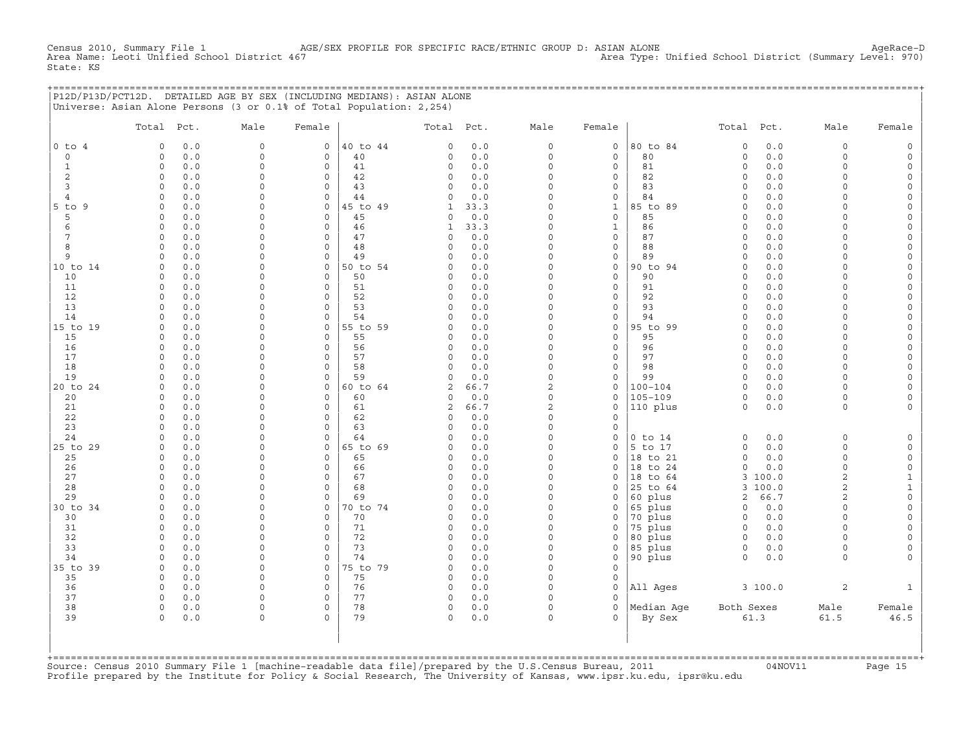Census 2010, Summary File 1 AGE/SEX PROFILE FOR SPECIFIC RACE/ETHNIC GROUP D: ASIAN ALONE AgeRace-D<br>Area Name: Leoti Unified School District 467 Area Type: Unified School District (Summary Level: 970) Area Type: Unified School District (Summary Level: 970) State: KS

| P12D/P13D/PCT12D. DETAILED AGE BY SEX (INCLUDING MEDIANS): ASIAN ALONE |  |
|------------------------------------------------------------------------|--|
| Universe: Asian Alone Persons (3 or 0.1% of Total Population: 2,254)   |  |

|                | Total               | Pct.       | Male                 | Female        |                | Total Pct.          |            | Male                 | Female                             |                     | Total Pct.                 |            | Male               | Female                                     |
|----------------|---------------------|------------|----------------------|---------------|----------------|---------------------|------------|----------------------|------------------------------------|---------------------|----------------------------|------------|--------------------|--------------------------------------------|
| $0$ to $4$     | $\circ$             | 0.0        | $\mathbf{0}$         | $\mathbf{0}$  | 40 to 44       | $\Omega$            | 0.0        | $\circ$              | $\mathbf 0$                        | 80 to 84            | $\circ$                    | 0.0        | $\circ$            | $\mathbb O$                                |
| $\circ$        | $\circ$             | 0.0        | $\circ$              | 0             | 40             | $\Omega$            | 0.0        | $\circ$              | $\mathbf 0$                        | 80                  | $\mathbf 0$                | 0.0        | $\circ$            | $\mathsf{O}\xspace$                        |
| $\mathbf{1}$   | $\mathbf{0}$        | 0.0        | $\circ$              | $\circ$       | 41             | $\circ$             | 0.0        | $\Omega$             | $\circ$                            | 81                  | $\circ$                    | 0.0        | $\circ$            | $\mathsf{O}$                               |
| 2              | $\circ$             | 0.0        | $\mathsf{O}\xspace$  | 0             | 42             | $\circ$             | 0.0        | $\mathbf 0$          | $\mathbf 0$                        | 82                  | $\circ$                    | 0.0        | $\circ$            | $\mathsf{O}\xspace$                        |
| 3              | $\circ$             | 0.0        | 0                    | 0             | 43             | $\circ$             | 0.0        | $\Omega$             | 0                                  | 83                  | $\circ$                    | 0.0        | $\circ$            | $\mathsf{O}\xspace$                        |
| 4              | $\Omega$            | 0.0        | 0                    | 0             | 44             | $\Omega$            | 0.0        | $\Omega$             | $\mathbf 0$                        | 84                  | $\mathbf 0$                | 0.0        | $\Omega$           | $\mathsf{O}\xspace$                        |
| $5$ to $9$     | $\Omega$            | 0.0        | $\circ$              | 0             | 45 to 49       | $\mathbf{1}$        | 33.3       | $\Omega$             | $\mathbf{1}$                       | 85 to 89            | $\mathbf 0$                | 0.0        | $\Omega$           | $\mathsf{O}\xspace$                        |
| 5              | $\Omega$            | 0.0        | $\Omega$             | $\Omega$      | 45             | $\circ$             | 0.0        | $\Omega$             | $\mathbf 0$                        | 85                  | $\Omega$                   | 0.0        | $\Omega$           | $\mathsf O$                                |
| 6              | $\Omega$            | 0.0        | $\Omega$             | $\Omega$      | 46             | $\mathbf{1}$        | 33.3       | $\Omega$             | $\mathbf{1}$                       | 86                  | $\Omega$                   | 0.0        | $\Omega$           | $\mathsf{O}\xspace$                        |
| 7              | $\Omega$            | 0.0        | $\Omega$             | $\Omega$      | 47             | $\Omega$            | $0.0$      | $\Omega$             | $\mathbf 0$                        | 87                  | $\mathbf 0$                | 0.0        | $\Omega$           | $\mathsf O$                                |
| 8              | $\Omega$            | 0.0        | $\Omega$             | 0             | 48             | $\Omega$            | 0.0        | $\Omega$             | $\mathbf 0$                        | 88                  | $\Omega$                   | 0.0        | $\Omega$           | $\mathsf O$                                |
| 9              | $\Omega$            | 0.0        | $\Omega$             | $\circ$       | 49             | $\Omega$            | 0.0        | $\Omega$<br>$\Omega$ | $\mathsf{O}\xspace$                | 89                  | $\Omega$                   | 0.0        | $\Omega$           | $\mathsf{O}\xspace$                        |
| 10 to 14<br>10 | $\Omega$            | 0.0        | 0<br>$\circ$         | 0<br>$\circ$  | 50 to 54<br>50 | $\Omega$<br>$\circ$ | 0.0<br>0.0 | $\Omega$             | $\mathsf{O}\xspace$<br>$\mathbf 0$ | 90 to 94<br>90      | $\mathbf 0$<br>$\mathbf 0$ | 0.0<br>0.0 | $\circ$<br>$\circ$ | 0                                          |
| 11             | 0<br>$\circ$        | 0.0<br>0.0 | 0                    | 0             | 51             | $\circ$             | 0.0        | $\Omega$             | $\mathsf{O}\xspace$                | 91                  | $\mathsf O$                | 0.0        | $\circ$            | $\mathsf{O}$<br>0                          |
| 12             | $\Omega$            | 0.0        | $\Omega$             | $\Omega$      | 52             | $\Omega$            | 0.0        | $\Omega$             | $\circ$                            | 92                  | $\mathbf 0$                | 0.0        | $\Omega$           | $\mathsf{O}\xspace$                        |
| 13             | $\Omega$            | 0.0        | $\Omega$             | $\Omega$      | 53             | $\Omega$            | 0.0        | $\Omega$             | $\Omega$                           | 93                  | $\Omega$                   | 0.0        | $\Omega$           | $\mathsf{O}\xspace$                        |
| 14             | $\Omega$            | 0.0        | $\Omega$             | $\Omega$      | 54             | $\Omega$            | 0.0        | $\Omega$             | $\mathbf 0$                        | 94                  | $\circ$                    | 0.0        | $\circ$            | $\mathsf O$                                |
| 15 to 19       | $\circ$             | 0.0        | 0                    | 0             | 55 to 59       | $\circ$             | 0.0        | $\Omega$             | $\mathsf{O}\xspace$                | 95 to 99            | $\Omega$                   | 0.0        | $\Omega$           | $\mathsf{O}\xspace$                        |
| 15             | $\Omega$            | 0.0        | $\Omega$             | $\Omega$      | 55             | $\circ$             | 0.0        | $\Omega$             | $\mathbf 0$                        | 95                  | $\Omega$                   | 0.0        | $\Omega$           | $\mathsf{O}\xspace$                        |
| 16             | $\circ$             | 0.0        | $\Omega$             | $\Omega$      | 56             | $\circ$             | 0.0        | $\Omega$             | $\mathbf 0$                        | 96                  | $\mathbf 0$                | 0.0        | $\Omega$           | $\mathsf{O}$                               |
| 17             | 0                   | 0.0        | 0                    | 0             | 57             | $\circ$             | 0.0        | $\Omega$             | 0                                  | 97                  | $\Omega$                   | 0.0        | $\Omega$           | $\mathsf{O}$                               |
| 18             | $\Omega$            | 0.0        | 0                    | 0             | 58             | $\Omega$            | 0.0        | $\Omega$             | $\mathsf{O}\xspace$                | 98                  | $\Omega$                   | 0.0        | $\Omega$           | $\mathsf{O}\xspace$                        |
| 19             | $\Omega$            | 0.0        | 0                    | 0             | 59             | $\circ$             | 0.0        | $\mathbf 0$          | $\mathsf O$                        | 99                  | $\mathbf 0$                | 0.0        | $\circ$            | $\mathsf{O}\xspace$                        |
| 20 to 24       | $\Omega$            | 0.0        | $\Omega$             | $\Omega$      | 60 to 64       | 2                   | 66.7       | $\overline{2}$       | $\circ$                            | $100 - 104$         | $\Omega$                   | 0.0        | $\Omega$           | $\mathsf O$                                |
| 20             | $\circ$             | 0.0        | $\Omega$             | $\Omega$      | 60             | $\circ$             | 0.0        | $\Omega$             | $\circ$                            | $105 - 109$         | $\Omega$                   | 0.0        | $\circ$            | $\circ$                                    |
| 21             | $\Omega$            | 0.0        | $\Omega$             | $\Omega$      | 61             | 2                   | 66.7       | $\overline{c}$       | $\mathsf{O}\xspace$                | 110 plus            | $\mathbf 0$                | 0.0        | $\circ$            | $\mathsf{O}\xspace$                        |
| 22             | $\Omega$            | 0.0        | $\circ$              | $\Omega$      | 62             | $\Omega$            | 0.0        | $\Omega$             | $\mathbf 0$                        |                     |                            |            |                    |                                            |
| 23             | $\circ$             | 0.0        | $\circ$              | $\circ$       | 63             | $\circ$             | 0.0        | $\Omega$             | $\circ$                            |                     |                            |            |                    |                                            |
| 24             | $\Omega$            | 0.0        | 0                    | 0             | 64             | $\Omega$            | 0.0        | $\Omega$             | $\mathsf O$                        | $0$ to $14$         | $\Omega$                   | 0.0        | $\circ$            | $\mathsf O$                                |
| 25 to 29       | $\circ$<br>$\circ$  | 0.0        | $\Omega$<br>0        | 0<br>0        | 65 to 69       | $\circ$<br>$\circ$  | 0.0<br>0.0 | $\Omega$<br>$\Omega$ | $\circ$<br>$\circ$                 | 5 to 17<br>18 to 21 | $\mathbf 0$                | 0.0        | $\circ$            | $\mathsf{O}\xspace$                        |
| 25<br>26       | $\circ$             | 0.0<br>0.0 | 0                    | 0             | 65<br>66       | $\circ$             | 0.0        | $\Omega$             | $\circ$                            | 18 to 24            | $\circ$<br>$\mathbf 0$     | 0.0<br>0.0 | 0<br>0             | $\mathsf{O}\xspace$<br>$\mathsf{O}\xspace$ |
| 27             | $\Omega$            | 0.0        | 0                    | $\Omega$      | 67             | $\Omega$            | 0.0        | $\Omega$             | $\Omega$                           | 18<br>to 64         | 3                          | 100.0      | $\overline{a}$     | $\mathbf{1}$                               |
| 28             | $\Omega$            | 0.0        | $\Omega$             | $\circ$       | 68             | $\Omega$            | 0.0        | $\Omega$             | $\circ$                            | 25 to 64            | 3                          | 100.0      | $\overline{2}$     | $\mathbf 1$                                |
| 29             | $\Omega$            | 0.0        | $\Omega$             | $\Omega$      | 69             | $\cap$              | 0.0        | $\Omega$             | $\Omega$                           | 60 plus             | $\overline{2}$             | 66.7       | $\overline{c}$     | $\mathsf{O}\xspace$                        |
| 30 to 34       | $\circ$             | 0.0        | 0                    | $\circ$       | 70 to 74       | $\circ$             | 0.0        | $\Omega$             | 0                                  | 65 plus             | $\circ$                    | 0.0        | $\circ$            | $\mathsf{O}\xspace$                        |
| 30             | $\Omega$            | 0.0        | 0                    | 0             | 70             | $\Omega$            | 0.0        | $\Omega$             | $\mathsf O$                        | 70 plus             | $\Omega$                   | 0.0        | $\Omega$           | $\mathsf{O}\xspace$                        |
| 31             | $\Omega$            | 0.0        | $\circ$              | 0             | 71             | $\circ$             | 0.0        | $\Omega$             | $\circ$                            | 75 plus             | $\circ$                    | 0.0        | $\Omega$           | $\mathsf{O}\xspace$                        |
| 32             | $\Omega$            | 0.0        | 0                    | $\Omega$      | 72             | $\circ$             | 0.0        | $\Omega$             | $\circ$                            | 80 plus             | $\circ$                    | 0.0        | $\Omega$           | 0                                          |
| 33             | $\circ$             | 0.0        | $\mathbf 0$          | 0             | 73             | $\circ$             | 0.0        | $\Omega$             | $\mathsf O$                        | 85 plus             | $\circ$                    | 0.0        | $\circ$            | 0                                          |
| 34             | $\mathbf 0$         | 0.0        | $\circ$              | 0             | 74             | $\circ$             | 0.0        | $\Omega$             | 0                                  | 90 plus             | $\circ$                    | 0.0        | $\circ$            | 0                                          |
| 35 to 39       | $\circ$             | 0.0        | $\circ$              | 0             | 75 to 79       | $\circ$             | 0.0        | $\Omega$             | $\mathbf 0$                        |                     |                            |            |                    |                                            |
| 35             | $\Omega$            | 0.0        | $\circ$              | $\Omega$      | 75             | $\Omega$            | 0.0        | $\Omega$             | $\mathbf 0$                        |                     |                            |            |                    |                                            |
| 36             | $\circ$             | 0.0        | $\circ$              | $\circ$       | 76             | $\circ$             | 0.0        | $\Omega$             | $\mathbf 0$                        | All Ages            |                            | 3100.0     | $\overline{2}$     | $\mathbf{1}$                               |
| 37             | $\circ$<br>$\Omega$ | 0.0        | $\Omega$<br>$\Omega$ | 0<br>$\Omega$ | 77             | $\circ$<br>$\Omega$ | 0.0        | $\Omega$<br>$\Omega$ | $\Omega$<br>$\Omega$               |                     |                            |            |                    |                                            |
| 38<br>39       | $\circ$             | 0.0<br>0.0 | $\circ$              | $\Omega$      | 78<br>79       | $\circ$             | 0.0<br>0.0 | $\circ$              | $\Omega$                           | Median Aqe          | Both Sexes                 | 61.3       | Male<br>61.5       | Female<br>46.5                             |
|                |                     |            |                      |               |                |                     |            |                      |                                    | By Sex              |                            |            |                    |                                            |
|                |                     |            |                      |               |                |                     |            |                      |                                    |                     |                            |            |                    |                                            |
|                |                     |            |                      |               |                |                     |            |                      |                                    |                     |                            |            |                    |                                            |

+===================================================================================================================================================+Source: Census 2010 Summary File 1 [machine−readable data file]/prepared by the U.S.Census Bureau, 2011 04NOV11 Page 15 Profile prepared by the Institute for Policy & Social Research, The University of Kansas, www.ipsr.ku.edu, ipsr@ku.edu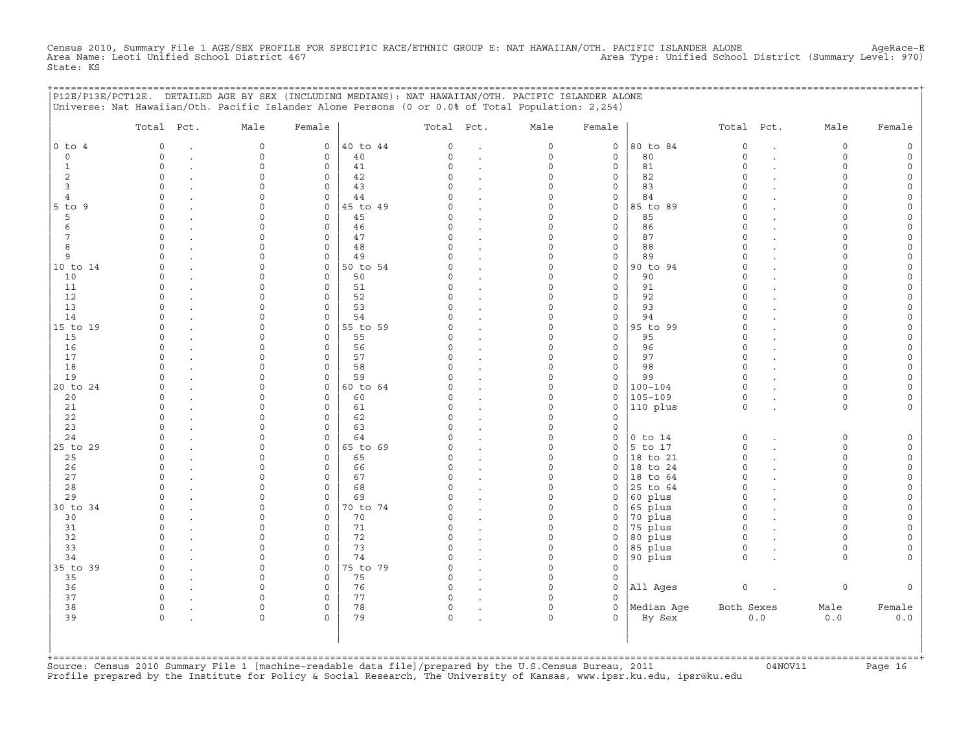Census 2010, Summary File 1 AGE/SEX PROFILE FOR SPECIFIC RACE/ETHNIC GROUP E: NAT HAWAIIAN/OTH. PACIFIC ISLANDER ALONE AgeRace-E<br>Area Name: Leoti Unified School District 467 State: KS

+===================================================================================================================================================+

| $0$ to $4$<br>$\circ$<br>1<br>2<br>$\mathbf{3}$<br>4<br>$5$ to $9$<br>5<br>6<br>7<br>8<br>9<br>10 to 14<br>10<br>11<br>12<br>13<br>14<br>15 to 19<br>15<br>16 | $\mathbf 0$<br>$\Omega$<br>$\circ$<br>$\circ$<br>$\Omega$<br>$\Omega$<br>$\Omega$<br>$\Omega$<br>$\Omega$<br>$\Omega$<br>$\Omega$<br>$\cap$<br>$\Omega$<br>$\Omega$<br>$\Omega$<br>$\Omega$<br>$\Omega$<br>$\Omega$<br>$\Omega$<br>$\Omega$<br>$\Omega$ | $\mathsf{O}\xspace$<br>$\Omega$<br>$\Omega$<br>$\Omega$<br>$\Omega$<br>$\Omega$<br>$\Omega$<br>$\Omega$<br>$\Omega$<br>$\Omega$<br>$\Omega$<br>$\cap$<br>$\Omega$<br>$\Omega$<br>$\Omega$<br>$\Omega$<br>$\Omega$<br>$\Omega$<br>$\Omega$<br>$\Omega$ | $\circ$<br>$\mathbf 0$<br>0<br>$\mathbf 0$<br>0<br>$\mathbf 0$<br>$\mathbf 0$<br>$\mathsf{O}\xspace$<br>$\mathbf 0$<br>$\mathbf 0$<br>$\mathsf{O}\xspace$<br>$\mathbf 0$<br>$\mathbf{0}$<br>$\mathbf 0$<br>$\mathbf 0$<br>$\mathbf 0$<br>$\mathbf 0$<br>$\circ$<br>$\mathsf{O}\xspace$ | 40 to 44<br>40<br>41<br>42<br>43<br>44<br>45 to 49<br>45<br>46<br>47<br>48<br>49<br>50 to 54<br>50<br>51<br>52<br>53<br>54 | 0<br>$\Omega$<br>$\Omega$<br>$\Omega$<br>$\cap$<br>U<br>C)<br>$\cap$<br>C)<br>$\Omega$<br>$\cap$<br>C)<br>O.<br>$\Omega$<br>$\Omega$<br>C) | $\cdot$<br>$\ddot{\phantom{a}}$<br>$\cdot$<br>$\cdot$<br>$\ddot{\phantom{a}}$<br>$\ddot{\phantom{a}}$<br>$\ddot{\phantom{a}}$<br>$\ddot{\phantom{a}}$<br>$\cdot$<br>$\ddot{\phantom{a}}$<br>$\sim$<br>$\ddot{\phantom{a}}$<br>$\ddot{\phantom{a}}$ | $\mathsf O$<br>$\mathbf 0$<br>$\mathbf 0$<br>$\Omega$<br>$\Omega$<br>$\Omega$<br>$\Omega$<br>$\Omega$<br>$\Omega$<br>$\Omega$<br>$\Omega$<br>$\Omega$<br>$\Omega$<br>$\Omega$<br>$\Omega$ | $\mathsf O$<br>$\mathbf 0$<br>$\mathbf 0$<br>$\mathsf{O}$<br>$\mathsf{O}\xspace$<br>$\mathbf 0$<br>$\mathsf{O}$<br>$\mathsf O$<br>$\mathbf{0}$<br>$\mathbf 0$<br>$\mathsf{O}\xspace$<br>$\mathsf O$<br>$\mathbf 0$<br>$\mathbf 0$<br>$\mathsf{O}\xspace$ | 80 to 84<br>80<br>81<br>82<br>83<br>84<br>85 to 89<br>85<br>86<br>87<br>88<br>89<br>90 to 94<br>90<br>91 | $\mathbb O$<br>$\Omega$<br>$\circ$<br>$\Omega$<br>$\circ$<br>$\Omega$<br>$\Omega$<br>$\Omega$<br>$\Omega$<br>$\Omega$<br>$\Omega$<br>$\Omega$<br>$\circ$<br>$\Omega$<br>$\Omega$ | $\ddot{\phantom{a}}$<br>$\ddot{\phantom{a}}$ | 0<br>$\Omega$<br>$\circ$<br>$\circ$<br>$\circ$<br>$\Omega$<br>$\Omega$<br>$\Omega$<br>$\cap$<br>$\Omega$<br>$\Omega$<br>$\cap$<br>$\Omega$<br>$\Omega$<br>$\Omega$ | $\mathsf{O}\xspace$<br>$\mathsf{O}\xspace$<br>0<br>$\circ$<br>$\mathsf O$<br>$\mathsf{O}\xspace$<br>$\mathsf{O}\xspace$<br>$\mathsf{O}\xspace$<br>$\mathsf{O}\xspace$<br>0<br>$\mathsf{O}\xspace$<br>$\circ$<br>$\mathsf{O}\xspace$<br>0<br>$\mathsf{O}\xspace$ |
|---------------------------------------------------------------------------------------------------------------------------------------------------------------|---------------------------------------------------------------------------------------------------------------------------------------------------------------------------------------------------------------------------------------------------------|-------------------------------------------------------------------------------------------------------------------------------------------------------------------------------------------------------------------------------------------------------|----------------------------------------------------------------------------------------------------------------------------------------------------------------------------------------------------------------------------------------------------------------------------------------|----------------------------------------------------------------------------------------------------------------------------|--------------------------------------------------------------------------------------------------------------------------------------------|----------------------------------------------------------------------------------------------------------------------------------------------------------------------------------------------------------------------------------------------------|-------------------------------------------------------------------------------------------------------------------------------------------------------------------------------------------|----------------------------------------------------------------------------------------------------------------------------------------------------------------------------------------------------------------------------------------------------------|----------------------------------------------------------------------------------------------------------|----------------------------------------------------------------------------------------------------------------------------------------------------------------------------------|----------------------------------------------|--------------------------------------------------------------------------------------------------------------------------------------------------------------------|-----------------------------------------------------------------------------------------------------------------------------------------------------------------------------------------------------------------------------------------------------------------|
|                                                                                                                                                               |                                                                                                                                                                                                                                                         |                                                                                                                                                                                                                                                       |                                                                                                                                                                                                                                                                                        |                                                                                                                            |                                                                                                                                            |                                                                                                                                                                                                                                                    |                                                                                                                                                                                           |                                                                                                                                                                                                                                                          |                                                                                                          |                                                                                                                                                                                  |                                              |                                                                                                                                                                    |                                                                                                                                                                                                                                                                 |
|                                                                                                                                                               |                                                                                                                                                                                                                                                         |                                                                                                                                                                                                                                                       |                                                                                                                                                                                                                                                                                        |                                                                                                                            |                                                                                                                                            |                                                                                                                                                                                                                                                    |                                                                                                                                                                                           |                                                                                                                                                                                                                                                          |                                                                                                          |                                                                                                                                                                                  |                                              |                                                                                                                                                                    |                                                                                                                                                                                                                                                                 |
|                                                                                                                                                               |                                                                                                                                                                                                                                                         |                                                                                                                                                                                                                                                       |                                                                                                                                                                                                                                                                                        |                                                                                                                            |                                                                                                                                            |                                                                                                                                                                                                                                                    |                                                                                                                                                                                           |                                                                                                                                                                                                                                                          |                                                                                                          |                                                                                                                                                                                  |                                              |                                                                                                                                                                    |                                                                                                                                                                                                                                                                 |
|                                                                                                                                                               |                                                                                                                                                                                                                                                         |                                                                                                                                                                                                                                                       |                                                                                                                                                                                                                                                                                        |                                                                                                                            |                                                                                                                                            |                                                                                                                                                                                                                                                    |                                                                                                                                                                                           |                                                                                                                                                                                                                                                          |                                                                                                          |                                                                                                                                                                                  |                                              |                                                                                                                                                                    |                                                                                                                                                                                                                                                                 |
|                                                                                                                                                               |                                                                                                                                                                                                                                                         |                                                                                                                                                                                                                                                       |                                                                                                                                                                                                                                                                                        |                                                                                                                            |                                                                                                                                            |                                                                                                                                                                                                                                                    |                                                                                                                                                                                           |                                                                                                                                                                                                                                                          |                                                                                                          |                                                                                                                                                                                  |                                              |                                                                                                                                                                    |                                                                                                                                                                                                                                                                 |
|                                                                                                                                                               |                                                                                                                                                                                                                                                         |                                                                                                                                                                                                                                                       |                                                                                                                                                                                                                                                                                        |                                                                                                                            |                                                                                                                                            |                                                                                                                                                                                                                                                    |                                                                                                                                                                                           |                                                                                                                                                                                                                                                          |                                                                                                          |                                                                                                                                                                                  |                                              |                                                                                                                                                                    |                                                                                                                                                                                                                                                                 |
|                                                                                                                                                               |                                                                                                                                                                                                                                                         |                                                                                                                                                                                                                                                       |                                                                                                                                                                                                                                                                                        |                                                                                                                            |                                                                                                                                            |                                                                                                                                                                                                                                                    |                                                                                                                                                                                           |                                                                                                                                                                                                                                                          |                                                                                                          |                                                                                                                                                                                  |                                              |                                                                                                                                                                    |                                                                                                                                                                                                                                                                 |
|                                                                                                                                                               |                                                                                                                                                                                                                                                         |                                                                                                                                                                                                                                                       |                                                                                                                                                                                                                                                                                        |                                                                                                                            |                                                                                                                                            |                                                                                                                                                                                                                                                    |                                                                                                                                                                                           |                                                                                                                                                                                                                                                          |                                                                                                          |                                                                                                                                                                                  |                                              |                                                                                                                                                                    |                                                                                                                                                                                                                                                                 |
|                                                                                                                                                               |                                                                                                                                                                                                                                                         |                                                                                                                                                                                                                                                       |                                                                                                                                                                                                                                                                                        |                                                                                                                            |                                                                                                                                            |                                                                                                                                                                                                                                                    |                                                                                                                                                                                           |                                                                                                                                                                                                                                                          |                                                                                                          |                                                                                                                                                                                  |                                              |                                                                                                                                                                    |                                                                                                                                                                                                                                                                 |
|                                                                                                                                                               |                                                                                                                                                                                                                                                         |                                                                                                                                                                                                                                                       |                                                                                                                                                                                                                                                                                        |                                                                                                                            |                                                                                                                                            |                                                                                                                                                                                                                                                    |                                                                                                                                                                                           |                                                                                                                                                                                                                                                          |                                                                                                          |                                                                                                                                                                                  |                                              |                                                                                                                                                                    |                                                                                                                                                                                                                                                                 |
|                                                                                                                                                               |                                                                                                                                                                                                                                                         |                                                                                                                                                                                                                                                       |                                                                                                                                                                                                                                                                                        |                                                                                                                            |                                                                                                                                            |                                                                                                                                                                                                                                                    |                                                                                                                                                                                           |                                                                                                                                                                                                                                                          |                                                                                                          |                                                                                                                                                                                  |                                              |                                                                                                                                                                    |                                                                                                                                                                                                                                                                 |
|                                                                                                                                                               |                                                                                                                                                                                                                                                         |                                                                                                                                                                                                                                                       |                                                                                                                                                                                                                                                                                        |                                                                                                                            |                                                                                                                                            |                                                                                                                                                                                                                                                    |                                                                                                                                                                                           |                                                                                                                                                                                                                                                          |                                                                                                          |                                                                                                                                                                                  |                                              |                                                                                                                                                                    |                                                                                                                                                                                                                                                                 |
|                                                                                                                                                               |                                                                                                                                                                                                                                                         |                                                                                                                                                                                                                                                       |                                                                                                                                                                                                                                                                                        |                                                                                                                            |                                                                                                                                            |                                                                                                                                                                                                                                                    |                                                                                                                                                                                           |                                                                                                                                                                                                                                                          |                                                                                                          |                                                                                                                                                                                  |                                              |                                                                                                                                                                    |                                                                                                                                                                                                                                                                 |
|                                                                                                                                                               |                                                                                                                                                                                                                                                         |                                                                                                                                                                                                                                                       |                                                                                                                                                                                                                                                                                        |                                                                                                                            |                                                                                                                                            |                                                                                                                                                                                                                                                    |                                                                                                                                                                                           |                                                                                                                                                                                                                                                          |                                                                                                          |                                                                                                                                                                                  |                                              |                                                                                                                                                                    |                                                                                                                                                                                                                                                                 |
|                                                                                                                                                               |                                                                                                                                                                                                                                                         |                                                                                                                                                                                                                                                       |                                                                                                                                                                                                                                                                                        |                                                                                                                            |                                                                                                                                            |                                                                                                                                                                                                                                                    |                                                                                                                                                                                           |                                                                                                                                                                                                                                                          |                                                                                                          |                                                                                                                                                                                  |                                              |                                                                                                                                                                    |                                                                                                                                                                                                                                                                 |
|                                                                                                                                                               |                                                                                                                                                                                                                                                         |                                                                                                                                                                                                                                                       |                                                                                                                                                                                                                                                                                        |                                                                                                                            |                                                                                                                                            |                                                                                                                                                                                                                                                    | $\Omega$                                                                                                                                                                                  | $\mathbf 0$                                                                                                                                                                                                                                              | 92                                                                                                       | $\Omega$                                                                                                                                                                         |                                              | $\Omega$                                                                                                                                                           | $\mathsf{O}\xspace$                                                                                                                                                                                                                                             |
|                                                                                                                                                               |                                                                                                                                                                                                                                                         |                                                                                                                                                                                                                                                       |                                                                                                                                                                                                                                                                                        |                                                                                                                            |                                                                                                                                            | $\ddot{\phantom{a}}$                                                                                                                                                                                                                               | $\Omega$<br>$\Omega$                                                                                                                                                                      | $\mathbf 0$                                                                                                                                                                                                                                              | 93                                                                                                       | $\Omega$<br>$\Omega$                                                                                                                                                             |                                              | $\Omega$<br>$\Omega$                                                                                                                                               | 0                                                                                                                                                                                                                                                               |
|                                                                                                                                                               |                                                                                                                                                                                                                                                         |                                                                                                                                                                                                                                                       |                                                                                                                                                                                                                                                                                        |                                                                                                                            | $\Omega$                                                                                                                                   |                                                                                                                                                                                                                                                    | $\mathbf 0$                                                                                                                                                                               | $\mathsf{O}\xspace$                                                                                                                                                                                                                                      | 94                                                                                                       | $\Omega$                                                                                                                                                                         |                                              | $\Omega$                                                                                                                                                           | $\mathsf{O}\xspace$                                                                                                                                                                                                                                             |
|                                                                                                                                                               |                                                                                                                                                                                                                                                         |                                                                                                                                                                                                                                                       | $\mathbf 0$                                                                                                                                                                                                                                                                            | 55 to 59<br>55                                                                                                             | C                                                                                                                                          |                                                                                                                                                                                                                                                    | $\Omega$                                                                                                                                                                                  | $\mathsf O$<br>$\mathbf 0$                                                                                                                                                                                                                               | 95 to 99<br>95                                                                                           | $\Omega$                                                                                                                                                                         |                                              | $\cap$                                                                                                                                                             | $\mathsf{O}\xspace$                                                                                                                                                                                                                                             |
|                                                                                                                                                               |                                                                                                                                                                                                                                                         | $\Omega$                                                                                                                                                                                                                                              | $\mathbf 0$                                                                                                                                                                                                                                                                            | 56                                                                                                                         |                                                                                                                                            | $\ddot{\phantom{a}}$                                                                                                                                                                                                                               | $\Omega$                                                                                                                                                                                  | $\mathbf 0$                                                                                                                                                                                                                                              | 96                                                                                                       | $\circ$                                                                                                                                                                          |                                              | $\Omega$                                                                                                                                                           | $\mathsf{O}\xspace$<br>$\mathsf{O}\xspace$                                                                                                                                                                                                                      |
| 17                                                                                                                                                            | $\Omega$                                                                                                                                                                                                                                                | 0                                                                                                                                                                                                                                                     | $\mathbf 0$                                                                                                                                                                                                                                                                            | 57                                                                                                                         | $\Omega$                                                                                                                                   | $\cdot$                                                                                                                                                                                                                                            | $\mathbf 0$                                                                                                                                                                               | $\mathsf{O}\xspace$                                                                                                                                                                                                                                      | 97                                                                                                       | $\Omega$                                                                                                                                                                         |                                              | $\Omega$                                                                                                                                                           | $\mathsf{O}\xspace$                                                                                                                                                                                                                                             |
| 18                                                                                                                                                            | $\cap$                                                                                                                                                                                                                                                  | $\Omega$                                                                                                                                                                                                                                              | $\Omega$                                                                                                                                                                                                                                                                               | 58                                                                                                                         | $\cap$                                                                                                                                     |                                                                                                                                                                                                                                                    | $\Omega$                                                                                                                                                                                  | $\mathbf 0$                                                                                                                                                                                                                                              | 98                                                                                                       | $\Omega$                                                                                                                                                                         |                                              | $\Omega$                                                                                                                                                           | $\mathsf{O}\xspace$                                                                                                                                                                                                                                             |
| 19                                                                                                                                                            | $\Omega$                                                                                                                                                                                                                                                | $\Omega$                                                                                                                                                                                                                                              | $\mathbf 0$                                                                                                                                                                                                                                                                            | 59                                                                                                                         |                                                                                                                                            | $\ddot{\phantom{a}}$                                                                                                                                                                                                                               | $\Omega$                                                                                                                                                                                  | $\mathbf 0$                                                                                                                                                                                                                                              | 99                                                                                                       | $\Omega$                                                                                                                                                                         |                                              | $\Omega$                                                                                                                                                           | $\mathsf{O}\xspace$                                                                                                                                                                                                                                             |
| 20 to 24                                                                                                                                                      | $\Omega$                                                                                                                                                                                                                                                | $\Omega$                                                                                                                                                                                                                                              | $\mathbf{0}$                                                                                                                                                                                                                                                                           | 60 to 64                                                                                                                   |                                                                                                                                            | $\sim$                                                                                                                                                                                                                                             | $\Omega$                                                                                                                                                                                  | $\mathsf O$                                                                                                                                                                                                                                              | $100 - 104$                                                                                              | $\circ$                                                                                                                                                                          |                                              | $\Omega$                                                                                                                                                           | $\mathsf{O}\xspace$                                                                                                                                                                                                                                             |
| 20                                                                                                                                                            | $\Omega$                                                                                                                                                                                                                                                | $\Omega$                                                                                                                                                                                                                                              | $\mathbf 0$                                                                                                                                                                                                                                                                            | 60                                                                                                                         | C)                                                                                                                                         | $\cdot$<br>$\ddot{\phantom{a}}$                                                                                                                                                                                                                    | $\Omega$                                                                                                                                                                                  | $\mathsf{O}$                                                                                                                                                                                                                                             | $105 - 109$                                                                                              | $\circ$                                                                                                                                                                          |                                              | $\circ$                                                                                                                                                            | $\mathsf{O}\xspace$                                                                                                                                                                                                                                             |
| 21                                                                                                                                                            | $\Omega$                                                                                                                                                                                                                                                | $\Omega$                                                                                                                                                                                                                                              | $\mathbf 0$                                                                                                                                                                                                                                                                            | 61                                                                                                                         | C)                                                                                                                                         | $\ddot{\phantom{a}}$                                                                                                                                                                                                                               | $\Omega$                                                                                                                                                                                  | $\mathbf 0$                                                                                                                                                                                                                                              | 110 plus                                                                                                 | $\circ$                                                                                                                                                                          |                                              | $\Omega$                                                                                                                                                           | $\mathbf{0}$                                                                                                                                                                                                                                                    |
| 22                                                                                                                                                            | $\Omega$                                                                                                                                                                                                                                                | $\Omega$                                                                                                                                                                                                                                              | $\mathbf 0$                                                                                                                                                                                                                                                                            | 62                                                                                                                         | $\Omega$                                                                                                                                   | $\sim$                                                                                                                                                                                                                                             | $\Omega$                                                                                                                                                                                  | $\mathbf 0$                                                                                                                                                                                                                                              |                                                                                                          |                                                                                                                                                                                  |                                              |                                                                                                                                                                    |                                                                                                                                                                                                                                                                 |
| 23                                                                                                                                                            | $\Omega$                                                                                                                                                                                                                                                | $\Omega$                                                                                                                                                                                                                                              | $\mathbf 0$                                                                                                                                                                                                                                                                            | 63                                                                                                                         | $\Omega$                                                                                                                                   | $\ddot{\phantom{a}}$                                                                                                                                                                                                                               | $\Omega$                                                                                                                                                                                  | $\mathsf O$                                                                                                                                                                                                                                              |                                                                                                          |                                                                                                                                                                                  |                                              |                                                                                                                                                                    |                                                                                                                                                                                                                                                                 |
| 24                                                                                                                                                            | $\cap$                                                                                                                                                                                                                                                  | $\Omega$                                                                                                                                                                                                                                              | 0                                                                                                                                                                                                                                                                                      | 64                                                                                                                         | U                                                                                                                                          |                                                                                                                                                                                                                                                    | $\Omega$                                                                                                                                                                                  | $\mathsf O$                                                                                                                                                                                                                                              | $0$ to $14$                                                                                              | $\mathbb O$                                                                                                                                                                      |                                              | 0                                                                                                                                                                  | $\mathsf{O}\xspace$                                                                                                                                                                                                                                             |
| 25 to 29                                                                                                                                                      | $\Omega$                                                                                                                                                                                                                                                | $\Omega$                                                                                                                                                                                                                                              | $\mathbf 0$                                                                                                                                                                                                                                                                            | 65 to 69                                                                                                                   | U                                                                                                                                          | $\sim$                                                                                                                                                                                                                                             | $\Omega$                                                                                                                                                                                  | $\mathbf 0$                                                                                                                                                                                                                                              | 5 to 17                                                                                                  | $\circ$                                                                                                                                                                          |                                              | $\Omega$                                                                                                                                                           | $\mathsf{O}$                                                                                                                                                                                                                                                    |
| 25                                                                                                                                                            | $\Omega$                                                                                                                                                                                                                                                | 0                                                                                                                                                                                                                                                     | $\mathbf 0$                                                                                                                                                                                                                                                                            | 65                                                                                                                         | C)                                                                                                                                         | $\cdot$                                                                                                                                                                                                                                            | $\Omega$                                                                                                                                                                                  | $\mathbf 0$                                                                                                                                                                                                                                              | 18 to 21                                                                                                 | $\circ$                                                                                                                                                                          |                                              | $\Omega$                                                                                                                                                           | $\mathbb O$                                                                                                                                                                                                                                                     |
| 26                                                                                                                                                            | $\Omega$                                                                                                                                                                                                                                                | 0                                                                                                                                                                                                                                                     | 0                                                                                                                                                                                                                                                                                      | 66                                                                                                                         | C)                                                                                                                                         |                                                                                                                                                                                                                                                    | $\mathbf 0$                                                                                                                                                                               | $\mathbf 0$                                                                                                                                                                                                                                              | 18 to 24                                                                                                 | $\circ$                                                                                                                                                                          |                                              | $\circ$                                                                                                                                                            | $\mathsf{O}$                                                                                                                                                                                                                                                    |
| 27                                                                                                                                                            | $\cap$                                                                                                                                                                                                                                                  | $\cap$                                                                                                                                                                                                                                                | $\Omega$                                                                                                                                                                                                                                                                               | 67                                                                                                                         | U                                                                                                                                          |                                                                                                                                                                                                                                                    | $\Omega$                                                                                                                                                                                  | $\Omega$                                                                                                                                                                                                                                                 | 18 to 64                                                                                                 | $\Omega$                                                                                                                                                                         |                                              | $\Omega$                                                                                                                                                           | $\circ$                                                                                                                                                                                                                                                         |
| 28                                                                                                                                                            | $\Omega$                                                                                                                                                                                                                                                | 0                                                                                                                                                                                                                                                     | $\mathsf{O}\xspace$                                                                                                                                                                                                                                                                    | 68                                                                                                                         | C)                                                                                                                                         |                                                                                                                                                                                                                                                    | $\Omega$                                                                                                                                                                                  | $\mathbf 0$                                                                                                                                                                                                                                              | 25 to 64                                                                                                 | $\Omega$                                                                                                                                                                         |                                              | $\Omega$                                                                                                                                                           | 0                                                                                                                                                                                                                                                               |
| 29                                                                                                                                                            |                                                                                                                                                                                                                                                         | 0                                                                                                                                                                                                                                                     | $\mathbf 0$                                                                                                                                                                                                                                                                            | 69                                                                                                                         |                                                                                                                                            | $\cdot$                                                                                                                                                                                                                                            | $\mathbf 0$                                                                                                                                                                               | $\mathbf 0$                                                                                                                                                                                                                                              | 60 plus                                                                                                  | $\Omega$                                                                                                                                                                         |                                              | $\Omega$                                                                                                                                                           | $\mathsf{O}\xspace$                                                                                                                                                                                                                                             |
| 30 to 34                                                                                                                                                      | $\cap$                                                                                                                                                                                                                                                  | $\Omega$                                                                                                                                                                                                                                              | $\circ$                                                                                                                                                                                                                                                                                | 70 to 74                                                                                                                   |                                                                                                                                            | $\cdot$                                                                                                                                                                                                                                            | $\Omega$                                                                                                                                                                                  | $\mathsf{O}$                                                                                                                                                                                                                                             | 65 plus                                                                                                  | $\Omega$                                                                                                                                                                         |                                              | $\cap$                                                                                                                                                             | $\mathsf{O}\xspace$                                                                                                                                                                                                                                             |
| 30                                                                                                                                                            | $\Omega$                                                                                                                                                                                                                                                | $\Omega$                                                                                                                                                                                                                                              | $\mathbf 0$                                                                                                                                                                                                                                                                            | 70                                                                                                                         | C)                                                                                                                                         |                                                                                                                                                                                                                                                    | $\Omega$                                                                                                                                                                                  | $\mathbf 0$                                                                                                                                                                                                                                              | 70 plus                                                                                                  | $\Omega$                                                                                                                                                                         |                                              | $\Omega$                                                                                                                                                           | $\circ$                                                                                                                                                                                                                                                         |
| 31                                                                                                                                                            | $\Omega$                                                                                                                                                                                                                                                | 0                                                                                                                                                                                                                                                     | $\mathbf 0$                                                                                                                                                                                                                                                                            | 71                                                                                                                         | C)                                                                                                                                         | $\ddot{\phantom{a}}$                                                                                                                                                                                                                               | $\mathbf 0$                                                                                                                                                                               | 0                                                                                                                                                                                                                                                        | 75 plus                                                                                                  | $\circ$                                                                                                                                                                          |                                              | $\Omega$                                                                                                                                                           | $\mathsf{O}\xspace$                                                                                                                                                                                                                                             |
| 32                                                                                                                                                            | $\Omega$                                                                                                                                                                                                                                                | $\Omega$                                                                                                                                                                                                                                              | $\mathbf 0$                                                                                                                                                                                                                                                                            | 72                                                                                                                         | $\Omega$                                                                                                                                   | $\ddot{\phantom{a}}$                                                                                                                                                                                                                               | $\Omega$                                                                                                                                                                                  | $\mathbf 0$                                                                                                                                                                                                                                              | 80 plus                                                                                                  | $\circ$                                                                                                                                                                          |                                              | $\Omega$                                                                                                                                                           | $\mathsf O$                                                                                                                                                                                                                                                     |
| 33                                                                                                                                                            | $\Omega$                                                                                                                                                                                                                                                | $\Omega$                                                                                                                                                                                                                                              | $\mathbf 0$                                                                                                                                                                                                                                                                            | 73                                                                                                                         | $\cap$                                                                                                                                     |                                                                                                                                                                                                                                                    | $\Omega$                                                                                                                                                                                  | $\mathbf 0$                                                                                                                                                                                                                                              | 85 plus                                                                                                  | $\Omega$                                                                                                                                                                         |                                              | $\Omega$                                                                                                                                                           | $\mathbf 0$                                                                                                                                                                                                                                                     |
| 34                                                                                                                                                            | $\Omega$                                                                                                                                                                                                                                                | $\Omega$                                                                                                                                                                                                                                              | $\Omega$                                                                                                                                                                                                                                                                               | 74                                                                                                                         | $\cap$                                                                                                                                     | $\ddot{\phantom{a}}$                                                                                                                                                                                                                               | $\Omega$                                                                                                                                                                                  | $\mathbf 0$                                                                                                                                                                                                                                              | 90 plus                                                                                                  | $\Omega$                                                                                                                                                                         |                                              | $\Omega$                                                                                                                                                           | $\mathbf{0}$                                                                                                                                                                                                                                                    |
| 35 to 39                                                                                                                                                      | $\Omega$                                                                                                                                                                                                                                                | $\mathbf 0$                                                                                                                                                                                                                                           | $\circ$                                                                                                                                                                                                                                                                                | 75 to 79                                                                                                                   | $\Omega$                                                                                                                                   | $\ddot{\phantom{a}}$                                                                                                                                                                                                                               | $\mathbf 0$                                                                                                                                                                               | $\mathbf 0$                                                                                                                                                                                                                                              |                                                                                                          |                                                                                                                                                                                  |                                              |                                                                                                                                                                    |                                                                                                                                                                                                                                                                 |
| 35                                                                                                                                                            | $\Omega$                                                                                                                                                                                                                                                | $\Omega$                                                                                                                                                                                                                                              | $\mathsf{O}\xspace$                                                                                                                                                                                                                                                                    | 75                                                                                                                         | $\Omega$                                                                                                                                   |                                                                                                                                                                                                                                                    | $\mathbf 0$                                                                                                                                                                               | $\mathsf{O}$                                                                                                                                                                                                                                             |                                                                                                          |                                                                                                                                                                                  |                                              |                                                                                                                                                                    |                                                                                                                                                                                                                                                                 |
| 36                                                                                                                                                            | $\Omega$                                                                                                                                                                                                                                                | $\Omega$                                                                                                                                                                                                                                              | $\mathbf 0$                                                                                                                                                                                                                                                                            | 76                                                                                                                         | $\Omega$                                                                                                                                   |                                                                                                                                                                                                                                                    | $\Omega$                                                                                                                                                                                  | $\mathbf 0$                                                                                                                                                                                                                                              | All Ages                                                                                                 | $\mathsf O$                                                                                                                                                                      |                                              | 0                                                                                                                                                                  | $\circ$                                                                                                                                                                                                                                                         |
| 37                                                                                                                                                            | $\Omega$                                                                                                                                                                                                                                                | $\Omega$                                                                                                                                                                                                                                              | $\mathbf 0$                                                                                                                                                                                                                                                                            | 77                                                                                                                         | C)                                                                                                                                         |                                                                                                                                                                                                                                                    | $\Omega$                                                                                                                                                                                  | $\Omega$                                                                                                                                                                                                                                                 |                                                                                                          |                                                                                                                                                                                  |                                              |                                                                                                                                                                    |                                                                                                                                                                                                                                                                 |
| 38                                                                                                                                                            | $\Omega$                                                                                                                                                                                                                                                | $\Omega$                                                                                                                                                                                                                                              | $\mathbf 0$                                                                                                                                                                                                                                                                            | 78                                                                                                                         | $\circ$                                                                                                                                    | $\bullet$                                                                                                                                                                                                                                          | $\Omega$                                                                                                                                                                                  | $\mathbf 0$                                                                                                                                                                                                                                              | Median Aqe                                                                                               | Both Sexes                                                                                                                                                                       |                                              | Male                                                                                                                                                               | Female                                                                                                                                                                                                                                                          |
| 39                                                                                                                                                            | $\Omega$                                                                                                                                                                                                                                                | $\Omega$                                                                                                                                                                                                                                              | $\Omega$                                                                                                                                                                                                                                                                               | 79                                                                                                                         | $\Omega$                                                                                                                                   |                                                                                                                                                                                                                                                    | $\Omega$                                                                                                                                                                                  | $\Omega$                                                                                                                                                                                                                                                 | By Sex                                                                                                   |                                                                                                                                                                                  | 0.0                                          | 0.0                                                                                                                                                                | 0.0                                                                                                                                                                                                                                                             |

+===================================================================================================================================================+Source: Census 2010 Summary File 1 [machine−readable data file]/prepared by the U.S.Census Bureau, 2011 04NOV11 Page 16 Profile prepared by the Institute for Policy & Social Research, The University of Kansas, www.ipsr.ku.edu, ipsr@ku.edu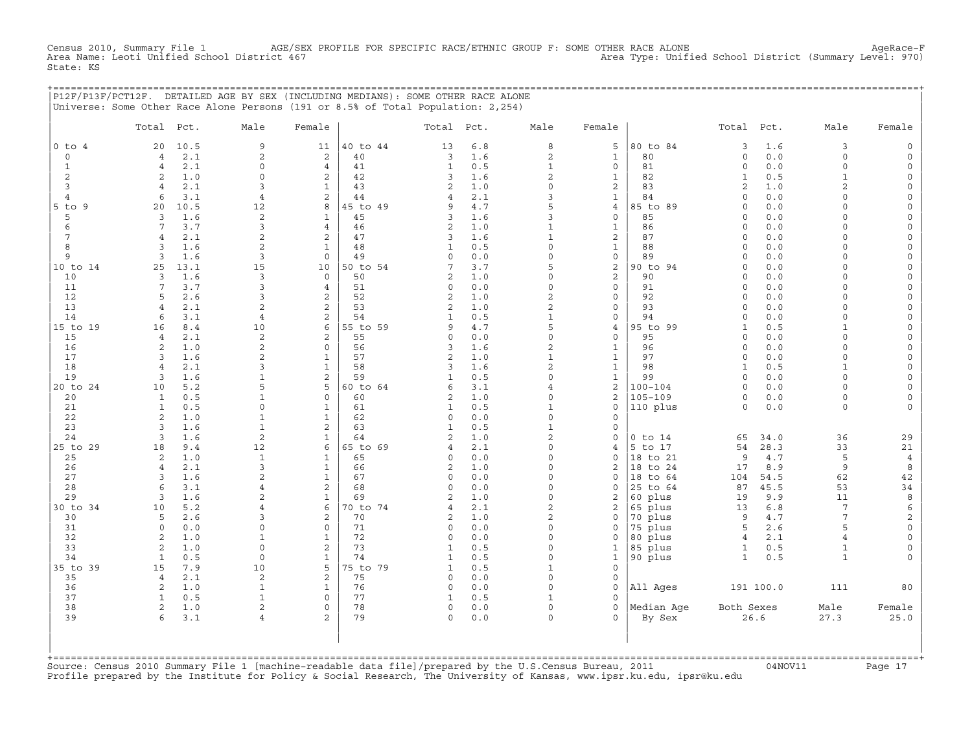Census 2010, Summary File 1 AGE/SEX PROFILE FOR SPECIFIC RACE/ETHNIC GROUP F: SOME OTHER RACE ALONE AgeRace−F<br>Area Name: Leoti Unified School District 467 State: KS

+===================================================================================================================================================+

|                     | P12F/P13F/PCT12F. DETAILED AGE BY SEX (INCLUDING MEDIANS): SOME OTHER RACE ALONE<br>Universe: Some Other Race Alone Persons (191 or 8.5% of Total Population: 2,254) |                              |                              |                |                           |            |                      |                                       |                            |                    |             |                          |                                            |
|---------------------|----------------------------------------------------------------------------------------------------------------------------------------------------------------------|------------------------------|------------------------------|----------------|---------------------------|------------|----------------------|---------------------------------------|----------------------------|--------------------|-------------|--------------------------|--------------------------------------------|
|                     | Total<br>Pct.                                                                                                                                                        | Male                         | Female                       |                | Total Pct.                |            | Male                 | Female                                |                            | Total              | Pct.        | Male                     | Female                                     |
| $0$ to $4$          | 10.5<br>20                                                                                                                                                           | 9                            | 11                           | 40 to 44       | 13                        | 6.8        | 8                    | 5                                     | 80 to 84                   | 3                  | 1.6         | 3                        | $\mathsf O$                                |
| $\circ$             | 2.1<br>$\overline{4}$                                                                                                                                                | 2                            | 2                            | 40             | 3                         | 1.6        | $\overline{a}$       | $\mathbf{1}$                          | 80                         | $\circ$            | 0.0         | $\Omega$                 | $\mathsf O$                                |
| $\mathbf{1}$        | 2.1<br>$\overline{4}$                                                                                                                                                | $\mathbf 0$                  | $\overline{4}$               | 41             | $\mathbf{1}$              | 0.5        | $\mathbf{1}$         | $\mathsf{O}\xspace$                   | 81                         | $\circ$            | 0.0         | $\Omega$                 | $\mathsf O$                                |
| $\overline{c}$      | 2<br>1.0                                                                                                                                                             | $\Omega$                     | 2                            | 42             | 3                         | 1.6        | $\overline{a}$       | $\mathbf{1}$                          | 82                         | $\mathbf{1}$       | 0.5         | $\mathbf{1}$             | $\mathsf O$                                |
| 3                   | $\overline{4}$<br>2.1                                                                                                                                                | 3                            | $\mathbf{1}$                 | 43             | $\overline{2}$            | 1.0        | $\mathsf O$          | 2                                     | 83                         | $\overline{c}$     | 1.0         | $\overline{2}$           | $\mathsf{O}\xspace$                        |
| $\overline{4}$<br>9 | 3.1<br>6<br>10.5                                                                                                                                                     | 4                            | 2<br>8                       | 44             | 4<br>9                    | 2.1<br>4.7 | 3<br>5               | $\mathbf{1}$                          | 84                         | $\circ$<br>$\circ$ | 0.0<br>0.0  | $\Omega$<br>$\Omega$     | $\mathsf{O}\xspace$                        |
| $5$ to<br>5         | 20<br>1.6<br>3                                                                                                                                                       | 12<br>$\mathbf{2}$           | $\mathbf{1}$                 | 45 to 49<br>45 | 3                         | 1.6        | 3                    | $\overline{4}$<br>$\mathsf{O}\xspace$ | 85 to 89<br>85             | 0                  | 0.0         | $\Omega$                 | 0<br>$\mathsf{O}\xspace$                   |
| $\epsilon$          | $7\overline{ }$<br>3.7                                                                                                                                               | 3                            | 4                            | 46             | $\mathbf{2}$              | 1.0        | $\mathbf{1}$         | $\mathbf{1}$                          | 86                         | $\circ$            | 0.0         | $\Omega$                 | 0                                          |
| 7                   | $\overline{4}$<br>2.1                                                                                                                                                | $\mathbf{2}$                 | 2                            | 47             | 3                         | 1.6        | $\mathbf{1}$         | $\overline{\mathbf{c}}$               | 87                         | $\circ$            | 0.0         | $\Omega$                 | $\mathsf{O}\xspace$                        |
| 8                   | $\overline{3}$<br>1.6                                                                                                                                                | $\mathbf{2}$                 | $\mathbf{1}$                 | 48             | $\mathbf 1$               | 0.5        | $\mathsf O$          | $\mathbf{1}$                          | 88                         | $\circ$            | 0.0         | $\mathbf 0$              | 0                                          |
| 9                   | 3<br>1.6                                                                                                                                                             | 3                            | $\mathbf 0$                  | 49             | 0                         | 0.0        | 0                    | 0                                     | 89                         | 0                  | 0.0         | $\Omega$                 | $\mathsf{O}$                               |
| 10 to 14            | 25<br>13.1                                                                                                                                                           | 15                           | 10                           | 50 to 54       | 7                         | 3.7        | 5                    | $\mathbf 2$                           | 90 to 94                   | $\circ$            | 0.0         | $\Omega$                 | 0                                          |
| 10                  | 3<br>1.6                                                                                                                                                             | 3                            | $\Omega$                     | 50             | 2                         | 1.0        | $\circ$              | 2                                     | 90                         | $\circ$            | 0.0         | $\Omega$                 | 0                                          |
| 11                  | $7\overline{ }$<br>3.7                                                                                                                                               | 3                            | $\overline{4}$               | 51             | $\Omega$                  | 0.0        | $\Omega$             | $\mathbf 0$                           | 91                         | $\Omega$           | 0.0         | $\Omega$                 | $\mathsf{O}\xspace$                        |
| 12                  | 5<br>2.6                                                                                                                                                             | 3                            | 2                            | 52             | $\overline{a}$            | 1.0        | $\overline{a}$       | $\mathbf 0$                           | 92                         | $\circ$            | 0.0         | $\Omega$                 | $\mathsf{O}\xspace$                        |
| 13                  | 2.1<br>$\overline{4}$                                                                                                                                                | 2                            | $\overline{c}$               | 53             | $\mathbf{2}$              | 1.0        | $\overline{c}$       | $\mathsf{O}\xspace$                   | 93                         | $\circ$            | 0.0         | $\Omega$                 | $\mathsf{O}\xspace$                        |
| 14                  | 6<br>3.1                                                                                                                                                             | $\overline{4}$               | $\overline{c}$               | 54             | $\mathbf{1}$              | 0.5        | $\mathbf{1}$         | $\mathbf 0$                           | 94                         | $\circ$            | 0.0         | $\Omega$                 | $\mathsf{O}\xspace$                        |
| 15 to 19            | 8.4<br>16                                                                                                                                                            | 10                           | 6<br>2                       | 55 to 59       | 9                         | 4.7        | 5<br>$\circ$         | $\overline{4}$<br>$\mathbf 0$         | 95 to 99                   | $\mathbf{1}$       | 0.5         | $\mathbf{1}$<br>$\Omega$ | $\mathsf{O}\xspace$                        |
| 15<br>16            | 2.1<br>$\overline{4}$<br>2<br>1.0                                                                                                                                    | 2<br>$\mathbf{2}$            | $\circ$                      | 55<br>56       | 0<br>3                    | 0.0<br>1.6 | $\mathbf{2}$         | $\mathbf{1}$                          | 95<br>96                   | $\circ$<br>$\circ$ | 0.0<br>0.0  | $\Omega$                 | $\mathsf{O}\xspace$<br>$\mathsf{O}\xspace$ |
| 17                  | 3<br>1.6                                                                                                                                                             | 2                            | $\mathbf{1}$                 | 57             | $\overline{c}$            | 1.0        | $1\,$                | $\mathbf{1}$                          | 97                         | $\circ$            | 0.0         | $\Omega$                 | $\mathsf{O}\xspace$                        |
| 18                  | 2.1<br>$\overline{4}$                                                                                                                                                | 3                            | $\mathbf{1}$                 | 58             | 3                         | 1.6        | $\overline{a}$       | $\mathbf{1}$                          | 98                         | $\mathbf{1}$       | 0.5         | $\mathbf{1}$             | $\mathsf O$                                |
| 19                  | 3<br>1.6                                                                                                                                                             | $\mathbf{1}$                 | $\mathbf{2}$                 | 59             | $\mathbf{1}$              | 0.5        | $\mathsf O$          | $\mathbf{1}$                          | 99                         | $\circ$            | 0.0         | $\Omega$                 | 0                                          |
| 20 to 24            | 5.2<br>10                                                                                                                                                            | 5                            | 5                            | 60 to 64       | 6                         | 3.1        | $\overline{4}$       | 2                                     | $100 - 104$                | $\circ$            | 0.0         | 0                        | 0                                          |
| 20                  | $\mathbf{1}$<br>0.5                                                                                                                                                  | $\mathbf{1}$                 | $\mathbf 0$                  | 60             | $\overline{c}$            | 1.0        | $\Omega$             | $\overline{a}$                        | $105 - 109$                | $\circ$            | 0.0         | $\Omega$                 | 0                                          |
| 21                  | $\mathbf{1}$<br>0.5                                                                                                                                                  | $\mathsf{O}\xspace$          | $\mathbf{1}$                 | 61             | $\mathbf{1}$              | 0.5        | $\mathbf{1}$         | $\mathsf{O}\xspace$                   | 110 plus                   | $\circ$            | 0.0         | 0                        | 0                                          |
| 22                  | $\sqrt{2}$<br>1.0                                                                                                                                                    | $\mathbf{1}$                 | 1                            | 62             | 0                         | 0.0        | $\mathsf O$          | 0                                     |                            |                    |             |                          |                                            |
| 23                  | 3<br>1.6                                                                                                                                                             | $\mathbf{1}$                 | $\mathbf{2}$                 | 63             | $\mathbf{1}$              | 0.5        | $\mathbf{1}$         | 0                                     |                            |                    |             |                          |                                            |
| 24                  | 3<br>1.6                                                                                                                                                             | $\mathbf{2}$                 | $\mathbf{1}$                 | 64             | 2                         | 1.0        | $\mathbf{2}$         | $\mathsf O$                           | $0$ to $14$                | 65                 | 34.0        | 36                       | 29                                         |
| 25 to 29            | 18<br>9.4                                                                                                                                                            | 12                           | 6                            | 65 to 69       | $\overline{4}$            | 2.1        | 0                    | 4                                     | 5 to 17                    | 54                 | 28.3        | 33                       | 21                                         |
| 25                  | 2<br>1.0                                                                                                                                                             | $\mathbf{1}$                 | 1                            | 65             | 0                         | 0.0        | $\Omega$<br>$\Omega$ | $\Omega$                              | 18 to 21                   | 9                  | 4.7         | 5                        | $\overline{4}$                             |
| 26<br>27            | 2.1<br>$\overline{4}$<br>3<br>1.6                                                                                                                                    | 3<br>2                       | $\mathbf{1}$<br>$\mathbf{1}$ | 66<br>67       | $\overline{2}$<br>$\circ$ | 1.0<br>0.0 | $\Omega$             | $\overline{2}$<br>$\mathbf 0$         | 18<br>to 24<br>18<br>to 64 | 17<br>104          | 8.9<br>54.5 | 9<br>62                  | 8<br>42                                    |
| 28                  | 6<br>3.1                                                                                                                                                             | 4                            | $\overline{c}$               | 68             | $\Omega$                  | 0.0        | $\Omega$             | 0                                     | 25<br>to 64                | 87                 | 45.5        | 53                       | 34                                         |
| 29                  | 3<br>1.6                                                                                                                                                             | $\overline{2}$               | $\mathbf{1}$                 | 69             | $\overline{2}$            | 1.0        | $\circ$              | 2                                     | 60 plus                    | 19                 | 9.9         | 11                       | 8                                          |
| 30 to 34            | 5.2<br>10                                                                                                                                                            | 4                            | 6                            | 70 to 74       | $\overline{4}$            | 2.1        | $\overline{c}$       | 2                                     | 65 plus                    | 13                 | 6.8         | 7                        | 6                                          |
| 30                  | 5<br>2.6                                                                                                                                                             | 3                            | $\overline{c}$               | 70             | $\overline{2}$            | 1.0        | $\overline{a}$       | 0                                     | 70 plus                    | 9                  | 4.7         | $7\phantom{.0}$          | $\overline{\mathbf{c}}$                    |
| 31                  | $\circ$<br>0.0                                                                                                                                                       | $\Omega$                     | 0                            | 71             | 0                         | 0.0        | $\Omega$             | 0                                     | 75 plus                    | 5                  | 2.6         | 5                        | $\mathsf{O}\xspace$                        |
| 32                  | 2<br>1.0                                                                                                                                                             | $\mathbf{1}$                 | $\mathbf{1}$                 | 72             | $\circ$                   | 0.0        | $\Omega$             | $\Omega$                              | 80 plus                    | $\overline{4}$     | 2.1         | $\overline{4}$           | $\mathsf{O}\xspace$                        |
| 33                  | 2<br>1.0                                                                                                                                                             | $\mathbf 0$                  | $\overline{c}$               | 73             | $\mathbf{1}$              | 0.5        | $\circ$              | $\mathbf{1}$                          | 85 plus                    | $\mathbf{1}$       | 0.5         | $\mathbf 1$              | $\mathsf{O}\xspace$                        |
| 34                  | $\mathbf{1}$<br>0.5                                                                                                                                                  | $\mathsf{O}\xspace$          | $\mathbf{1}$                 | 74             | $\mathbf{1}$              | 0.5        | 0                    | $\mathbf{1}$                          | 90 plus                    | $\mathbf{1}$       | 0.5         | $\mathbf{1}$             | $\mathbf 0$                                |
| $35$ to<br>39       | 15<br>7.9                                                                                                                                                            | 10                           | 5                            | 75 to 79       | $\mathbf{1}$              | 0.5        | $\mathbf{1}$         | $\mathsf{O}\xspace$                   |                            |                    |             |                          |                                            |
| 35                  | $\overline{4}$<br>2.1                                                                                                                                                | $\sqrt{2}$                   | $\overline{\mathbf{c}}$      | 75             | 0                         | 0.0        | $\mathsf O$          | 0                                     |                            |                    |             |                          |                                            |
| 36                  | 2<br>1.0                                                                                                                                                             | $\mathbf{1}$                 | $\mathbf 1$                  | 76             | 0                         | 0.0        | $\Omega$             | $\circ$                               | All Ages                   |                    | 191 100.0   | 111                      | 80                                         |
| 37                  | $\mathbf{1}$<br>0.5                                                                                                                                                  | $\mathbf{1}$                 | $\mathsf{O}\xspace$          | 77             | 1                         | 0.5        | $\mathbf{1}$         | 0                                     |                            |                    |             |                          |                                            |
| 38<br>39            | $\overline{c}$<br>1.0<br>3.1<br>6                                                                                                                                    | $\sqrt{2}$<br>$\overline{4}$ | 0<br>$\mathbf{2}$            | 78<br>79       | 0<br>0                    | 0.0        | 0<br>$\Omega$        | $\mathsf{O}\xspace$<br>0              | Median Aqe                 | Both Sexes         | 26.6        | Male<br>27.3             | Female<br>25.0                             |
|                     |                                                                                                                                                                      |                              |                              |                |                           | 0.0        |                      |                                       | By Sex                     |                    |             |                          |                                            |
|                     |                                                                                                                                                                      |                              |                              |                |                           |            |                      |                                       |                            |                    |             |                          |                                            |

| | +===================================================================================================================================================+ Source: Census 2010 Summary File 1 [machine-readable data file]/prepared by the U.S.Census Bureau, 2011 Page 17<br>Profile prepared by the Institute for Policy & Social Research, The University of Kansas, www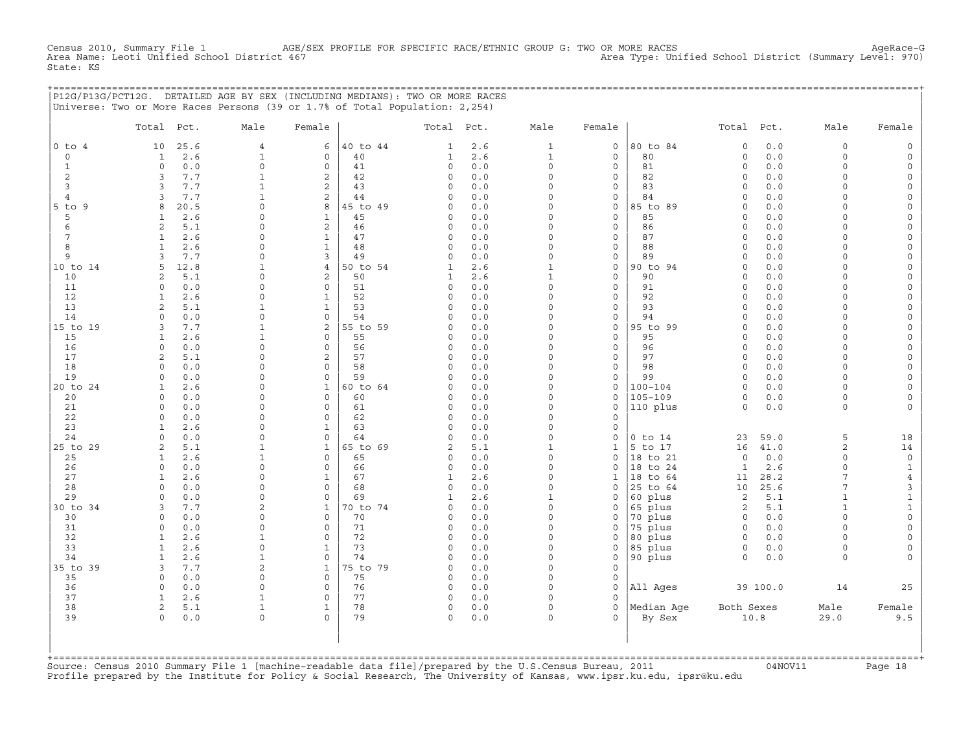Census 2010, Summary File 1 AGE/SEX PROFILE FOR SPECIFIC RACE/ETHNIC GROUP G: TWO OR MORE RACES Area Type: Unified School District (Summary Level: 970)<br>Area Type: Unified School District (Summary Level: 970) Area Type: Unified School District (Summary Level: 970) State: KS

|                | P12G/P13G/PCT12G. DETAILED AGE BY SEX (INCLUDING MEDIANS): TWO OR MORE RACES<br>Universe: Two or More Races Persons (39 or 1.7% of Total Population: 2,254) |               |                         |                |                |            |                     |                          |                    |                      |          |              |              |
|----------------|-------------------------------------------------------------------------------------------------------------------------------------------------------------|---------------|-------------------------|----------------|----------------|------------|---------------------|--------------------------|--------------------|----------------------|----------|--------------|--------------|
|                | Total Pct.                                                                                                                                                  | Male          | Female                  |                | Total Pct.     |            | Male                | Female                   |                    | Total Pct.           |          | Male         | Female       |
| $0$ to $4$     | 10<br>25.6                                                                                                                                                  | 4             | 6                       | 40 to 44       | $\mathbf{1}$   | 2.6        | 1                   | 0                        | 80 to 84           | $\circ$              | 0.0      | $\circ$      | $\Omega$     |
| $\circ$        | $\mathbf{1}$<br>2.6                                                                                                                                         | $\mathbf{1}$  | $\circ$                 | 40             | $\mathbf{1}$   | 2.6        | $\mathbf{1}$        | $\circ$                  | 80                 | $\mathbf 0$          | 0.0      | $\Omega$     | $\Omega$     |
| $\mathbf{1}$   | $0.0$<br>$\circ$                                                                                                                                            | $\Omega$      | $\mathsf{O}\xspace$     | 41             | $\circ$        | 0.0        | 0                   | 0                        | 81                 | $\circ$              | 0.0      | $\Omega$     | $\cap$       |
| 2              | 3<br>7.7                                                                                                                                                    | 1             | 2                       | 42             | 0              | 0.0        | $\circ$             | 0                        | 82                 | $\circ$              | 0.0      | $\cap$       | $\Omega$     |
| 3              | 7.7<br>3                                                                                                                                                    | 1             | 2                       | 43             | 0              | 0.0        | $\Omega$            | $\mathbf{0}$             | 83                 | $\Omega$             | 0.0      | $\Omega$     | $\Omega$     |
| $\overline{4}$ | 7.7<br>3                                                                                                                                                    | $\mathbf{1}$  | 2                       | 44             | 0              | 0.0        | $\circ$             | 0                        | 84                 | $\circ$              | 0.0      | $\Omega$     |              |
| $5$ to $9$     | 8<br>20.5                                                                                                                                                   | $\Omega$      | 8                       | 45 to 49       | $\circ$        | 0.0        | $\circ$             | $\mathsf{O}$             | 85 to 89           | $\circ$              | 0.0      | $\Omega$     | $\Omega$     |
| 5              | 2.6<br>1                                                                                                                                                    | $\Omega$      | $\mathbf{1}$            | 45             | 0              | 0.0        | $\Omega$            | $\circ$                  | 85                 | $\Omega$             | 0.0      | $\Omega$     |              |
| 6              | 2<br>5.1                                                                                                                                                    | $\Omega$      | $\overline{c}$          | 46             | 0              | 0.0        | $\circ$             | $\circ$                  | 86                 | $\circ$              | 0.0      | $\Omega$     | $\Omega$     |
| 7              | $\mathbf{1}$<br>2.6                                                                                                                                         | $\Omega$      | $\mathbf{1}$            | 47             | 0              | 0.0        | $\circ$             | $\mathbf{0}$             | 87                 | $\circ$              | 0.0      | $\Omega$     | $\Omega$     |
| 8              | 2.6<br>$\mathbf{1}$                                                                                                                                         | $\Omega$      | $\mathbf{1}$            | 48             | $\Omega$       | 0.0        | $\Omega$            | $\mathbf{0}$             | 88                 | $\Omega$             | 0.0      | $\Omega$     |              |
| 9              | 3<br>7.7                                                                                                                                                    | $\circ$       | 3                       | 49             | 0              | 0.0        | $\circ$             | 0                        | 89                 | $\circ$              | 0.0      | $\Omega$     | $\Omega$     |
| 10 to 14       | 5<br>12.8                                                                                                                                                   |               | $\overline{4}$          | 50 to 54       | 1              | 2.6        | $\mathbf{1}$        | 0                        | 90 to 94           | $\circ$              | 0.0      | $\Omega$     | $\Omega$     |
| 10             | 5.1<br>2                                                                                                                                                    | $\Omega$      | 2                       | 50             | 1              | 2.6        | $\mathbf{1}$        | $\circ$                  | 90                 | $\Omega$             | 0.0      | $\Omega$     |              |
|                |                                                                                                                                                             | $\Omega$      | $\circ$                 |                |                |            | $\circ$             |                          |                    | $\circ$              |          | $\Omega$     | $\Omega$     |
| 11             | 0.0<br>$\mathbf 0$                                                                                                                                          | $\Omega$      |                         | 51             | 0              | 0.0        |                     | 0                        | 91                 |                      | 0.0      | $\Omega$     | $\Omega$     |
| 12             | 2.6<br>$\mathbf{1}$                                                                                                                                         |               | $\mathbf{1}$            | 52<br>53       | $\circ$        | 0.0        | $\circ$<br>$\Omega$ | $\mathbf{0}$<br>$\Omega$ | 92<br>93           | $\Omega$<br>$\Omega$ | 0.0      | $\Omega$     |              |
| 13             | $\overline{2}$<br>5.1                                                                                                                                       | 1             | $\mathbf{1}$            |                | $\Omega$       | 0.0        |                     |                          |                    |                      | 0.0      |              |              |
| 14             | 0.0<br>$\mathbf 0$                                                                                                                                          | $\circ$       | $\circ$                 | 54             | 0              | 0.0        | $\circ$             | 0                        | 94                 | $\mathbf 0$          | 0.0      | $\Omega$     | $\Omega$     |
| 15 to 19       | 7.7<br>3                                                                                                                                                    | 1             | 2                       | 55 to 59       | 0              | 0.0        | $\circ$             | $\mathbf 0$              | 95 to 99           | $\circ$              | 0.0      | $\Omega$     | $\Omega$     |
| 15             | 2.6<br>$\mathbf{1}$                                                                                                                                         | $\mathbf{1}$  | $\circ$                 | 55             | 0              | 0.0        | $\circ$             | $\mathbf{0}$             | 95                 | $\Omega$             | 0.0      | $\Omega$     | $\Omega$     |
| 16             | 0.0<br>$\circ$                                                                                                                                              | $\circ$       | $\circ$                 | 56             | 0              | 0.0        | $\circ$             | 0                        | 96                 | $\mathbf 0$          | 0.0      | $\Omega$     | $\Omega$     |
| 17             | 5.1<br>2                                                                                                                                                    | $\Omega$      | 2                       | 57             | 0              | 0.0        | $\circ$             | $\mathbf{0}$             | 97                 | $\Omega$             | 0.0      | $\Omega$     | $\Omega$     |
| 18             | 0.0<br>$\Omega$                                                                                                                                             | $\Omega$      | $\mathbf{0}$            | 58             | $\circ$        | 0.0        | $\Omega$            | $\mathbf{0}$             | 98                 | $\Omega$             | 0.0      | $\Omega$     | $\Omega$     |
| 19             | 0.0<br>$\circ$                                                                                                                                              | $\Omega$      | $\circ$                 | 59             | $\circ$        | 0.0        | $\circ$             | $\mathbf{0}$             | 99                 | $\circ$              | 0.0      | $\Omega$     |              |
| 20 to 24       | 2.6<br>1                                                                                                                                                    | $\Omega$      | $\mathbf{1}$            | 60 to 64       | 0              | 0.0        | $\circ$             | 0                        | $100 - 104$        | $\Omega$             | 0.0      | $\Omega$     | $\Omega$     |
| 20             | 0.0<br>$\Omega$                                                                                                                                             | $\Omega$      | $\mathbf{0}$            | 60             | 0              | 0.0        | $\Omega$            | $\mathbf{0}$             | $105 - 109$        | $\circ$              | 0.0      | $\Omega$     | $\Omega$     |
| 21             | $\circ$<br>0.0                                                                                                                                              | $\Omega$      | $\circ$                 | 61             | 0              | 0.0        | $\circ$             | $\mathbf{0}$             | $ 110\rangle$ plus | $\Omega$             | 0.0      | $\Omega$     |              |
| 22             | 0.0<br>$\Omega$                                                                                                                                             | $\Omega$      | $\Omega$                | 62             | $\circ$        | 0.0        | $\Omega$            | $\Omega$                 |                    |                      |          |              |              |
| 23             | 2.6<br>1                                                                                                                                                    | $\Omega$      | $\mathbf{1}$            | 63             | 0              | 0.0        | $\Omega$            | 0                        |                    |                      |          |              |              |
| 24             | $\circ$<br>0.0                                                                                                                                              | $\circ$       | $\mathbf{0}$            | 64             | $\circ$        | 0.0        | $\circ$             | 0                        | $0$ to $14$        | 23                   | 59.0     | 5            | 18           |
| 25 to 29       | 5.1<br>2                                                                                                                                                    | 1             | $\mathbf{1}$            | 65 to 69       | $\overline{a}$ | 5.1        | $\mathbf{1}$        | 1                        | 5 to 17            | 16                   | 41.0     | 2            | 14           |
| 25             | 2.6<br>1                                                                                                                                                    |               | $\circ$                 | 65             | 0              | 0.0        | $\Omega$            | $\mathbf{0}$             | 18 to 21           | $\circ$              | 0.0      | $\Omega$     | 0            |
| 26             | $\circ$<br>0.0                                                                                                                                              | $\Omega$      | $\circ$                 | 66             | 0              | 0.0        | $\circ$             | 0                        | 18 to 24           | $\mathbf{1}$         | 2.6      | $\Omega$     | 1            |
| 27             | 2.6<br>$\mathbf{1}$                                                                                                                                         | $\Omega$      | $\mathbf{1}$            | 67             | 1              | 2.6        | $\circ$             | 1                        | 18 to 64           | 11                   | 28.2     | 7            | 4            |
| 28             | 0.0<br>$\Omega$                                                                                                                                             | $\cap$        | $\Omega$                | 68             | $\Omega$       | 0.0        | $\Omega$            | 0                        | 25 to 64           | 10                   | 25.6     | 7            | 3            |
| 29             | 0.0<br>$\Omega$                                                                                                                                             | $\Omega$      | $\circ$                 | 69             | $\mathbf{1}$   | 2.6        | $\mathbf{1}$        | $\mathbf{0}$             | 60 plus            | 2                    | 5.1      | $\mathbf{1}$ | $\mathbf{1}$ |
| 30 to 34       | 7.7<br>3                                                                                                                                                    | 2             | $\mathbf{1}$            | 70 to 74       | 0              | 0.0        | $\circ$             | 0                        | 65 plus            | 2                    | 5.1      | 1            | $\mathbf{1}$ |
| 30             | 0.0<br>$\Omega$                                                                                                                                             | $\cap$        | $\Omega$                | 70             | 0              | 0.0        | $\Omega$            | $\mathbf{0}$             | 70 plus            | $\circ$              | 0.0      | $\Omega$     | $\circ$      |
| 31             | 0.0<br>$\circ$                                                                                                                                              | $\Omega$      | $\mathbf 0$             | 71             | $\circ$        | 0.0        | $\circ$             | $\mathbf{0}$             | 75 plus            | $\circ$              | 0.0      | $\Omega$     | $\Omega$     |
| 32             | 2.6<br>$\mathbf{1}$                                                                                                                                         | $\mathbf{1}$  | $\circ$                 | 72             | 0              | 0.0        | $\circ$             | 0                        | 80 plus            | $\circ$              | $0.0$    | $\Omega$     | $\Omega$     |
| 33             | $\mathbf{1}$<br>2.6                                                                                                                                         | $\Omega$      | $\mathbf{1}$            | 73             | 0              | 0.0        | $\circ$             | $\mathbf{0}$             | 85 plus            | $\circ$              | 0.0      | $\Omega$     | $\mathbf 0$  |
| 34             | $\mathbf{1}$<br>2.6                                                                                                                                         | $\mathbf{1}$  | $\circ$                 | 74             | $\circ$        | 0.0        | $\circ$             | $\mathbf{0}$             | 90 plus            | $\Omega$             | 0.0      | $\Omega$     |              |
|                | 7.7<br>3                                                                                                                                                    |               |                         |                |                |            | 0                   |                          |                    |                      |          |              |              |
| 35 to 39<br>35 | $\Omega$<br>0.0                                                                                                                                             | 2<br>$\Omega$ | $\mathbf{1}$<br>$\circ$ | 75 to 79<br>75 | 0<br>$\circ$   | 0.0<br>0.0 | $\circ$             | 0<br>$\mathbf{0}$        |                    |                      |          |              |              |
| 36             | 0.0<br>$\Omega$                                                                                                                                             | $\Omega$      | $\mathbf 0$             | 76             | $\circ$        | 0.0        | $\Omega$            | $\Omega$                 |                    |                      |          | 14           |              |
|                |                                                                                                                                                             |               |                         |                |                |            |                     |                          | All Ages           |                      | 39 100.0 |              | 25           |
| 37             | 2.6<br>1                                                                                                                                                    | 1             | 0                       | 77             | 0              | 0.0        | 0                   | 0                        |                    |                      |          |              |              |
| 38             | 2<br>5.1                                                                                                                                                    | $\mathbf{1}$  | $\mathbf{1}$            | 78             | 0              | 0.0        | $\circ$             | $\Omega$                 | Median Age         | Both Sexes           |          | Male         | Female       |
| 39             | $0.0$<br>$\circ$                                                                                                                                            | 0             | $\Omega$                | 79             | $\circ$        | 0.0        | $\circ$             | $\Omega$                 | By Sex             |                      | 10.8     | 29.0         | 9.5          |
|                |                                                                                                                                                             |               |                         |                |                |            |                     |                          |                    |                      |          |              |              |
|                |                                                                                                                                                             |               |                         |                |                |            |                     |                          |                    |                      |          |              |              |

| | +===================================================================================================================================================+ Source: Census 2010 Summary File 1 [machine-readable data file]/prepared by the U.S.Census Bureau, 2011 Page 18<br>Profile prepared by the Institute for Policy & Social Research, The University of Kansas, www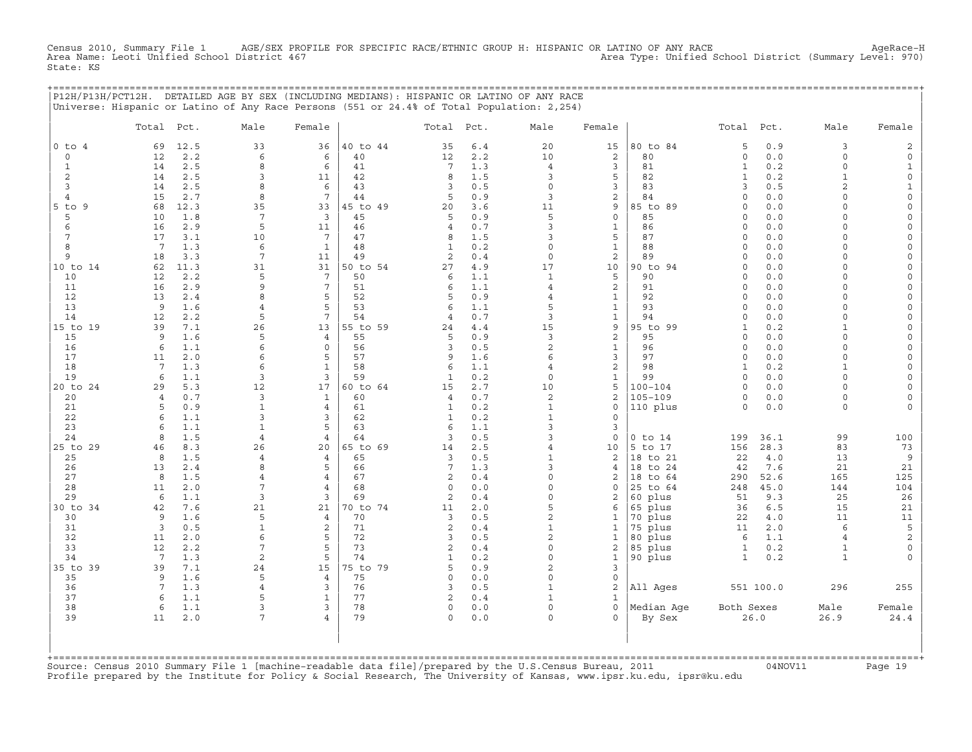Census 2010, Summary File 1 AGE/SEX PROFILE FOR SPECIFIC RACE/ETHNIC GROUP H: HISPANIC OR LATINO OF ANY RACE AgeRace−H Area Name: Leoti Unified School District 467 Area Type: Unified School District (Summary Level: 970) State: KS

+===================================================================================================================================================+

|                 | P12H/P13H/PCT12H. DETAILED AGE BY SEX (INCLUDING MEDIANS): HISPANIC OR LATINO OF ANY RACE<br>Universe: Hispanic or Latino of Any Race Persons (551 or 24.4% of Total Population: 2,254) |                       |                      |                |                     |            |                     |                              |                    |                            |            |                      |                                |
|-----------------|-----------------------------------------------------------------------------------------------------------------------------------------------------------------------------------------|-----------------------|----------------------|----------------|---------------------|------------|---------------------|------------------------------|--------------------|----------------------------|------------|----------------------|--------------------------------|
|                 | Pct.<br>Total                                                                                                                                                                           | Male                  | Female               |                | Total               | Pct.       | Male                | Female                       |                    | Total                      | Pct.       | Male                 | Female                         |
| $0$ to $4$      | 12.5<br>69                                                                                                                                                                              | 33                    | 36                   | 40 to 44       | 35                  | $6.4$      | 20                  | 15                           | 80 to 84           | 5                          | 0.9        | 3                    | 2                              |
| 0               | 2.2<br>12                                                                                                                                                                               | 6                     | 6                    | 40             | 12                  | 2.2        | 10                  | 2                            | 80                 | $\mathsf O$                | 0.0        | $\circ$              | $\mathsf{O}\xspace$            |
| $\mathbf{1}$    | 14<br>2.5                                                                                                                                                                               | 8                     | 6                    | 41             | $7\phantom{.0}$     | 1.3        | $\overline{4}$      | 3                            | 81                 | $\mathbf{1}$               | 0.2        | 0                    | $\mathbf{1}$                   |
| 2               | 14<br>2.5                                                                                                                                                                               | 3                     | 11                   | 42             | 8                   | 1.5        | 3                   | 5                            | 82                 | $\mathbf{1}$               | 0.2        | $\mathbf{1}$         | $\mathsf{O}\xspace$            |
| 3               | 14<br>2.5                                                                                                                                                                               | 8                     | 6                    | 43             | 3                   | 0.5        | $\circ$             | 3                            | 83                 | 3                          | 0.5        | $\overline{a}$       | $\mathbf{1}$                   |
| $\overline{4}$  | 15<br>2.7                                                                                                                                                                               | 8                     | 7                    | 44             | 5                   | 0.9        | $\mathbf{3}$        | $\mathbf 2$                  | 84                 | $\circ$                    | 0.0        | $\circ$              | $\mathsf{O}\xspace$            |
| $5$ to $9$<br>5 | 12.3<br>68<br>10<br>1.8                                                                                                                                                                 | 35<br>$7\phantom{.0}$ | 33<br>$\overline{3}$ | 45 to 49<br>45 | 20<br>5             | 3.6<br>0.9 | 11<br>5             | 9<br>$\circ$                 | 85 to 89<br>85     | $\Omega$<br>$\circ$        | 0.0<br>0.0 | $\Omega$<br>$\Omega$ | 0<br>$\mathsf{O}\xspace$       |
| 6               | 2.9<br>16                                                                                                                                                                               | 5                     | 11                   | 46             | $\overline{4}$      | 0.7        | 3                   | $\mathbf{1}$                 | 86                 | $\mathsf O$                | 0.0        | $\Omega$             | $\mathsf{O}\xspace$            |
| 7               | 17<br>3.1                                                                                                                                                                               | 10                    | 7                    | 47             | 8                   | 1.5        | 3                   | 5                            | 87                 | $\Omega$                   | 0.0        | $\Omega$             | 0                              |
| 8               | $7\phantom{.0}$<br>1.3                                                                                                                                                                  | 6                     | $\mathbf{1}$         | 48             | $\mathbf{1}$        | 0.2        | $\Omega$            | $\mathbf{1}$                 | 88                 | $\Omega$                   | 0.0        | $\Omega$             | $\circ$                        |
| 9               | 3.3<br>18                                                                                                                                                                               | $\overline{7}$        | 11                   | 49             | $\mathbf{2}$        | 0.4        | $\circ$             | $\sqrt{2}$                   | 89                 | $\mathsf O$                | 0.0        | $\circ$              | $\mathsf{O}\xspace$            |
| 10 to 14        | 11.3<br>62                                                                                                                                                                              | 31                    | 31                   | 50 to 54       | 27                  | 4.9        | 17                  | 10                           | 90 to 94           | $\Omega$                   | 0.0        | $\Omega$             | 0                              |
| 10              | 12<br>2.2                                                                                                                                                                               | 5                     | 7                    | 50             | 6                   | 1.1        | $\mathbf{1}$        | 5                            | 90                 | $\Omega$                   | 0.0        | $\Omega$             | $\circ$                        |
| 11              | 16<br>2.9                                                                                                                                                                               | 9                     | $\overline{7}$       | 51             | 6                   | 1.1        | $\overline{4}$      | 2                            | 91                 | $\mathsf O$                | 0.0        | $\Omega$             | $\mathsf{O}\xspace$            |
| 12              | 13<br>2.4                                                                                                                                                                               | 8                     | 5                    | 52             | 5                   | 0.9        | $\overline{4}$      | $\mathbf{1}$                 | 92                 | $\mathbf 0$                | 0.0        | $\Omega$             | 0                              |
| 13<br>14        | 9<br>1.6<br>2.2                                                                                                                                                                         | $\overline{4}$<br>5   | 5<br>7               | 53<br>54       | 6<br>$\overline{4}$ | 1.1<br>0.7 | 5<br>3              | $\mathbf{1}$<br>$\mathbf{1}$ | 93<br>94           | $\mathbf 0$<br>$\mathbf 0$ | 0.0<br>0.0 | $\Omega$<br>$\circ$  | $\mathsf{O}\xspace$<br>$\circ$ |
| 15 to 19        | 12<br>39<br>7.1                                                                                                                                                                         | 26                    | 13                   | 55 to 59       | 24                  | 4.4        | 15                  | 9                            | 95 to 99           | $\mathbf{1}$               | 0.2        | 1                    | 0                              |
| 15              | 9<br>1.6                                                                                                                                                                                | 5                     | $\overline{4}$       | 55             | 5                   | 0.9        | 3                   | $\overline{c}$               | 95                 | $\circ$                    | 0.0        | $\circ$              | $\mathsf{O}\xspace$            |
| 16              | 6<br>1.1                                                                                                                                                                                | 6                     | $\Omega$             | 56             | 3                   | 0.5        | $\overline{c}$      | $\mathbf{1}$                 | 96                 | $\mathbf 0$                | 0.0        | $\Omega$             | 0                              |
| 17              | 11<br>2.0                                                                                                                                                                               | 6                     | 5                    | 57             | 9                   | 1.6        | 6                   | 3                            | 97                 | $\mathbf 0$                | 0.0        | $\circ$              | 0                              |
| 18              | 1.3<br>$7\phantom{.0}$                                                                                                                                                                  | 6                     | $\mathbf 1$          | 58             | 6                   | 1.1        | $\overline{4}$      | $\overline{c}$               | 98                 | $\mathbf{1}$               | 0.2        | $\mathbf{1}$         | $\mathsf O$                    |
| 19              | 6<br>1.1                                                                                                                                                                                | 3                     | 3                    | 59             | $\mathbf{1}$        | 0.2        | $\circ$             | $\mathbf{1}$                 | 99                 | $\circ$                    | 0.0        | $\Omega$             | $\mathsf{O}\xspace$            |
| 20 to 24        | 5.3<br>29                                                                                                                                                                               | 12                    | 17                   | 60 to 64       | 15                  | 2.7        | 10                  | 5                            | $100 - 104$        | $\circ$                    | 0.0        | 0                    | 0                              |
| 20              | 0.7<br>$\overline{4}$                                                                                                                                                                   | 3                     | $\mathbf{1}$         | 60             | 4                   | 0.7        | $\mathbf{2}$        | 2                            | $105 - 109$        | 0                          | 0.0        | $\circ$              | $\mathsf{O}\xspace$            |
| 21              | 0.9<br>5                                                                                                                                                                                | $\mathbf{1}$          | $\overline{4}$       | 61             | $\mathbf{1}$        | 0.2        | $\mathbf{1}$        | $\circ$                      | 110 plus           | $\Omega$                   | 0.0        | $\circ$              | $\mathbf 0$                    |
| 22<br>23        | 6<br>1.1<br>1.1<br>6                                                                                                                                                                    | 3<br>$\mathbf{1}$     | 3<br>5               | 62<br>63       | $\mathbf{1}$<br>6   | 0.2<br>1.1 | $\mathbf{1}$<br>3   | $\circ$<br>3                 |                    |                            |            |                      |                                |
| 24              | 1.5<br>8                                                                                                                                                                                | $\overline{4}$        | $\overline{4}$       | 64             | 3                   | 0.5        | 3                   | $\circ$                      | $0$ to $14$        | 199                        | 36.1       | 99                   | 100                            |
| 25 to 29        | 8.3<br>46                                                                                                                                                                               | 26                    | 20                   | 65 to 69       | 14                  | 2.5        | $\overline{4}$      | 10                           | 5 to 17            | 156                        | 28.3       | 83                   | 73                             |
| 25              | 1.5<br>8                                                                                                                                                                                | $\overline{4}$        | $\overline{4}$       | 65             | 3                   | 0.5        | $\mathbf{1}$        | 2                            | 18 to 21           | 22                         | 4.0        | 13                   | 9                              |
| 26              | 13<br>2.4                                                                                                                                                                               | 8                     | 5                    | 66             | 7                   | 1.3        | 3                   | $\overline{4}$               | 18 to 24           | 42                         | 7.6        | 21                   | 21                             |
| 27              | 8<br>1.5                                                                                                                                                                                | $\overline{4}$        | $\overline{4}$       | 67             | $\sqrt{2}$          | 0.4        | $\Omega$            | $\sqrt{2}$                   | 18<br>to 64        | 290                        | 52.6       | 165                  | 125                            |
| 28              | 2.0<br>11                                                                                                                                                                               | 7                     | 4                    | 68             | $\mathsf{O}\xspace$ | 0.0        | $\Omega$            | $\mathsf O$                  | 25 to 64           | 248                        | 45.0       | 144                  | 104                            |
| 29              | 6<br>1.1                                                                                                                                                                                | 3                     | 3                    | 69             | 2                   | 0.4        | $\Omega$            | $\overline{c}$               | 60 plus            | 51                         | 9.3        | 25                   | 26                             |
| 30 to 34        | 7.6<br>42<br>9<br>1.6                                                                                                                                                                   | 21<br>5               | 21<br>$\overline{4}$ | 70 to 74<br>70 | 11<br>3             | 2.0        | 5<br>$\overline{c}$ | 6                            | 65 plus            | 36                         | 6.5        | 15<br>11             | 21                             |
| 30<br>31        | $\overline{3}$<br>0.5                                                                                                                                                                   | $\mathbf{1}$          | $\overline{c}$       | 71             | $\mathbf{2}$        | 0.5<br>0.4 | $\mathbf{1}$        | 1<br>$\mathbf{1}$            | 70 plus<br>75 plus | 22<br>11                   | 4.0<br>2.0 | 6                    | $11\,$<br>5                    |
| 32              | 11<br>2.0                                                                                                                                                                               | 6                     | 5                    | 72             | 3                   | 0.5        | $\overline{c}$      | $\mathbf{1}$                 | 80 plus            | 6                          | 1.1        | $\overline{4}$       | 2                              |
| 33              | 12<br>2.2                                                                                                                                                                               | 7                     | 5                    | 73             | $\overline{2}$      | 0.4        | $\Omega$            | 2                            | 85 plus            | $\mathbf{1}$               | 0.2        | $\mathbf{1}$         | $\mathsf{O}\xspace$            |
| 34              | 1.3<br>$7\overline{ }$                                                                                                                                                                  | 2                     | 5                    | 74             | $\mathbf{1}$        | 0.2        | $\Omega$            | $\mathbf 1$                  | 90 plus            | $\mathbf{1}$               | 0.2        | $\mathbf{1}$         | $\mathbf{0}$                   |
| 35 to 39        | 39<br>7.1                                                                                                                                                                               | 24                    | 15                   | 75 to 79       | 5                   | 0.9        | $\overline{c}$      | 3                            |                    |                            |            |                      |                                |
| 35              | 9<br>1.6                                                                                                                                                                                | 5                     | $\overline{4}$       | 75             | $\circ$             | 0.0        | $\circ$             | $\circ$                      |                    |                            |            |                      |                                |
| 36              | 1.3<br>7                                                                                                                                                                                | $\overline{4}$        | 3                    | 76             | 3                   | 0.5        | $\mathbf{1}$        | $\sqrt{2}$                   | All Ages           |                            | 551 100.0  | 296                  | 255                            |
| 37              | 1.1<br>6                                                                                                                                                                                | 5                     | $\mathbf 1$          | 77             | 2                   | 0.4        | $\mathbf{1}$        | $\mathbf{1}$                 |                    |                            |            |                      |                                |
| 38<br>39        | 1.1<br>6<br>2.0                                                                                                                                                                         | 3<br>7                | 3<br>4               | 78<br>79       | $\circ$<br>$\circ$  | 0.0<br>0.0 | $\circ$<br>$\Omega$ | $\Omega$<br>$\Omega$         | Median Age         | Both Sexes                 |            | Male                 | Female                         |
|                 | 11                                                                                                                                                                                      |                       |                      |                |                     |            |                     |                              | By Sex             |                            | 26.0       | 26.9                 | 24.4                           |

+===================================================================================================================================================+Source: Census 2010 Summary File 1 [machine−readable data file]/prepared by the U.S.Census Bureau, 2011 04NOV11 Page 19 Profile prepared by the Institute for Policy & Social Research, The University of Kansas, www.ipsr.ku.edu, ipsr@ku.edu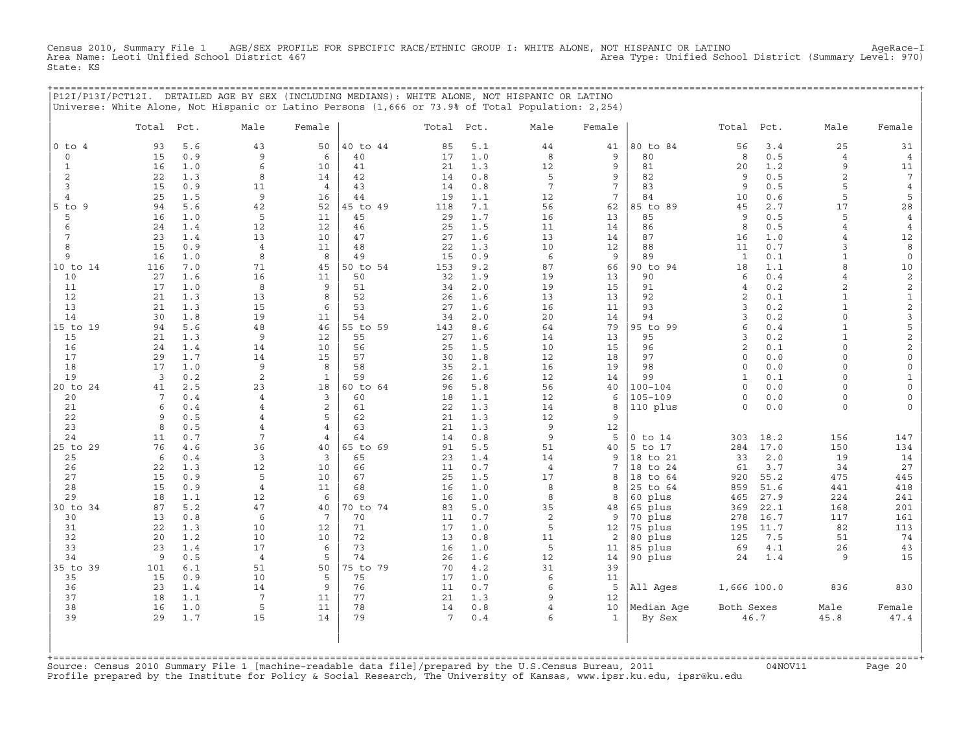Census 2010, Summary File 1 AGE/SEX PROFILE FOR SPECIFIC RACE/ETHNIC GROUP I: WHITE ALONE, NOT HISPANIC OR LATINO AgeRace−I Area Name: Leoti Unified School District 467 Area Type: Unified School District (Summary Level: 970) State: KS

| state: Ns                                                                                         |  |
|---------------------------------------------------------------------------------------------------|--|
|                                                                                                   |  |
|                                                                                                   |  |
|                                                                                                   |  |
| P12I/P13I/PCT12I. DETAILED AGE BY SEX (INCLUDING MEDIANS): WHITE ALONE, NOT HISPANIC OR LATINO    |  |
| Universe: White Alone, Not Hispanic or Latino Persons (1,666 or 73.9% of Total Population: 2,254) |  |
|                                                                                                   |  |

|                                 | Total    | Pct.       | Male                             | Female          |          | Total           | Pct.       | Male            | Female          |                    | Total                | Pct.       | Male                | Female                             |
|---------------------------------|----------|------------|----------------------------------|-----------------|----------|-----------------|------------|-----------------|-----------------|--------------------|----------------------|------------|---------------------|------------------------------------|
| $0$ to $4$                      | 93       | 5.6        | 43                               | 50              | 40 to 44 | 85              | 5.1        | 44              | 41              | 80 to 84           | 56                   | 3.4        | 25                  | 31                                 |
| $\mathsf{O}$                    | 15       | 0.9        | 9                                | 6               | 40       | 17              | 1.0        | 8               | 9               | 80                 | 8                    | 0.5        | $\overline{4}$      | $\overline{4}$                     |
| $\mathbf{1}$                    | 16       | 1.0        | 6                                | 10              | 41       | 21              | 1.3        | 12              | 9               | 81                 | 20                   | 1.2        | 9                   | 11                                 |
| 2                               | 22       | 1.3        | 8                                | 14              | 42       | 14              | 0.8        | 5               | 9               | 82                 | 9                    | 0.5        | $\overline{a}$      | $7\phantom{.0}$                    |
| $\overline{3}$                  | 15       | 0.9        | 11                               | $\overline{4}$  | 43       | 14              | 0.8        | $7\overline{ }$ | $7\overline{ }$ | 83                 | 9                    | 0.5        | 5                   | $\overline{4}$                     |
| $\overline{4}$                  | 25       | 1.5        | 9                                | 16              | 44       | 19              | 1.1        | 12              | $7\phantom{.0}$ | 84                 | 10                   | 0.6        | 5                   | 5                                  |
| $5$ to $9$                      | 94       | 5.6        | 42                               | 52              | 45 to 49 | 118             | 7.1        | 56              | 62              | 85 to 89           | 45                   | 2.7        | 17                  | 28                                 |
| 5                               | 16       | 1.0        | 5                                | 11              | 45       | 29              | 1.7        | 16              | 13              | 85                 | 9                    | 0.5        | 5                   | $\overline{4}$                     |
| 6                               | 24       | 1.4        | 12                               | 12              | 46       | 25              | 1.5        | 11              | 14              | 86                 | 8                    | 0.5        | $\overline{4}$      | $\overline{4}$                     |
| 7<br>8                          | 23<br>15 | 1.4<br>0.9 | 13                               | 10<br>11        | 47<br>48 | 27<br>22        | 1.6<br>1.3 | 13<br>10        | 14              | 87<br>88           | 16<br>11             | 1.0<br>0.7 | $\overline{4}$<br>3 | 12<br>8                            |
| 9                               | 16       | 1.0        | $\overline{4}$<br>8              | 8               | 49       | 15              | 0.9        | 6               | 12<br>9         | 89                 | $\mathbf{1}$         | 0.1        | $\mathbf{1}$        | $\mathsf O$                        |
| 10 to 14                        | 116      | 7.0        | 71                               | 45              | 50 to 54 | 153             | 9.2        | 87              | 66              | 90 to 94           | 18                   | 1.1        | 8                   | $10$                               |
| 10                              | 27       | 1.6        | 16                               | 11              | 50       | 32              | 1.9        | 19              | 13              | 90                 | 6                    | 0.4        | 4                   | $\overline{c}$                     |
| 11                              | 17       | 1.0        | 8                                | 9               | 51       | 34              | 2.0        | 19              | 15              | 91                 | $\overline{4}$       | 0.2        | 2                   | $\sqrt{2}$                         |
| 12                              | 21       | 1.3        | 13                               | 8               | 52       | 26              | 1.6        | 13              | 13              | 92                 | 2                    | 0.1        | $\mathbf{1}$        | $\mathbf 1$                        |
| 13                              | 21       | 1.3        | 15                               | 6               | 53       | 27              | 1.6        | 16              | 11              | 93                 | 3                    | 0.2        | $\mathbf{1}$        | $\mathbf 2$                        |
| 14                              | 30       | 1.8        | 19                               | 11              | 54       | 34              | 2.0        | 20              | 14              | 94                 | 3                    | 0.2        | $\circ$             | $\mathsf 3$                        |
| 15 to 19                        | 94       | 5.6        | 48                               | 46              | 55 to 59 | 143             | 8.6        | 64              | 79              | 95 to 99           | 6                    | 0.4        | $\mathbf{1}$        | 5                                  |
| 15                              | 21       | 1.3        | 9                                | 12              | 55       | 27              | 1.6        | 14              | 13              | 95                 | 3                    | 0.2        | $\mathbf{1}$        | $\overline{a}$                     |
| 16                              | 24       | 1.4        | 14                               | 10              | 56       | 25              | 1.5        | 10              | 15              | 96                 | $\mathbf{2}$         | 0.1        | $\circ$             | $\overline{\mathbf{c}}$            |
| 17                              | 29       | 1.7        | 14                               | 15              | 57       | 30              | 1.8        | 12              | 18              | 97                 | $\Omega$             | 0.0        | $\Omega$            | $\mathbb O$                        |
| 18                              | 17       | 1.0        | 9                                | 8               | 58       | 35              | 2.1        | 16              | 19              | 98                 | $\circ$              | 0.0        | $\circ$             | $\mathsf{O}\xspace$                |
| 19                              | 3        | 0.2        | $\overline{c}$                   | $\mathbf{1}$    | 59       | 26              | 1.6        | 12              | 14              | 99                 | $\mathbf{1}$         | 0.1        | $\circ$             | $\mathbf{1}$                       |
| 20 to 24                        | 41       | 2.5        | 23                               | 18<br>3         | 60 to 64 | 96              | 5.8        | 56              | 40              | $100 - 104$        | $\Omega$             | 0.0        | $\Omega$            | $\mathsf{O}$                       |
| 20<br>21                        | 7<br>6   | 0.4<br>0.4 | $\overline{4}$<br>$\overline{4}$ | $\overline{c}$  | 60       | 18<br>22        | 1.1<br>1.3 | 12<br>14        | 6               | $105 - 109$        | $\Omega$<br>$\Omega$ | 0.0<br>0.0 | $\circ$<br>$\circ$  | $\mathsf{O}\xspace$<br>$\mathbf 0$ |
| 22                              | 9        | 0.5        | 4                                | 5               | 61<br>62 | 21              | 1.3        | 12              | 8<br>9          | 110 plus           |                      |            |                     |                                    |
| 23                              | 8        | 0.5        | 4                                | $\overline{4}$  | 63       | 21              | 1.3        | 9               | 12              |                    |                      |            |                     |                                    |
| 24                              | 11       | 0.7        | 7                                | 4               | 64       | 14              | 0.8        | 9               | 5               | $0$ to $14$        | 303                  | 18.2       | 156                 | 147                                |
| 25 to 29                        | 76       | 4.6        | 36                               | 40              | 65 to 69 | 91              | 5.5        | 51              | 40              | $5$ to<br>17       | 284                  | 17.0       | 150                 | 134                                |
| 25                              | 6        | 0.4        | $\overline{3}$                   | 3               | 65       | 23              | 1.4        | 14              | 9               | to 21<br>18        | 33                   | $2.0$      | 19                  | 14                                 |
| 26                              | 22       | 1.3        | 12                               | 10              | 66       | 11              | 0.7        | $\overline{4}$  | $7\phantom{.0}$ | 18 to 24           | 61                   | 3.7        | 34                  | 27                                 |
| 27                              | 15       | 0.9        | 5                                | 10              | 67       | 25              | 1.5        | 17              | 8               | 18<br>to 64        | 920                  | 55.2       | 475                 | 445                                |
| 28                              | 15       | 0.9        | $\overline{4}$                   | 11              | 68       | 16              | 1.0        | 8               | 8               | 25 to 64           | 859                  | 51.6       | 441                 | 418                                |
| 29                              | 18       | 1.1        | 12                               | 6               | 69       | 16              | 1.0        | 8               | 8               | 60 plus            | 465                  | 27.9       | 224                 | 241                                |
| 30 to 34                        | 87       | 5.2        | 47                               | 40              | 70 to 74 | 83              | 5.0        | 35              | 48              | 65 plus            | 369                  | 22.1       | 168                 | 201                                |
| 30                              | 13       | 0.8        | 6                                | $7\phantom{.0}$ | 70       | 11              | 0.7        | 2               | 9               | 70 plus            | 278                  | 16.7       | 117                 | 161                                |
| 31                              | 22       | 1.3        | 10                               | 12              | 71       | 17              | 1.0        | 5               | 12              | 75 plus            | 195                  | 11.7       | 82                  | 113                                |
| 32                              | 20       | 1.2        | 10                               | 10              | 72       | 13              | 0.8        | 11<br>5         | 2               | 80 plus            | 125                  | 7.5        | 51                  | 74                                 |
| 33<br>34                        | 23<br>9  | 1.4<br>0.5 | 17<br>$\overline{4}$             | 6<br>5          | 73<br>74 | 16<br>26        | 1.0<br>1.6 | 12              | 11<br>14        | 85 plus<br>90 plus | 69<br>24             | 4.1<br>1.4 | 26<br>9             | 43<br>15                           |
| 35 to 39                        | 101      | 6.1        | 51                               | 50              | 75 to 79 | 70              | 4.2        | 31              | 39              |                    |                      |            |                     |                                    |
| 35                              | 15       | 0.9        | 10                               | 5               | 75       | 17              | 1.0        | $\epsilon$      | 11              |                    |                      |            |                     |                                    |
| 36                              | 23       | 1.4        | 14                               | 9               | 76       | 11              | 0.7        | 6               | 5               | All Ages           | 1,666 100.0          |            | 836                 | 830                                |
| 37                              | 18       | 1.1        | $7\phantom{.0}$                  | 11              | 77       | 21              | 1.3        | 9               | 12              |                    |                      |            |                     |                                    |
| 38                              | 16       | 1.0        | 5                                | 11              | 78       | 14              | 0.8        | $\overline{4}$  | 10              | Median Age         | Both Sexes           |            | Male                | Female                             |
| 39                              | 29       | 1.7        | 15                               | 14              | 79       | $7\phantom{.0}$ | 0.4        | 6               | $\mathbf{1}$    | By Sex             |                      | 46.7       | 45.8                | 47.4                               |
| $+$ = = = = = = = = = = = = = = |          |            |                                  |                 |          |                 |            |                 |                 |                    |                      |            |                     |                                    |

+===================================================================================================================================================+Source: Census 2010 Summary File 1 [machine−readable data file]/prepared by the U.S.Census Bureau, 2011 04NOV11 Page 20 Profile prepared by the Institute for Policy & Social Research, The University of Kansas, www.ipsr.ku.edu, ipsr@ku.edu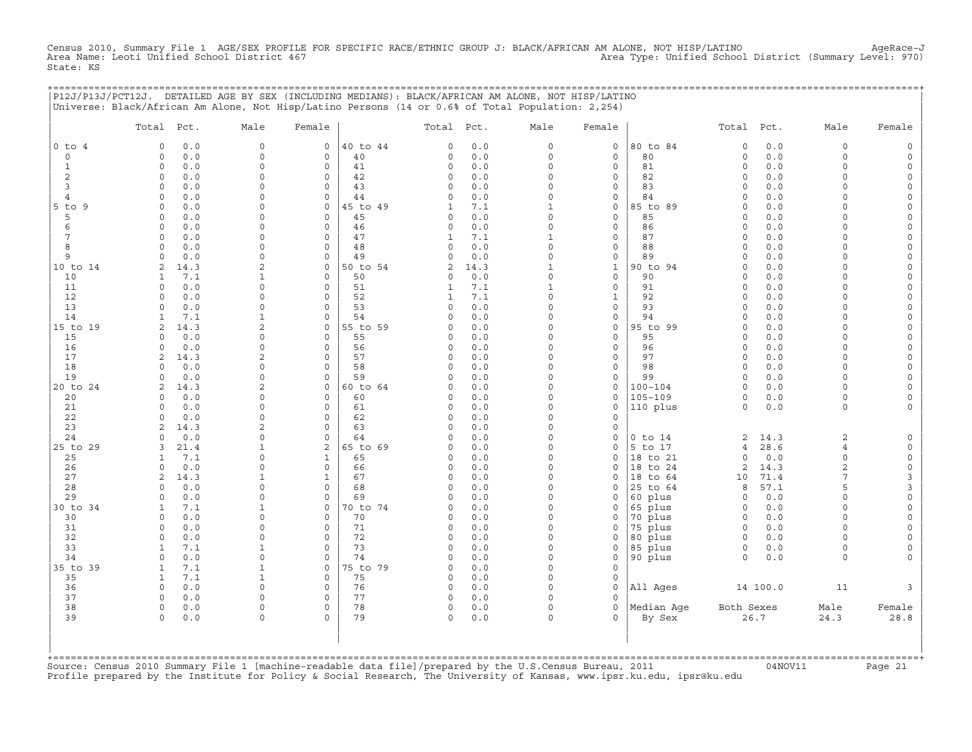Census 2010, Summary File 1 AGE/SEX PROFILE FOR SPECIFIC RACE/ETHNIC GROUP J: BLACK/AFRICAN AM ALONE, NOT HISP/LATINO<br>Area Name: Leoti Unified School District 467 State: KS

|                | P12J/P13J/PCT12J. DETAILED AGE BY SEX (INCLUDING MEDIANS): BLACK/AFRICAN AM ALONE, NOT HISP/LATINO<br>Universe: Black/African Am Alone, Not Hisp/Latino Persons (14 or 0.6% of Total Population: 2,254) |                            |                                        |                     |             |                      |                             | ============================ |                      |             |                            |          |
|----------------|---------------------------------------------------------------------------------------------------------------------------------------------------------------------------------------------------------|----------------------------|----------------------------------------|---------------------|-------------|----------------------|-----------------------------|------------------------------|----------------------|-------------|----------------------------|----------|
|                | Total Pct.                                                                                                                                                                                              | Male                       | Female                                 | Total Pct.          |             | Male                 | Female                      |                              | Total Pct.           |             | Male                       | Female   |
| $0$ to $4$     | 0.0<br>$\circ$                                                                                                                                                                                          | $\mathbf 0$                | $\mathsf{O}$<br>40 to 44               | 0                   | 0.0         | $\circ$              | 0                           | 80 to 84                     | $\mathsf{O}\xspace$  | 0.0         | $\circ$                    |          |
| $\circ$        | 0.0<br>$\circ$                                                                                                                                                                                          | $\circ$                    | 0<br>40                                | $\mathbf 0$         | 0.0         | $\circ$              | 0                           | 80                           | $\circ$              | 0.0         | $\circ$                    |          |
| 1              | $\Omega$<br>0.0<br>$\circ$<br>0.0                                                                                                                                                                       | $\Omega$<br>$\Omega$       | $\mathbf 0$<br>41<br>0<br>42           | $\mathbf 0$<br>0    | 0.0<br>0.0  | $\Omega$<br>$\Omega$ | 0<br>0                      | 81<br>82                     | $\Omega$<br>$\circ$  | 0.0<br>0.0  | $\Omega$<br>$\Omega$       |          |
| 2<br>3         | $\circ$<br>0.0                                                                                                                                                                                          | $\cap$                     | $\mathbf 0$<br>43                      | $\circ$             | 0.0         | $\Omega$             | 0                           | 83                           | $\circ$              | 0.0         | $\cap$                     |          |
| $\overline{4}$ | 0.0<br>$\Omega$                                                                                                                                                                                         | $\Omega$                   | $\mathbf 0$<br>44                      | $\Omega$            | 0.0         | $\Omega$             | $\circ$                     | 84                           | $\Omega$             | 0.0         | $\cap$                     |          |
| 5 to 9         | 0.0<br>$\Omega$                                                                                                                                                                                         | $\Omega$                   | $\mathbf 0$<br>45 to 49                | 1                   | 7.1         | $\mathbf{1}$         | 0                           | 85 to 89                     | $\Omega$             | 0.0         |                            |          |
| 5              | $\Omega$<br>0.0                                                                                                                                                                                         | $\Omega$                   | 0<br>45                                | $\circ$             | 0.0         | $\Omega$             | 0                           | 85                           | $\Omega$             | 0.0         | $\Omega$                   |          |
| 6              | $\Omega$<br>0.0                                                                                                                                                                                         | $\Omega$                   | 46<br>$\mathbf 0$                      | $\mathbf 0$         | 0.0         | $\Omega$             | 0                           | 86                           | $\Omega$             | 0.0         | $\Omega$                   |          |
| 7              | 0.0<br>$\Omega$                                                                                                                                                                                         | $\Omega$                   | $\mathbf 0$<br>47                      | 1                   | 7.1         | $\mathbf{1}$         | 0                           | 87                           | $\circ$              | 0.0         | $\Omega$                   |          |
| 8              | $\circ$<br>0.0                                                                                                                                                                                          | $\Omega$                   | $\mathbf 0$<br>48                      | 0                   | 0.0         | $\Omega$             | 0                           | 88                           | $\circ$              | $0.0$       | $\Omega$                   |          |
| 9              | 0.0<br>$\circ$<br>2                                                                                                                                                                                     | $\Omega$<br>$\mathfrak{D}$ | 49<br>0<br>$\Omega$                    | 0                   | 0.0         | $\Omega$             | 0                           | 89                           | $\Omega$<br>$\Omega$ | 0.0<br>0.0  | $\Omega$<br>$\cap$         |          |
| 10 to 14<br>10 | 14.3<br>7.1<br>1                                                                                                                                                                                        | 1                          | 50 to 54<br>$\mathbf 0$<br>50          | 2<br>0              | 14.3<br>0.0 | 1<br>$\Omega$        | $\mathbf{1}$<br>$\mathbf 0$ | 90 to 94<br>90               | $\Omega$             | 0.0         | $\cap$                     |          |
| 11             | 0.0<br>$\Omega$                                                                                                                                                                                         | $\Omega$                   | $\mathbf 0$<br>51                      | 1                   | 7.1         | $\mathbf{1}$         | 0                           | 91                           | $\Omega$             | 0.0         | $\cap$                     |          |
| 12             | 0.0<br>$\Omega$                                                                                                                                                                                         | $\Omega$                   | 52<br>$\Omega$                         | 1                   | 7.1         | $\Omega$             | 1                           | 92                           | $\Omega$             | 0.0         | $\cap$                     |          |
| 13             | $\Omega$<br>0.0                                                                                                                                                                                         | $\Omega$                   | 53<br>$\mathbf 0$                      | $\mathbf 0$         | 0.0         | $\Omega$             | 0                           | 93                           | $\Omega$             | 0.0         | $\Omega$                   |          |
| 14             | 7.1<br>$\mathbf{1}$                                                                                                                                                                                     | 1                          | 54<br>$\mathbf 0$                      | $\Omega$            | 0.0         | $\Omega$             | 0                           | 94                           | $\circ$              | 0.0         | $\Omega$                   |          |
| 15 to 19       | 14.3<br>2                                                                                                                                                                                               | $\overline{a}$             | 55 to 59<br>0                          | 0                   | 0.0         | $\Omega$             | $\mathsf{O}\xspace$         | 95 to 99                     | $\Omega$             | 0.0         | $\Omega$                   |          |
| 15             | 0.0<br>$\circ$                                                                                                                                                                                          | $\Omega$                   | $\mathbf 0$<br>55                      | $\circ$             | 0.0         | $\Omega$             | 0                           | 95                           | $\Omega$             | 0.0         | $\Omega$                   |          |
| 16             | 0.0<br>$\Omega$                                                                                                                                                                                         | $\Omega$                   | $\Omega$<br>56                         | 0<br>$\Omega$       | 0.0         | $\Omega$<br>$\Omega$ | 0                           | 96                           | $\circ$              | 0.0         | $\Omega$<br>$\cap$         |          |
| 17<br>18       | 14.3<br>2<br>0.0<br>$\Omega$                                                                                                                                                                            | $\mathbf{2}$<br>$\Omega$   | 57<br>0<br>$\mathbf 0$<br>58           | $\Omega$            | 0.0<br>0.0  | $\Omega$             | 0<br>$\mathbf 0$            | 97<br>98                     | $\circ$<br>$\Omega$  | 0.0<br>0.0  | $\cap$                     |          |
| 19             | 0.0<br>$\Omega$                                                                                                                                                                                         | $\Omega$                   | $\mathbf 0$<br>59                      | $\circ$             | 0.0         | $\Omega$             | $\circ$                     | 99                           | $\circ$              | 0.0         | $\Omega$                   |          |
| 20 to 24       | 14.3<br>2                                                                                                                                                                                               | 2                          | 0<br>60 to 64                          | $\Omega$            | 0.0         | $\Omega$             | 0                           | $100 - 104$                  | $\Omega$             | 0.0         | $\Omega$                   |          |
| 20             | 0.0<br>$\Omega$                                                                                                                                                                                         | $\Omega$                   | $\Omega$<br>60                         | $\Omega$            | 0.0         | $\Omega$             | $\circ$                     | $105 - 109$                  | $\Omega$             | 0.0         | $\Omega$                   |          |
| 21             | $\circ$<br>0.0                                                                                                                                                                                          | $\Omega$                   | $\mathbf 0$<br>61                      | 0                   | 0.0         | $\Omega$             | 0                           | 110 plus                     | $\Omega$             | 0.0         | $\circ$                    |          |
| 22             | 0.0<br>$\circ$                                                                                                                                                                                          | $\Omega$                   | 62<br>0                                | $\mathbf 0$         | 0.0         | $\Omega$             | 0                           |                              |                      |             |                            |          |
| 23             | 14.3<br>2                                                                                                                                                                                               | $\mathfrak{D}$             | $\mathbf 0$<br>63                      | $\Omega$            | 0.0         | $\Omega$             | 0                           |                              |                      |             |                            |          |
| 24             | 0.0<br>$\Omega$                                                                                                                                                                                         | $\Omega$<br>1              | $\mathbf 0$<br>64                      | $\Omega$            | 0.0         | $\Omega$<br>$\Omega$ | 0                           | $0$ to $14$                  | 2                    | 14.3        | 2                          |          |
| 25 to 29<br>25 | 3<br>21.4<br>7.1<br>$\mathbf{1}$                                                                                                                                                                        | $\Omega$                   | 2<br>65 to 69<br>65<br>1               | $\Omega$<br>$\circ$ | 0.0<br>0.0  | $\Omega$             | 0<br>0                      | 5 to 17<br>18 to 21          | 4<br>$\Omega$        | 28.6<br>0.0 | $\overline{4}$<br>$\Omega$ | $\Omega$ |
| 26             | 0.0<br>$\circ$                                                                                                                                                                                          | $\Omega$                   | $\mathbf 0$<br>66                      | 0                   | 0.0         | $\Omega$             | $\mathbf 0$                 | 18 to 24                     | 2                    | 14.3        | $\overline{2}$             | $\circ$  |
| 27             | 2<br>14.3                                                                                                                                                                                               | $\mathbf{1}$               | $\mathbf{1}$<br>67                     | $\circ$             | 0.0         | $\Omega$             | 0                           | 18 to 64                     | 10                   | 71.4        | 7                          | 3        |
| 28             | 0.0<br>$\Omega$                                                                                                                                                                                         | $\Omega$                   | 0<br>68                                | $\Omega$            | 0.0         | $\Omega$             | 0                           | 25 to 64                     | 8                    | 57.1        | 5                          | 3        |
| 29             | $\Omega$<br>0.0                                                                                                                                                                                         | $\Omega$                   | $\circ$<br>69                          | $\cap$              | 0.0         | $\Omega$             | $\circ$                     | 60 plus                      | 0                    | 0.0         | $\cap$                     | $\Omega$ |
| 30 to 34       | 7.1<br>1                                                                                                                                                                                                | $\mathbf{1}$               | $\mathbf 0$<br>70 to 74                | 0                   | 0.0         | $\Omega$             | 0                           | 65 plus                      | 0                    | 0.0         | $\cap$                     |          |
| 30             | 0.0<br>$\Omega$                                                                                                                                                                                         |                            | 70<br>0                                | 0                   | 0.0         | $\Omega$             | 0                           | 70 plus                      | 0                    | 0.0         | $\Omega$                   |          |
| 31             | 0.0<br>$\Omega$                                                                                                                                                                                         | $\Omega$                   | $\Omega$<br>71                         | $\Omega$            | 0.0         | $\Omega$             | 0                           | 75 plus                      | $\Omega$             | 0.0         | $\Omega$<br>$\Omega$       |          |
| 32<br>33       | 0.0<br>$\circ$<br>7.1<br>$\mathbf{1}$                                                                                                                                                                   | $\Omega$<br>$\mathbf{1}$   | $\mathbf 0$<br>72<br>73<br>$\mathbf 0$ | $\circ$<br>$\circ$  | 0.0<br>0.0  | $\Omega$<br>0        | 0<br>0                      | 80 plus<br>85 plus           | 0<br>$\mathsf O$     | 0.0<br>0.0  | $\Omega$                   |          |
| 34             | $\circ$<br>0.0                                                                                                                                                                                          | $\Omega$                   | 0<br>74                                | 0                   | 0.0         | $\Omega$             | $\mathsf{O}\xspace$         | 90 plus                      | $\circ$              | 0.0         | $\Omega$                   |          |
| 35 to 39       | $\mathbf{1}$<br>7.1                                                                                                                                                                                     | $\mathbf{1}$               | 0<br>75 to 79                          | $\circ$             | 0.0         | $\Omega$             | $\mathbf 0$                 |                              |                      |             |                            |          |
| 35             | $\mathbf{1}$<br>7.1                                                                                                                                                                                     | 1                          | $\Omega$<br>75                         | $\Omega$            | 0.0         | $\Omega$             | $\Omega$                    |                              |                      |             |                            |          |
| 36             | $\Omega$<br>0.0                                                                                                                                                                                         | $\Omega$                   | 76<br>0                                | 0                   | 0.0         | $\Omega$             | $\mathbf 0$                 | All Ages                     |                      | 14 100.0    | 11                         |          |
| 37             | 0.0<br>$\Omega$                                                                                                                                                                                         | $\Omega$                   | $\mathbf 0$<br>77                      | $\circ$             | 0.0         | $\Omega$             | $\Omega$                    |                              |                      |             |                            |          |
| 38             | $\circ$<br>0.0                                                                                                                                                                                          | $\Omega$                   | 78<br>$\mathbf 0$                      | $\circ$             | 0.0         | $\Omega$             | $\mathbf 0$                 | Median Age                   | Both Sexes           |             | Male                       | Female   |
| 39             | $\Omega$<br>0.0                                                                                                                                                                                         | $\Omega$                   | 79<br>$\Omega$                         | $\Omega$            | 0.0         | $\Omega$             | $\Omega$                    | By Sex                       |                      | 26.7        | 24.3                       | 28.8     |
|                |                                                                                                                                                                                                         |                            |                                        |                     |             |                      |                             |                              |                      |             |                            |          |
|                |                                                                                                                                                                                                         |                            |                                        |                     |             |                      |                             |                              |                      |             |                            |          |
|                |                                                                                                                                                                                                         |                            |                                        |                     |             |                      |                             |                              |                      |             |                            |          |

+===================================================================================================================================================+Source: Census 2010 Summary File 1 [machine−readable data file]/prepared by the U.S.Census Bureau, 2011 04NOV11 Page 21 Profile prepared by the Institute for Policy & Social Research, The University of Kansas, www.ipsr.ku.edu, ipsr@ku.edu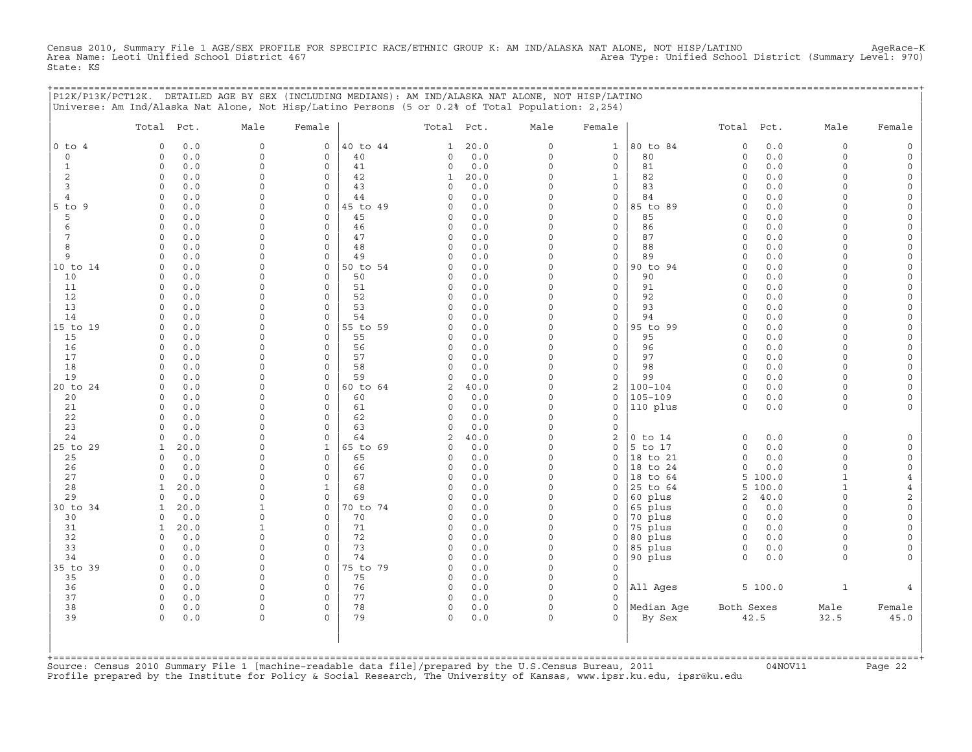Census 2010, Summary File 1 AGE/SEX PROFILE FOR SPECIFIC RACE/ETHNIC GROUP K: AM IND/ALASKA NAT ALONE, NOT HISP/LATINO<br>Area Name: Leoti Unified School District 467 State: KS

+===================================================================================================================================================+

|                          | P12K/P13K/PCT12K. DETAILED AGE BY SEX (INCLUDING MEDIANS): AM IND/ALASKA NAT ALONE, NOT HISP/LATINO<br>Universe: Am Ind/Alaska Nat Alone, Not Hisp/Latino Persons (5 or 0.2% of Total Population: 2,254) |                      |                         |                |                      |            |                      |                                            |                    |                        |            |                      |                          |
|--------------------------|----------------------------------------------------------------------------------------------------------------------------------------------------------------------------------------------------------|----------------------|-------------------------|----------------|----------------------|------------|----------------------|--------------------------------------------|--------------------|------------------------|------------|----------------------|--------------------------|
|                          | Total<br>Pct.                                                                                                                                                                                            | Male                 | Female                  |                | Total                | Pct.       | Male                 | Female                                     |                    | Total                  | Pct.       | Male                 | Female                   |
| $0$ to<br>$\overline{4}$ | 0.0<br>$\mathbf 0$                                                                                                                                                                                       | $\mathbf 0$          | $\mathbf 0$             | 40 to 44       | 1                    | 20.0       | 0                    | $\mathbf 1$                                | 80 to 84           | $\circ$                | $0.0$      | $\mathbf 0$          | $\mathsf{O}$             |
| $\circ$                  | 0.0<br>$\Omega$                                                                                                                                                                                          | $\Omega$             | $\mathsf O$             | 40             | 0                    | 0.0        | $\circ$              | $\mathsf{O}\xspace$                        | 80                 | $\circ$                | 0.0        | $\Omega$             | $\mathsf{O}$             |
| $\mathbf{1}$             | $\circ$<br>0.0                                                                                                                                                                                           | $\Omega$             | $\circ$                 | 41             | 0                    | 0.0        | $\circ$              | 0                                          | 81                 | $\circ$                | 0.0        | $\Omega$             | 0                        |
| $\overline{c}$           | 0.0<br>0                                                                                                                                                                                                 | $\Omega$             | $\mathbf 0$             | 42             | $\mathbf{1}$         | 20.0       | 0                    | $\mathbf{1}$                               | 82                 | $\circ$                | 0.0        | $\Omega$             | 0                        |
| 3                        | $\Omega$<br>0.0                                                                                                                                                                                          | $\Omega$             | $\mathsf O$             | 43             | $\Omega$             | 0.0        | $\Omega$             | $\mathsf{O}\xspace$                        | 83                 | $\Omega$               | 0.0        | $\Omega$             | 0                        |
| $\overline{4}$           | $\circ$<br>0.0                                                                                                                                                                                           | $\Omega$             | $\circ$                 | 44             | $\Omega$             | 0.0        | $\Omega$             | 0                                          | 84                 | $\mathbf 0$            | 0.0        | $\Omega$             | 0                        |
| $5$ to<br>9              | 0.0<br>0                                                                                                                                                                                                 | $\Omega$<br>$\Omega$ | 0                       | 45 to 49       | $\Omega$             | 0.0        | $\Omega$             | $\mathsf{O}\xspace$                        | 85 to 89           | $\circ$                | 0.0        | O                    | $\mathsf{O}\xspace$      |
| 5<br>6                   | $\circ$<br>0.0<br>$\circ$<br>0.0                                                                                                                                                                         | $\Omega$             | $\circ$<br>$\mathbf 0$  | 45<br>46       | 0<br>0               | 0.0<br>0.0 | $\Omega$<br>$\Omega$ | $\mathsf{O}\xspace$<br>$\mathsf{O}\xspace$ | 85<br>86           | $\circ$<br>$\circ$     | 0.0<br>0.0 | $\Omega$<br>$\Omega$ | 0<br>$\mathsf{O}\xspace$ |
| 7                        | $\mathbf 0$<br>0.0                                                                                                                                                                                       | $\Omega$             | $\Omega$                | 47             | 0                    | 0.0        | $\Omega$             | 0                                          | 87                 | $\mathbf 0$            | 0.0        | O                    | 0                        |
| 8                        | 0.0<br>$\circ$                                                                                                                                                                                           | $\Omega$             | $\circ$                 | 48             | $\Omega$             | 0.0        | $\Omega$             | $\mathsf{O}\xspace$                        | 88                 | $\circ$                | 0.0        | $\Omega$             | $\mathsf{O}\xspace$      |
| 9                        | $\circ$<br>0.0                                                                                                                                                                                           | $\Omega$             | $\mathbf 0$             | 49             | 0                    | 0.0        | $\circ$              | 0                                          | 89                 | $\circ$                | 0.0        | $\Omega$             | 0                        |
| 10 to 14                 | 0.0<br>$\Omega$                                                                                                                                                                                          | $\Omega$             | $\circ$                 | 50 to 54       | $\Omega$             | 0.0        | $\Omega$             | 0                                          | 90 to 94           | $\mathbf 0$            | 0.0        | $\Omega$             | 0                        |
| 10                       | $\circ$<br>0.0                                                                                                                                                                                           | $\Omega$             | $\circ$                 | 50             | 0                    | 0.0        | $\Omega$             | $\mathsf{O}\xspace$                        | 90                 | $\Omega$               | 0.0        | $\Omega$             | $\mathsf{O}\xspace$      |
| 11                       | $\circ$<br>0.0                                                                                                                                                                                           | $\mathbf 0$          | $\mathsf O$             | 51             | 0                    | 0.0        | 0                    | 0                                          | 91                 | $\circ$                | 0.0        | $\mathbf 0$          | 0                        |
| 12                       | 0.0<br>$\Omega$                                                                                                                                                                                          | $\Omega$             | $\Omega$                | 52             | 0                    | 0.0        | $\Omega$             | 0                                          | 92                 | $\mathbf 0$            | 0.0        | $\Omega$             | 0                        |
| 13                       | $\circ$<br>0.0                                                                                                                                                                                           | $\Omega$             | $\Omega$                | 53             | $\Omega$             | 0.0        | $\Omega$             | $\mathsf{O}\xspace$                        | 93                 | $\circ$                | 0.0        | $\Omega$             | $\mathsf{O}\xspace$      |
| 14                       | $\Omega$<br>0.0                                                                                                                                                                                          | $\mathbf 0$          | $\mathbf 0$             | 54             | 0                    | 0.0        | 0                    | $\mathsf{O}\xspace$                        | 94                 | $\circ$                | 0.0        | $\Omega$             | 0                        |
| 15 to 19                 | 0.0<br>$\Omega$                                                                                                                                                                                          | $\Omega$             | $\circ$                 | 55 to 59       | $\Omega$             | 0.0        | $\Omega$             | $\mathsf{O}\xspace$                        | 95 to 99           | $\mathbf 0$            | 0.0        | $\Omega$             | 0                        |
| 15                       | 0.0<br>$\Omega$                                                                                                                                                                                          | $\Omega$             | $\mathbf 0$             | 55             | $\Omega$             | 0.0        | $\Omega$             | $\mathbf 0$                                | 95                 | $\mathbf 0$            | 0.0        | $\Omega$             | 0                        |
| 16                       | 0.0<br>0                                                                                                                                                                                                 | $\Omega$             | $\mathsf O$             | 56             | 0                    | 0.0        | $\Omega$             | 0                                          | 96                 | $\circ$                | 0.0        | $\Omega$             | 0                        |
| 17                       | 0.0<br>0                                                                                                                                                                                                 | $\Omega$             | $\circ$                 | 57             | $\circ$              | 0.0        | $\Omega$             | 0                                          | 97                 | $\mathbf 0$            | 0.0        | $\Omega$             | 0                        |
| 18<br>19                 | 0.0<br>$\Omega$<br>$\Omega$<br>0.0                                                                                                                                                                       | $\Omega$<br>$\Omega$ | $\mathbf 0$<br>$\Omega$ | 58<br>59       | $\Omega$<br>$\Omega$ | 0.0<br>0.0 | $\Omega$<br>$\Omega$ | 0<br>$\mathsf{O}\xspace$                   | 98<br>99           | $\mathbf 0$<br>$\circ$ | 0.0<br>0.0 | $\Omega$<br>O        | 0<br>$\mathsf{O}\xspace$ |
| 20 to 24                 | 0<br>0.0                                                                                                                                                                                                 | $\Omega$             | $\mathsf O$             | 60 to 64       | 2                    | 40.0       | $\Omega$             | $\mathbf 2$                                | $100 - 104$        | $\circ$                | 0.0        | $\Omega$             | 0                        |
| 20                       | 0.0<br>0                                                                                                                                                                                                 | $\Omega$             | $\mathbf 0$             | 60             | $\Omega$             | 0.0        | $\Omega$             | 0                                          | $105 - 109$        | $\Omega$               | 0.0        | $\Omega$             | 0                        |
| 21                       | 0.0<br>0                                                                                                                                                                                                 | $\Omega$             | $\Omega$                | 61             | $\Omega$             | 0.0        | $\Omega$             | $\mathsf{O}\xspace$                        | 110 plus           | $\circ$                | 0.0        | $\circ$              | $\mathsf{O}\xspace$      |
| 22                       | $\Omega$<br>0.0                                                                                                                                                                                          | $\Omega$             | $\Omega$                | 62             | 0                    | 0.0        | $\Omega$             | $\mathsf{O}\xspace$                        |                    |                        |            |                      |                          |
| 23                       | 0.0<br>$\Omega$                                                                                                                                                                                          | $\Omega$             | $\Omega$                | 63             | $\Omega$             | 0.0        | $\Omega$             | $\mathsf O$                                |                    |                        |            |                      |                          |
| 24                       | 0.0<br>$\Omega$                                                                                                                                                                                          | $\Omega$             | $\Omega$                | 64             | 2                    | 40.0       | $\Omega$             | $\overline{2}$                             | $0$ to $14$        | $\mathbf 0$            | 0.0        | $\Omega$             | $\mathsf{O}$             |
| 25 to 29                 | $\mathbf{1}$<br>20.0                                                                                                                                                                                     | $\Omega$             | $\mathbf{1}$            | 65 to 69       | 0                    | 0.0        | $\Omega$             | $\mathsf{O}\xspace$                        | 5 to 17            | $\circ$                | 0.0        | $\Omega$             | $\mathsf O$              |
| 25                       | 0.0<br>$\Omega$                                                                                                                                                                                          | $\Omega$             | $\mathbf 0$             | 65             | $\Omega$             | 0.0        | $\Omega$             | $\mathbf 0$                                | 18 to 21           | $\Omega$               | 0.0        | $\Omega$             | 0                        |
| 26                       | 0<br>0.0                                                                                                                                                                                                 | $\Omega$             | $\Omega$                | 66             | $\Omega$             | 0.0        | $\Omega$             | $\mathbf 0$                                | 18 to 24           | $\Omega$               | 0.0        | $\Omega$             | 0                        |
| 27                       | $\circ$<br>0.0                                                                                                                                                                                           | $\Omega$             | $\Omega$                | 67             | 0                    | 0.0        | $\Omega$             | 0                                          | 18<br>to 64        | 5                      | 100.0      | $\mathbf{1}$         | $\overline{4}$           |
| 28                       | 20.0<br>1                                                                                                                                                                                                | $\Omega$             | $\mathbf{1}$            | 68             | 0                    | 0.0        | $\Omega$             | $\mathbf 0$                                | 25 to 64           | 5                      | 100.0      | $\mathbf{1}$         | $\overline{4}$           |
| 29                       | 0.0<br>$\Omega$                                                                                                                                                                                          | $\Omega$             | $\Omega$                | 69<br>70 to 74 | $\Omega$             | 0.0        | $\Omega$<br>$\Omega$ | 0                                          | 60 plus            | 2                      | 40.0       | $\Omega$<br>$\Omega$ | 2<br>$\mathsf{O}\xspace$ |
| 30 to 34<br>30           | 1<br>20.0<br>0.0<br>$\circ$                                                                                                                                                                              | 1<br>$\Omega$        | 0<br>$\circ$            | 70             | $\mathbf 0$<br>0     | 0.0<br>0.0 | $\Omega$             | 0<br>0                                     | 65 plus<br>70 plus | 0<br>$\circ$           | 0.0<br>0.0 | $\Omega$             | $\mathsf{O}\xspace$      |
| 31                       | 20.0<br>1                                                                                                                                                                                                | $\mathbf{1}$         | $\Omega$                | 71             | 0                    | 0.0        | $\Omega$             | $\Omega$                                   | 75 plus            | $\mathbf 0$            | 0.0        | $\Omega$             | $\mathbf 0$              |
| 32                       | $\circ$<br>0.0                                                                                                                                                                                           | $\Omega$             | $\Omega$                | 72             | $\mathbf 0$          | 0.0        | $\Omega$             | 0                                          | 80 plus            | 0                      | 0.0        | $\Omega$             | 0                        |
| 33                       | $\circ$<br>0.0                                                                                                                                                                                           | $\Omega$             | $\circ$                 | 73             | 0                    | 0.0        | $\Omega$             | 0                                          | 85 plus            | $\circ$                | 0.0        | $\mathbf 0$          | 0                        |
| 34                       | 0.0<br>0                                                                                                                                                                                                 | $\Omega$             | $\circ$                 | 74             | $\Omega$             | 0.0        | $\Omega$             | $\mathsf{O}\xspace$                        | 90 plus            | $\circ$                | 0.0        | $\circ$              | $\Omega$                 |
| 35 to 39                 | 0.0<br>0                                                                                                                                                                                                 | $\Omega$             | $\Omega$                | 75 to 79       | 0                    | 0.0        | $\Omega$             | $\mathbf 0$                                |                    |                        |            |                      |                          |
| 35                       | $\circ$<br>0.0                                                                                                                                                                                           | $\Omega$             | $\circ$                 | 75             | 0                    | 0.0        | $\Omega$             | $\mathsf{O}\xspace$                        |                    |                        |            |                      |                          |
| 36                       | 0.0<br>0                                                                                                                                                                                                 | $\circ$              | $\mathsf O$             | 76             | 0                    | 0.0        | 0                    | $\mathsf{O}\xspace$                        | All Ages           |                        | 5 100.0    | $\mathbf{1}$         | 4                        |
| 37                       | $\circ$<br>0.0                                                                                                                                                                                           | $\Omega$             | $\circ$                 | 77             | 0                    | 0.0        | $\circ$              | $\Omega$                                   |                    |                        |            |                      |                          |
| 38                       | $\circ$<br>0.0                                                                                                                                                                                           | $\Omega$             | $\circ$                 | 78             | 0                    | 0.0        | $\circ$              | $\mathbf 0$                                | Median Age         | Both Sexes             |            | Male                 | Female                   |
| 39                       | $\circ$<br>0.0                                                                                                                                                                                           | $\mathbf 0$          | $\Omega$                | 79             | 0                    | 0.0        | $\Omega$             | $\Omega$                                   | By Sex             |                        | 42.5       | 32.5                 | 45.0                     |
|                          |                                                                                                                                                                                                          |                      |                         |                |                      |            |                      |                                            |                    |                        |            |                      |                          |
|                          |                                                                                                                                                                                                          |                      |                         |                |                      |            |                      |                                            |                    |                        |            |                      |                          |

+===================================================================================================================================================+Source: Census 2010 Summary File 1 [machine−readable data file]/prepared by the U.S.Census Bureau, 2011 04NOV11 Page 22 Profile prepared by the Institute for Policy & Social Research, The University of Kansas, www.ipsr.ku.edu, ipsr@ku.edu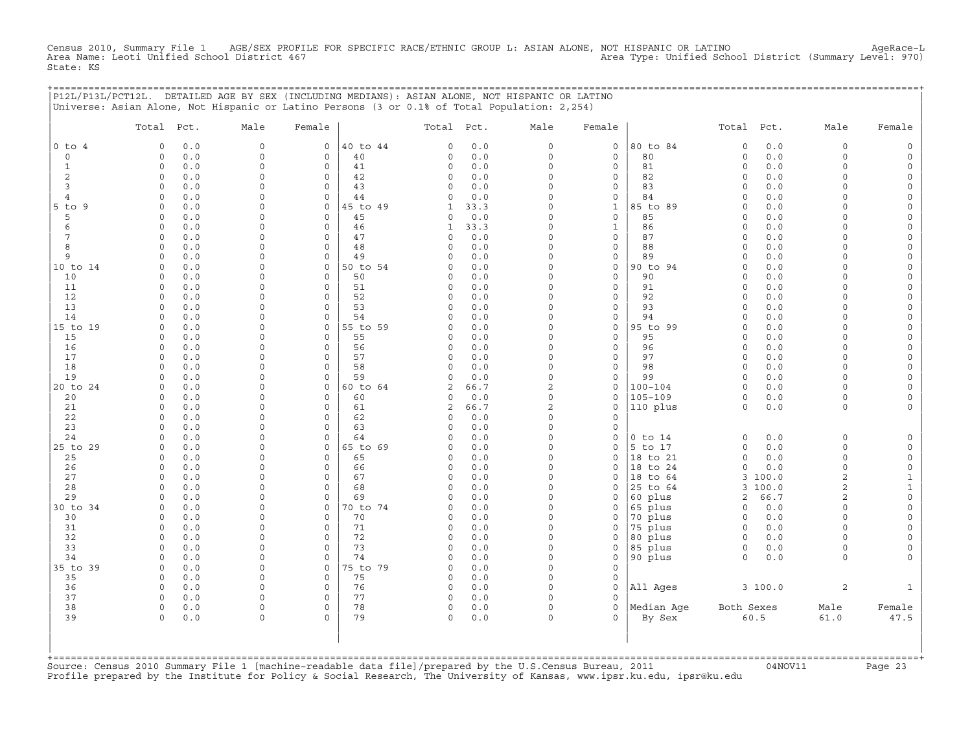Census 2010, Summary File 1 AGE/SEX PROFILE FOR SPECIFIC RACE/ETHNIC GROUP L: ASIAN ALONE, NOT HISPANIC OR LATINO<br>Area Name: Leoti Unified School District 467 Area Name: Leoti Unified School District (Summary Level: 970) State: KS

| state: KS |            |      |        |                                                                                                                                                                                                |            |      |        |            |      |        |
|-----------|------------|------|--------|------------------------------------------------------------------------------------------------------------------------------------------------------------------------------------------------|------------|------|--------|------------|------|--------|
|           |            |      |        | P12L/P13L/PCT12L. DETAILED AGE BY SEX (INCLUDING MEDIANS): ASIAN ALONE, NOT HISPANIC OR LATINO<br>Universe: Asian Alone, Not Hispanic or Latino Persons (3 or 0.1% of Total Population: 2,254) |            |      |        |            |      |        |
|           | Total Pct. | Male | Female |                                                                                                                                                                                                | Total Pct. | Male | Female | Total Pct. | Male | Female |

| $0$ to $4$     | $\circ$<br>0.0  | $\Omega$ | $\mathbf 0$ | 40 to 44 | 0.0<br>$\mathbf 0$     | $\mathbf 0$    | $\mathsf{O}$ | 80 to 84    | 0.0<br>$\Omega$     | $\circ$        | $\circ$             |
|----------------|-----------------|----------|-------------|----------|------------------------|----------------|--------------|-------------|---------------------|----------------|---------------------|
| $\mathbf 0$    | $\Omega$<br>0.0 | 0        | $\mathbf 0$ | 40       | $\mathbf 0$<br>0.0     | $\Omega$       | $\mathsf{O}$ | 80          | 0.0<br>$\Omega$     | $\circ$        | $\circ$             |
| 1              | $\Omega$<br>0.0 | $\Omega$ | $\mathbf 0$ | 41       | $\mathbf 0$<br>0.0     | $\Omega$       | $\mathsf{O}$ | 81          | $\circ$<br>0.0      | 0              | 0                   |
| 2              | $\Omega$<br>0.0 | $\Omega$ | $\Omega$    | 42       | $\mathbf 0$<br>0.0     | $\Omega$       | $\mathbf 0$  | 82          | 0.0<br>$\Omega$     | $\circ$        | $\mathsf{O}$        |
| 3              | $\Omega$<br>0.0 | $\Omega$ | $\Omega$    | 43       | $\mathbf 0$<br>0.0     | $\Omega$       | $\mathbf 0$  | 83          | 0.0<br>$\Omega$     | 0              | $\mathbf 0$         |
| $\overline{4}$ | $\Omega$<br>0.0 | $\Omega$ | 0           | 44       | $\Omega$<br>0.0        | $\Omega$       | $\mathbf 0$  | 84          | 0.0<br>$\Omega$     | $\Omega$       | $\mathbf 0$         |
| $5$ to<br>9    | $\circ$<br>0.0  | $\Omega$ | $\mathbf 0$ | 45 to 49 | $\mathbf{1}$<br>33.3   | $\Omega$       | $\mathbf{1}$ | 85 to 89    | 0.0<br>$\Omega$     | $\Omega$       | $\mathsf{O}\xspace$ |
| 5              | $\Omega$<br>0.0 | $\Omega$ | $\mathbf 0$ | 45       | $\mathbf 0$<br>0.0     | $\Omega$       | $\mathsf O$  | 85          | 0.0<br>$\Omega$     | $\Omega$       | 0                   |
| 6              | 0.0<br>$\Omega$ | $\Omega$ | $\mathbf 0$ | 46       | 33.3<br>$\mathbf{1}$   | $\Omega$       | $\mathbf{1}$ | 86          | 0.0<br>$\Omega$     | $\Omega$       | $\mathsf{O}\xspace$ |
| 7              | $\Omega$<br>0.0 | $\Omega$ | $\Omega$    | 47       | $\circ$<br>0.0         | $\Omega$       | $\mathbf 0$  | 87          | 0.0<br>$\circ$      | $\Omega$       | $\mathsf{O}\xspace$ |
|                |                 |          |             |          |                        | $\cap$         |              |             |                     |                |                     |
| 8              | $\Omega$<br>0.0 | $\Omega$ | 0           | 48       | $\Omega$<br>0.0        | $\cap$         | $\mathbf 0$  | 88          | 0.0<br>$\Omega$     | $\Omega$       | 0                   |
| 9              | $\Omega$<br>0.0 | $\Omega$ | $\mathbf 0$ | 49       | 0.0<br>$\Omega$        |                | $\mathsf{O}$ | 89          | 0.0<br>∩            | $\Omega$       | $\mathsf{O}\xspace$ |
| 10 to 14       | $\Omega$<br>0.0 | $\Omega$ | $\mathbf 0$ | 50 to 54 | $\Omega$<br>0.0        | $\cap$         | $\mathsf O$  | 90 to 94    | 0.0<br>$\Omega$     | $\Omega$       | 0                   |
| 10             | 0.0<br>$\Omega$ | $\Omega$ | $\Omega$    | 50       | $\Omega$<br>0.0        | $\cap$         | $\mathbf 0$  | 90          | 0.0<br>$\cap$       | $\Omega$       | $\mathbf 0$         |
| 11             | $\Omega$<br>0.0 | $\Omega$ | $\Omega$    | 51       | $\mathbf 0$<br>0.0     | $\Omega$       | $\mathbf 0$  | 91          | 0.0<br>$\Omega$     | $\Omega$       | $\circ$             |
| 12             | $\Omega$<br>0.0 | $\Omega$ | $\mathbf 0$ | 52       | $\circ$<br>0.0         | $\Omega$       | $\mathbf 0$  | 92          | 0.0<br>$\circ$      | $\Omega$       | $\circ$             |
| 13             | $\circ$<br>0.0  | $\Omega$ | $\mathbf 0$ | 53       | $\mathbf 0$<br>0.0     | $\Omega$       | $\mathsf{O}$ | 93          | 0.0<br>$\circ$      | $\Omega$       | $\mathsf{O}\xspace$ |
| 14             | 0.0<br>$\Omega$ | $\Omega$ | $\mathbf 0$ | 54       | 0.0<br>$\Omega$        | $\Omega$       | $\mathsf O$  | 94          | 0.0<br>$\Omega$     | $\Omega$       | $\mathsf{O}\xspace$ |
| 15 to 19       | $\Omega$<br>0.0 | $\Omega$ | $\mathbf 0$ | 55 to 59 | $\Omega$<br>0.0        | $\Omega$       | $\mathsf O$  | 95 to 99    | 0.0<br>$\Omega$     | $\Omega$       | $\mathsf{O}\xspace$ |
| 15             | $\Omega$<br>0.0 | $\Omega$ | 0           | 55       | 0.0<br>$\mathbf 0$     | $\cap$         | $\mathbf 0$  | 95          | $\Omega$<br>0.0     | $\Omega$       | 0                   |
| 16             | $\Omega$<br>0.0 | $\Omega$ | $\Omega$    | 56       | $\Omega$<br>0.0        | $\cap$         | $\mathbf 0$  | 96          | 0.0<br>$\Omega$     | $\Omega$       | $\mathsf{O}$        |
| 17             | $\Omega$<br>0.0 | $\Omega$ | $\Omega$    | 57       | $\mathbf 0$<br>0.0     | $\Omega$       | $\mathbf 0$  | 97          | 0.0<br>$\Omega$     | $\Omega$       | $\mathsf{O}\xspace$ |
| 18             | 0.0<br>$\cap$   | $\Omega$ | 0           | 58       | $\mathbf 0$<br>0.0     | $\Omega$       | $\mathbf 0$  | 98          | 0.0<br>$\Omega$     | $\Omega$       | $\circ$             |
| 19             | 0.0<br>$\Omega$ | $\Omega$ | $\mathbf 0$ | 59       | $\Omega$<br>0.0        | $\Omega$       | $\mathbf 0$  | 99          | 0.0<br>$\Omega$     | $\Omega$       | $\circ$             |
| 20 to 24       | $\circ$<br>0.0  | $\Omega$ | 0           | 60 to 64 | $\overline{c}$<br>66.7 | $\overline{2}$ | $\mathsf{O}$ | $100 - 104$ | $\Omega$<br>0.0     | $\Omega$       | $\mathsf{O}\xspace$ |
| 20             | $\Omega$<br>0.0 | $\Omega$ | $\Omega$    | 60       | $\Omega$<br>0.0        | $\Omega$       | $\mathbf 0$  | $105 - 109$ | 0.0<br>$\Omega$     | $\circ$        | $\circ$             |
| 21             | $\Omega$<br>0.0 | $\Omega$ | $\circ$     | 61       | $\overline{c}$<br>66.7 | $\overline{c}$ | $\mathsf{O}$ | 110 plus    | $\circ$<br>0.0      | $\circ$        | $\circ$             |
| 22             | 0.0<br>$\Omega$ | $\Omega$ | $\Omega$    | 62       | $\circ$<br>0.0         | $\Omega$       | $\circ$      |             |                     |                |                     |
| 23             | $\Omega$<br>0.0 | $\Omega$ | 0           | 63       | $\Omega$<br>0.0        | $\Omega$       | $\mathbf 0$  |             |                     |                |                     |
| 24             | $\Omega$<br>0.0 | $\Omega$ | $\circ$     | 64       | $\Omega$<br>0.0        | $\Omega$       | $\circ$      | $0$ to $14$ | 0.0<br>$\Omega$     | $\circ$        | $\circ$             |
|                |                 | $\Omega$ |             |          | $\Omega$               | $\Omega$       |              | 5 to 17     | $\Omega$            | $\Omega$       |                     |
| 25 to 29       | 0.0<br>$\Omega$ |          | $\circ$     | 65 to 69 | 0.0                    | $\Omega$       | $\mathbf 0$  |             | 0.0                 |                | $\circ$             |
| 25             | $\Omega$<br>0.0 | $\Omega$ | $\Omega$    | 65       | $\mathbf 0$<br>0.0     |                | $\mathbf 0$  | 18 to 21    | 0.0<br>$\Omega$     | $\circ$        | $\circ$             |
| 26             | 0.0<br>$\Omega$ | $\Omega$ | $\Omega$    | 66       | 0.0<br>$\Omega$        | $\Omega$       | $\Omega$     | 18 to 24    | 0.0<br>$\Omega$     | $\Omega$       | $\mathsf{O}\xspace$ |
| 27             | $\circ$<br>0.0  | $\Omega$ | $\circ$     | 67       | $\circ$<br>0.0         | $\Omega$       | $\mathbf 0$  | 18<br>to 64 | 3<br>100.0          | $\overline{2}$ | $\mathbf{1}$        |
| 28             | 0.0<br>$\Omega$ | $\Omega$ | $\circ$     | 68       | $\mathbf 0$<br>0.0     | $\Omega$       | $\mathbf 0$  | 25 to 64    | 100.0<br>3          | 2              | $\mathbf 1$         |
| 29             | $\Omega$<br>0.0 | $\Omega$ | $\circ$     | 69       | $\Omega$<br>0.0        |                | $\mathbf 0$  | 60 plus     | 66.7<br>2           | $\overline{2}$ | $\mathsf{O}\xspace$ |
| 30 to 34       | $\Omega$<br>0.0 | $\Omega$ | 0           | 70 to 74 | 0.0<br>$\Omega$        | $\Omega$       | $\mathsf{O}$ | 65 plus     | 0.0<br>$\Omega$     | $\Omega$       | 0                   |
| 30             | $\Omega$<br>0.0 | $\Omega$ | $\Omega$    | 70       | 0.0<br>$\Omega$        | $\cap$         | $\mathbf 0$  | 70 plus     | 0.0<br><sup>0</sup> | $\Omega$       | 0                   |
| 31             | $\Omega$<br>0.0 | $\Omega$ | $\Omega$    | 71       | $\circ$<br>0.0         | $\Omega$       | $\circ$      | 75 plus     | 0.0<br>$\Omega$     | $\Omega$       | $\circ$             |
| 32             | 0.0<br>$\Omega$ | $\Omega$ | $\Omega$    | 72       | $\mathbf 0$<br>0.0     | $\Omega$       | $\mathbf 0$  | 80 plus     | 0.0<br>$\Omega$     | $\Omega$       | $\mathbf 0$         |
| 33             | $\Omega$<br>0.0 | $\Omega$ | $\mathbf 0$ | 73       | $\mathbf 0$<br>0.0     | $\Omega$       | $\mathbf 0$  | 85 plus     | 0.0<br>$\circ$      | 0              | 0                   |
| 34             | 0.0<br>$\Omega$ | $\Omega$ | $\mathbf 0$ | 74       | $\mathbf 0$<br>0.0     | $\Omega$       | $\mathsf{O}$ | 90 plus     | $\circ$<br>0.0      | $\circ$        | $\mathbf 0$         |
| 35 to 39       | $\circ$<br>0.0  | $\Omega$ | $\mathbf 0$ | 75 to 79 | $\mathbf 0$<br>0.0     | $\Omega$       | $\mathsf O$  |             |                     |                |                     |
| 35             | $\Omega$<br>0.0 | $\Omega$ | $\mathbf 0$ | 75       | $\mathsf O$<br>0.0     | $\Omega$       | $\mathsf{O}$ |             |                     |                |                     |
| 36             | $\Omega$<br>0.0 | $\Omega$ | $\mathbf 0$ | 76       | $\circ$<br>0.0         | $\Omega$       | $\circ$      | All Ages    | 3100.0              | $\overline{2}$ | $\mathbf{1}$        |
| 37             | $\circ$<br>0.0  | $\Omega$ | $\mathbf 0$ | 77       | $\mathbf 0$<br>0.0     | $\Omega$       | $\mathbf 0$  |             |                     |                |                     |
| 38             | $\circ$<br>0.0  | 0        | 0           | 78       | 0<br>0.0               | $\Omega$       | 0            | Median Age  | Both Sexes          | Male           | Female              |
| 39             | $\Omega$<br>0.0 | $\Omega$ | $\Omega$    | 79       | 0<br>0.0               | $\Omega$       | $\Omega$     | By Sex      | 60.5                | 61.0           | 47.5                |
|                |                 |          |             |          |                        |                |              |             |                     |                |                     |
|                |                 |          |             |          |                        |                |              |             |                     |                |                     |
|                |                 |          |             |          |                        |                |              |             |                     |                |                     |
|                |                 |          |             |          |                        |                |              |             |                     |                |                     |

+===================================================================================================================================================+Source: Census 2010 Summary File 1 [machine−readable data file]/prepared by the U.S.Census Bureau, 2011 04NOV11 Page 23 Profile prepared by the Institute for Policy & Social Research, The University of Kansas, www.ipsr.ku.edu, ipsr@ku.edu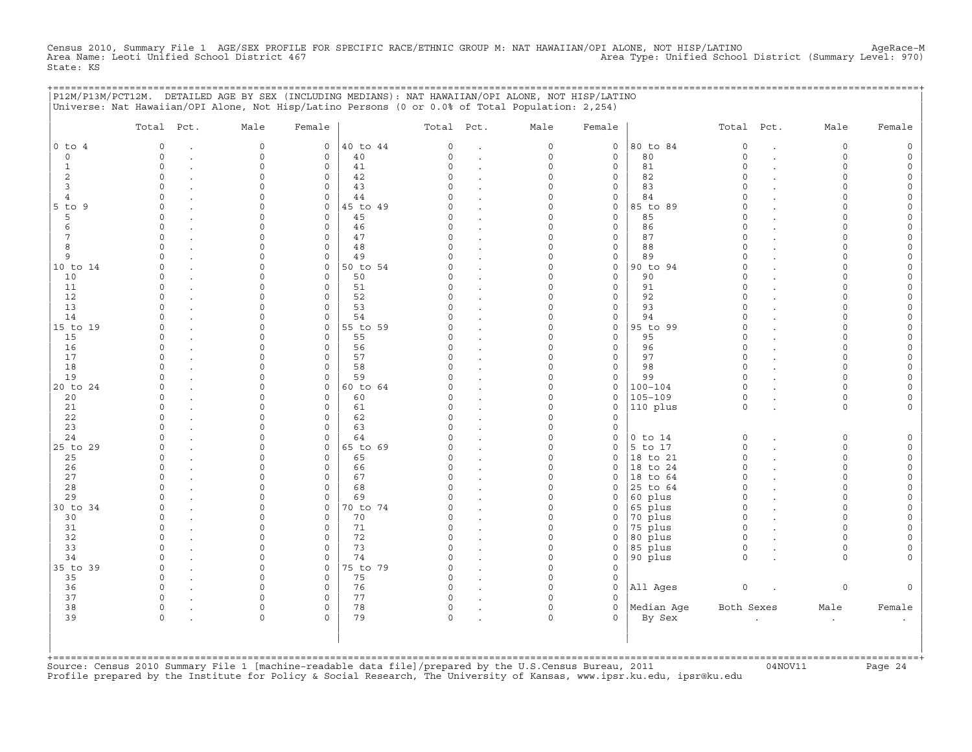Census 2010, Summary File 1 AGE/SEX PROFILE FOR SPECIFIC RACE/ETHNIC GROUP M: NAT HAWAIIAN/OPI ALONE, NOT HISP/LATINO<br>Area Name: Leoti Unified School District 467 State: KS

|                     | P12M/P13M/PCT12M. DETAILED AGE BY SEX (INCLUDING MEDIANS): NAT HAWAIIAN/OPI ALONE, NOT HISP/LATINO<br>Universe: Nat Hawaiian/OPI Alone, Not Hisp/Latino Persons (0 or 0.0% of Total Population: 2,254) |                      |                             |                |               |                      |                      |               | =========================== |                      |                      |        |
|---------------------|--------------------------------------------------------------------------------------------------------------------------------------------------------------------------------------------------------|----------------------|-----------------------------|----------------|---------------|----------------------|----------------------|---------------|-----------------------------|----------------------|----------------------|--------|
|                     | Total Pct.                                                                                                                                                                                             | Male                 | Female                      |                | Total Pct.    |                      | Male                 | Female        |                             | Total Pct.           | Male                 | Female |
| $0$ to $4$          | $\circ$                                                                                                                                                                                                | $\mathbf 0$          | 0                           | 40 to 44       | $\circ$       | $\ddot{\phantom{a}}$ | 0                    | $\circ$       | 80 to 84                    | $\circ$              | $\circ$              |        |
| $\mathbf 0$         | $\Omega$                                                                                                                                                                                               | $\mathbf 0$          | $\mathbf{0}$                | 40             | $\Omega$      | $\cdot$              | 0                    | $\mathbf 0$   | 80                          | $\circ$              | $\circ$              |        |
| 1                   | $\Omega$                                                                                                                                                                                               | $\Omega$             | $\mathbf 0$                 | 41             | $\Omega$      | $\cdot$              | $\Omega$             | 0             | 81                          | $\Omega$             | $\Omega$             |        |
| 2                   | $\Omega$<br>$\cap$                                                                                                                                                                                     | $\Omega$             | $\mathbf 0$                 | 42             | $\Omega$<br>U |                      | $\Omega$             | 0             | 82                          | $\Omega$<br>$\Omega$ | $\Omega$<br>∩        |        |
| 3<br>$\overline{4}$ | $\cap$                                                                                                                                                                                                 |                      | $\Omega$<br>$\mathbf{0}$    | 43<br>44       |               |                      | $\Omega$<br>0        | 0<br>0        | 83<br>84                    | $\Omega$             | ∩                    |        |
| $5$ to $9$          | $\Omega$                                                                                                                                                                                               |                      | $\mathbf 0$                 | 45 to 49       | U             | $\cdot$              | O                    | 0             | 85 to 89                    | $\Omega$             |                      |        |
| 5                   | $\Omega$                                                                                                                                                                                               |                      | $\mathbf 0$                 | 45             | C)            | $\ddot{\phantom{a}}$ | $\Omega$             | $\mathbf 0$   | 85                          | $\Omega$             |                      |        |
| 6                   | $\Omega$                                                                                                                                                                                               |                      | $\mathbf 0$                 | 46             | O             | $\cdot$              | $\Omega$             | 0             | 86                          | $\Omega$             | $\Omega$             |        |
| 7                   | $\Omega$                                                                                                                                                                                               | $\Omega$             | $\mathbf 0$                 | 47             | $\Omega$      |                      | $\Omega$             | $\mathbf 0$   | 87                          | $\Omega$             | $\cap$               |        |
| 8                   | $\circ$                                                                                                                                                                                                | $\Omega$             | $\mathsf{O}$                | 48             | 0             | $\cdot$              | $\Omega$             | 0             | 88                          | $\circ$              | $\Omega$             |        |
| 9                   | $\Omega$                                                                                                                                                                                               | $\Omega$             | 0                           | 49             | $\Omega$      | $\cdot$              | $\Omega$             | 0             | 89                          | $\Omega$             | $\cap$               |        |
| 10 to 14            | $\Omega$                                                                                                                                                                                               | $\Omega$             | $\mathbf 0$                 | 50 to 54       |               |                      | $\Omega$             | 0             | 90 to 94                    | $\Omega$             |                      |        |
| 10<br>11            | $\Omega$<br>$\cap$                                                                                                                                                                                     | $\Omega$             | $\mathbf 0$<br>$\mathbf 0$  | 50<br>51       | 0<br>U        |                      | $\Omega$<br>$\cap$   | 0<br>0        | 90<br>91                    | $\Omega$<br>$\cap$   | $\Omega$<br>$\cap$   |        |
| 12                  | $\cap$                                                                                                                                                                                                 |                      | $\mathbf 0$                 | 52             |               |                      | U                    | 0             | 92                          | $\Omega$             |                      |        |
| 13                  | ∩                                                                                                                                                                                                      |                      | $\mathbf 0$                 | 53             | U             |                      | O                    | $\Omega$      | 93                          | $\Omega$             |                      |        |
| 14                  |                                                                                                                                                                                                        |                      | $\mathbf 0$                 | 54             |               |                      | $\Omega$             | 0             | 94                          | $\Omega$             |                      |        |
| 15 to 19            | ∩                                                                                                                                                                                                      | $\cap$               | $\mathbf{0}$                | 55 to 59       |               |                      | $\Omega$             | 0             | 95 to 99                    | $\Omega$             | $\cap$               |        |
| 15                  | $\Omega$                                                                                                                                                                                               | $\cap$               | $\Omega$                    | 55             | U             |                      | $\Omega$             | 0             | 95                          | $\Omega$             | $\cap$               |        |
| 16                  | $\Omega$                                                                                                                                                                                               | $\Omega$             | $\mathbf 0$                 | 56             | 0             |                      | $\Omega$             | $\mathbf 0$   | 96                          | $\circ$              | $\cap$               |        |
| 17                  | $\Omega$                                                                                                                                                                                               |                      | 0                           | 57             | O             | $\overline{a}$       | 0                    | 0             | 97                          | $\circ$              | $\Omega$             |        |
| 18                  | $\cap$<br>$\Omega$                                                                                                                                                                                     | $\cap$               | 0                           | 58             | U<br>$\Omega$ |                      | $\Omega$             | 0             | 98                          | $\Omega$<br>$\Omega$ | $\Omega$<br>$\Omega$ |        |
| 19<br>20 to 24      | $\Omega$                                                                                                                                                                                               | $\Omega$<br>$\cap$   | $\mathbf 0$<br>$\mathsf{O}$ | 59<br>60 to 64 |               |                      | 0<br>$\Omega$        | 0<br>0        | 99<br>$100 - 104$           | $\Omega$             | $\cap$               |        |
| 20                  | $\Omega$                                                                                                                                                                                               |                      | $\mathbf 0$                 | 60             | O             |                      | $\Omega$             | 0             | 105-109                     | $\mathbf 0$          | $\circ$              |        |
| 21                  | $\Omega$                                                                                                                                                                                               |                      | $\mathbf 0$                 | 61             | $\Omega$      |                      | 0                    | 0             | 110 plus                    | $\circ$              | $\circ$              |        |
| 22                  | $\Omega$                                                                                                                                                                                               |                      | $\mathbf 0$                 | 62             | O             |                      | $\Omega$             | $\Omega$      |                             |                      |                      |        |
| 23                  |                                                                                                                                                                                                        |                      | $\mathbf 0$                 | 63             |               |                      | $\Omega$             | 0             |                             |                      |                      |        |
| 24                  | $\cap$                                                                                                                                                                                                 |                      | $\circ$                     | 64             |               |                      | $\Omega$             | 0             | $0$ to $14$                 | 0                    | $\Omega$             |        |
| 25 to 29            | $\Omega$                                                                                                                                                                                               | $\cap$               | $\mathsf{O}$                | 65 to 69       | 0             | $\ddot{\phantom{a}}$ | $\Omega$             | 0             | $5$ to 17                   | $\mathsf O$          | $\Omega$             |        |
| 25                  | $\Omega$<br>$\cap$                                                                                                                                                                                     |                      | 0<br>$\Omega$               | 65<br>66       |               | $\ddot{\phantom{a}}$ | $\Omega$<br>$\Omega$ | 0<br>$\Omega$ | 18 to 21                    | $\Omega$<br>$\Omega$ | $\Omega$<br>$\cap$   |        |
| 26<br>27            | $\Omega$                                                                                                                                                                                               | $\cap$               | $\mathbf 0$                 | 67             | $\Omega$      |                      | $\Omega$             | 0             | 18 to 24<br>18 to 64        | $\circ$              | $\cap$               |        |
| 28                  | $\cap$                                                                                                                                                                                                 | $\cap$               | $\mathbf 0$                 | 68             | $\Omega$      | $\cdot$              | $\Omega$             | 0             | 25 to 64                    | $\circ$              | $\cap$               |        |
| 29                  |                                                                                                                                                                                                        | $\Omega$             | $\mathbf 0$                 | 69             |               | $\ddot{\phantom{a}}$ | $\Omega$             | 0             | 60 plus                     | $\circ$              | $\Omega$             |        |
| 30 to 34            | $\Omega$                                                                                                                                                                                               | $\Omega$             | $\mathbf{0}$                | 70 to 74       | <sup>o</sup>  | $\cdot$              | $\Omega$             | 0             | 65 plus                     | $\circ$              | $\Omega$             |        |
| 30                  | $\Omega$                                                                                                                                                                                               |                      | 0                           | 70             | O.            |                      | $\Omega$             | 0             | 70 plus                     | $\circ$              | $\Omega$             |        |
| 31                  | $\Omega$                                                                                                                                                                                               | n                    | $\mathbf 0$                 | 71             | $\Omega$      | $\ddot{\phantom{a}}$ | 0                    | 0             | 75 plus                     | $\circ$              | ∩                    |        |
| 32                  | $\cap$                                                                                                                                                                                                 |                      | $\mathbf 0$                 | 72             | $\Omega$      | $\ddot{\phantom{a}}$ | $\Omega$             | $\mathbf 0$   | 80 plus                     | $\circ$              | $\cap$               |        |
| 33                  | $\Omega$                                                                                                                                                                                               | $\Omega$             | $\mathbf 0$                 | 73             | $\Omega$      | $\ddot{\phantom{a}}$ | $\Omega$             | $\mathbf 0$   | 85 plus                     | $\circ$              | $\Omega$             |        |
| 34<br>35 to 39      | $\Omega$                                                                                                                                                                                               | $\Omega$<br>$\Omega$ | $\mathbf 0$<br>$\mathbf 0$  | 74<br>75 to 79 | O<br>$\cap$   | $\ddot{\phantom{a}}$ | $\Omega$<br>$\Omega$ | 0<br>$\Omega$ | 90 plus                     | $\circ$              | $\Omega$             |        |
| 35                  | $\circ$                                                                                                                                                                                                | $\Omega$             | $\mathbf 0$                 | 75             | 0             |                      | $\Omega$             | 0             |                             |                      |                      |        |
| 36                  | $\circ$                                                                                                                                                                                                | $\Omega$             | 0                           | 76             | $\circ$       | $\cdot$              | $\Omega$             | 0             | All Ages                    | $\mathsf O$          | 0                    |        |
| 37                  | $\circ$                                                                                                                                                                                                | $\Omega$             | $\mathsf{O}$                | 77             | 0             |                      | $\Omega$             | 0             |                             |                      |                      |        |
| 38                  | $\circ$                                                                                                                                                                                                | $\Omega$             | 0                           | 78             | 0             |                      | $\Omega$             | 0             | Median Age                  | Both Sexes           | Male                 | Female |
| 39                  | $\cap$                                                                                                                                                                                                 | $\Omega$             | $\Omega$                    | 79             | $\Omega$      |                      | $\Omega$             | 0             | By Sex                      |                      | $\cdot$              |        |
|                     |                                                                                                                                                                                                        |                      |                             |                |               |                      |                      |               |                             |                      |                      |        |
|                     |                                                                                                                                                                                                        |                      |                             |                |               |                      |                      |               |                             |                      |                      |        |
|                     |                                                                                                                                                                                                        |                      |                             |                |               |                      |                      |               |                             |                      |                      |        |

+===================================================================================================================================================+Source: Census 2010 Summary File 1 [machine−readable data file]/prepared by the U.S.Census Bureau, 2011 04NOV11 Page 24 Profile prepared by the Institute for Policy & Social Research, The University of Kansas, www.ipsr.ku.edu, ipsr@ku.edu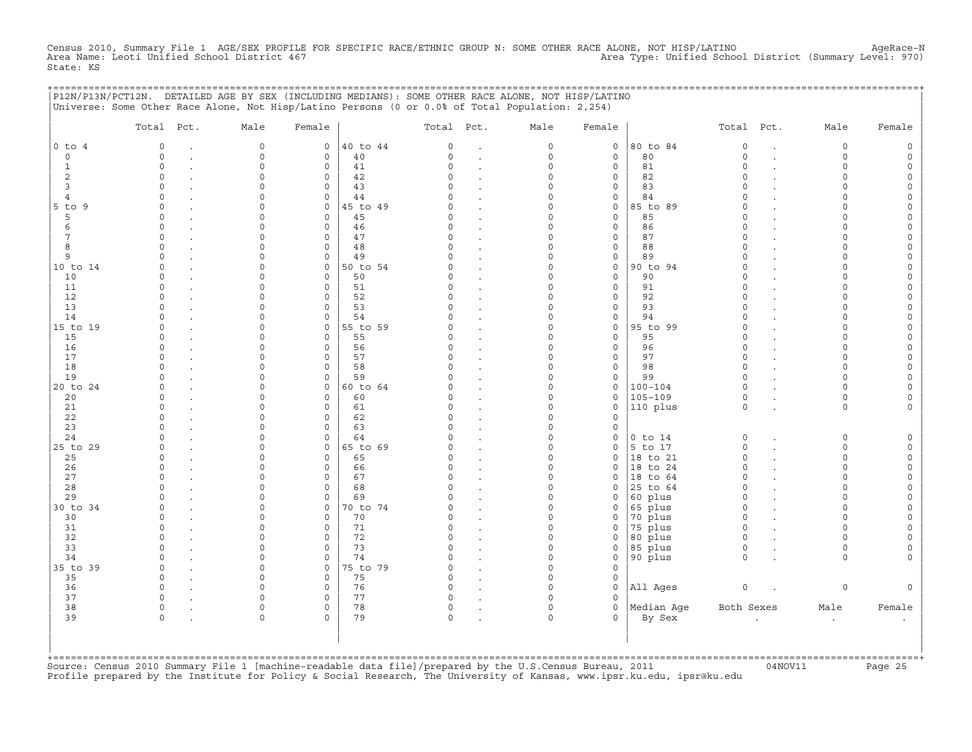Census 2010, Summary File 1 AGE/SEX PROFILE FOR SPECIFIC RACE/ETHNIC GROUP N: SOME OTHER RACE ALONE, NOT HISP/LATINO<br>Area Name: Leoti Unified School District 467 State: KS

+===================================================================================================================================================+

|              | Total Pct.  | Male                | Female              |          | Total Pct.   |                      | Male        | Female              |             | Total Pct.  |                      | Male      | Female              |
|--------------|-------------|---------------------|---------------------|----------|--------------|----------------------|-------------|---------------------|-------------|-------------|----------------------|-----------|---------------------|
| $0$ to $4$   | $\mathbf 0$ | $\mathsf{O}\xspace$ | $\circ$             | 40 to 44 | 0            | $\cdot$              | $\mathsf O$ | $\mathsf O$         | 80 to 84    | $\mathbb O$ | $\ddot{\phantom{a}}$ | 0         | $\mathsf{O}\xspace$ |
| $\circ$      | $\Omega$    | $\Omega$            | $\mathbf 0$         | 40       | $\Omega$     | $\bullet$            | $\mathbf 0$ | $\mathbf 0$         | 80          | $\Omega$    | $\ddot{\phantom{a}}$ | $\Omega$  | $\mathsf{O}\xspace$ |
| $\mathbf{1}$ | $\circ$     | $\Omega$            | 0                   | 41       | $\Omega$     |                      | $\mathbf 0$ | $\mathbf 0$         | 81          | $\circ$     |                      | $\Omega$  | $\circ$             |
| 2            | $\circ$     | $\Omega$            | $\mathbf 0$         | 42       | $\Omega$     | $\cdot$              | $\Omega$    | $\mathsf{O}\xspace$ | 82          | $\circ$     |                      | $\circ$   | $\circ$             |
| $\mathbf{3}$ | $\circ$     | $\Omega$            | 0                   | 43       | $\cap$       | $\cdot$              | $\Omega$    | $\mathsf{O}\xspace$ | 83          | $\circ$     |                      | $\Omega$  | $\mathsf{O}$        |
| 4            | $\Omega$    | $\Omega$            | $\mathbf 0$         | 44       | U            |                      | $\Omega$    | $\mathbf 0$         | 84          | $\Omega$    |                      | $\Omega$  | $\mathsf{O}\xspace$ |
| $5$ to $9$   | $\Omega$    | $\cap$              | $\mathbf 0$         | 45 to 49 | U            | $\ddot{\phantom{a}}$ | $\Omega$    | $\mathsf{O}$        | 85 to 89    | $\Omega$    |                      | $\Omega$  | $\mathsf{O}\xspace$ |
| 5            | $\Omega$    | $\Omega$            | $\mathsf{O}\xspace$ | 45       | C)           | $\ddot{\phantom{a}}$ | $\Omega$    | $\mathsf O$         | 85          | $\Omega$    |                      | $\Omega$  | $\mathsf{O}\xspace$ |
| 6            | $\Omega$    | $\cap$              | $\mathbf 0$         | 46       | $\cap$       | $\ddot{\phantom{a}}$ | $\Omega$    | $\mathbf{0}$        | 86          | $\Omega$    |                      | $\cap$    | $\circ$             |
| 7            | $\Omega$    | $\Omega$            | $\mathbf 0$         | 47       | C)           | $\ddot{\phantom{a}}$ | $\Omega$    | $\mathbf 0$         | 87          | $\Omega$    |                      | $\Omega$  | 0                   |
| 8            | $\Omega$    | $\Omega$            | $\mathbf 0$         | 48       | $\Omega$     | $\ddot{\phantom{a}}$ | $\Omega$    | $\mathsf{O}\xspace$ | 88          | $\Omega$    |                      | $\Omega$  | $\mathsf{O}\xspace$ |
| 9            | $\cap$      | $\cap$              | $\mathbf 0$         | 49       | $\cap$       | $\ddot{\phantom{a}}$ | $\Omega$    | $\mathsf{O}\xspace$ | 89          | $\Omega$    |                      | $\cap$    | $\mathsf{O}\xspace$ |
| 10 to 14     | $\Omega$    | $\Omega$            | $\mathbf{0}$        | 50 to 54 | C)           | $\sim$               | $\Omega$    | $\mathbf 0$         | 90 to 94    | $\circ$     |                      | $\Omega$  | $\mathsf{O}\xspace$ |
| 10           | $\Omega$    | $\Omega$            | $\mathbf 0$         | 50       | O.           |                      | $\Omega$    | $\mathbf 0$         | 90          | $\Omega$    |                      | $\Omega$  | 0                   |
| 11           | $\Omega$    | $\Omega$            | $\mathbf 0$         | 51       | $\Omega$     | $\ddot{\phantom{a}}$ | $\Omega$    | $\mathsf{O}\xspace$ | 91          | $\Omega$    |                      | $\Omega$  | $\mathsf{O}\xspace$ |
| 12           | $\Omega$    | $\Omega$            | $\mathbf 0$         | 52       | $\Omega$     | $\sim$               | $\Omega$    | $\mathbf 0$         | 92          | $\Omega$    |                      | $\Omega$  | $\mathsf{O}\xspace$ |
| 13           | $\Omega$    | $\Omega$            | $\mathbf 0$         | 53       | C)           | $\ddot{\phantom{a}}$ | $\Omega$    | $\mathbf 0$         | 93          | $\Omega$    |                      | $\Omega$  | 0                   |
| 14           | $\Omega$    | $\Omega$            | $\mathbf 0$         | 54       |              |                      | $\Omega$    | $\mathsf{O}\xspace$ | 94          | $\Omega$    |                      | $\Omega$  | $\mathsf{O}\xspace$ |
| 15 to 19     | $\Omega$    | $\Omega$            | $\mathsf{O}\xspace$ | 55 to 59 | $\Omega$     |                      | $\mathbf 0$ | $\mathsf O$         | 95 to 99    | $\Omega$    |                      | $\Omega$  | $\mathsf{O}\xspace$ |
| 15           | $\Omega$    | $\Omega$            | $\mathbf 0$         | 55       | C            | $\sim$               | $\Omega$    | $\mathbf 0$         | 95          | $\Omega$    |                      | $\cap$    | $\mathsf{O}\xspace$ |
| 16           | $\Omega$    | $\Omega$            | $\mathbf 0$         | 56       |              | $\cdot$              | $\Omega$    | $\mathbf 0$         | 96          | $\circ$     |                      | $\Omega$  | 0                   |
| 17           | $\Omega$    | $\Omega$            | $\mathsf{O}\xspace$ | 57       | $\Omega$     |                      | $\mathbf 0$ | $\mathsf{O}\xspace$ | 97          | $\Omega$    |                      | $\Omega$  | $\mathsf{O}\xspace$ |
| 18           | $\cap$      | $\cap$              | $\Omega$            | 58       | $\cap$       | $\ddot{\phantom{a}}$ | $\Omega$    | $\mathbf 0$         | 98          | $\Omega$    |                      | $\Omega$  | $\circ$             |
| 19           | $\Omega$    | $\Omega$            | $\mathbf 0$         | 59       |              | $\ddot{\phantom{a}}$ | $\Omega$    | $\mathbf 0$         | 99          | $\Omega$    |                      | $\Omega$  | $\mathsf{O}\xspace$ |
| 20 to 24     | $\Omega$    | $\Omega$            | $\mathbf{0}$        | 60 to 64 |              | $\cdot$              | $\Omega$    | $\mathsf O$         | $100 - 104$ | $\circ$     |                      | $\Omega$  | $\mathsf{O}\xspace$ |
| 20           | $\Omega$    | $\Omega$            | $\mathbf 0$         | 60       | C)           | $\ddot{\phantom{a}}$ | $\Omega$    | $\mathsf{O}$        | $105 - 109$ | $\circ$     |                      | $\circ$   | 0                   |
| 21           | $\Omega$    | $\Omega$            | $\mathbf 0$         | 61       | C)           | $\ddot{\phantom{a}}$ | $\Omega$    | $\mathbf 0$         | 110 plus    | $\circ$     |                      | $\Omega$  | $\mathbf 0$         |
| 22           | $\Omega$    | $\Omega$            | $\mathbf 0$         | 62       | $\Omega$     | $\sim$               | $\Omega$    | $\mathbf 0$         |             |             |                      |           |                     |
| 23           | $\Omega$    | $\Omega$            | $\mathbf 0$         | 63       | $\Omega$     | $\ddot{\phantom{a}}$ | $\Omega$    | $\mathsf O$         |             |             |                      |           |                     |
| 24           | $\cap$      | $\Omega$            | 0                   | 64       | U            |                      | $\Omega$    | $\mathsf{O}$        | $0$ to $14$ | $\circ$     |                      | 0         | $\mathsf{O}\xspace$ |
| 25 to 29     | $\Omega$    | $\cap$              | $\mathbf 0$         | 65 to 69 | U            | $\sim$               | $\circ$     | $\mathbf 0$         | 5 to 17     | $\circ$     |                      | $\Omega$  | $\circ$             |
| 25           | $\Omega$    | $\Omega$            | $\mathbf 0$         | 65       | <sup>o</sup> | $\cdot$              | $\Omega$    | $\mathbf 0$         | 18 to 21    | $\circ$     |                      | $\Omega$  | $\mathsf{O}$        |
| 26           | $\Omega$    | 0                   | 0                   | 66       | <sup>o</sup> |                      | $\mathbf 0$ | $\mathbf 0$         | 18 to 24    | $\circ$     |                      | $\circ$   | $\mathsf{O}$        |
| 27           | $\cap$      | $\cap$              | $\Omega$            | 67       | U            |                      | $\Omega$    | $\Omega$            | 18 to 64    | $\Omega$    |                      | $\Omega$  | $\circ$             |
| 28           | $\Omega$    | 0                   | $\mathsf{O}\xspace$ | 68       | <sup>o</sup> |                      | $\Omega$    | $\mathbf 0$         | 25 to 64    | $\circ$     |                      | $\Omega$  | 0                   |
| 29           |             | 0                   | $\mathbf 0$         | 69       |              | $\cdot$              | $\mathbf 0$ | $\mathbf 0$         | 60 plus     | $\circ$     |                      | $\Omega$  | $\mathsf{O}\xspace$ |
| 30 to 34     | $\cap$      | $\Omega$            | $\mathsf{O}$        | 70 to 74 |              | $\cdot$              | $\Omega$    | 0                   | 65 plus     | $\Omega$    |                      | $\cap$    | $\mathsf{O}\xspace$ |
| 30           | $\Omega$    | $\Omega$            | $\mathbf 0$         | 70       | U            |                      | $\Omega$    | $\mathbf 0$         | 70 plus     | $\Omega$    |                      | $\Omega$  | $\mathbf 0$         |
| 31           | $\Omega$    | $\Omega$            | $\mathbf 0$         | 71       | <sup>o</sup> | $\ddot{\phantom{a}}$ | $\mathbf 0$ | 0                   | 75 plus     | $\circ$     |                      | $\Omega$  | $\mathsf{O}\xspace$ |
| 32           | $\Omega$    | $\Omega$            | $\mathbf 0$         | 72       | $\Omega$     | $\ddot{\phantom{a}}$ | $\Omega$    | $\mathbf 0$         | 80 plus     | $\circ$     |                      | $\Omega$  | $\mathsf O$         |
| 33           | $\Omega$    | $\Omega$            | $\mathbf 0$         | 73       | $\cap$       |                      | $\Omega$    | $\mathbf 0$         | 85 plus     | $\circ$     |                      | $\Omega$  | $\mathbf 0$         |
| 34           | $\Omega$    | $\Omega$            | $\Omega$            | 74       | $\cap$       | $\ddot{\phantom{a}}$ | $\Omega$    | $\mathbf 0$         | 90 plus     | $\Omega$    |                      | $\Omega$  | $\mathbf{0}$        |
| 35 to 39     | $\Omega$    | $\circ$             | $\circ$             | 75 to 79 | $\Omega$     | $\ddot{\phantom{a}}$ | $\Omega$    | $\mathbf 0$         |             |             |                      |           |                     |
| 35           | $\Omega$    | $\Omega$            | $\mathbf 0$         | 75       | $\Omega$     |                      | $\mathbf 0$ | $\mathsf{O}$        |             |             |                      |           |                     |
| 36           | $\Omega$    | $\cap$              | $\mathbf 0$         | 76       | $\Omega$     |                      | $\Omega$    | $\mathbf 0$         | All Ages    | $\circ$     |                      | 0         | $\mathbf{0}$        |
| 37           | $\Omega$    | $\Omega$            | 0                   | 77       | C)           |                      | $\Omega$    | $\Omega$            |             |             |                      |           |                     |
| 38           | $\Omega$    | $\Omega$            | $\mathbf 0$         | 78       | $\circ$      | $\bullet$            | $\mathbf 0$ | $\mathbf 0$         | Median Aqe  | Both Sexes  |                      | Male      | Female              |
| 39           | $\Omega$    | $\Omega$            | $\Omega$            | 79       | $\Omega$     |                      | $\Omega$    | $\Omega$            | By Sex      |             | $\cdot$              | $\bullet$ | $\bullet$           |
|              |             |                     |                     |          |              |                      |             |                     |             |             |                      |           |                     |

+===================================================================================================================================================+Source: Census 2010 Summary File 1 [machine−readable data file]/prepared by the U.S.Census Bureau, 2011 04NOV11 Page 25 Profile prepared by the Institute for Policy & Social Research, The University of Kansas, www.ipsr.ku.edu, ipsr@ku.edu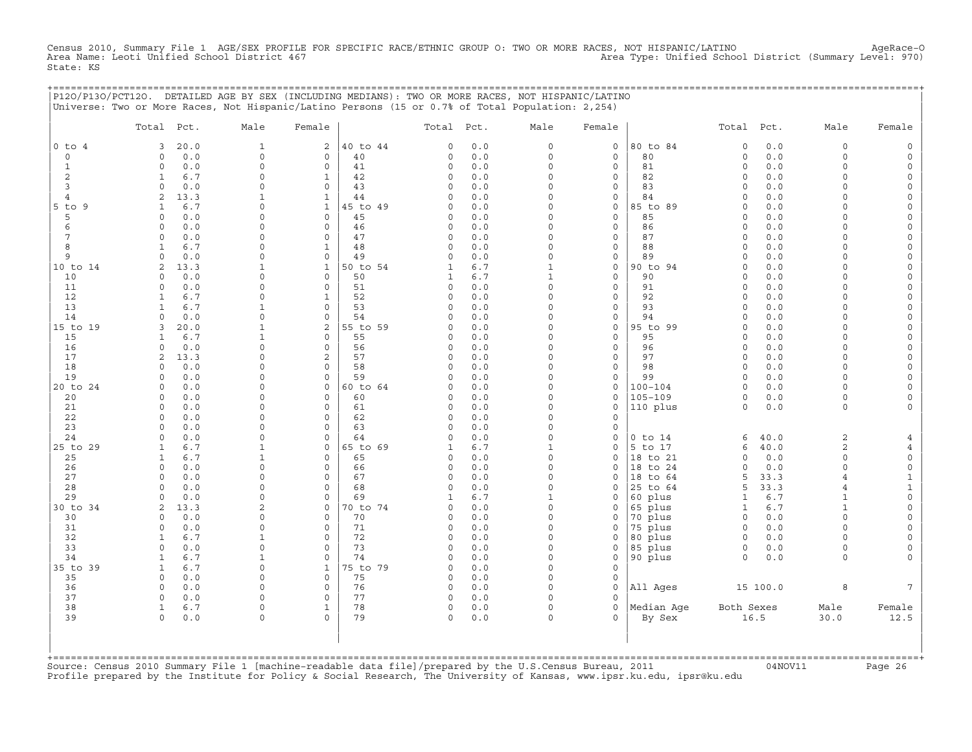Census 2010, Summary File 1 AGE/SEX PROFILE FOR SPECIFIC RACE/ETHNIC GROUP O: TWO OR MORE RACES, NOT HISPANIC/LATINO AgeRace-O<br>Area Name: Leoti Unified School District 467 State: KS

|                | P120/P130/PCT120. DETAILED AGE BY SEX (INCLUDING MEDIANS): TWO OR MORE RACES, NOT HISPANIC/LATINO<br>Universe: Two or More Races, Not Hispanic/Latino Persons (15 or 0.7% of Total Population: 2,254) |                         |                             |                |                            |            |                          |                        | ============================== |                      |             |                          |              |
|----------------|-------------------------------------------------------------------------------------------------------------------------------------------------------------------------------------------------------|-------------------------|-----------------------------|----------------|----------------------------|------------|--------------------------|------------------------|--------------------------------|----------------------|-------------|--------------------------|--------------|
|                | Total Pct.                                                                                                                                                                                            | Male                    | Female                      |                | Total Pct.                 |            | Male                     | Female                 |                                | Total Pct.           |             | Male                     | Female       |
| $0$ to $4$     | 20.0<br>3<br>$\Omega$                                                                                                                                                                                 | $\mathbf{1}$<br>$\circ$ | 2                           | 40 to 44       | $\circ$                    | 0.0        | 0<br>$\circ$             | 0                      | 80 to 84<br>80                 | $\circ$<br>$\circ$   | 0.0<br>0.0  | $\circ$<br>$\circ$       |              |
| $\circ$<br>1   | 0.0<br>0.0<br>$\Omega$                                                                                                                                                                                | $\Omega$                | $\mathbf 0$<br>$\mathbf 0$  | 40<br>41       | $\mathbf 0$<br>$\mathbf 0$ | 0.0<br>0.0 | $\Omega$                 | $\circ$<br>$\mathbf 0$ | 81                             | $\Omega$             | 0.0         | $\Omega$                 |              |
| 2              | $\mathbf{1}$<br>6.7                                                                                                                                                                                   | $\Omega$                | $\mathbf{1}$                | 42             | 0                          | 0.0        | $\Omega$                 | 0                      | 82                             | $\circ$              | 0.0         | $\Omega$                 |              |
| 3              | $\Omega$<br>0.0                                                                                                                                                                                       | $\Omega$                | $\mathbf 0$                 | 43             | $\circ$                    | 0.0        | $\Omega$                 | 0                      | 83                             | $\circ$              | 0.0         | $\cap$                   |              |
| $\overline{4}$ | 13.3<br>2                                                                                                                                                                                             |                         | $\mathbf{1}$                | 44             | 0                          | 0.0        | $\Omega$                 | $\circ$                | 84                             | $\Omega$             | 0.0         | $\cap$                   |              |
| 5 to 9         | 6.7<br>1                                                                                                                                                                                              | $\Omega$                | $\mathbf{1}$                | 45 to 49       | $\Omega$                   | 0.0        | $\Omega$                 | $\Omega$               | 85 to 89                       | $\Omega$             | 0.0         | $\cap$                   |              |
| 5<br>6         | $\Omega$<br>0.0<br>0.0<br>$\Omega$                                                                                                                                                                    | $\Omega$<br>$\cap$      | $\Omega$<br>$\mathbf 0$     | 45<br>46       | 0<br>0                     | 0.0<br>0.0 | $\Omega$<br>$\Omega$     | $\Omega$<br>0          | 85<br>86                       | $\Omega$<br>$\Omega$ | 0.0<br>0.0  | $\cap$                   |              |
| 7              | 0.0<br>$\Omega$                                                                                                                                                                                       | $\Omega$                | $\Omega$                    | 47             | 0                          | 0.0        | $\Omega$                 | $\mathbf 0$            | 87                             | $\Omega$             | 0.0         | $\cap$                   |              |
| 8              | $\mathbf{1}$<br>6.7                                                                                                                                                                                   | $\Omega$                | $\mathbf{1}$                | 48             | $\circ$                    | 0.0        | $\Omega$                 | $\circ$                | 88                             | $\circ$              | 0.0         | $\Omega$                 |              |
| 9              | $\Omega$<br>0.0                                                                                                                                                                                       | $\Omega$                | $\mathsf{O}$                | 49             | 0                          | 0.0        | 0                        | 0                      | 89                             | $\circ$              | 0.0         | $\Omega$                 |              |
| 10 to 14       | 2<br>13.3                                                                                                                                                                                             | 1                       | $\mathbf{1}$                | 50 to 54       | 1                          | 6.7        | $\mathbf{1}$             | $\mathbf 0$            | 90 to 94                       | $\Omega$             | 0.0         | $\Omega$                 |              |
| 10             | 0.0<br>$\circ$                                                                                                                                                                                        | $\Omega$                | 0                           | 50             | 1                          | 6.7        | $\mathbf{1}$             | 0                      | 90                             | $\circ$              | 0.0         | $\Omega$                 |              |
| 11             | 0.0<br>$\circ$<br>6.7                                                                                                                                                                                 | $\cap$                  | $\mathbf 0$                 | 51             | 0                          | 0.0        | 0<br>$\Omega$            | 0<br>$\Omega$          | 91<br>92                       | $\circ$<br>$\Omega$  | 0.0<br>0.0  | $\cap$                   |              |
| 12<br>13       | $\mathbf{1}$<br>6.7<br>1                                                                                                                                                                              |                         | 1<br>$\mathbf 0$            | 52<br>53       | $\Omega$<br>$\Omega$       | 0.0<br>0.0 | $\Omega$                 | 0                      | 93                             | $\Omega$             | 0.0         |                          |              |
| 14             | $\Omega$<br>0.0                                                                                                                                                                                       | $\Omega$                | $\Omega$                    | 54             | $\Omega$                   | 0.0        | $\Omega$                 | 0                      | 94                             | $\Omega$             | 0.0         | $\cap$                   |              |
| 15 to 19       | 20.0<br>3                                                                                                                                                                                             | 1                       | 2                           | 55 to 59       | 0                          | 0.0        | $\Omega$                 | $\mathbf 0$            | 95 to 99                       | $\Omega$             | 0.0         | $\cap$                   |              |
| 15             | 6.7<br>$\mathbf{1}$                                                                                                                                                                                   |                         | $\mathbf 0$                 | 55             | $\circ$                    | 0.0        | $\Omega$                 | $\mathbf 0$            | 95                             | $\Omega$             | 0.0         | $\Omega$                 |              |
| 16             | $\circ$<br>0.0                                                                                                                                                                                        | $\Omega$                | $\mathbf 0$                 | 56             | 0                          | 0.0        | $\Omega$                 | $\mathbf 0$            | 96                             | $\circ$              | 0.0         | $\Omega$                 |              |
| 17             | 2<br>13.3                                                                                                                                                                                             | $\Omega$                | 2                           | 57             | $\circ$                    | 0.0        | $\Omega$                 | 0                      | 97                             | $\Omega$             | 0.0         | $\Omega$                 |              |
| 18<br>19       | 0.0<br>$\Omega$<br>$\circ$<br>0.0                                                                                                                                                                     | $\Omega$<br>$\Omega$    | $\mathbf 0$<br>$\mathsf{O}$ | 58<br>59       | $\circ$<br>0               | 0.0<br>0.0 | $\Omega$<br>$\Omega$     | $\mathbf 0$<br>0       | 98<br>99                       | $\circ$<br>$\circ$   | 0.0<br>0.0  | $\Omega$<br>$\Omega$     |              |
| 20 to 24       | 0.0<br>$\Omega$                                                                                                                                                                                       | $\Omega$                | $\mathbf{0}$                | 60 to 64       | $\Omega$                   | 0.0        | $\Omega$                 | 0                      | $100 - 104$                    | $\Omega$             | 0.0         | $\cap$                   |              |
| 20             | 0.0<br>$\Omega$                                                                                                                                                                                       | $\Omega$                | $\Omega$                    | 60             | $\Omega$                   | 0.0        | $\Omega$                 | $\Omega$               | $105 - 109$                    | $\Omega$             | 0.0         | $\Omega$                 |              |
| 21             | 0.0<br>$\Omega$                                                                                                                                                                                       | $\Omega$                | $\mathbf 0$                 | 61             | $\circ$                    | 0.0        | $\Omega$                 | 0                      | 110 plus                       | $\Omega$             | 0.0         | $\Omega$                 |              |
| 22             | 0.0<br>$\Omega$                                                                                                                                                                                       | $\Omega$                | 0                           | 62             | 0                          | 0.0        | $\Omega$                 | $\Omega$               |                                |                      |             |                          |              |
| 23             | $\Omega$<br>0.0                                                                                                                                                                                       | $\Omega$                | $\mathbf 0$                 | 63             | 0                          | 0.0        | $\Omega$                 | 0                      |                                |                      |             |                          |              |
| 24             | 0.0<br>$\Omega$                                                                                                                                                                                       | $\Omega$                | $\mathbf 0$                 | 64             | $\circ$                    | 0.0        | $\Omega$                 | 0                      | $0$ to $14$                    | 6                    | 40.0        | $\mathbf{2}$             |              |
| 25 to 29<br>25 | 6.7<br>$\mathbf{1}$<br>$\mathbf{1}$<br>6.7                                                                                                                                                            | $\mathbf{1}$<br>1       | $\mathbf 0$<br>$\mathbf 0$  | 65 to 69<br>65 | $\mathbf{1}$<br>0          | 6.7<br>0.0 | $\mathbf{1}$<br>$\Omega$ | 0<br>0                 | 5 to 17<br>18 to 21            | 6<br>$\Omega$        | 40.0<br>0.0 | $\mathbf{2}$<br>$\Omega$ | $\mathbf 0$  |
| 26             | $\circ$<br>0.0                                                                                                                                                                                        | $\Omega$                | $\mathbf 0$                 | 66             | 0                          | 0.0        | $\Omega$                 | 0                      | 18 to 24                       | $\Omega$             | 0.0         | $\cap$                   | $\mathbf 0$  |
| 27             | $\Omega$<br>0.0                                                                                                                                                                                       | $\Omega$                | $\mathbf 0$                 | 67             | 0                          | 0.0        | 0                        | 0                      | 18 to 64                       | 5                    | 33.3        | $\overline{4}$           | $\mathbf{1}$ |
| 28             | 0.0<br>$\Omega$                                                                                                                                                                                       | $\Omega$                | 0                           | 68             | $\Omega$                   | 0.0        | $\Omega$                 | 0                      | 25 to 64                       | 5                    | 33.3        | $\overline{4}$           | -1           |
| 29             | 0.0<br>$\Omega$                                                                                                                                                                                       | $\Omega$                | $\Omega$                    | 69             | 1                          | 6.7        | 1                        | $\Omega$               | 60 plus                        | 1                    | 6.7         | $\mathbf{1}$             | $\Omega$     |
| 30 to 34       | 2<br>13.3                                                                                                                                                                                             | 2                       | 0                           | 70 to 74       | $\circ$                    | 0.0        | 0                        | 0                      | 65 plus                        | 1                    | 6.7         | 1<br>$\Omega$            | $\Omega$     |
| 30<br>31       | 0.0<br>$\Omega$<br>0.0<br>$\circ$                                                                                                                                                                     | $\Omega$<br>$\Omega$    | $\mathbf 0$<br>$\mathbf 0$  | 70<br>71       | $\circ$<br>$\Omega$        | 0.0<br>0.0 | 0<br>$\Omega$            | 0<br>$\Omega$          | 70 plus<br>75 plus             | $\circ$<br>$\circ$   | 0.0<br>0.0  | $\Omega$                 |              |
| 32             | $\mathbf{1}$<br>6.7                                                                                                                                                                                   | 1                       | $\mathbf 0$                 | 72             | 0                          | 0.0        | $\Omega$                 | 0                      | 80 plus                        | 0                    | 0.0         | $\Omega$                 |              |
| 33             | $\Omega$<br>0.0                                                                                                                                                                                       | $\Omega$                | $\mathbf 0$                 | 73             | $\circ$                    | 0.0        | 0                        | 0                      | 85 plus                        | 0                    | 0.0         | $\Omega$                 |              |
| 34             | $6.7$<br>$\mathbf{1}$                                                                                                                                                                                 | 1                       | $\Omega$                    | 74             | $\Omega$                   | 0.0        | $\Omega$                 | 0                      | 90 plus                        | $\Omega$             | 0.0         | $\Omega$                 |              |
| 35 to 39       | 6.7<br>$\mathbf{1}$                                                                                                                                                                                   | $\Omega$                | $\mathbf{1}$                | 75 to 79       | $\Omega$                   | 0.0        | $\Omega$                 | $\Omega$               |                                |                      |             |                          |              |
| 35             | 0.0<br>$\Omega$                                                                                                                                                                                       | $\Omega$                | $\Omega$                    | 75             | 0                          | 0.0        | $\Omega$                 | 0                      |                                |                      |             |                          |              |
| 36<br>37       | 0.0<br>$\Omega$<br>$\Omega$<br>0.0                                                                                                                                                                    | $\Omega$<br>$\Omega$    | 0<br>$\Omega$               | 76<br>77       | 0<br>$\circ$               | 0.0<br>0.0 | $\Omega$<br>$\Omega$     | 0<br>$\Omega$          | All Ages                       |                      | 15 100.0    | 8                        |              |
| 38             | $\mathbf{1}$<br>6.7                                                                                                                                                                                   | $\mathbf 0$             | $\mathbf{1}$                | 78             | 0                          | 0.0        | $\Omega$                 | $\circ$                | Median Aqe                     | Both Sexes           |             | Male                     | Female       |
| 39             | $\circ$<br>0.0                                                                                                                                                                                        | $\Omega$                | $\Omega$                    | 79             | $\mathsf{O}$               | 0.0        | $\Omega$                 | 0                      | By Sex                         |                      | 16.5        | 30.0                     | 12.5         |
| +============= |                                                                                                                                                                                                       |                         |                             |                |                            |            |                          |                        |                                |                      |             |                          |              |

+===================================================================================================================================================+Source: Census 2010 Summary File 1 [machine−readable data file]/prepared by the U.S.Census Bureau, 2011 04NOV11 Page 26 Profile prepared by the Institute for Policy & Social Research, The University of Kansas, www.ipsr.ku.edu, ipsr@ku.edu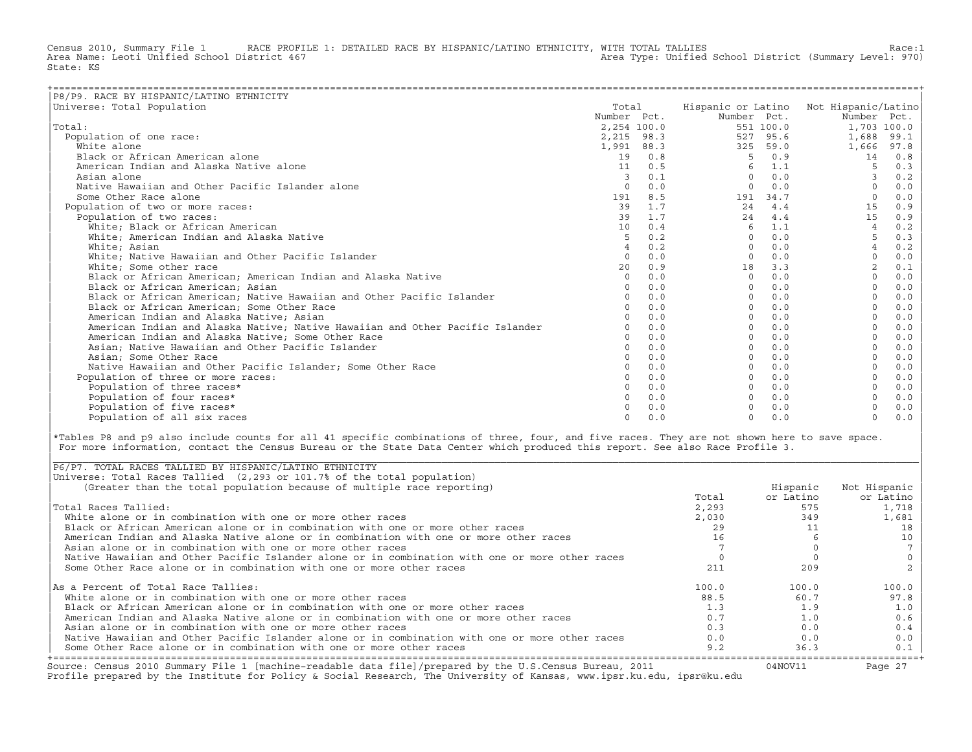Census 2010, Summary File 1 RACE PROFILE 1: DETAILED RACE BY HISPANIC/LATINO ETHNICITY, WITH TOTAL TALLIES Race:1<br>Area Name: Leoti Unified School District 467 area Type: Unified School District (Summary Level: 970) Area Type: Unified School District (Summary Level: 970) State: KS

| P8/P9. RACE BY HISPANIC/LATINO ETHNICITY                                      |                |     |             |           |                                        |      |
|-------------------------------------------------------------------------------|----------------|-----|-------------|-----------|----------------------------------------|------|
| Universe: Total Population                                                    | Total          |     |             |           | Hispanic or Latino Not Hispanic/Latino |      |
|                                                                               | Number Pct.    |     | Number Pct. |           | Number Pct.                            |      |
| Total:                                                                        | 2,254 100.0    |     |             | 551 100.0 | 1,703 100.0                            |      |
| Population of one race:                                                       | 2,215 98.3     |     |             | 527 95.6  | 1,688                                  | 99.1 |
| White alone                                                                   | 1,991 88.3     |     | 325         | 59.0      | 1,666                                  | 97.8 |
| Black or African American alone                                               | 19             | 0.8 | 5           | 0.9       | 14                                     | 0.8  |
| American Indian and Alaska Native alone                                       | 11             | 0.5 | 6           | 1.1       |                                        | 0.3  |
| Asian alone                                                                   | 3              | 0.1 | $\Omega$    | 0.0       |                                        | 0.2  |
| Native Hawaiian and Other Pacific Islander alone                              | $\circ$        | 0.0 | $\Omega$    | 0.0       |                                        | 0.0  |
| Some Other Race alone                                                         | 191            | 8.5 | 191         | 34.7      | $\Omega$                               | 0.0  |
| Population of two or more races:                                              | 39             | 1.7 | 24          | 4.4       | 15                                     | 0.9  |
| Population of two races:                                                      | 39             | 1.7 | 24          | 4.4       | 15                                     | 0.9  |
| White: Black or African American                                              | 10             | 0.4 | 6           | 1.1       |                                        | 0.2  |
| White; American Indian and Alaska Native                                      | 5              | 0.2 | $\Omega$    | 0.0       | 5                                      | 0.3  |
| White; Asian                                                                  | $\overline{4}$ | 0.2 | $\Omega$    | 0.0       | $\overline{4}$                         | 0.2  |
| White; Native Hawaiian and Other Pacific Islander                             | $\Omega$       | 0.0 | $\Omega$    | 0.0       | $\Omega$                               | 0.0  |
| White; Some other race                                                        | 20             | 0.9 | 18          | 3.3       |                                        | 0.1  |
| Black or African American; American Indian and Alaska Native                  | $\Omega$       | 0.0 | $\Omega$    | 0.0       |                                        | 0.0  |
| Black or African American; Asian                                              | $\Omega$       | 0.0 | $\Omega$    | 0.0       |                                        | 0.0  |
| Black or African American; Native Hawaiian and Other Pacific Islander         | $\Omega$       | 0.0 | $\Omega$    | 0.0       |                                        | 0.0  |
| Black or African American; Some Other Race                                    |                | 0.0 | $\Omega$    | 0.0       |                                        | 0.0  |
| American Indian and Alaska Native; Asian                                      |                | 0.0 | $\Omega$    | 0.0       |                                        | 0.0  |
| American Indian and Alaska Native; Native Hawaiian and Other Pacific Islander |                | 0.0 | $\Omega$    | 0.0       |                                        | 0.0  |
| American Indian and Alaska Native; Some Other Race                            | $\Omega$       | 0.0 | $\Omega$    | 0.0       |                                        | 0.0  |
| Asian; Native Hawaiian and Other Pacific Islander                             | $\Omega$       | 0.0 |             | 0.0       |                                        | 0.0  |
| Asian: Some Other Race                                                        |                | 0.0 |             | 0.0       |                                        | 0.0  |
| Native Hawaiian and Other Pacific Islander; Some Other Race                   |                | 0.0 |             | 0.0       |                                        | 0.0  |
| Population of three or more races:                                            |                | 0.0 | $\Omega$    | 0.0       |                                        | 0.0  |
| Population of three races*                                                    | $\Omega$       | 0.0 |             | 0.0       |                                        | 0.0  |
| Population of four races*                                                     |                | 0.0 |             | 0.0       |                                        | 0.0  |
| Population of five races*                                                     |                | 0.0 |             | 0.0       |                                        | 0.0  |
| Population of all six races                                                   | $\Omega$       | 0.0 | $\cap$      | 0.0       | $\Omega$                               | 0.0  |

|\*Tables P8 and p9 also include counts for all 41 specific combinations of three, four, and five races. They are not shown here to save space. | For more information, contact the Census Bureau or the State Data Center which produced this report. See also Race Profile 3.

| |

|\_\_\_\_\_\_\_\_\_\_\_\_\_\_\_\_\_\_\_\_\_\_\_\_\_\_\_\_\_\_\_\_\_\_\_\_\_\_\_\_\_\_\_\_\_\_\_\_\_\_\_\_\_\_\_\_\_\_\_\_\_\_\_\_\_\_\_\_\_\_\_\_\_\_\_\_\_\_\_\_\_\_\_\_\_\_\_\_\_\_\_\_\_\_\_\_\_\_\_\_\_\_\_\_\_\_\_\_\_\_\_\_\_\_\_\_\_\_\_\_\_\_\_\_\_\_\_\_\_\_\_\_\_\_\_\_\_\_\_\_\_\_\_\_\_\_\_|

| Source: Census 2010 Summary File 1 [machine-readable data file]/prepared by the U.S.Census Bureau, 2011<br>Profile prepared by the Institute for Policy & Social Research, The University of Kansas, www.ipsr.ku.edu, ipsr@ku.edu |       | 04NOV11   | Page 27      |
|-----------------------------------------------------------------------------------------------------------------------------------------------------------------------------------------------------------------------------------|-------|-----------|--------------|
| Some Other Race alone or in combination with one or more other races                                                                                                                                                              | 9.2   | 36.3      | 0.1          |
| Native Hawaiian and Other Pacific Islander alone or in combination with one or more other races                                                                                                                                   | 0.0   | 0.0       | 0.0          |
| Asian alone or in combination with one or more other races                                                                                                                                                                        | 0.3   | 0.0       | 0.4          |
| American Indian and Alaska Native alone or in combination with one or more other races                                                                                                                                            | 0.7   | 1.0       | 0.6          |
| Black or African American alone or in combination with one or more other races                                                                                                                                                    | 1.3   | 1.9       | 1.0          |
| White alone or in combination with one or more other races                                                                                                                                                                        | 88.5  | 60.7      | 97.8         |
| As a Percent of Total Race Tallies:                                                                                                                                                                                               | 100.0 | 100.0     | 100.0        |
| Some Other Race alone or in combination with one or more other races                                                                                                                                                              | 211   | 209       |              |
| Native Hawaiian and Other Pacific Islander alone or in combination with one or more other races                                                                                                                                   |       |           |              |
| Asian alone or in combination with one or more other races                                                                                                                                                                        |       |           |              |
| American Indian and Alaska Native alone or in combination with one or more other races                                                                                                                                            | 16    |           | 10           |
| Black or African American alone or in combination with one or more other races                                                                                                                                                    | 29    |           | 18           |
| White alone or in combination with one or more other races                                                                                                                                                                        | 2,030 | 349       | 1,681        |
| Total Races Tallied:                                                                                                                                                                                                              | 2,293 | 575       | 1,718        |
|                                                                                                                                                                                                                                   | Total | or Latino | or Latino    |
| (Greater than the total population because of multiple race reporting)                                                                                                                                                            |       | Hispanic  | Not Hispanic |
| Universe: Total Races Tallied (2,293 or 101.7% of the total population)                                                                                                                                                           |       |           |              |
| P6/P7. TOTAL RACES TALLIED BY HISPANIC/LATINO ETHNICITY                                                                                                                                                                           |       |           |              |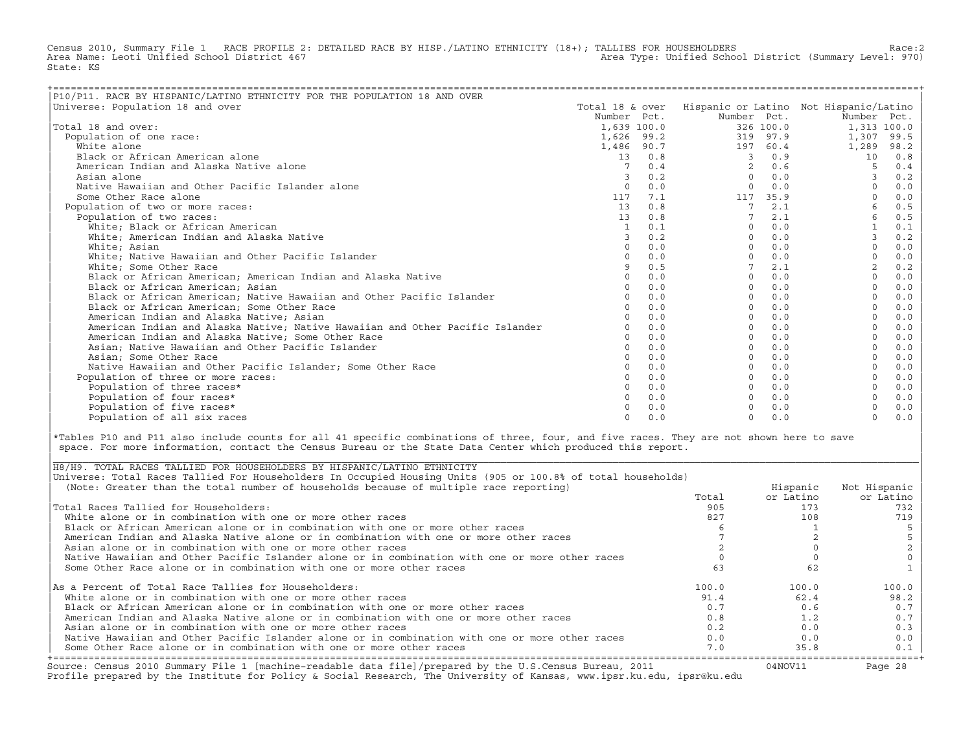Census 2010, Summary File 1 RACE PROFILE 2: DETAILED RACE BY HISP./LATINO ETHNICITY (18+); TALLIES FOR HOUSEHOLDERS Race:2<br>Area Name: Leoti Unified School District 467 Area Type: Unified School District (Summary Level: 970) State: KS

| P10/P11. RACE BY HISPANIC/LATINO ETHNICITY FOR THE POPULATION 18 AND OVER     |                 |     |                |           |                                        |       |
|-------------------------------------------------------------------------------|-----------------|-----|----------------|-----------|----------------------------------------|-------|
| Universe: Population 18 and over                                              | Total 18 & over |     |                |           | Hispanic or Latino Not Hispanic/Latino |       |
|                                                                               | Number Pct.     |     | Number Pct.    |           | Number Pct.                            |       |
| Total 18 and over:                                                            | 1,639 100.0     |     |                | 326 100.0 | 1,313 100.0                            |       |
| Population of one race:                                                       | 1,626 99.2      |     |                | 319 97.9  | 1,307                                  | 99.5  |
| White alone                                                                   | 1,486 90.7      |     |                | 197 60.4  | 1,289                                  | 98.2  |
| Black or African American alone                                               | 13              | 0.8 | 3              | 0.9       | 10                                     | 0.8   |
| American Indian and Alaska Native alone                                       |                 | 0.4 | $\mathfrak{D}$ | 0.6       |                                        | 0.4   |
| Asian alone                                                                   |                 | 0.2 | $\Omega$       | 0.0       |                                        | 0.2   |
| Native Hawaiian and Other Pacific Islander alone                              | $\Omega$        | 0.0 | $\Omega$       | 0.0       |                                        | 0.0   |
| Some Other Race alone                                                         | 117             | 7.1 | 117            | 35.9      |                                        | 0.0   |
| Population of two or more races:                                              | 13              | 0.8 | 7              | 2.1       |                                        | 0.5   |
| Population of two races:                                                      | 13              | 0.8 |                | 2.1       | 6                                      | 0.5   |
| White; Black or African American                                              |                 | 0.1 | $\Omega$       | 0.0       |                                        | $0.1$ |
| White; American Indian and Alaska Native                                      |                 | 0.2 | $\Omega$       | 0.0       | 3                                      | 0.2   |
| White; Asian                                                                  | $\Omega$        | 0.0 | $\Omega$       | 0.0       | $\Omega$                               | 0.0   |
| White; Native Hawaiian and Other Pacific Islander                             |                 | 0.0 | $\cap$         | 0.0       |                                        | 0.0   |
| White; Some Other Race                                                        |                 | 0.5 |                | 2.1       |                                        | 0.2   |
| Black or African American; American Indian and Alaska Native                  |                 | 0.0 | $\Omega$       | 0.0       |                                        | 0.0   |
| Black or African American; Asian                                              |                 | 0.0 | $\Omega$       | 0.0       |                                        | 0.0   |
| Black or African American; Native Hawaiian and Other Pacific Islander         |                 | 0.0 | $\Omega$       | 0.0       |                                        | 0.0   |
| Black or African American; Some Other Race                                    |                 | 0.0 | $\Omega$       | 0.0       |                                        | 0.0   |
| American Indian and Alaska Native; Asian                                      |                 | 0.0 | $\Omega$       | 0.0       |                                        | 0.0   |
| American Indian and Alaska Native; Native Hawaiian and Other Pacific Islander |                 | 0.0 | $\Omega$       | 0.0       |                                        | 0.0   |
| American Indian and Alaska Native; Some Other Race                            |                 | 0.0 | $\Omega$       | 0.0       |                                        | 0.0   |
| Asian; Native Hawaiian and Other Pacific Islander                             | $\cap$          | 0.0 | $\Omega$       | 0.0       |                                        | 0.0   |
| Asian; Some Other Race                                                        |                 | 0.0 | $\Omega$       | 0.0       |                                        | 0.0   |
| Native Hawaiian and Other Pacific Islander: Some Other Race                   |                 | 0.0 | $\Omega$       | 0.0       |                                        | 0.0   |
| Population of three or more races:                                            |                 | 0.0 | $\Omega$       | 0.0       |                                        | 0.0   |
| Population of three races*                                                    |                 | 0.0 | $\Omega$       | 0.0       |                                        | 0.0   |
| Population of four races*                                                     |                 | 0.0 | $\Omega$       | 0.0       |                                        | 0.0   |
| Population of five races*                                                     |                 | 0.0 |                | 0.0       |                                        | 0.0   |
| Population of all six races                                                   | $\cap$          | 0.0 | $\Omega$       | 0.0       | $\Omega$                               | 0.0   |

|\*Tables P10 and P11 also include counts for all 41 specific combinations of three, four, and five races. They are not shown here to save | space. For more information, contact the Census Bureau or the State Data Center which produced this report.

| Source: Census 2010 Summary File 1 [machine-readable data file]/prepared by the U.S.Census Bureau, 2011<br>Profile prepared by the Institute for Policy & Social Research, The University of Kansas, www.ipsr.ku.edu, ipsr@ku.edu |       | 04NOV11   | Page 28      |
|-----------------------------------------------------------------------------------------------------------------------------------------------------------------------------------------------------------------------------------|-------|-----------|--------------|
| Some Other Race alone or in combination with one or more other races                                                                                                                                                              | 7.0   | 35.8      | 0.1          |
| Native Hawaiian and Other Pacific Islander alone or in combination with one or more other races                                                                                                                                   | 0.0   | 0.0       | 0.0          |
| Asian alone or in combination with one or more other races                                                                                                                                                                        | 0.2   | 0.0       | 0.3          |
| American Indian and Alaska Native alone or in combination with one or more other races                                                                                                                                            | 0.8   | 1.2       | 0.7          |
| Black or African American alone or in combination with one or more other races                                                                                                                                                    | 0.7   | 0.6       | 0.7          |
| White alone or in combination with one or more other races                                                                                                                                                                        | 91.4  | 62.4      | 98.2         |
| As a Percent of Total Race Tallies for Householders:                                                                                                                                                                              | 100.0 | 100.0     | 100.0        |
| Some Other Race alone or in combination with one or more other races                                                                                                                                                              | 63    | 62        |              |
| Native Hawaiian and Other Pacific Islander alone or in combination with one or more other races                                                                                                                                   |       |           |              |
| Asian alone or in combination with one or more other races                                                                                                                                                                        |       |           |              |
| American Indian and Alaska Native alone or in combination with one or more other races                                                                                                                                            |       |           |              |
| Black or African American alone or in combination with one or more other races                                                                                                                                                    |       |           |              |
| White alone or in combination with one or more other races                                                                                                                                                                        | 827   | 108       | 719          |
| Total Races Tallied for Householders:                                                                                                                                                                                             | 905   | 173       | 732          |
|                                                                                                                                                                                                                                   | Total | or Latino | or Latino    |
| (Note: Greater than the total number of households because of multiple race reporting)                                                                                                                                            |       | Hispanic  | Not Hispanic |
| Universe: Total Races Tallied For Householders In Occupied Housing Units (905 or 100.8% of total households)                                                                                                                      |       |           |              |
| H8/H9. TOTAL RACES TALLIED FOR HOUSEHOLDERS BY HISPANIC/LATINO ETHNICITY                                                                                                                                                          |       |           |              |

| |

|\_\_\_\_\_\_\_\_\_\_\_\_\_\_\_\_\_\_\_\_\_\_\_\_\_\_\_\_\_\_\_\_\_\_\_\_\_\_\_\_\_\_\_\_\_\_\_\_\_\_\_\_\_\_\_\_\_\_\_\_\_\_\_\_\_\_\_\_\_\_\_\_\_\_\_\_\_\_\_\_\_\_\_\_\_\_\_\_\_\_\_\_\_\_\_\_\_\_\_\_\_\_\_\_\_\_\_\_\_\_\_\_\_\_\_\_\_\_\_\_\_\_\_\_\_\_\_\_\_\_\_\_\_\_\_\_\_\_\_\_\_\_\_\_\_\_\_|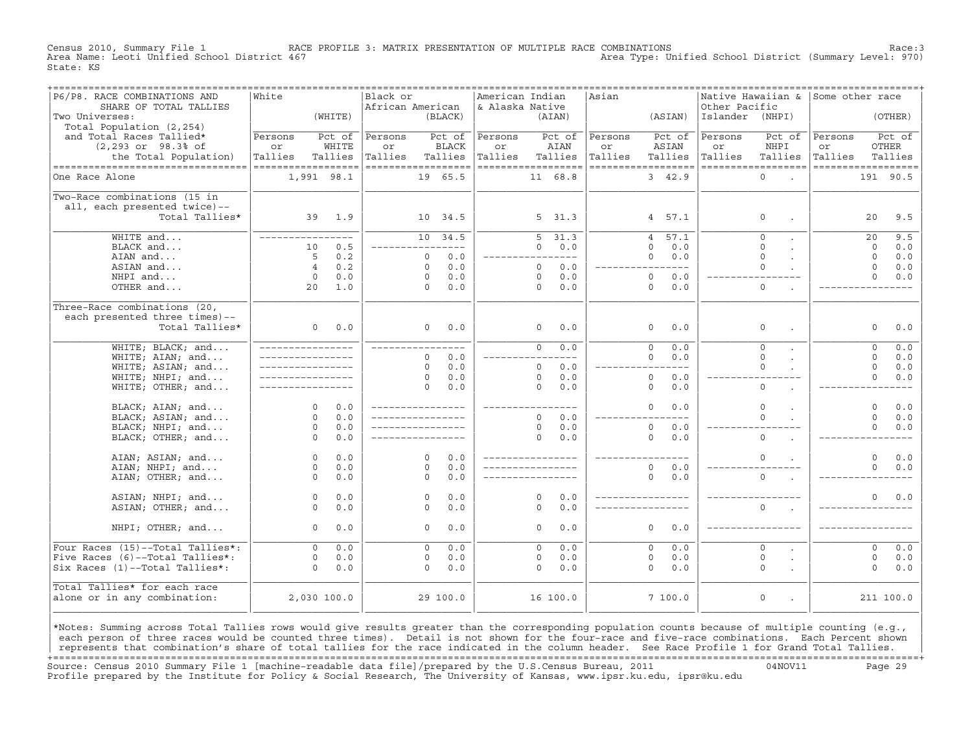Census 2010, Summary File 1 RACE PROFILE 3: MATRIX PRESENTATION OF MULTIPLE RACE COMBINATIONS Race:3 Area Type: Unified School District (Summary Level: 970) State: KS

| P6/P8. RACE COMBINATIONS AND<br>SHARE OF TOTAL TALLIES | White               |                 | Black or<br>African American |                      |                        | American Indian<br>& Alaska Native |                      |                | Asian         |                        | Native Hawaiian &<br>Other Pacific |                    | Some other race    |             |                        |
|--------------------------------------------------------|---------------------|-----------------|------------------------------|----------------------|------------------------|------------------------------------|----------------------|----------------|---------------|------------------------|------------------------------------|--------------------|--------------------|-------------|------------------------|
| Two Universes:                                         |                     | (WHITE)         |                              |                      | (BLACK)                |                                    |                      | (AIAN)         |               | (ASIAN)                | Islander (NHPI)                    |                    |                    |             | (OTHER)                |
| Total Population (2,254)                               |                     |                 |                              |                      |                        |                                    |                      |                |               |                        |                                    |                    |                    |             |                        |
| and Total Races Tallied*<br>$(2, 293$ or $98.3$ of     | Persons<br>or       | Pct of<br>WHITE | Persons<br>or                |                      | Pct of<br><b>BLACK</b> | Persons<br>or                      |                      | Pct of<br>AIAN | Persons<br>or | Pct of<br>ASIAN        | Persons<br>or                      | Pct of<br>NHPI     | Persons<br>or      |             | Pct of<br><b>OTHER</b> |
| the Total Population)                                  | Tallies             | Tallies         | Tallies                      |                      | Tallies                | Tallies                            |                      | Tallies        | Tallies       | Tallies                | Tallies                            | Tallies            | Tallies            |             | Tallies                |
| ----------------------------------                     | ==================  |                 | ------------------           |                      |                        | ------------------                 |                      |                |               | ==================     |                                    | ================== | ------------------ |             |                        |
| One Race Alone                                         | 1,991 98.1          |                 |                              |                      | 19 65.5                |                                    |                      | 11 68.8        |               | 3, 42.9                |                                    | $\Omega$           |                    | 191 90.5    |                        |
|                                                        |                     |                 |                              |                      |                        |                                    |                      |                |               |                        |                                    |                    |                    |             |                        |
| Two-Race combinations (15 in                           |                     |                 |                              |                      |                        |                                    |                      |                |               |                        |                                    |                    |                    |             |                        |
| all, each presented twice)--                           |                     |                 |                              |                      |                        |                                    |                      |                |               |                        |                                    |                    |                    |             |                        |
| Total Tallies*                                         | 39                  | 1.9             |                              |                      | 10 34.5                |                                    |                      | 5, 31.3        |               | 4, 57.1                |                                    | $\mathsf O$        |                    | 20          | 9.5                    |
|                                                        |                     |                 |                              |                      |                        |                                    |                      |                |               |                        |                                    |                    |                    |             |                        |
| WHITE and                                              | ____________        |                 |                              |                      | 10 34.5                |                                    | 5                    | 31.3           |               | 57.1<br>$\overline{4}$ |                                    | $\circ$            |                    | 20          | 9.5                    |
| BLACK and                                              | 10                  | 0.5             |                              |                      |                        |                                    | $\Omega$             | 0.0            |               | $\Omega$<br>0.0        |                                    | $\Omega$           |                    | $\Omega$    | 0.0                    |
| AIAN and                                               | 5                   | 0.2             |                              | $\circ$              | 0.0                    |                                    |                      | $- - - -$      |               | 0.0<br>$\Omega$        |                                    | $\Omega$           |                    | $\Omega$    | 0.0                    |
| ASIAN and                                              | $\overline{4}$      | 0.2             |                              | $\Omega$             | 0.0                    |                                    | $\Omega$             | 0.0            |               | $---$                  |                                    | $\Omega$           |                    | $\Omega$    | 0.0                    |
| NHPI and                                               | $\mathsf{O}$        | 0.0             |                              | $\circ$              | 0.0                    |                                    | $\circ$              | 0.0            |               | $\circ$<br>0.0         |                                    |                    |                    | $\Omega$    | 0.0                    |
| OTHER and                                              | 20                  | 1.0             |                              | $\Omega$             | 0.0                    |                                    | $\Omega$             | 0.0            |               | $\circ$<br>0.0         |                                    | $\mathbf{0}$       |                    |             |                        |
|                                                        |                     |                 |                              |                      |                        |                                    |                      |                |               |                        |                                    |                    |                    |             |                        |
| Three-Race combinations (20,                           |                     |                 |                              |                      |                        |                                    |                      |                |               |                        |                                    |                    |                    |             |                        |
| each presented three times)--                          |                     |                 |                              |                      |                        |                                    |                      |                |               |                        |                                    |                    |                    |             |                        |
| Total Tallies*                                         | $\circ$             | 0.0             |                              | $\Omega$             | 0.0                    |                                    | 0                    | 0.0            |               | $\Omega$<br>0.0        |                                    | $\mathbf 0$        |                    | $\Omega$    | 0.0                    |
| WHITE; BLACK; and                                      |                     |                 | _____________                |                      |                        |                                    | $\Omega$             | 0.0            |               | 0.0<br>$\Omega$        |                                    | $\Omega$           |                    | $\Omega$    | 0.0                    |
| WHITE; AIAN; and                                       |                     |                 |                              | $\Omega$             | 0.0                    |                                    |                      |                |               | $\Omega$<br>0.0        |                                    | $\Omega$           |                    | $\Omega$    | 0.0                    |
| WHITE; ASIAN; and                                      |                     |                 |                              | $\circ$              | 0.0                    |                                    | $\circ$              | 0.0            |               |                        |                                    | $\Omega$           |                    | $\mathbf 0$ | 0.0                    |
| WHITE; NHPI; and                                       |                     |                 |                              | $\Omega$             | 0.0                    |                                    | $\circ$              | 0.0            |               | $\circ$<br>0.0         |                                    |                    |                    | $\Omega$    | 0.0                    |
| WHITE; OTHER; and                                      |                     |                 |                              | $\Omega$             | 0.0                    |                                    | $\Omega$             | 0.0            |               | 0.0<br>$\Omega$        |                                    | $\Omega$           |                    |             |                        |
|                                                        |                     |                 |                              |                      |                        |                                    |                      |                |               |                        |                                    |                    |                    |             |                        |
| BLACK; AIAN; and                                       | $\Omega$            | 0.0             |                              |                      |                        |                                    |                      |                |               | $\Omega$<br>0.0        |                                    | $\Omega$           |                    | $\Omega$    | ${\bf 0}$ . ${\bf 0}$  |
| BLACK; ASIAN; and                                      | $\Omega$            | 0.0             |                              |                      |                        |                                    | $\Omega$             | 0.0            |               |                        |                                    | $\Omega$           |                    | $\Omega$    | 0.0                    |
| BLACK; NHPI; and                                       | $\Omega$            | 0.0             |                              |                      |                        |                                    | $\Omega$             | 0.0            |               | $\Omega$<br>0.0        |                                    |                    |                    | $\Omega$    | 0.0                    |
| BLACK; OTHER; and                                      | $\Omega$            | 0.0             |                              |                      |                        |                                    | $\Omega$             | 0.0            |               | $\Omega$<br>0.0        |                                    | $\Omega$           |                    |             |                        |
|                                                        |                     |                 |                              |                      |                        |                                    |                      |                |               |                        |                                    |                    |                    |             |                        |
| AIAN; ASIAN; and                                       | $\circ$             | 0.0             |                              | $\Omega$             | 0.0                    |                                    |                      |                |               |                        |                                    | $\mathbf 0$        |                    | $\mathbf 0$ | 0.0                    |
| AIAN; NHPI; and                                        | $\circ$             | 0.0             |                              | $\Omega$             | 0.0                    |                                    |                      |                |               | $\Omega$<br>0.0        |                                    |                    |                    | $\Omega$    | 0.0                    |
| AIAN; OTHER; and                                       | $\Omega$            | 0.0             |                              | $\Omega$             | 0.0                    |                                    |                      |                |               | $\Omega$<br>0.0        |                                    | $\Omega$           |                    |             |                        |
|                                                        |                     |                 |                              |                      |                        |                                    |                      |                |               |                        |                                    |                    |                    |             |                        |
| ASIAN; NHPI; and                                       | $\Omega$<br>$\circ$ | 0.0<br>0.0      |                              | $\Omega$<br>$\Omega$ | 0.0<br>0.0             |                                    | $\Omega$<br>$\Omega$ | 0.0<br>0.0     |               |                        |                                    | $\Omega$           |                    | $\Omega$    | 0.0                    |
| ASIAN; OTHER; and                                      |                     |                 |                              |                      |                        |                                    |                      |                |               |                        |                                    |                    |                    |             |                        |
| NHPI; OTHER; and                                       | $\circ$             | 0.0             |                              | $\circ$              | 0.0                    |                                    | $\circ$              | 0.0            |               | 0.0<br>$\circ$         |                                    |                    |                    |             |                        |
|                                                        |                     |                 |                              |                      |                        |                                    |                      |                |               |                        |                                    |                    |                    |             |                        |
| Four Races (15)--Total Tallies*:                       | $\Omega$            | 0.0             |                              | $\circ$              | 0.0                    |                                    | $\Omega$             | 0.0            |               | $\circ$<br>0.0         |                                    | $\circ$            |                    | $\mathbf 0$ | 0.0                    |
| Five Races (6)--Total Tallies*:                        | $\circ$             | 0.0             |                              | $\circ$              | 0.0                    |                                    | 0                    | 0.0            |               | $\circ$<br>0.0         |                                    | $\mathsf O$        |                    | $\circ$     | 0.0                    |
| Six Races (1)--Total Tallies*:                         | $\Omega$            | 0.0             |                              | $\Omega$             | 0.0                    |                                    | $\Omega$             | 0.0            |               | 0.0<br>$\Omega$        |                                    | $\Omega$           |                    | $\Omega$    | 0.0                    |
| Total Tallies* for each race                           |                     |                 |                              |                      |                        |                                    |                      |                |               |                        |                                    |                    |                    |             |                        |
| alone or in any combination:                           | 2,030 100.0         |                 |                              |                      | 29 100.0               |                                    |                      | 16 100.0       |               | 7 100.0                |                                    | $\mathsf O$        |                    | 211 100.0   |                        |
|                                                        |                     |                 |                              |                      |                        |                                    |                      |                |               |                        |                                    |                    |                    |             |                        |
|                                                        |                     |                 |                              |                      |                        |                                    |                      |                |               |                        |                                    |                    |                    |             |                        |

|\*Notes: Summing across Total Tallies rows would give results greater than the corresponding population counts because of multiple counting (e.g., | each person of three races would be counted three times). Detail is not shown for the four-race and five-race combinations. Each Percent shown represents that combination's share of total tallies for the race indicated in the column header. See Race Profile 1 for Grand Total Tallies. +===================================================================================================================================================+ Source: Census 2010 Summary File 1 [machine−readable data file]/prepared by the U.S.Census Bureau, 2011 04NOV11 Page 29 Profile prepared by the Institute for Policy & Social Research, The University of Kansas, www.ipsr.ku.edu, ipsr@ku.edu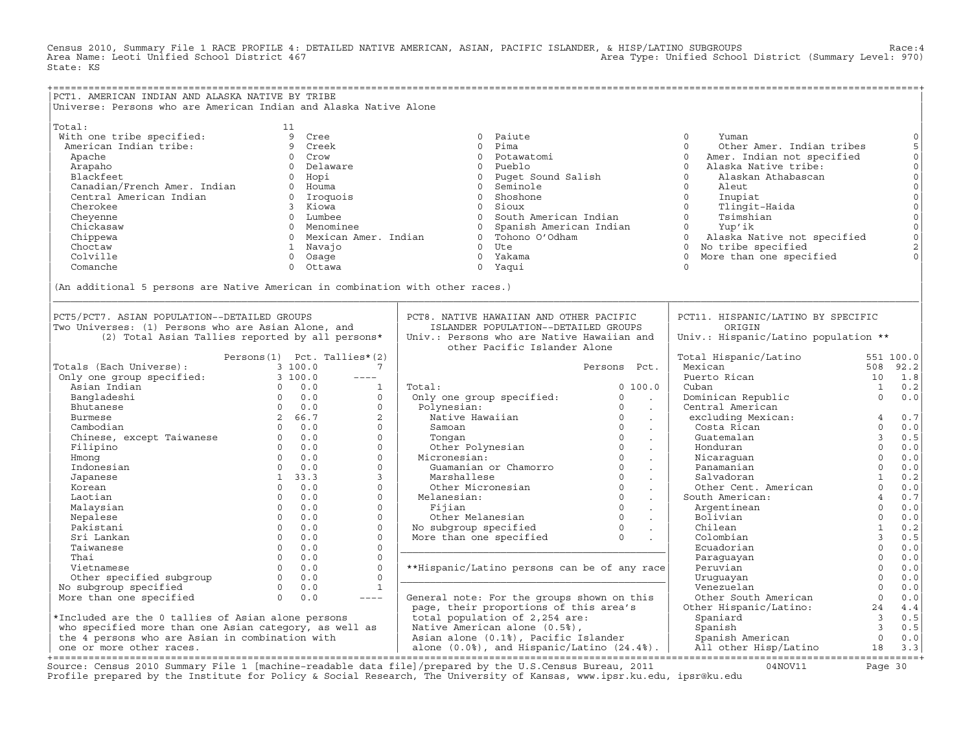Census 2010, Summary File 1 RACE PROFILE 4: DETAILED NATIVE AMERICAN, ASIAN, PACIFIC ISLANDER, & HISP/LATINO SUBGROUPS Race:4 Area Type: Unified School District (Summary Level: 970) State: KS

+===================================================================================================================================================+ |PCT1. AMERICAN INDIAN AND ALASKA NATIVE BY TRIBE | Universe: Persons who are American Indian and Alaska Native Alone | | |Total: 11 | | With one tribe specified: 9 Cree 0 Paiute 0 Yuman 0| | American Indian tribe: 9 Creek 0 Pima 0 Other Amer. Indian tribes 5| | Apache 0 Crow 0 Potawatomi 0 Amer. Indian not specified 0| | Arapaho 0 Delaware 0 Pueblo 0 Alaska Native tribe: 0| | Blackfeet 0 Hopi 0 Puget Sound Salish 0 Alaskan Athabascan 0| | Canadian/French Amer. Indian 0 Houma 0 Seminole 0 Aleut 0| | Central American Indian 0 Iroquois 0 Shoshone 0 Inupiat 0| | Cherokee 3 Kiowa 0 Sioux 0 Tlingit−Haida 0| | Cheyenne 0 Lumbee 0 South American Indian 0 Tsimshian 0| | Chickasaw 0 Menominee 0 Spanish American Indian 0 Yup'ik 0| | Chippewa 0 Mexican Amer. Indian 0 Tohono O'Odham 0 Alaska Native not specified 0| | Choctaw 1 Navajo 0 Ute 0 No tribe specified 2| | Colville 0 Osage 0 Yakama 0 More than one specified 0| | Comanche 0 Ottawa 0 Yaqui 0 | | | |(An additional 5 persons are Native American in combination with other races.) | |\_\_\_\_\_\_\_\_\_\_\_\_\_\_\_\_\_\_\_\_\_\_\_\_\_\_\_\_\_\_\_\_\_\_\_\_\_\_\_\_\_\_\_\_\_\_\_\_\_\_\_\_\_\_\_\_\_\_\_\_\_\_\_\_\_\_\_\_\_\_\_\_\_\_\_\_\_\_\_\_\_\_\_\_\_\_\_\_\_\_\_\_\_\_\_\_\_\_\_\_\_\_\_\_\_\_\_\_\_\_\_\_\_\_\_\_\_\_\_\_\_\_\_\_\_\_\_\_\_\_\_\_\_\_\_\_\_\_\_\_\_\_\_\_\_\_\_| | | | | PCT5/PCT7. ASIAN POPULATION--DETAILED GROUPS | PCT8. NATIVE HAWAIIAN AND OTHER PACIFIC | PCT11. HISPANIC/LATINO BY SPECIFIC<br>Two Universes: (1) Persons who are Asian Alone and itstanner population--petalled groups | origin |Two Universes: (1) Persons who are Asian Alone, and | ISLANDER POPULATION−−DETAILED GROUPS | ORIGIN |  $(2)$  Total Asian Tallies reported by all persons\* Persons(1) Pct. Tallies\*(2) 1 and the Pacific Islander Alone 1 and 1 and 1 and 1 and 1 and 1 and 1 and 1 and 1 and 1 and 1 and 1 and 1 and 1 and 1 and 1 and 1 and 1 and 1 and 1 and 1 and 1 and 1 and 1 and 1 and 1 and 1 and | Persons(1) Pct. Tallies\*(2) | | Total Hispanic/Latino 551 100.0| | Persons Pct. | Mexican | Mexican | S08 92.2<br>| Only one group specified: 3 100.0 ---- | Nexto Rican | Puerto Rican | S08 92.2 | Only one group specified: 3 100.0 −−−− | | Puerto Rican 10 1.8| Maxim Indian and the state of the control of the control of the control of the control of the control of the control of the control of the control of the control of the control of the control of the control of the control | Bangladeshi 0 0.0 0 | Only one group specified: 0 . | Dominican Republic 0 0.0| | Bhutanese 0 0.0 0 | Polynesian: 0 . | Central American | | Burmese 2 66.7 2 | Native Hawaiian 0 . | excluding Mexican: 4 0.7| | Cambodian 0 0.0 0 | Samoan 0 . | Costa Rican 0 0.0| | Chinese, except Taiwanese 0 0.0 0 | Tongan 0 . | Guatemalan 3 0.5| | Filipino 0 0.0 0 | Other Polynesian 0 . | Honduran 0 0.0| | Hmong 0 0.0 0 | Micronesian: 0 . | Nicaraguan 0 0.0| | Indonesian 0 0.0 0 | Guamanian or Chamorro 0 . | Panamanian 0 0.0| | Japanese 1 33.3 3 | Marshallese 0 . | Salvadoran 1 0.2| | Korean 0 0.0 0 | Other Micronesian 0 . | Other Cent. American 0 0.0| | Laotian 0 0.0 0 | Melanesian: 0 . | South American: 4 0.7| | Malaysian 0 0.0 0 | Fijian 0 . | Argentinean 0 0.0| | Nepalese 0 0.0 0 | Other Melanesian 0 . | Bolivian 0 0.0| | Pakistani 0 0.0 0 | No subgroup specified 0 . | Chilean 1 0.2| | Sri Lankan 0 0.0 0 | More than one specified 0 . | Colombian 3 0.5| | Taiwanese 0 0.0 0 |\_\_\_\_\_\_\_\_\_\_\_\_\_\_\_\_\_\_\_\_\_\_\_\_\_\_\_\_\_\_\_\_\_\_\_\_\_\_\_\_\_\_\_\_\_| Ecuadorian 0 0.0| | Thai 0 0.0 0 | | Paraguayan 0 0.0| | Vietnamese 0 0.0 0 | \*\*Hispanic/Latino persons can be of any race| Peruvian 0 0.0| | Other specified subgroup 0 0.0 0 |\_\_\_\_\_\_\_\_\_\_\_\_\_\_\_\_\_\_\_\_\_\_\_\_\_\_\_\_\_\_\_\_\_\_\_\_\_\_\_\_\_\_\_\_\_| Uruguayan 0 0.0| | No subgroup specified 0 0.0 1 | | Venezuelan 0 0.0| | More than one specified 0 0.0 −−−− | General note: For the groups shown on this | Other South American 0 0.0| | | page, their proportions of this area's | Other Hispanic/Latino: 24 4.4| |\*Included are the 0 tallies of Asian alone persons | total population of 2,254 are: | Spaniard 3 0.5| | who specified more than one Asian category, as well as | Native American alone (0.5%), | Spanish 3 0.5| | the 4 persons who are Asian in combination with | Asian alone (0.1%), Pacific Islander | Spanish American 0 0.0| | one or more other races. | alone (0.0%), and Hispanic/Latino (24.4%). | All other Hisp/Latino 18 3.3| +===================================================================================================================================================+

Source: Census 2010 Summary File 1 [machine−readable data file]/prepared by the U.S.Census Bureau, 2011 04NOV11 Page 30 Profile prepared by the Institute for Policy & Social Research, The University of Kansas, www.ipsr.ku.edu, ipsr@ku.edu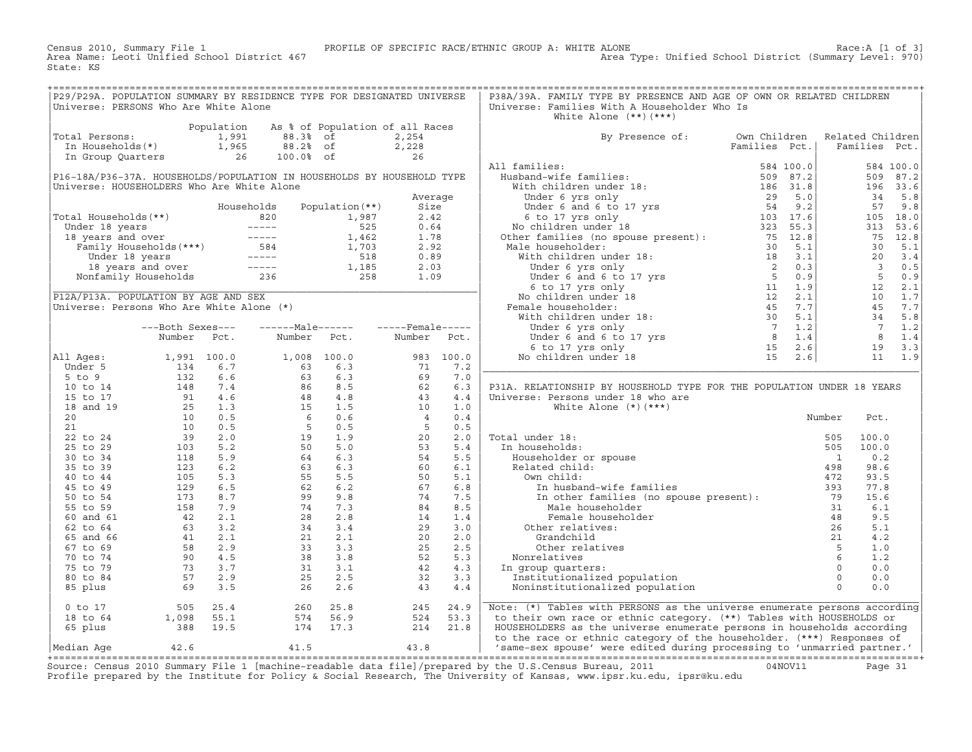Census 2010, Summary File 1 PROFILE OF SPECIFIC RACE/ETHNIC GROUP A: WHITE ALONE Race:A [1 of 3] State: KS

| P29/P29A. POPULATION SUMMARY BY RESIDENCE TYPE FOR DESIGNATED UNIVERSE                                                                                          |  |  |  | P38A/39A. FAMILY TYPE BY PRESENCE AND AGE OF OWN OR RELATED CHILDREN                                                                                                                                                                                                                                                                                                                                                                                                        |  |                  |      |  |
|-----------------------------------------------------------------------------------------------------------------------------------------------------------------|--|--|--|-----------------------------------------------------------------------------------------------------------------------------------------------------------------------------------------------------------------------------------------------------------------------------------------------------------------------------------------------------------------------------------------------------------------------------------------------------------------------------|--|------------------|------|--|
| Universe: PERSONS Who Are White Alone                                                                                                                           |  |  |  | Universe: Families With A Householder Who Is<br>White Alone $(**)$ $(***)$                                                                                                                                                                                                                                                                                                                                                                                                  |  |                  |      |  |
| Population As % of Population of all Races<br>Total Persons: 1,991 88.3% of 2,254<br>In Households(*) 1,965 88.2% of 2,228<br>In Group Quarters 26 100.0% of 26 |  |  |  |                                                                                                                                                                                                                                                                                                                                                                                                                                                                             |  |                  |      |  |
|                                                                                                                                                                 |  |  |  | By Presence of: Own Children                                                                                                                                                                                                                                                                                                                                                                                                                                                |  | Related Children |      |  |
|                                                                                                                                                                 |  |  |  |                                                                                                                                                                                                                                                                                                                                                                                                                                                                             |  |                  |      |  |
|                                                                                                                                                                 |  |  |  |                                                                                                                                                                                                                                                                                                                                                                                                                                                                             |  |                  |      |  |
|                                                                                                                                                                 |  |  |  |                                                                                                                                                                                                                                                                                                                                                                                                                                                                             |  |                  |      |  |
|                                                                                                                                                                 |  |  |  |                                                                                                                                                                                                                                                                                                                                                                                                                                                                             |  |                  |      |  |
|                                                                                                                                                                 |  |  |  |                                                                                                                                                                                                                                                                                                                                                                                                                                                                             |  |                  |      |  |
|                                                                                                                                                                 |  |  |  |                                                                                                                                                                                                                                                                                                                                                                                                                                                                             |  |                  |      |  |
|                                                                                                                                                                 |  |  |  |                                                                                                                                                                                                                                                                                                                                                                                                                                                                             |  |                  |      |  |
|                                                                                                                                                                 |  |  |  |                                                                                                                                                                                                                                                                                                                                                                                                                                                                             |  |                  |      |  |
|                                                                                                                                                                 |  |  |  |                                                                                                                                                                                                                                                                                                                                                                                                                                                                             |  |                  |      |  |
|                                                                                                                                                                 |  |  |  |                                                                                                                                                                                                                                                                                                                                                                                                                                                                             |  |                  |      |  |
|                                                                                                                                                                 |  |  |  |                                                                                                                                                                                                                                                                                                                                                                                                                                                                             |  |                  |      |  |
|                                                                                                                                                                 |  |  |  |                                                                                                                                                                                                                                                                                                                                                                                                                                                                             |  |                  |      |  |
|                                                                                                                                                                 |  |  |  |                                                                                                                                                                                                                                                                                                                                                                                                                                                                             |  |                  |      |  |
|                                                                                                                                                                 |  |  |  |                                                                                                                                                                                                                                                                                                                                                                                                                                                                             |  |                  |      |  |
|                                                                                                                                                                 |  |  |  |                                                                                                                                                                                                                                                                                                                                                                                                                                                                             |  |                  |      |  |
|                                                                                                                                                                 |  |  |  |                                                                                                                                                                                                                                                                                                                                                                                                                                                                             |  |                  |      |  |
|                                                                                                                                                                 |  |  |  |                                                                                                                                                                                                                                                                                                                                                                                                                                                                             |  |                  |      |  |
|                                                                                                                                                                 |  |  |  |                                                                                                                                                                                                                                                                                                                                                                                                                                                                             |  |                  |      |  |
|                                                                                                                                                                 |  |  |  |                                                                                                                                                                                                                                                                                                                                                                                                                                                                             |  |                  |      |  |
|                                                                                                                                                                 |  |  |  |                                                                                                                                                                                                                                                                                                                                                                                                                                                                             |  |                  |      |  |
|                                                                                                                                                                 |  |  |  |                                                                                                                                                                                                                                                                                                                                                                                                                                                                             |  |                  |      |  |
|                                                                                                                                                                 |  |  |  | P31A. RELATIONSHIP BY HOUSEHOLD TYPE FOR THE POPULATION UNDER 18 YEARS                                                                                                                                                                                                                                                                                                                                                                                                      |  |                  |      |  |
|                                                                                                                                                                 |  |  |  | Universe: Persons under 18 who are                                                                                                                                                                                                                                                                                                                                                                                                                                          |  |                  |      |  |
|                                                                                                                                                                 |  |  |  | White Alone $(*)$ $(***)$                                                                                                                                                                                                                                                                                                                                                                                                                                                   |  |                  |      |  |
|                                                                                                                                                                 |  |  |  |                                                                                                                                                                                                                                                                                                                                                                                                                                                                             |  | Number           | Pct. |  |
|                                                                                                                                                                 |  |  |  |                                                                                                                                                                                                                                                                                                                                                                                                                                                                             |  |                  |      |  |
|                                                                                                                                                                 |  |  |  |                                                                                                                                                                                                                                                                                                                                                                                                                                                                             |  |                  |      |  |
|                                                                                                                                                                 |  |  |  |                                                                                                                                                                                                                                                                                                                                                                                                                                                                             |  |                  |      |  |
|                                                                                                                                                                 |  |  |  |                                                                                                                                                                                                                                                                                                                                                                                                                                                                             |  |                  |      |  |
|                                                                                                                                                                 |  |  |  |                                                                                                                                                                                                                                                                                                                                                                                                                                                                             |  |                  |      |  |
|                                                                                                                                                                 |  |  |  |                                                                                                                                                                                                                                                                                                                                                                                                                                                                             |  |                  |      |  |
|                                                                                                                                                                 |  |  |  |                                                                                                                                                                                                                                                                                                                                                                                                                                                                             |  |                  |      |  |
|                                                                                                                                                                 |  |  |  |                                                                                                                                                                                                                                                                                                                                                                                                                                                                             |  |                  |      |  |
|                                                                                                                                                                 |  |  |  |                                                                                                                                                                                                                                                                                                                                                                                                                                                                             |  |                  |      |  |
|                                                                                                                                                                 |  |  |  |                                                                                                                                                                                                                                                                                                                                                                                                                                                                             |  |                  |      |  |
|                                                                                                                                                                 |  |  |  |                                                                                                                                                                                                                                                                                                                                                                                                                                                                             |  |                  |      |  |
|                                                                                                                                                                 |  |  |  |                                                                                                                                                                                                                                                                                                                                                                                                                                                                             |  |                  |      |  |
|                                                                                                                                                                 |  |  |  |                                                                                                                                                                                                                                                                                                                                                                                                                                                                             |  |                  |      |  |
|                                                                                                                                                                 |  |  |  |                                                                                                                                                                                                                                                                                                                                                                                                                                                                             |  |                  |      |  |
|                                                                                                                                                                 |  |  |  |                                                                                                                                                                                                                                                                                                                                                                                                                                                                             |  |                  |      |  |
|                                                                                                                                                                 |  |  |  | $\begin{tabular}{ c c c c } \hline \multicolumn{1}{c}{\textbf{Total under 18:}} & \multicolumn{1}{c}{\textbf{Number} & \textbf{Pct.}} \\ \hline \multicolumn{1}{c}{\textbf{Total under 18:}} & \multicolumn{1}{c}{\textbf{505}} & \multicolumn{1}{c}{\textbf{100.0}} \\ \hline \multicolumn{1}{c}{\textbf{Householder} & \textbf{10.2}} & \multicolumn{1}{c}{\textbf{505}} & \textbf{100.0} \\ \hline \multicolumn{1}{c}{\textbf{Redated child:}} & \textbf{1} & \textbf{0$ |  |                  |      |  |
|                                                                                                                                                                 |  |  |  |                                                                                                                                                                                                                                                                                                                                                                                                                                                                             |  |                  |      |  |
|                                                                                                                                                                 |  |  |  |                                                                                                                                                                                                                                                                                                                                                                                                                                                                             |  |                  |      |  |
|                                                                                                                                                                 |  |  |  |                                                                                                                                                                                                                                                                                                                                                                                                                                                                             |  |                  |      |  |
|                                                                                                                                                                 |  |  |  | 0 to 17 505 25.4 260 25.8 245 24.9 Note: (*) Tables with PERSONS as the universe enumerate persons according<br>18 to 64 1,098 55.1 574 56.9 524 53.3 to their own race or ethnic category. (**) Tables with HOUSEHOLDS or<br>65 plu                                                                                                                                                                                                                                        |  |                  |      |  |
|                                                                                                                                                                 |  |  |  |                                                                                                                                                                                                                                                                                                                                                                                                                                                                             |  |                  |      |  |

Source: Census 2010 Summary File 1 [machine-readable data file]/prepared by the U.S.Census Bureau, 2011 Page 31<br>Profile prepared by the Institute for Policy & Social Research, The University of Kansas, www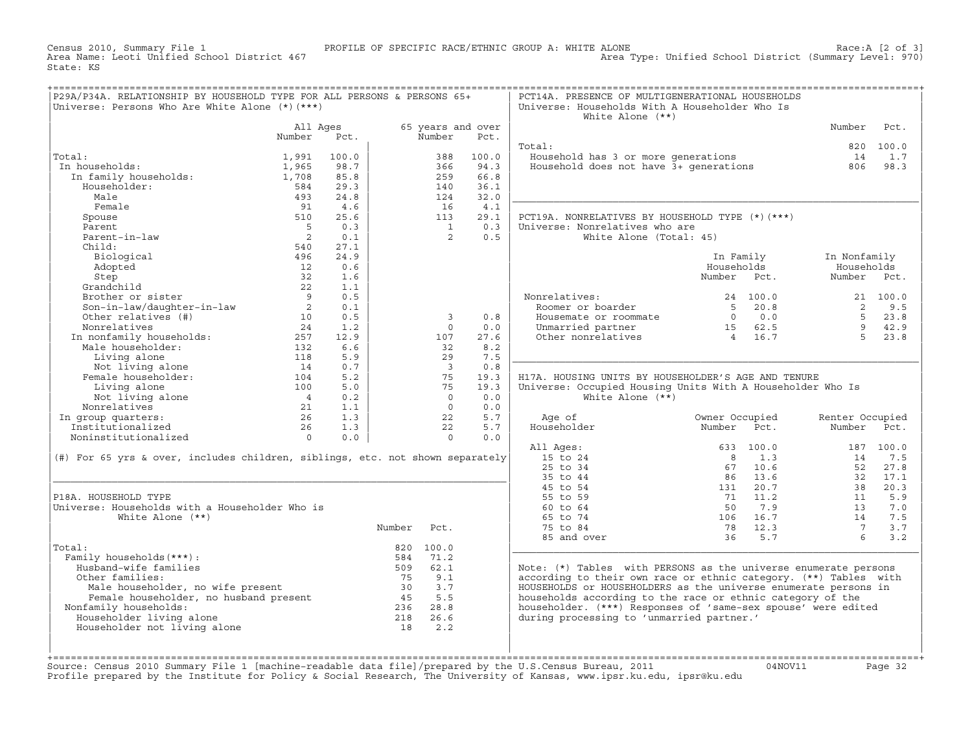Census 2010, Summary File 1 PROFILE OF SPECIFIC RACE/ETHNIC GROUP A: WHITE ALONE Race:A [2 of 3] State: KS

| P29A/P34A. RELATIONSHIP BY HOUSEHOLD TYPE FOR ALL PERSONS & PERSONS 65+<br>Universe: Persons Who Are White Alone (*) (***) |                |            |        |                         |                   | PCT14A. PRESENCE OF MULTIGENERATIONAL HOUSEHOLDS<br>Universe: Households With A Householder Who Is<br>White Alone $(**)$ |                       |                 |           |
|----------------------------------------------------------------------------------------------------------------------------|----------------|------------|--------|-------------------------|-------------------|--------------------------------------------------------------------------------------------------------------------------|-----------------------|-----------------|-----------|
|                                                                                                                            | All Ages       |            |        |                         | 65 years and over |                                                                                                                          |                       | Number          | Pct.      |
|                                                                                                                            | Number         | Pct.       |        | Number                  | Pct.              | Total:                                                                                                                   |                       |                 | 820 100.0 |
| Total:                                                                                                                     | 1,991          | 100.0      |        | 388                     | 100.0             | Household has 3 or more generations                                                                                      |                       | 14              | 1.7       |
| In households:                                                                                                             | 1,965          | 98.7       |        | 366                     | 94.3              | Household does not have 3+ generations                                                                                   |                       | 806             | 98.3      |
| In family households:                                                                                                      | 1,708          | 85.8       |        | 259                     | 66.8              |                                                                                                                          |                       |                 |           |
| Householder:                                                                                                               | 584            | 29.3       |        | 140                     | 36.1              |                                                                                                                          |                       |                 |           |
| Male                                                                                                                       | 493            | 24.8       |        | 124                     | 32.0              |                                                                                                                          |                       |                 |           |
| Female                                                                                                                     | 91             | 4.6        |        | 16                      | 4.1               |                                                                                                                          |                       |                 |           |
| Spouse                                                                                                                     | 510            | 25.6       |        | 113                     | 29.1              | PCT19A. NONRELATIVES BY HOUSEHOLD TYPE (*) (***)                                                                         |                       |                 |           |
| Parent                                                                                                                     | $5^{\circ}$    | 0.3        |        | <sup>1</sup>            | 0.3               | Universe: Nonrelatives who are                                                                                           |                       |                 |           |
| Parent-in-law                                                                                                              | $\overline{2}$ | 0.1        |        | 2                       | 0.5               | White Alone (Total: 45)                                                                                                  |                       |                 |           |
| Child:                                                                                                                     | 540            | 27.1       |        |                         |                   |                                                                                                                          |                       |                 |           |
| Biological                                                                                                                 | 496            | 24.9       |        |                         |                   |                                                                                                                          | In Family             | In Nonfamily    |           |
| Adopted                                                                                                                    | 12             | 0.6        |        |                         |                   |                                                                                                                          | Households            | Households      |           |
| Step                                                                                                                       | 32             | 1.6        |        |                         |                   |                                                                                                                          | Number Pct.           | Number Pct.     |           |
| Grandchild                                                                                                                 | 22             | 1.1        |        |                         |                   |                                                                                                                          |                       |                 |           |
| Brother or sister                                                                                                          | -9             | 0.5        |        |                         |                   | Nonrelatives:                                                                                                            | 24 100.0              |                 | 21 100.0  |
| Son-in-law/daughter-in-law                                                                                                 | $\overline{2}$ | 0.1        |        |                         |                   | Roomer or boarder                                                                                                        | 20.8<br>$5^{\circ}$   | 2               | 9.5       |
| Other relatives (#)                                                                                                        | 10             | 0.5        |        | 3                       | 0.8               | Housemate or roommate                                                                                                    | $\overline{0}$<br>0.0 | $5^{\circ}$     | 23.8      |
| Nonrelatives                                                                                                               | 24             | 1.2        |        | $\Omega$                | 0.0               | Unmarried partner                                                                                                        | 15 62.5               | 9               | 42.9      |
| In nonfamily households:                                                                                                   | 257            | 12.9       |        | 107                     | 27.6              | Other nonrelatives                                                                                                       | 4 16.7                | 5 <sup>1</sup>  | 23.8      |
| Male householder:                                                                                                          | 132            | 6.6        |        | 32                      | 8.2               |                                                                                                                          |                       |                 |           |
| Living alone                                                                                                               | 118            | 5.9        |        | 29                      | 7.5               |                                                                                                                          |                       |                 |           |
| Not living alone                                                                                                           | 14             | 0.7        |        | $\overline{\mathbf{3}}$ | 0.8               |                                                                                                                          |                       |                 |           |
| Female householder:                                                                                                        | 104<br>100     | 5.2<br>5.0 |        | 75<br>75                | 19.3<br>19.3      | H17A, HOUSING UNITS BY HOUSEHOLDER'S AGE AND TENURE                                                                      |                       |                 |           |
| Living alone<br>Not living alone                                                                                           | $\overline{4}$ | 0.2        |        | $\Omega$                | 0.0               | Universe: Occupied Housing Units With A Householder Who Is<br>White Alone $(**)$                                         |                       |                 |           |
| Nonrelatives                                                                                                               | 21             | 1.1        |        | $\Omega$                | 0.0               |                                                                                                                          |                       |                 |           |
| In group quarters:                                                                                                         | 26             | 1.3        |        | 22                      | 5.7               | Age of                                                                                                                   | Owner Occupied        | Renter Occupied |           |
| Institutionalized                                                                                                          | 26             | 1.3        |        | 22                      | 5.7               | Householder                                                                                                              | Number<br>Pct.        | Number          | Pct.      |
| Noninstitutionalized                                                                                                       | $\Omega$       | 0.0        |        | $\Omega$                | 0.0               |                                                                                                                          |                       |                 |           |
|                                                                                                                            |                |            |        |                         |                   | All Ages:                                                                                                                | 633 100.0             |                 | 187 100.0 |
| $(\#)$ For 65 yrs & over, includes children, siblings, etc. not shown separately                                           |                |            |        |                         |                   | 15 to 24                                                                                                                 | 8<br>1.3              | 14              | 7.5       |
|                                                                                                                            |                |            |        |                         |                   | 25 to 34                                                                                                                 | 10.6<br>67            | 52              | 27.8      |
|                                                                                                                            |                |            |        |                         |                   | 35 to 44                                                                                                                 | 13.6<br>86            | 32              | 17.1      |
|                                                                                                                            |                |            |        |                         |                   | 45 to 54                                                                                                                 | 20.7<br>131           | 38              | 20.3      |
| P18A. HOUSEHOLD TYPE                                                                                                       |                |            |        |                         |                   | 55 to 59                                                                                                                 | 11.2<br>71            | 11              | 5.9       |
| Universe: Households with a Householder Who is                                                                             |                |            |        |                         |                   | 60 to 64                                                                                                                 | 7.9<br>50             | 13              | 7.0       |
| White Alone $(**)$                                                                                                         |                |            |        |                         |                   | 65 to 74                                                                                                                 | 16.7<br>106           | 14              | 7.5       |
|                                                                                                                            |                |            | Number | Pct.                    |                   | 75 to 84                                                                                                                 | 78<br>12.3            | $\overline{7}$  | 3.7       |
|                                                                                                                            |                |            |        |                         |                   | 85 and over                                                                                                              | 5.7<br>36             | $\epsilon$      | 3.2       |
| Total:                                                                                                                     |                |            |        | 820 100.0               |                   |                                                                                                                          |                       |                 |           |
| Family households (***) :                                                                                                  |                |            | 584    | 71.2                    |                   |                                                                                                                          |                       |                 |           |
| Husband-wife families                                                                                                      |                |            |        | 509 62.1                |                   | Note: $(*)$ Tables with PERSONS as the universe enumerate persons                                                        |                       |                 |           |
| Other families:                                                                                                            |                |            | 75     | 9.1                     |                   | according to their own race or ethnic category. (**) Tables with                                                         |                       |                 |           |
| Male householder, no wife present                                                                                          |                |            |        | 30 3.7                  |                   | HOUSEHOLDS or HOUSEHOLDERS as the universe enumerate persons in                                                          |                       |                 |           |
| Female householder, no husband present                                                                                     |                |            | 45     | 5.5                     |                   | households according to the race or ethnic category of the                                                               |                       |                 |           |
| Nonfamily households:                                                                                                      |                |            |        | 236 28.8                |                   | householder. (***) Responses of 'same-sex spouse' were edited                                                            |                       |                 |           |
| Householder living alone                                                                                                   |                |            | 218    | 26.6                    |                   | during processing to 'unmarried partner.'                                                                                |                       |                 |           |
| Householder not living alone                                                                                               |                |            | 18     | 2.2                     |                   |                                                                                                                          |                       |                 |           |
|                                                                                                                            |                |            |        |                         |                   |                                                                                                                          |                       |                 |           |

Source: Census 2010 Summary File 1 [machine-readable data file]/prepared by the U.S.Census Bureau, 2011 Page 32<br>Profile prepared by the Institute for Policy & Social Research, The University of Kansas, www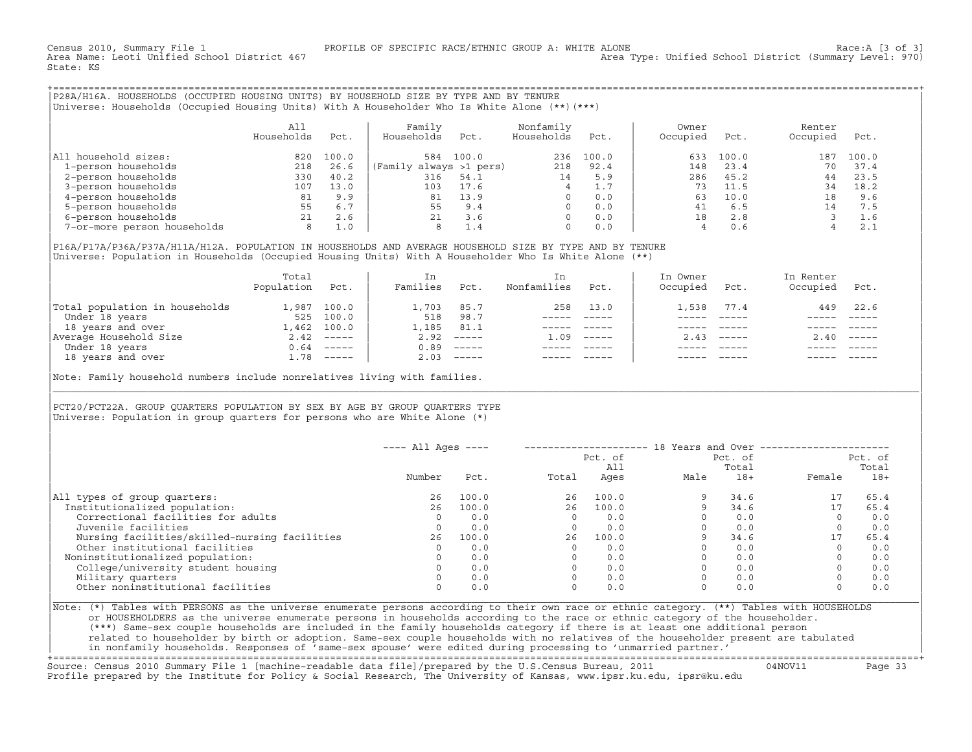State: KS

+===================================================================================================================================================+|P28A/H16A. HOUSEHOLDS (OCCUPIED HOUSING UNITS) BY HOUSEHOLD SIZE BY TYPE AND BY TENURE |

|Universe: Households (Occupied Housing Units) With A Householder Who Is White Alone (\*\*)(\*\*\*) |

|                             | All<br>Households | Pct.  | Family<br>Households    | Pct.  | Nonfamily<br>Households | Pct.  | Owner<br>Occupied | Pct.  | Renter<br>Occupied | Pct.  |  |
|-----------------------------|-------------------|-------|-------------------------|-------|-------------------------|-------|-------------------|-------|--------------------|-------|--|
| household sizes:<br>All     | 820               | 100.0 | 584                     | 100.0 | 236                     | 100.0 | 633               | 100.0 | 187                | 100.0 |  |
| 1-person households         | 218               | 26.6  | (Family always >1 pers) |       | 218                     | 92.4  | 148               | 23.4  | 70                 | 37.4  |  |
| 2-person households         | 330               | 40.2  | 316                     | 54.1  | 14                      | 5.9   | 286               | 45.2  | 44                 | 23.5  |  |
| 3-person households         | 107               | 13.0  | 103                     | 17.6  | 4                       | 1.7   | 73                | 11.5  | 34                 | 18.2  |  |
| 4-person households         | 81                | 9.9   | 81                      | 13.9  | $\Omega$                | 0.0   | 63                | 10.0  | 18                 | 9.6   |  |
| 5-person households         | 55                | 6.7   | 55                      | 9.4   | $\Omega$                | 0.0   | 41                | 6.5   | 14                 | 7.5   |  |
| 6-person households         | 21                | 2.6   | 21                      | 3.6   | $\Omega$                | 0.0   | 18                | 2.8   |                    | 1.6   |  |
| 7-or-more person households | 8                 | 1.0   | 8                       | 1.4   | $\Omega$                | 0.0   |                   | 0.6   |                    | 2.1   |  |

|P16A/P17A/P36A/P37A/H11A/H12A. POPULATION IN HOUSEHOLDS AND AVERAGE HOUSEHOLD SIZE BY TYPE AND BY TENURE | |Universe: Population in Households (Occupied Housing Units) With A Householder Who Is White Alone (\*\*) |

|                                | Total<br>Population | Pct.         | In<br>Families | Pct.                                                                                                                                                                                                                                                                                                                                                                                                                                                                                 | Nonfamilies | Pct.    | In Owner<br>Occupied | Pct.         | In Renter<br>Occupied | Pct. |  |
|--------------------------------|---------------------|--------------|----------------|--------------------------------------------------------------------------------------------------------------------------------------------------------------------------------------------------------------------------------------------------------------------------------------------------------------------------------------------------------------------------------------------------------------------------------------------------------------------------------------|-------------|---------|----------------------|--------------|-----------------------|------|--|
| Total population in households |                     | 1,987 100.0  | 1,703          | 85.7                                                                                                                                                                                                                                                                                                                                                                                                                                                                                 | 258         | 13.0    | .,538                | 77.4         | 449                   | 22.6 |  |
| Under 18 years                 | 525                 | 100.0        | 518            | 98.7                                                                                                                                                                                                                                                                                                                                                                                                                                                                                 |             |         |                      |              |                       |      |  |
| 18 years and over              |                     | 1,462 100.0  | 1,185          | 81.1                                                                                                                                                                                                                                                                                                                                                                                                                                                                                 |             |         |                      |              |                       |      |  |
| Average Household Size         |                     | $2.42$ ----- | 2.92           | $\begin{tabular}{cccccc} \multicolumn{2}{c}{} & \multicolumn{2}{c}{} & \multicolumn{2}{c}{} & \multicolumn{2}{c}{} & \multicolumn{2}{c}{} & \multicolumn{2}{c}{} & \multicolumn{2}{c}{} & \multicolumn{2}{c}{} & \multicolumn{2}{c}{} & \multicolumn{2}{c}{} & \multicolumn{2}{c}{} & \multicolumn{2}{c}{} & \multicolumn{2}{c}{} & \multicolumn{2}{c}{} & \multicolumn{2}{c}{} & \multicolumn{2}{c}{} & \multicolumn{2}{c}{} & \multicolumn{2}{c}{} & \multicolumn{2}{c}{} & \mult$ | 1.09        | $-----$ |                      | $2.43$ $---$ | 2.40                  |      |  |
| Under 18 years                 |                     | $0.64$ ----- | 0.89           |                                                                                                                                                                                                                                                                                                                                                                                                                                                                                      |             |         |                      |              |                       |      |  |
| 18 years and over              |                     | $1.78$ ----- | 2.03           | $------$                                                                                                                                                                                                                                                                                                                                                                                                                                                                             |             |         |                      |              |                       |      |  |

| |

|\_\_\_\_\_\_\_\_\_\_\_\_\_\_\_\_\_\_\_\_\_\_\_\_\_\_\_\_\_\_\_\_\_\_\_\_\_\_\_\_\_\_\_\_\_\_\_\_\_\_\_\_\_\_\_\_\_\_\_\_\_\_\_\_\_\_\_\_\_\_\_\_\_\_\_\_\_\_\_\_\_\_\_\_\_\_\_\_\_\_\_\_\_\_\_\_\_\_\_\_\_\_\_\_\_\_\_\_\_\_\_\_\_\_\_\_\_\_\_\_\_\_\_\_\_\_\_\_\_\_\_\_\_\_\_\_\_\_\_\_\_\_\_\_\_\_\_|

| |

Note: Family household numbers include nonrelatives living with families.

| | PCT20/PCT22A. GROUP OUARTERS POPULATION BY SEX BY AGE BY GROUP OUARTERS TYPE Universe: Population in group quarters for persons who are White Alone  $(*)$ 

|                                               | $---$ All Ages $---$ |       |       |                | 18 Years and Over ------------- |                  |        |                  |
|-----------------------------------------------|----------------------|-------|-------|----------------|---------------------------------|------------------|--------|------------------|
|                                               |                      |       |       | Pct. of<br>All |                                 | Pct. of<br>Total |        | Pct. of<br>Total |
|                                               | Number               | Pct.  | Total | Ages           | Male                            | $18+$            | Female | $18+$            |
| All types of group quarters:                  | 26                   | 100.0 | 26    | 100.0          |                                 | 34.6             |        | 65.4             |
| Institutionalized population:                 | 26                   | 100.0 | 26    | 100.0          |                                 | 34.6             | 17     | 65.4             |
| Correctional facilities for adults            | $\Omega$             | 0.0   |       | 0.0            |                                 | 0.0              |        | 0.0              |
| Juvenile facilities                           |                      | 0.0   |       | 0.0            |                                 | 0.0              |        | 0.0              |
| Nursing facilities/skilled-nursing facilities | 26                   | 100.0 | 26    | 100.0          |                                 | 34.6             | 17     | 65.4             |
| Other institutional facilities                |                      | 0.0   |       | 0.0            |                                 | 0.0              |        | 0.0              |
| Noninstitutionalized population:              |                      | 0.0   |       | 0.0            |                                 | 0.0              |        | 0.0              |
| College/university student housing            |                      | 0.0   |       | 0.0            |                                 | 0.0              |        | 0.0              |
| Military quarters                             |                      | 0.0   |       | 0.0            |                                 | 0.0              |        | 0.0              |
| Other noninstitutional facilities             |                      | 0.0   |       | 0.0            |                                 | 0.0              |        | 0.0              |

|Note: (\*) Tables with PERSONS as the universe enumerate persons according to their own race or ethnic category. (\*\*) Tables with HOUSEHOLDS | or HOUSEHOLDERS as the universe enumerate persons in households according to the race or ethnic category of the householder. | (\*\*\*) Same−sex couple households are included in the family households category if there is at least one additional person | | related to householder by birth or adoption. Same−sex couple households with no relatives of the householder present are tabulated | | in nonfamily households. Responses of 'same−sex spouse' were edited during processing to 'unmarried partner.' |

+===================================================================================================================================================+ Source: Census 2010 Summary File 1 [machine−readable data file]/prepared by the U.S.Census Bureau, 2011 04NOV11 Page 33 Profile prepared by the Institute for Policy & Social Research, The University of Kansas, www.ipsr.ku.edu, ipsr@ku.edu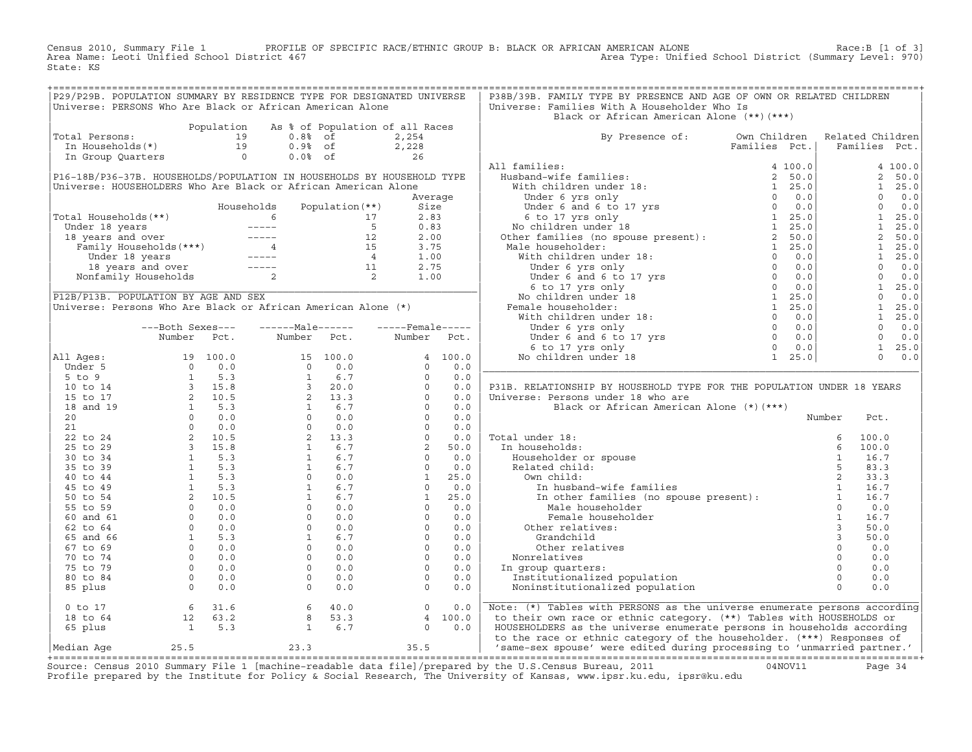Census 2010, Summary File 1 PROFILE OF SPECIFIC RACE/ETHNIC GROUP B: BLACK OR AFRICAN AMERICAN ALONE Race:B [1 of 3]<br>Area Name: Leoti Unified School District 467 Area Type: Unified School District (Summary Level: 970) Area Type: Unified School District (Summary Level: 970) State: KS

| P29/P29B. POPULATION SUMMARY BY RESIDENCE TYPE FOR DESIGNATED UNIVERSE                                                                                                                                                                                     |                  |            |                                                                                                                                                                                                                                                                                                                                                                                                   |                   |                                                                       |             | P38B/39B. FAMILY TYPE BY PRESENCE AND AGE OF OWN OR RELATED CHILDREN                                                                                                                                                                                                                                                                                                                                                                                                                                                                     |                               |                                                                                                    |       |                |
|------------------------------------------------------------------------------------------------------------------------------------------------------------------------------------------------------------------------------------------------------------|------------------|------------|---------------------------------------------------------------------------------------------------------------------------------------------------------------------------------------------------------------------------------------------------------------------------------------------------------------------------------------------------------------------------------------------------|-------------------|-----------------------------------------------------------------------|-------------|------------------------------------------------------------------------------------------------------------------------------------------------------------------------------------------------------------------------------------------------------------------------------------------------------------------------------------------------------------------------------------------------------------------------------------------------------------------------------------------------------------------------------------------|-------------------------------|----------------------------------------------------------------------------------------------------|-------|----------------|
| Universe: PERSONS Who Are Black or African American Alone                                                                                                                                                                                                  |                  |            |                                                                                                                                                                                                                                                                                                                                                                                                   |                   |                                                                       |             | Universe: Families With A Householder Who Is                                                                                                                                                                                                                                                                                                                                                                                                                                                                                             |                               |                                                                                                    |       |                |
|                                                                                                                                                                                                                                                            |                  |            |                                                                                                                                                                                                                                                                                                                                                                                                   |                   |                                                                       |             | Black or African American Alone (**)(***)                                                                                                                                                                                                                                                                                                                                                                                                                                                                                                |                               |                                                                                                    |       |                |
|                                                                                                                                                                                                                                                            |                  | Population |                                                                                                                                                                                                                                                                                                                                                                                                   |                   | As % of Population of all Races                                       |             |                                                                                                                                                                                                                                                                                                                                                                                                                                                                                                                                          |                               |                                                                                                    |       |                |
| Total Persons:                                                                                                                                                                                                                                             |                  |            |                                                                                                                                                                                                                                                                                                                                                                                                   |                   |                                                                       |             |                                                                                                                                                                                                                                                                                                                                                                                                                                                                                                                                          |                               | Related Children                                                                                   |       |                |
|                                                                                                                                                                                                                                                            |                  |            |                                                                                                                                                                                                                                                                                                                                                                                                   |                   |                                                                       |             | By Presence of: Own Children<br>Families Pct                                                                                                                                                                                                                                                                                                                                                                                                                                                                                             | Families Pct.   Families Pct. |                                                                                                    |       |                |
|                                                                                                                                                                                                                                                            |                  |            |                                                                                                                                                                                                                                                                                                                                                                                                   |                   |                                                                       |             | $\begin{tabular}{l c c c} & \multicolumn{3}{c}{\textbf{B}}{\textbf{Y}} & \multicolumn{3}{c}{\textbf{B}}{\textbf{Y}} & \multicolumn{3}{c}{\textbf{Y}} & \multicolumn{3}{c}{\textbf{X}} & \multicolumn{3}{c}{\textbf{Y}} & \multicolumn{3}{c}{\textbf{X}} & \multicolumn{3}{c}{\textbf{Y}} & \multicolumn{3}{c}{\textbf{X}} & \multicolumn{3}{c}{\textbf{Y}} & \multicolumn{3}{c}{\textbf{X}} & \multicolumn{3}{c}{\textbf{X}} & \multicolumn{3}{c}{\textbf{X}} & \$                                                                       |                               |                                                                                                    |       |                |
|                                                                                                                                                                                                                                                            |                  |            |                                                                                                                                                                                                                                                                                                                                                                                                   |                   |                                                                       |             |                                                                                                                                                                                                                                                                                                                                                                                                                                                                                                                                          |                               |                                                                                                    |       | 4 100.0        |
| P16-18B/P36-37B. HOUSEHOLDS/POPULATION IN HOUSEHOLDS BY HOUSEHOLD TYPE                                                                                                                                                                                     |                  |            |                                                                                                                                                                                                                                                                                                                                                                                                   |                   |                                                                       |             |                                                                                                                                                                                                                                                                                                                                                                                                                                                                                                                                          |                               |                                                                                                    |       | 2, 50.0        |
| Universe: HOUSEHOLDERS Who Are Black or African American Alone                                                                                                                                                                                             |                  |            |                                                                                                                                                                                                                                                                                                                                                                                                   |                   |                                                                       |             |                                                                                                                                                                                                                                                                                                                                                                                                                                                                                                                                          |                               |                                                                                                    |       | $1 \quad 25.0$ |
|                                                                                                                                                                                                                                                            |                  |            |                                                                                                                                                                                                                                                                                                                                                                                                   |                   | Average                                                               |             |                                                                                                                                                                                                                                                                                                                                                                                                                                                                                                                                          |                               |                                                                                                    |       | $0 \t 0.0$     |
|                                                                                                                                                                                                                                                            |                  |            | Households                                                                                                                                                                                                                                                                                                                                                                                        | Population $(**)$ | Size                                                                  |             |                                                                                                                                                                                                                                                                                                                                                                                                                                                                                                                                          |                               |                                                                                                    |       |                |
|                                                                                                                                                                                                                                                            |                  |            |                                                                                                                                                                                                                                                                                                                                                                                                   |                   |                                                                       |             |                                                                                                                                                                                                                                                                                                                                                                                                                                                                                                                                          |                               |                                                                                                    |       |                |
| Total Households (**)<br>Total Households (**)<br>Under 18 years<br>18 years and over<br>Family Households (***)<br>Under 18 years<br>Under 18 years<br>12 2.00<br>Family Households (***)<br>15 3.75<br>15 3.75<br>15 3.75<br>16 1.00<br>16 18 years<br>1 |                  |            |                                                                                                                                                                                                                                                                                                                                                                                                   |                   |                                                                       |             |                                                                                                                                                                                                                                                                                                                                                                                                                                                                                                                                          |                               | $\begin{bmatrix} 1 & 25 & 0 \\ 1 & 25 & 0 \\ 2 & 50 & 0 \\ 1 & 25 & 0 \\ 1 & 25 & 5 \end{bmatrix}$ |       |                |
|                                                                                                                                                                                                                                                            |                  |            |                                                                                                                                                                                                                                                                                                                                                                                                   |                   |                                                                       |             |                                                                                                                                                                                                                                                                                                                                                                                                                                                                                                                                          |                               |                                                                                                    |       |                |
|                                                                                                                                                                                                                                                            |                  |            |                                                                                                                                                                                                                                                                                                                                                                                                   |                   |                                                                       |             |                                                                                                                                                                                                                                                                                                                                                                                                                                                                                                                                          |                               |                                                                                                    |       |                |
|                                                                                                                                                                                                                                                            |                  |            |                                                                                                                                                                                                                                                                                                                                                                                                   |                   |                                                                       |             |                                                                                                                                                                                                                                                                                                                                                                                                                                                                                                                                          |                               |                                                                                                    |       | $1 \quad 25.0$ |
|                                                                                                                                                                                                                                                            |                  |            |                                                                                                                                                                                                                                                                                                                                                                                                   |                   |                                                                       |             |                                                                                                                                                                                                                                                                                                                                                                                                                                                                                                                                          |                               |                                                                                                    |       | $0 \t 0.0$     |
|                                                                                                                                                                                                                                                            |                  |            |                                                                                                                                                                                                                                                                                                                                                                                                   |                   |                                                                       |             |                                                                                                                                                                                                                                                                                                                                                                                                                                                                                                                                          |                               |                                                                                                    |       |                |
|                                                                                                                                                                                                                                                            |                  |            |                                                                                                                                                                                                                                                                                                                                                                                                   |                   |                                                                       |             |                                                                                                                                                                                                                                                                                                                                                                                                                                                                                                                                          |                               | $\begin{bmatrix} 0 & 0 & 0 \\ 0 & 0 & 0 \\ 1 & 25 & 0 \\ 0 & 0 & 0 \end{bmatrix}$                  |       |                |
| P12B/P13B. POPULATION BY AGE AND SEX                                                                                                                                                                                                                       |                  |            |                                                                                                                                                                                                                                                                                                                                                                                                   |                   |                                                                       |             |                                                                                                                                                                                                                                                                                                                                                                                                                                                                                                                                          |                               |                                                                                                    |       |                |
| Universe: Persons Who Are Black or African American Alone (*)                                                                                                                                                                                              |                  |            |                                                                                                                                                                                                                                                                                                                                                                                                   |                   |                                                                       |             |                                                                                                                                                                                                                                                                                                                                                                                                                                                                                                                                          |                               |                                                                                                    |       | $1 \quad 25.0$ |
|                                                                                                                                                                                                                                                            |                  |            |                                                                                                                                                                                                                                                                                                                                                                                                   |                   |                                                                       |             |                                                                                                                                                                                                                                                                                                                                                                                                                                                                                                                                          |                               |                                                                                                    |       | $1 \quad 25.0$ |
|                                                                                                                                                                                                                                                            | ---Both Sexes--- |            | ------Male------                                                                                                                                                                                                                                                                                                                                                                                  |                   | $---$ Female-----                                                     |             |                                                                                                                                                                                                                                                                                                                                                                                                                                                                                                                                          |                               |                                                                                                    |       | $0 \t 0.0$     |
|                                                                                                                                                                                                                                                            | Number           | Pct.       | Number                                                                                                                                                                                                                                                                                                                                                                                            | Pct.              |                                                                       | Number Pct. |                                                                                                                                                                                                                                                                                                                                                                                                                                                                                                                                          |                               |                                                                                                    |       | $0 \t 0.0$     |
|                                                                                                                                                                                                                                                            |                  |            |                                                                                                                                                                                                                                                                                                                                                                                                   |                   |                                                                       |             |                                                                                                                                                                                                                                                                                                                                                                                                                                                                                                                                          |                               |                                                                                                    |       | $1 \quad 25.0$ |
| All Ages:                                                                                                                                                                                                                                                  |                  |            |                                                                                                                                                                                                                                                                                                                                                                                                   |                   |                                                                       |             |                                                                                                                                                                                                                                                                                                                                                                                                                                                                                                                                          |                               |                                                                                                    |       | $0 \t 0.0$     |
|                                                                                                                                                                                                                                                            |                  |            |                                                                                                                                                                                                                                                                                                                                                                                                   |                   |                                                                       |             |                                                                                                                                                                                                                                                                                                                                                                                                                                                                                                                                          |                               |                                                                                                    |       |                |
|                                                                                                                                                                                                                                                            |                  |            |                                                                                                                                                                                                                                                                                                                                                                                                   |                   |                                                                       |             |                                                                                                                                                                                                                                                                                                                                                                                                                                                                                                                                          |                               |                                                                                                    |       |                |
|                                                                                                                                                                                                                                                            |                  |            |                                                                                                                                                                                                                                                                                                                                                                                                   |                   |                                                                       |             | P31B. RELATIONSHIP BY HOUSEHOLD TYPE FOR THE POPULATION UNDER 18 YEARS                                                                                                                                                                                                                                                                                                                                                                                                                                                                   |                               |                                                                                                    |       |                |
|                                                                                                                                                                                                                                                            |                  |            |                                                                                                                                                                                                                                                                                                                                                                                                   |                   |                                                                       |             | Universe: Persons under 18 who are                                                                                                                                                                                                                                                                                                                                                                                                                                                                                                       |                               |                                                                                                    |       |                |
|                                                                                                                                                                                                                                                            |                  |            |                                                                                                                                                                                                                                                                                                                                                                                                   |                   |                                                                       |             | Black or African American Alone (*) (***)                                                                                                                                                                                                                                                                                                                                                                                                                                                                                                |                               |                                                                                                    |       |                |
|                                                                                                                                                                                                                                                            |                  |            |                                                                                                                                                                                                                                                                                                                                                                                                   |                   |                                                                       |             |                                                                                                                                                                                                                                                                                                                                                                                                                                                                                                                                          |                               | Number                                                                                             | Pct.  |                |
|                                                                                                                                                                                                                                                            |                  |            |                                                                                                                                                                                                                                                                                                                                                                                                   |                   |                                                                       |             | Total under 18:                                                                                                                                                                                                                                                                                                                                                                                                                                                                                                                          |                               |                                                                                                    | 100.0 |                |
|                                                                                                                                                                                                                                                            |                  |            |                                                                                                                                                                                                                                                                                                                                                                                                   |                   |                                                                       |             | In households:                                                                                                                                                                                                                                                                                                                                                                                                                                                                                                                           |                               |                                                                                                    | 100.0 |                |
|                                                                                                                                                                                                                                                            |                  |            |                                                                                                                                                                                                                                                                                                                                                                                                   |                   |                                                                       |             |                                                                                                                                                                                                                                                                                                                                                                                                                                                                                                                                          |                               |                                                                                                    | 16.7  |                |
|                                                                                                                                                                                                                                                            |                  |            |                                                                                                                                                                                                                                                                                                                                                                                                   |                   |                                                                       |             | Householder or spouse<br>Related child:<br>Own child:<br>In husband-wife fam<br>In other families (Male householder<br>Male householder<br>Other relatives:<br>Grandchild                                                                                                                                                                                                                                                                                                                                                                |                               |                                                                                                    | 83.3  |                |
|                                                                                                                                                                                                                                                            |                  |            |                                                                                                                                                                                                                                                                                                                                                                                                   |                   |                                                                       |             |                                                                                                                                                                                                                                                                                                                                                                                                                                                                                                                                          |                               |                                                                                                    | 33.3  |                |
|                                                                                                                                                                                                                                                            |                  |            |                                                                                                                                                                                                                                                                                                                                                                                                   |                   |                                                                       |             |                                                                                                                                                                                                                                                                                                                                                                                                                                                                                                                                          |                               |                                                                                                    | 16.7  |                |
|                                                                                                                                                                                                                                                            |                  |            |                                                                                                                                                                                                                                                                                                                                                                                                   |                   |                                                                       |             |                                                                                                                                                                                                                                                                                                                                                                                                                                                                                                                                          |                               |                                                                                                    | 16.7  |                |
|                                                                                                                                                                                                                                                            |                  |            |                                                                                                                                                                                                                                                                                                                                                                                                   |                   |                                                                       |             |                                                                                                                                                                                                                                                                                                                                                                                                                                                                                                                                          |                               |                                                                                                    | 0.0   |                |
|                                                                                                                                                                                                                                                            |                  |            |                                                                                                                                                                                                                                                                                                                                                                                                   |                   |                                                                       |             | Female householder                                                                                                                                                                                                                                                                                                                                                                                                                                                                                                                       |                               | $\frac{1}{2}$                                                                                      | 16.7  |                |
|                                                                                                                                                                                                                                                            |                  |            |                                                                                                                                                                                                                                                                                                                                                                                                   |                   |                                                                       |             |                                                                                                                                                                                                                                                                                                                                                                                                                                                                                                                                          |                               | $\overline{\mathbf{3}}$                                                                            | 50.0  |                |
|                                                                                                                                                                                                                                                            |                  |            |                                                                                                                                                                                                                                                                                                                                                                                                   |                   |                                                                       |             | Grandchild                                                                                                                                                                                                                                                                                                                                                                                                                                                                                                                               |                               |                                                                                                    | 50.0  |                |
|                                                                                                                                                                                                                                                            |                  |            |                                                                                                                                                                                                                                                                                                                                                                                                   |                   |                                                                       |             | Other relatives                                                                                                                                                                                                                                                                                                                                                                                                                                                                                                                          |                               |                                                                                                    | 0.0   |                |
|                                                                                                                                                                                                                                                            |                  |            |                                                                                                                                                                                                                                                                                                                                                                                                   |                   |                                                                       |             | Nonrelatives                                                                                                                                                                                                                                                                                                                                                                                                                                                                                                                             |                               |                                                                                                    | 0.0   |                |
|                                                                                                                                                                                                                                                            |                  |            |                                                                                                                                                                                                                                                                                                                                                                                                   |                   |                                                                       |             | In group quarters:                                                                                                                                                                                                                                                                                                                                                                                                                                                                                                                       |                               |                                                                                                    | 0.0   |                |
|                                                                                                                                                                                                                                                            |                  |            |                                                                                                                                                                                                                                                                                                                                                                                                   |                   |                                                                       |             | Institutionalized population                                                                                                                                                                                                                                                                                                                                                                                                                                                                                                             |                               |                                                                                                    | 0.0   |                |
|                                                                                                                                                                                                                                                            |                  |            |                                                                                                                                                                                                                                                                                                                                                                                                   |                   |                                                                       |             | $\begin{bmatrix} 0 & 0 \\ 0 & 0 \\ 0 & 0 \\ 1 & 0 \\ 0 & 0 \\ 0 & 0 \\ 0 & 0 \\ 0 & 0 \\ 0 & 0 \\ 0 & 0 \\ 0 & 0 \\ 0 & 0 \\ 0 & 0 \\ 0 & 0 \\ 0 & 0 \\ 0 & 0 \\ 0 & 0 \\ 0 & 0 \\ 0 & 0 \\ 0 & 0 \\ 0 & 0 \\ 0 & 0 \\ 0 & 0 \\ 0 & 0 \\ 0 & 0 \\ 0 & 0 \\ 0 & 0 \\ 0 & 0 \\ 0 & 0 \\ 0 & 0 \\ 0 & 0 \\ 0 & 0 \\ 0 & 0 \\ 0 & 0 \\ 0 & 0 \\ 0 & $<br>Noninstitutionalized population                                                                                                                                                     |                               |                                                                                                    | 0.0   |                |
|                                                                                                                                                                                                                                                            |                  |            |                                                                                                                                                                                                                                                                                                                                                                                                   |                   |                                                                       |             |                                                                                                                                                                                                                                                                                                                                                                                                                                                                                                                                          |                               |                                                                                                    |       |                |
|                                                                                                                                                                                                                                                            |                  |            | $\begin{tabular}{l c c c c} \multicolumn{1}{c}{\text{All } \texttt{Ages:}} & \texttt{Number} & \texttt{Pct.} & \texttt{Number} & \texttt{Pct.} \\ \multicolumn{1}{c}{\text{Vunder $5$}} & 19& 100.0 & 15& 100.0 & 4& 100.0 \\ \multicolumn{1}{c}{\text{Under $5$}} & 0 & 0.0 & 15& 100.0 & 0 \\ \multicolumn{1}{c}{\text{I to $14$}} & 1 & 5.3 & 1 & 6.7 & 0 & 0.0 \\ \multicolumn{1}{c}{\text{I$ |                   |                                                                       |             | Note: (*) Tables with PERSONS as the universe enumerate persons according                                                                                                                                                                                                                                                                                                                                                                                                                                                                |                               |                                                                                                    |       |                |
|                                                                                                                                                                                                                                                            |                  |            | 0 to 17<br>18 to 64<br>12 63.2<br>65 plus<br>15.3<br>16.7                                                                                                                                                                                                                                                                                                                                         |                   | $\begin{bmatrix} 0 & 0 & 0 \\ 4 & 100 & 0 \\ 0 & 0 & 0 \end{bmatrix}$ |             | to their own race or ethnic category. (**) Tables with HOUSEHOLDS or                                                                                                                                                                                                                                                                                                                                                                                                                                                                     |                               |                                                                                                    |       |                |
|                                                                                                                                                                                                                                                            |                  |            |                                                                                                                                                                                                                                                                                                                                                                                                   |                   |                                                                       |             | HOUSEHOLDERS as the universe enumerate persons in households according                                                                                                                                                                                                                                                                                                                                                                                                                                                                   |                               |                                                                                                    |       |                |
|                                                                                                                                                                                                                                                            |                  |            |                                                                                                                                                                                                                                                                                                                                                                                                   |                   |                                                                       |             | to the race or ethnic category of the householder. (***) Responses of                                                                                                                                                                                                                                                                                                                                                                                                                                                                    |                               |                                                                                                    |       |                |
| Median Age $25.5$ $23.3$ $35.5$                                                                                                                                                                                                                            |                  |            |                                                                                                                                                                                                                                                                                                                                                                                                   |                   |                                                                       |             | 'same-sex spouse' were edited during processing to 'unmarried partner.'                                                                                                                                                                                                                                                                                                                                                                                                                                                                  |                               |                                                                                                    |       |                |
|                                                                                                                                                                                                                                                            |                  |            |                                                                                                                                                                                                                                                                                                                                                                                                   |                   |                                                                       |             | $\mathcal{L} = \mathcal{L} \times \mathcal{L} \times \mathcal{L} \times \mathcal{L} \times \mathcal{L} \times \mathcal{L} \times \mathcal{L} \times \mathcal{L} \times \mathcal{L} \times \mathcal{L} \times \mathcal{L} \times \mathcal{L} \times \mathcal{L} \times \mathcal{L} \times \mathcal{L} \times \mathcal{L} \times \mathcal{L} \times \mathcal{L} \times \mathcal{L} \times \mathcal{L} \times \mathcal{L} \times \mathcal{L} \times \mathcal{L} \times \mathcal{L} \times \mathcal{L} \times \mathcal{L} \times \mathcal{L$ |                               |                                                                                                    |       |                |

+===================================================================================================================================================+Source: Census 2010 Summary File 1 [machine−readable data file]/prepared by the U.S.Census Bureau, 2011 04NOV11 Page 34 Profile prepared by the Institute for Policy & Social Research, The University of Kansas, www.ipsr.ku.edu, ipsr@ku.edu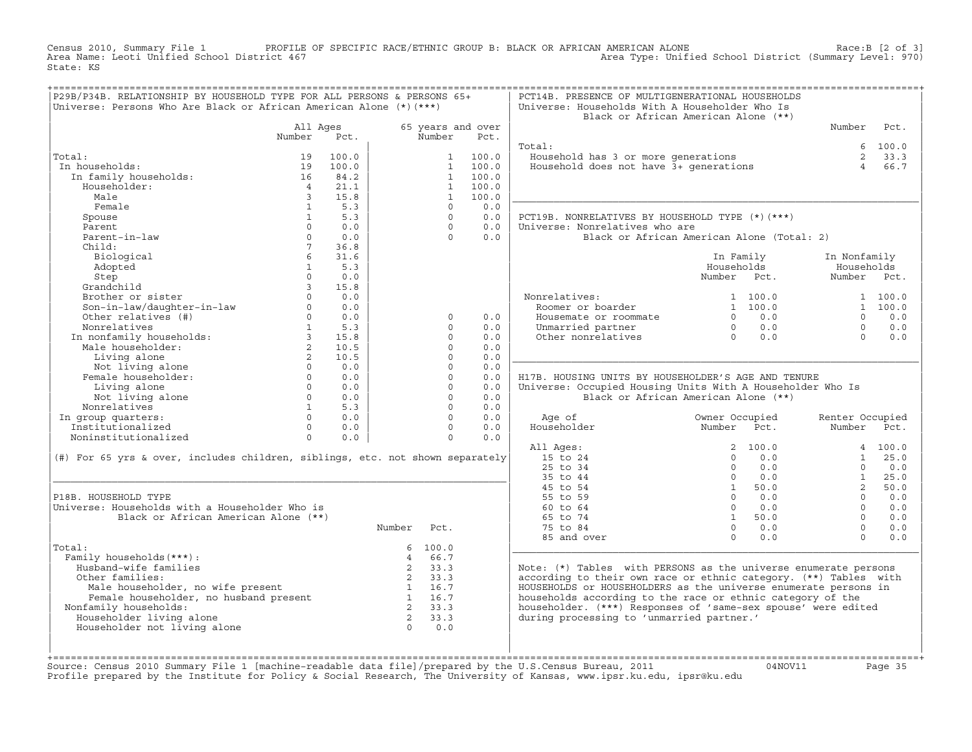Census 2010, Summary File 1 PROFILE OF SPECIFIC RACE/ETHNIC GROUP B: BLACK OR AFRICAN AMERICAN ALONE Race:B [2 of 3]<br>Area Name: Leoti Unified School District 467 Area Type: Unified School District (Summary Level: 970) Area Type: Unified School District (Summary Level: 970) State: KS

| P29B/P34B. RELATIONSHIP BY HOUSEHOLD TYPE FOR ALL PERSONS & PERSONS 65+<br>Universe: Persons Who Are Black or African American Alone $(*)$ (***) |                |                       |        |                      |                   | PCT14B. PRESENCE OF MULTIGENERATIONAL HOUSEHOLDS<br>Universe: Households With A Householder Who Is |                                                        |                                                       |                 |             |
|--------------------------------------------------------------------------------------------------------------------------------------------------|----------------|-----------------------|--------|----------------------|-------------------|----------------------------------------------------------------------------------------------------|--------------------------------------------------------|-------------------------------------------------------|-----------------|-------------|
|                                                                                                                                                  |                |                       |        |                      |                   | Black or African American Alone (**)                                                               |                                                        |                                                       |                 |             |
|                                                                                                                                                  | All Ages       |                       |        |                      | 65 years and over |                                                                                                    |                                                        |                                                       | Number          | Pct.        |
|                                                                                                                                                  | Number         | Pct.                  |        | Number               | Pct.              |                                                                                                    |                                                        |                                                       |                 |             |
|                                                                                                                                                  |                |                       |        |                      |                   | Total:                                                                                             |                                                        |                                                       |                 | 6 100.0     |
| Total:                                                                                                                                           | 19             | 100.0                 |        |                      | 1 100.0           | Household has 3 or more generations<br>Household does not have 3+ generations                      |                                                        |                                                       |                 | 2, 33.3     |
| In households:                                                                                                                                   | 19             | 100.0                 |        | $\mathbf{1}$         | 100.0             |                                                                                                    |                                                        |                                                       | $\overline{4}$  | 66.7        |
| In family households:                                                                                                                            | 16             | 84.2                  |        |                      | 1 100.0           |                                                                                                    |                                                        |                                                       |                 |             |
| Householder:                                                                                                                                     | $\overline{4}$ | 21.1                  |        | $\mathbf{1}$         | 100.0             |                                                                                                    |                                                        |                                                       |                 |             |
| Male                                                                                                                                             | $\overline{3}$ | 15.8                  |        | $\mathbf{1}$         | 100.0             |                                                                                                    |                                                        |                                                       |                 |             |
| Female                                                                                                                                           | $\mathbf{1}$   | 5.3                   |        | $\Omega$             | 0.0               |                                                                                                    |                                                        |                                                       |                 |             |
| Spouse                                                                                                                                           | $\mathbf{1}$   | 5.3                   |        | $\Omega$             | 0.0               | PCT19B. NONRELATIVES BY HOUSEHOLD TYPE (*) (***)                                                   |                                                        |                                                       |                 |             |
| Parent                                                                                                                                           | $\Omega$       | 0.0                   |        | $\Omega$             | 0.0               | Universe: Nonrelatives who are                                                                     |                                                        |                                                       |                 |             |
| Parent-in-law                                                                                                                                    | $\Omega$       | 0.0                   |        | $\Omega$             | 0.0               | Black or African American Alone (Total: 2)                                                         |                                                        |                                                       |                 |             |
| Child:                                                                                                                                           | $7^{\circ}$    | 36.8                  |        |                      |                   |                                                                                                    |                                                        |                                                       |                 |             |
| Biological                                                                                                                                       | 6              | 31.6                  |        |                      |                   |                                                                                                    | In Family                                              |                                                       | In Nonfamily    |             |
| Adopted                                                                                                                                          | $\mathbf{1}$   | 5.3                   |        |                      |                   |                                                                                                    | Households                                             |                                                       | Households      |             |
| Step                                                                                                                                             | $\Omega$       | 0.0                   |        |                      |                   |                                                                                                    | Number Pct.                                            |                                                       | Number Pct.     |             |
| Grandchild                                                                                                                                       | $\overline{3}$ | 15.8                  |        |                      |                   |                                                                                                    |                                                        |                                                       |                 |             |
| Brother or sister                                                                                                                                | $\cap$         | 0.0                   |        |                      |                   | Nonrelatives:                                                                                      |                                                        | 1 100.0                                               |                 | 1 100.0     |
| Son-in-law/daughter-in-law<br>Other relatives (#)                                                                                                | $\Omega$       | 0.0                   |        |                      |                   | Roomer or boarder                                                                                  |                                                        | 1 100.0                                               |                 | 1 100.0     |
|                                                                                                                                                  | $\Omega$       | 0.0                   |        | $\Omega$             | 0.0               | Housemate or roommate                                                                              |                                                        | $\begin{bmatrix} 0 & 0 & 0 \ 0 & 0 & 0 \end{bmatrix}$ | $\Omega$        | 0.0         |
|                                                                                                                                                  |                | 5.3                   |        | $\Omega$             | 0.0               | Unmarried partner                                                                                  | $\begin{bmatrix} 0 & 0 & 0 \\ 0 & 0 & 0 \end{bmatrix}$ |                                                       | $\Omega$        | 0.0         |
| Nonrelatives<br>In nonfamily households:<br>Male householder:<br>2<br>2                                                                          |                | 15.8                  |        | $\Omega$             | 0.0               | Other nonrelatives                                                                                 |                                                        |                                                       | $\Omega$        | $0.0$       |
|                                                                                                                                                  |                | 10.5                  |        | $\Omega$             | 0.0               |                                                                                                    |                                                        |                                                       |                 |             |
|                                                                                                                                                  |                | 10.5                  |        | $\Omega$             | 0.0               |                                                                                                    |                                                        |                                                       |                 |             |
| Not living alone<br>Female householder:                                                                                                          |                | $0 \t 0.0$            |        | $\Omega$             | 0.0               |                                                                                                    |                                                        |                                                       |                 |             |
|                                                                                                                                                  | $\overline{0}$ | 0.0<br>$0 \qquad 0.0$ |        | $\Omega$<br>$\circ$  | 0.0<br>0.0        | H17B. HOUSING UNITS BY HOUSEHOLDER'S AGE AND TENURE                                                |                                                        |                                                       |                 |             |
| Living alone<br>Not living alone                                                                                                                 |                | $0 \t 0.0$            |        | $\Omega$             | 0.0               | Universe: Occupied Housing Units With A Householder Who Is<br>Black or African American Alone (**) |                                                        |                                                       |                 |             |
| Nonrelatives                                                                                                                                     | $\mathbf{1}$   | 5.3                   |        | $\Omega$             | 0.0               |                                                                                                    |                                                        |                                                       |                 |             |
| In group quarters:                                                                                                                               | $\Omega$       | 0.0                   |        | $\Omega$             | 0.0               | Age of                                                                                             | Owner Occupied                                         |                                                       | Renter Occupied |             |
| Institutionalized                                                                                                                                | $\cap$         | 0.0                   |        | $\Omega$             | 0.0               | Householder                                                                                        | Number Pct.                                            |                                                       | Number Pct.     |             |
| Noninstitutionalized                                                                                                                             | $\Omega$       | 0.0                   |        | $\Omega$             | 0.0               |                                                                                                    |                                                        |                                                       |                 |             |
|                                                                                                                                                  |                |                       |        |                      |                   | All Ages:                                                                                          |                                                        | 2 100.0                                               |                 | 4 100.0     |
| (#) For 65 yrs & over, includes children, siblings, etc. not shown separately                                                                    |                |                       |        |                      |                   | 15 to 24                                                                                           | $\Omega$                                               | 0.0                                                   |                 | $1 \t 25.0$ |
|                                                                                                                                                  |                |                       |        |                      |                   | 25 to 34                                                                                           | $\Omega$                                               | 0.0                                                   | $\Omega$        | 0.0         |
|                                                                                                                                                  |                |                       |        |                      |                   | 35 to 44                                                                                           |                                                        | $0 \t 0.0$                                            |                 | $1 \t 25.0$ |
|                                                                                                                                                  |                |                       |        |                      |                   | 45 to 54                                                                                           |                                                        | 1 50.0                                                | $2^{\circ}$     | 50.0        |
| P18B. HOUSEHOLD TYPE                                                                                                                             |                |                       |        |                      |                   | 55 to 59                                                                                           |                                                        | $0 \t 0.0$                                            | $\Omega$        | 0.0         |
| Universe: Households with a Householder Who is                                                                                                   |                |                       |        |                      |                   | 60 to 64                                                                                           | $\overline{0}$                                         | 0.0                                                   | $\Omega$        | 0.0         |
| Black or African American Alone (**)                                                                                                             |                |                       |        |                      |                   | 65 to 74                                                                                           |                                                        | 1 50.0                                                | $\Omega$        | 0.0         |
|                                                                                                                                                  |                |                       | Number | Pct.                 |                   | 75 to 84                                                                                           |                                                        | $0 \t 0.0$                                            | $\cap$          | 0.0         |
|                                                                                                                                                  |                |                       |        |                      |                   | 85 and over                                                                                        | $\Omega$                                               | 0.0                                                   | $\Omega$        | 0.0         |
| Total:                                                                                                                                           |                |                       |        | 6, 100.0             |                   |                                                                                                    |                                                        |                                                       |                 |             |
| Family households (***) :                                                                                                                        |                |                       |        | 4 66.7               |                   |                                                                                                    |                                                        |                                                       |                 |             |
| Husband-wife families                                                                                                                            |                |                       |        | 2 33.3               |                   | Note: $(*)$ Tables with PERSONS as the universe enumerate persons                                  |                                                        |                                                       |                 |             |
| Other families:                                                                                                                                  |                |                       |        | 2 33.3               |                   | according to their own race or ethnic category. (**) Tables with                                   |                                                        |                                                       |                 |             |
| male nouseholder, no wife present<br>Female householder, no husband present<br>imily households:<br>1 16.7<br>2 33.3<br>2 33.3                   |                |                       |        |                      |                   | HOUSEHOLDS or HOUSEHOLDERS as the universe enumerate persons in                                    |                                                        |                                                       |                 |             |
|                                                                                                                                                  |                |                       |        |                      |                   | households according to the race or ethnic category of the                                         |                                                        |                                                       |                 |             |
| Nonfamily households:                                                                                                                            |                |                       |        |                      |                   | householder. (***) Responses of 'same-sex spouse' were edited                                      |                                                        |                                                       |                 |             |
| Householder living alone                                                                                                                         |                |                       |        | 2 33.3<br>$0 \t 0.0$ |                   | during processing to 'unmarried partner.'                                                          |                                                        |                                                       |                 |             |
| Householder not living alone                                                                                                                     |                |                       |        |                      |                   |                                                                                                    |                                                        |                                                       |                 |             |
|                                                                                                                                                  |                |                       |        |                      |                   |                                                                                                    |                                                        |                                                       |                 |             |
|                                                                                                                                                  |                |                       |        |                      |                   |                                                                                                    |                                                        |                                                       |                 |             |

+===================================================================================================================================================+Source: Census 2010 Summary File 1 [machine−readable data file]/prepared by the U.S.Census Bureau, 2011 04NOV11 Page 35 Profile prepared by the Institute for Policy & Social Research, The University of Kansas, www.ipsr.ku.edu, ipsr@ku.edu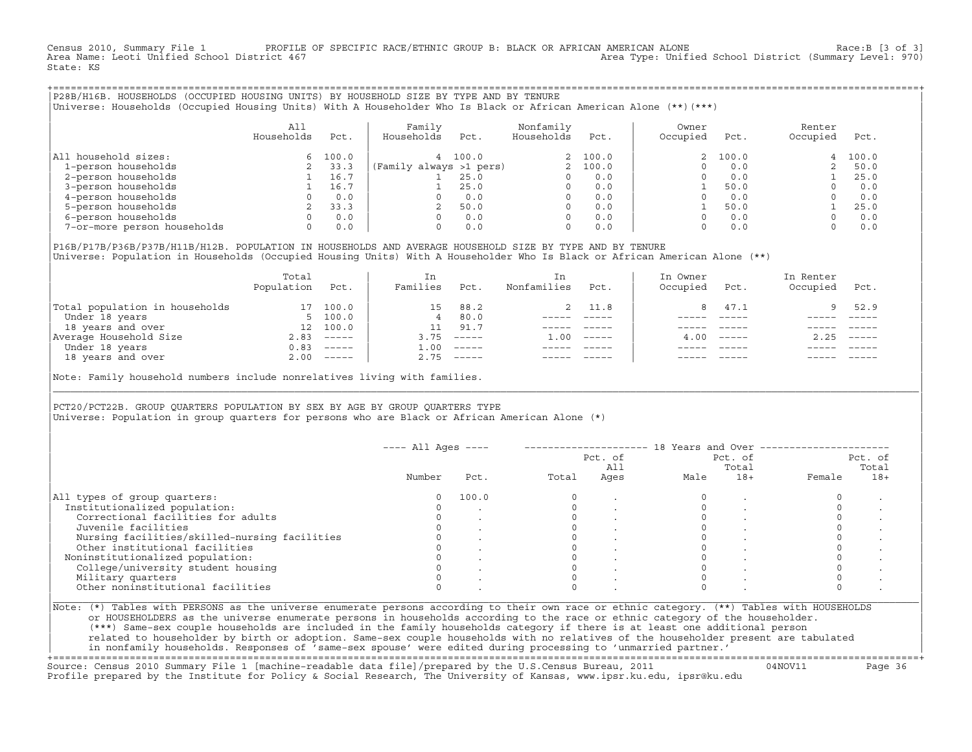Census 2010, Summary File 1 PROFILE OF SPECIFIC RACE/ETHNIC GROUP B: BLACK OR AFRICAN AMERICAN ALONE Race:B [3 of 3]<br>Area Name: Leoti Unified School District 467 area Type: Unified School District (Summary Level: 970) Area Type: Unified School District (Summary Level: 970) State: KS

+===================================================================================================================================================+|P28B/H16B. HOUSEHOLDS (OCCUPIED HOUSING UNITS) BY HOUSEHOLD SIZE BY TYPE AND BY TENURE | |Universe: Households (Occupied Housing Units) With A Householder Who Is Black or African American Alone (\*\*)(\*\*\*) |

|                             | All<br>Households | Pct.  | Family<br>Households    | Pct.  | Nonfamily<br>Households | Pct.     | Owner<br>Occupied | Pct.    | Renter<br>Occupied | Pct.  |
|-----------------------------|-------------------|-------|-------------------------|-------|-------------------------|----------|-------------------|---------|--------------------|-------|
| household sizes:<br>All     | 6.                | 100.0 |                         | 100.0 |                         | 2 100.0  |                   | 2 100.0 | 4                  | 100.0 |
| 1-person households         |                   | 33.3  | (Family always >1 pers) |       |                         | 2, 100.0 |                   | 0.0     |                    | 50.0  |
| 2-person households         |                   | 16.7  |                         | 25.0  |                         | 0.0      |                   | 0.0     |                    | 25.0  |
| 3-person households         |                   | 16.7  |                         | 25.0  | $\Omega$                | 0.0      |                   | 50.0    |                    | 0.0   |
| 4-person households         |                   | 0.0   |                         | 0.0   | $\Omega$                | 0.0      |                   | 0.0     |                    | 0.0   |
| 5-person households         |                   | 33.3  |                         | 50.0  | $\Omega$                | 0.0      |                   | 50.0    |                    | 25.0  |
| 6-person households         |                   | 0.0   |                         | 0.0   | $\Omega$                | 0.0      |                   | 0.0     |                    | 0.0   |
| 7-or-more person households | $\Omega$          | 0.0   |                         | 0.0   | 0                       | 0.0      |                   | 0.0     |                    | 0.0   |

|P16B/P17B/P36B/P37B/H11B/H12B. POPULATION IN HOUSEHOLDS AND AVERAGE HOUSEHOLD SIZE BY TYPE AND BY TENURE | Universe: Population in Households (Occupied Housing Units) With A Householder Who Is Black or African American Alone (\*\*)

|                                | Total<br>Population | Pct.         | In<br>Families | Pct.                      | In.<br>Nonfamilies | Pct.     | In Owner<br>Occupied | Pct.             | In Renter<br>Occupied | Pct.        |
|--------------------------------|---------------------|--------------|----------------|---------------------------|--------------------|----------|----------------------|------------------|-----------------------|-------------|
| Total population in households |                     | 100.0        | 15             | 88.2                      |                    | 2 11.8   |                      | 47.1             | 9.                    | 52.9        |
| Under 18 years                 |                     | 5, 100.0     | 4              | 80.0                      |                    |          |                      |                  |                       |             |
| 18 years and over              | 12                  | 100.0        |                | 91.7                      |                    |          |                      |                  |                       |             |
| Average Household Size         | 2.83                | $------$     | 3.75           | $------$                  | 1.00               | $------$ |                      | $4.00 - - - - -$ | 2.25                  | $------$    |
| Under 18 years                 | 0.83                | $------$     | 1.00           | $------$                  |                    |          |                      |                  |                       |             |
| 18 years and over              |                     | $2.00$ ----- | 2.75           | $\qquad \qquad - - - - -$ |                    |          |                      | $- - - - -$      |                       | $- - - - -$ |
|                                |                     |              |                |                           |                    |          |                      |                  |                       |             |

Note: Family household numbers include nonrelatives living with families.

| | PCT20/PCT22B. GROUP OUARTERS POPULATION BY SEX BY AGE BY GROUP OUARTERS TYPE Universe: Population in group quarters for persons who are Black or African American Alone (\*)

|                                               |        |       |       | Pct. of<br>All |      | Pct. of<br>Total |        | Pct. of<br>Total |
|-----------------------------------------------|--------|-------|-------|----------------|------|------------------|--------|------------------|
|                                               | Number | Pct.  | Total | Ages           | Male | $18+$            | Female | $18+$            |
| All types of group quarters:                  | 0      | 100.0 |       |                |      |                  |        |                  |
| Institutionalized population:                 |        |       |       |                |      |                  |        |                  |
| Correctional facilities for adults            |        |       |       |                |      |                  |        |                  |
| Juvenile facilities                           |        |       |       |                |      |                  |        |                  |
| Nursing facilities/skilled-nursing facilities |        |       |       |                |      |                  |        |                  |
| Other institutional facilities                |        |       |       |                |      |                  |        |                  |
| Noninstitutionalized population:              |        |       |       |                |      |                  |        |                  |
| College/university student housing            |        |       |       |                |      |                  |        |                  |
| Military quarters                             |        |       |       |                |      |                  |        |                  |
| Other noninstitutional facilities             |        |       |       |                |      |                  |        |                  |

|\_\_\_\_\_\_\_\_\_\_\_\_\_\_\_\_\_\_\_\_\_\_\_\_\_\_\_\_\_\_\_\_\_\_\_\_\_\_\_\_\_\_\_\_\_\_\_\_\_\_\_\_\_\_\_\_\_\_\_\_\_\_\_\_\_\_\_\_\_\_\_\_\_\_\_\_\_\_\_\_\_\_\_\_\_\_\_\_\_\_\_\_\_\_\_\_\_\_\_\_\_\_\_\_\_\_\_\_\_\_\_\_\_\_\_\_\_\_\_\_\_\_\_\_\_\_\_\_\_\_\_\_\_\_\_\_\_\_\_\_\_\_\_\_\_\_\_|

| |

or HOUSEHOLDERS as the universe enumerate persons in households according to the race or ethnic category of the householder. | (\*\*\*) Same−sex couple households are included in the family households category if there is at least one additional person | | related to householder by birth or adoption. Same−sex couple households with no relatives of the householder present are tabulated | | in nonfamily households. Responses of 'same−sex spouse' were edited during processing to 'unmarried partner.' |

+===================================================================================================================================================+ Source: Census 2010 Summary File 1 [machine−readable data file]/prepared by the U.S.Census Bureau, 2011 04NOV11 Page 36 Profile prepared by the Institute for Policy & Social Research, The University of Kansas, www.ipsr.ku.edu, ipsr@ku.edu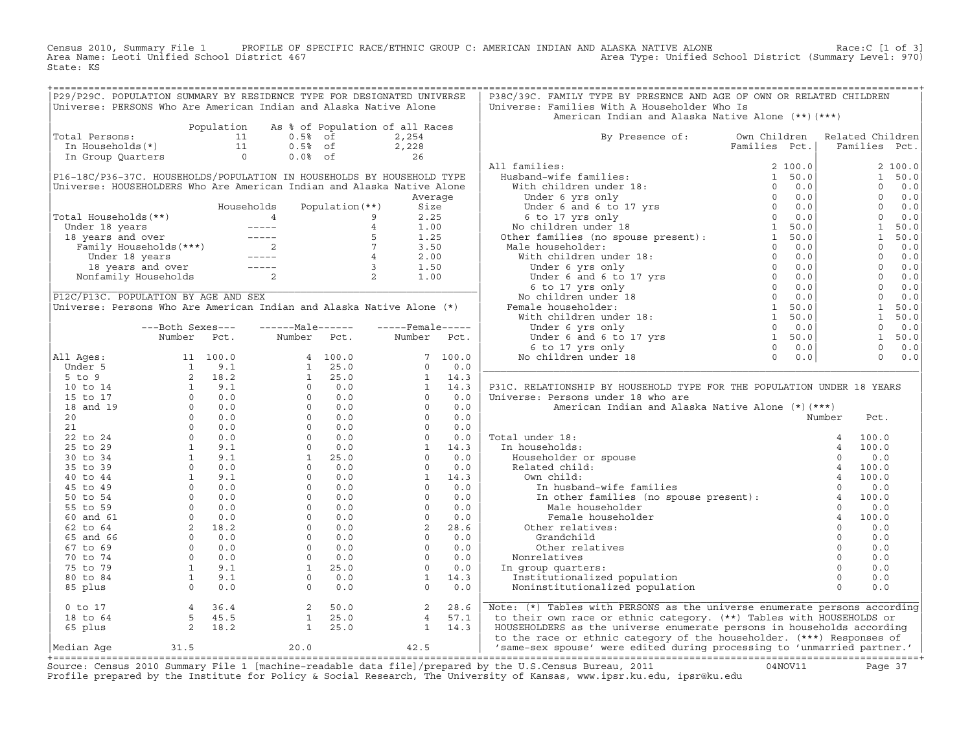Census 2010, Summary File 1 PROFILE OF SPECIFIC RACE/ETHNIC GROUP C: AMERICAN INDIAN AND ALASKA NATIVE ALONE<br>Area Name: Leoti Unified School District 467 Area Type: Unified School Dist State: KS

| P29/P29C. POPULATION SUMMARY BY RESIDENCE TYPE FOR DESIGNATED UNIVERSE                                                                                                                                                                                                              |                  |            |                                                                   |                                                                                                                                                                                                                                                                                                                          |         | P38C/39C. FAMILY TYPE BY PRESENCE AND AGE OF OWN OR RELATED CHILDREN                                                                                                                                                                                                                                                                                                                                                                                              |  |          |                |                                                                                                                                                                                                                                                                                                                                 |
|-------------------------------------------------------------------------------------------------------------------------------------------------------------------------------------------------------------------------------------------------------------------------------------|------------------|------------|-------------------------------------------------------------------|--------------------------------------------------------------------------------------------------------------------------------------------------------------------------------------------------------------------------------------------------------------------------------------------------------------------------|---------|-------------------------------------------------------------------------------------------------------------------------------------------------------------------------------------------------------------------------------------------------------------------------------------------------------------------------------------------------------------------------------------------------------------------------------------------------------------------|--|----------|----------------|---------------------------------------------------------------------------------------------------------------------------------------------------------------------------------------------------------------------------------------------------------------------------------------------------------------------------------|
| Universe: PERSONS Who Are American Indian and Alaska Native Alone                                                                                                                                                                                                                   |                  |            |                                                                   |                                                                                                                                                                                                                                                                                                                          |         | Universe: Families With A Householder Who Is                                                                                                                                                                                                                                                                                                                                                                                                                      |  |          |                |                                                                                                                                                                                                                                                                                                                                 |
|                                                                                                                                                                                                                                                                                     |                  |            |                                                                   |                                                                                                                                                                                                                                                                                                                          |         | American Indian and Alaska Native Alone (**) (***)                                                                                                                                                                                                                                                                                                                                                                                                                |  |          |                |                                                                                                                                                                                                                                                                                                                                 |
|                                                                                                                                                                                                                                                                                     |                  | Population |                                                                   | As % of Population of all Races                                                                                                                                                                                                                                                                                          |         |                                                                                                                                                                                                                                                                                                                                                                                                                                                                   |  |          |                |                                                                                                                                                                                                                                                                                                                                 |
| Total Persons:                                                                                                                                                                                                                                                                      |                  |            |                                                                   |                                                                                                                                                                                                                                                                                                                          |         | By Presence of: Own Children Related Children                                                                                                                                                                                                                                                                                                                                                                                                                     |  |          |                |                                                                                                                                                                                                                                                                                                                                 |
|                                                                                                                                                                                                                                                                                     |                  |            |                                                                   |                                                                                                                                                                                                                                                                                                                          |         |                                                                                                                                                                                                                                                                                                                                                                                                                                                                   |  |          |                | Families Pct.                                                                                                                                                                                                                                                                                                                   |
|                                                                                                                                                                                                                                                                                     |                  |            |                                                                   | otal Persons:<br>11 0.5% of 2,254<br>11 0.5% of 2,228<br>11 0.5% of 2,228<br>11 0.5% of 2,228<br>11 0.5% of 2,228                                                                                                                                                                                                        |         |                                                                                                                                                                                                                                                                                                                                                                                                                                                                   |  |          |                |                                                                                                                                                                                                                                                                                                                                 |
|                                                                                                                                                                                                                                                                                     |                  |            |                                                                   |                                                                                                                                                                                                                                                                                                                          |         | All families:                                                                                                                                                                                                                                                                                                                                                                                                                                                     |  |          |                | 2100.0                                                                                                                                                                                                                                                                                                                          |
| P16-18C/P36-37C. HOUSEHOLDS/POPULATION IN HOUSEHOLDS BY HOUSEHOLD TYPE                                                                                                                                                                                                              |                  |            |                                                                   |                                                                                                                                                                                                                                                                                                                          |         |                                                                                                                                                                                                                                                                                                                                                                                                                                                                   |  |          |                | 1 50.0                                                                                                                                                                                                                                                                                                                          |
| Universe: HOUSEHOLDERS Who Are American Indian and Alaska Native Alone                                                                                                                                                                                                              |                  |            |                                                                   |                                                                                                                                                                                                                                                                                                                          |         |                                                                                                                                                                                                                                                                                                                                                                                                                                                                   |  |          |                | $0 \t 0.0$                                                                                                                                                                                                                                                                                                                      |
|                                                                                                                                                                                                                                                                                     |                  |            |                                                                   |                                                                                                                                                                                                                                                                                                                          | Average |                                                                                                                                                                                                                                                                                                                                                                                                                                                                   |  |          | $\Omega$       | 0.0                                                                                                                                                                                                                                                                                                                             |
|                                                                                                                                                                                                                                                                                     |                  |            |                                                                   |                                                                                                                                                                                                                                                                                                                          |         |                                                                                                                                                                                                                                                                                                                                                                                                                                                                   |  |          |                | $0 \t 0.0$                                                                                                                                                                                                                                                                                                                      |
| Total Households(**)                                                                                                                                                                                                                                                                |                  |            |                                                                   |                                                                                                                                                                                                                                                                                                                          |         |                                                                                                                                                                                                                                                                                                                                                                                                                                                                   |  |          | $\overline{0}$ | 0.0                                                                                                                                                                                                                                                                                                                             |
|                                                                                                                                                                                                                                                                                     |                  |            |                                                                   |                                                                                                                                                                                                                                                                                                                          |         |                                                                                                                                                                                                                                                                                                                                                                                                                                                                   |  |          | $\overline{1}$ | 50.0                                                                                                                                                                                                                                                                                                                            |
|                                                                                                                                                                                                                                                                                     |                  |            |                                                                   |                                                                                                                                                                                                                                                                                                                          |         |                                                                                                                                                                                                                                                                                                                                                                                                                                                                   |  |          | $\sim$ 1       | 50.0                                                                                                                                                                                                                                                                                                                            |
|                                                                                                                                                                                                                                                                                     |                  |            |                                                                   |                                                                                                                                                                                                                                                                                                                          |         |                                                                                                                                                                                                                                                                                                                                                                                                                                                                   |  |          |                |                                                                                                                                                                                                                                                                                                                                 |
|                                                                                                                                                                                                                                                                                     |                  |            |                                                                   |                                                                                                                                                                                                                                                                                                                          |         |                                                                                                                                                                                                                                                                                                                                                                                                                                                                   |  |          |                |                                                                                                                                                                                                                                                                                                                                 |
|                                                                                                                                                                                                                                                                                     |                  |            |                                                                   |                                                                                                                                                                                                                                                                                                                          |         |                                                                                                                                                                                                                                                                                                                                                                                                                                                                   |  |          |                | $\begin{bmatrix} 1 & 0 & 0 & 0 \\ 0 & 0 & 0 & 0 \\ 0 & 0 & 0 & 0 \\ 0 & 0 & 0 & 0 \\ 0 & 0 & 0 & 0 \\ 0 & 0 & 0 & 0 \\ 0 & 0 & 0 & 0 \\ 0 & 0 & 0 & 0 \\ 0 & 0 & 0 & 0 \\ 0 & 0 & 0 & 0 \\ 0 & 0 & 0 & 0 \\ 0 & 0 & 0 & 0 \\ 0 & 0 & 0 & 0 \\ 0 & 0 & 0 & 0 \\ 0 & 0 & 0 & 0 \\ 0 & 0 & 0 & 0 \\ 0 & 0 & 0 & 0 \\ 0 & 0 & 0 & $ |
|                                                                                                                                                                                                                                                                                     |                  |            |                                                                   |                                                                                                                                                                                                                                                                                                                          |         |                                                                                                                                                                                                                                                                                                                                                                                                                                                                   |  |          |                |                                                                                                                                                                                                                                                                                                                                 |
|                                                                                                                                                                                                                                                                                     |                  |            |                                                                   |                                                                                                                                                                                                                                                                                                                          |         |                                                                                                                                                                                                                                                                                                                                                                                                                                                                   |  |          |                |                                                                                                                                                                                                                                                                                                                                 |
| P12C/P13C. POPULATION BY AGE AND SEX                                                                                                                                                                                                                                                |                  |            |                                                                   |                                                                                                                                                                                                                                                                                                                          |         |                                                                                                                                                                                                                                                                                                                                                                                                                                                                   |  |          |                | $0 \t 0.0$                                                                                                                                                                                                                                                                                                                      |
|                                                                                                                                                                                                                                                                                     |                  |            |                                                                   |                                                                                                                                                                                                                                                                                                                          |         |                                                                                                                                                                                                                                                                                                                                                                                                                                                                   |  |          | $\overline{1}$ |                                                                                                                                                                                                                                                                                                                                 |
| Universe: Persons Who Are American Indian and Alaska Native Alone (*)                                                                                                                                                                                                               |                  |            |                                                                   |                                                                                                                                                                                                                                                                                                                          |         |                                                                                                                                                                                                                                                                                                                                                                                                                                                                   |  |          |                | 50.0                                                                                                                                                                                                                                                                                                                            |
|                                                                                                                                                                                                                                                                                     |                  |            |                                                                   |                                                                                                                                                                                                                                                                                                                          |         |                                                                                                                                                                                                                                                                                                                                                                                                                                                                   |  |          | $\mathbf{1}$   | 50.0                                                                                                                                                                                                                                                                                                                            |
|                                                                                                                                                                                                                                                                                     | ---Both Sexes--- |            | $---Male----$                                                     | $---$ Female -----                                                                                                                                                                                                                                                                                                       |         |                                                                                                                                                                                                                                                                                                                                                                                                                                                                   |  |          |                | $0 \t 0.0$                                                                                                                                                                                                                                                                                                                      |
|                                                                                                                                                                                                                                                                                     | Number Pct.      |            | Number Pct.                                                       | Number Pct.                                                                                                                                                                                                                                                                                                              |         |                                                                                                                                                                                                                                                                                                                                                                                                                                                                   |  |          |                | 1 50.0                                                                                                                                                                                                                                                                                                                          |
|                                                                                                                                                                                                                                                                                     |                  |            |                                                                   |                                                                                                                                                                                                                                                                                                                          |         |                                                                                                                                                                                                                                                                                                                                                                                                                                                                   |  |          |                | $0 \t 0.0$                                                                                                                                                                                                                                                                                                                      |
| All Ages:                                                                                                                                                                                                                                                                           |                  |            |                                                                   |                                                                                                                                                                                                                                                                                                                          |         |                                                                                                                                                                                                                                                                                                                                                                                                                                                                   |  |          |                | $0 \t 0.0$                                                                                                                                                                                                                                                                                                                      |
|                                                                                                                                                                                                                                                                                     |                  |            |                                                                   | $\begin{bmatrix} 7 & 100.0 \\ 0 & 0.0 \end{bmatrix}$                                                                                                                                                                                                                                                                     |         |                                                                                                                                                                                                                                                                                                                                                                                                                                                                   |  |          |                |                                                                                                                                                                                                                                                                                                                                 |
|                                                                                                                                                                                                                                                                                     |                  |            |                                                                   |                                                                                                                                                                                                                                                                                                                          |         |                                                                                                                                                                                                                                                                                                                                                                                                                                                                   |  |          |                |                                                                                                                                                                                                                                                                                                                                 |
|                                                                                                                                                                                                                                                                                     |                  |            |                                                                   |                                                                                                                                                                                                                                                                                                                          |         | P31C. RELATIONSHIP BY HOUSEHOLD TYPE FOR THE POPULATION UNDER 18 YEARS                                                                                                                                                                                                                                                                                                                                                                                            |  |          |                |                                                                                                                                                                                                                                                                                                                                 |
|                                                                                                                                                                                                                                                                                     |                  |            |                                                                   |                                                                                                                                                                                                                                                                                                                          |         | Universe: Persons under 18 who are                                                                                                                                                                                                                                                                                                                                                                                                                                |  |          |                |                                                                                                                                                                                                                                                                                                                                 |
|                                                                                                                                                                                                                                                                                     |                  |            |                                                                   |                                                                                                                                                                                                                                                                                                                          |         | American Indian and Alaska Native Alone (*) (***)                                                                                                                                                                                                                                                                                                                                                                                                                 |  |          |                |                                                                                                                                                                                                                                                                                                                                 |
|                                                                                                                                                                                                                                                                                     |                  |            |                                                                   |                                                                                                                                                                                                                                                                                                                          |         |                                                                                                                                                                                                                                                                                                                                                                                                                                                                   |  | Number   | Pct.           |                                                                                                                                                                                                                                                                                                                                 |
|                                                                                                                                                                                                                                                                                     |                  |            |                                                                   |                                                                                                                                                                                                                                                                                                                          |         |                                                                                                                                                                                                                                                                                                                                                                                                                                                                   |  |          |                |                                                                                                                                                                                                                                                                                                                                 |
|                                                                                                                                                                                                                                                                                     |                  |            |                                                                   |                                                                                                                                                                                                                                                                                                                          |         | Total under 18:                                                                                                                                                                                                                                                                                                                                                                                                                                                   |  |          |                |                                                                                                                                                                                                                                                                                                                                 |
|                                                                                                                                                                                                                                                                                     |                  |            |                                                                   |                                                                                                                                                                                                                                                                                                                          |         | In households:                                                                                                                                                                                                                                                                                                                                                                                                                                                    |  |          |                |                                                                                                                                                                                                                                                                                                                                 |
|                                                                                                                                                                                                                                                                                     |                  |            |                                                                   |                                                                                                                                                                                                                                                                                                                          |         |                                                                                                                                                                                                                                                                                                                                                                                                                                                                   |  |          |                |                                                                                                                                                                                                                                                                                                                                 |
|                                                                                                                                                                                                                                                                                     |                  |            |                                                                   |                                                                                                                                                                                                                                                                                                                          |         |                                                                                                                                                                                                                                                                                                                                                                                                                                                                   |  |          |                |                                                                                                                                                                                                                                                                                                                                 |
|                                                                                                                                                                                                                                                                                     |                  |            |                                                                   |                                                                                                                                                                                                                                                                                                                          |         |                                                                                                                                                                                                                                                                                                                                                                                                                                                                   |  |          |                |                                                                                                                                                                                                                                                                                                                                 |
|                                                                                                                                                                                                                                                                                     |                  |            |                                                                   |                                                                                                                                                                                                                                                                                                                          |         |                                                                                                                                                                                                                                                                                                                                                                                                                                                                   |  |          |                |                                                                                                                                                                                                                                                                                                                                 |
|                                                                                                                                                                                                                                                                                     |                  |            |                                                                   |                                                                                                                                                                                                                                                                                                                          |         |                                                                                                                                                                                                                                                                                                                                                                                                                                                                   |  |          |                |                                                                                                                                                                                                                                                                                                                                 |
|                                                                                                                                                                                                                                                                                     |                  |            |                                                                   |                                                                                                                                                                                                                                                                                                                          |         | $\begin{tabular}{lllllllllll} \hline \texttt{all under 18:} & & & & 4 & 100.0 \\ \texttt{in households:} & & & & 4 & 100.0 \\ \texttt{Householder or spouse} & & & 0 & 0.0 \\ \texttt{Related child:} & & & 4 & 100.0 \\ \texttt{On child:} & & 4 & 100.0 \\ \texttt{In husband-wife families} & & 0 & 0.0 \\ \texttt{In other families (no spouse present):} & & 4 & 100.0 \\ \texttt{Mala householder} & & 0 & 0.0 \\ \hline \end{tabular}$<br>Male householder |  |          |                |                                                                                                                                                                                                                                                                                                                                 |
|                                                                                                                                                                                                                                                                                     |                  |            |                                                                   |                                                                                                                                                                                                                                                                                                                          |         | $\begin{bmatrix} 0 & 0 & 0 \\ 0 & 0 & 0 \\ 0 & 0 & 0 \end{bmatrix}$                                                                                                                                                                                                                                                                                                                                                                                               |  |          |                |                                                                                                                                                                                                                                                                                                                                 |
|                                                                                                                                                                                                                                                                                     |                  |            |                                                                   |                                                                                                                                                                                                                                                                                                                          |         | Female householder                                                                                                                                                                                                                                                                                                                                                                                                                                                |  |          |                |                                                                                                                                                                                                                                                                                                                                 |
|                                                                                                                                                                                                                                                                                     |                  |            |                                                                   |                                                                                                                                                                                                                                                                                                                          |         | Other relatives:                                                                                                                                                                                                                                                                                                                                                                                                                                                  |  |          |                |                                                                                                                                                                                                                                                                                                                                 |
|                                                                                                                                                                                                                                                                                     |                  |            |                                                                   |                                                                                                                                                                                                                                                                                                                          |         | Grandchild                                                                                                                                                                                                                                                                                                                                                                                                                                                        |  | $\Omega$ | 0.0            |                                                                                                                                                                                                                                                                                                                                 |
|                                                                                                                                                                                                                                                                                     |                  |            |                                                                   |                                                                                                                                                                                                                                                                                                                          |         | Other relatives                                                                                                                                                                                                                                                                                                                                                                                                                                                   |  |          | 0.0            |                                                                                                                                                                                                                                                                                                                                 |
|                                                                                                                                                                                                                                                                                     |                  |            |                                                                   |                                                                                                                                                                                                                                                                                                                          |         | Nonrelatives                                                                                                                                                                                                                                                                                                                                                                                                                                                      |  |          | 0.0            |                                                                                                                                                                                                                                                                                                                                 |
|                                                                                                                                                                                                                                                                                     |                  |            |                                                                   |                                                                                                                                                                                                                                                                                                                          |         | In group quarters:                                                                                                                                                                                                                                                                                                                                                                                                                                                |  |          | 0.0            |                                                                                                                                                                                                                                                                                                                                 |
|                                                                                                                                                                                                                                                                                     |                  |            |                                                                   |                                                                                                                                                                                                                                                                                                                          |         | Institutionalized population                                                                                                                                                                                                                                                                                                                                                                                                                                      |  |          | 0.0            |                                                                                                                                                                                                                                                                                                                                 |
|                                                                                                                                                                                                                                                                                     |                  |            |                                                                   | $\begin{bmatrix} 0 & 0.0 & 0 & 0.0 \\ 1 & 14 & 3 & 14 & 3 \\ 0 & 0 & 0 & 0 & 0 \\ 0 & 0 & 0 & 0 & 0 \\ 0 & 0 & 0 & 0 & 0 \\ 0 & 0 & 0 & 0 & 0 \\ 0 & 0 & 0 & 0 & 0 \\ 1 & 14 & 3 & 0 & 0.0 \\ 0 & 0 & 0 & 0 & 0 \\ 0 & 0 & 0 & 0 & 0 \\ 0 & 0 & 0 & 0 & 0 \\ 0 & 0 & 0 & 0 & 0 \\ 0 & 0 & 0 & 0 & 0 \\ 0 & 0 & 0 & 0 & $ |         | o dia angle of the contract of the contract of the contract of the contract of the contract of the contract of the contract of the contract of the contract of the contract of the contract of the contract of the contract of<br>Noninstitutionalized population                                                                                                                                                                                                 |  |          | 0.0            |                                                                                                                                                                                                                                                                                                                                 |
|                                                                                                                                                                                                                                                                                     |                  |            |                                                                   |                                                                                                                                                                                                                                                                                                                          |         |                                                                                                                                                                                                                                                                                                                                                                                                                                                                   |  |          |                |                                                                                                                                                                                                                                                                                                                                 |
| Number FCC.<br>11 Ages: 11 100.0<br>5 to 9<br>5 to 14<br>15 to 17<br>18 and 19<br>20<br>20<br>20<br>21<br>22 to 24<br>0 0.0<br>25<br>25 to 17<br>19.1<br>30 to 0.0<br>20<br>25 to 29<br>1 9.1<br>30 to 0.0<br>25 to 29<br>1 9.1<br>30 to 34<br>45 to 44<br>45 to 49<br>45 to 49<br> |                  |            |                                                                   |                                                                                                                                                                                                                                                                                                                          |         |                                                                                                                                                                                                                                                                                                                                                                                                                                                                   |  |          |                |                                                                                                                                                                                                                                                                                                                                 |
|                                                                                                                                                                                                                                                                                     |                  |            |                                                                   |                                                                                                                                                                                                                                                                                                                          |         | Note: (*) Tables with PERSONS as the universe enumerate persons according                                                                                                                                                                                                                                                                                                                                                                                         |  |          |                |                                                                                                                                                                                                                                                                                                                                 |
|                                                                                                                                                                                                                                                                                     |                  |            |                                                                   |                                                                                                                                                                                                                                                                                                                          |         | to their own race or ethnic category. (**) Tables with HOUSEHOLDS or<br>HOUSEHOLDERS as the universe enumerate persons in households according                                                                                                                                                                                                                                                                                                                    |  |          |                |                                                                                                                                                                                                                                                                                                                                 |
| 0 to 17<br>18 to 64<br>65 plus<br>2 18.2<br>Median Aqe                                                                                                                                                                                                                              | 31.5             |            | $\begin{array}{ccc} 2 & 50.0 \\ 1 & 25.0 \\ 1 & 25.0 \end{array}$ | $\begin{array}{cc} 2 & 28.6 \\ 4 & 57.1 \\ 1 & 14.3 \end{array}$<br>$20.0$ $42.5$                                                                                                                                                                                                                                        |         | to the race or ethnic category of the householder. (***) Responses of<br>same-sex spouse' were edited during processing to 'unmarried partner.'                                                                                                                                                                                                                                                                                                                   |  |          |                |                                                                                                                                                                                                                                                                                                                                 |

+===================================================================================================================================================+Source: Census 2010 Summary File 1 [machine−readable data file]/prepared by the U.S.Census Bureau, 2011 04NOV11 Page 37 Profile prepared by the Institute for Policy & Social Research, The University of Kansas, www.ipsr.ku.edu, ipsr@ku.edu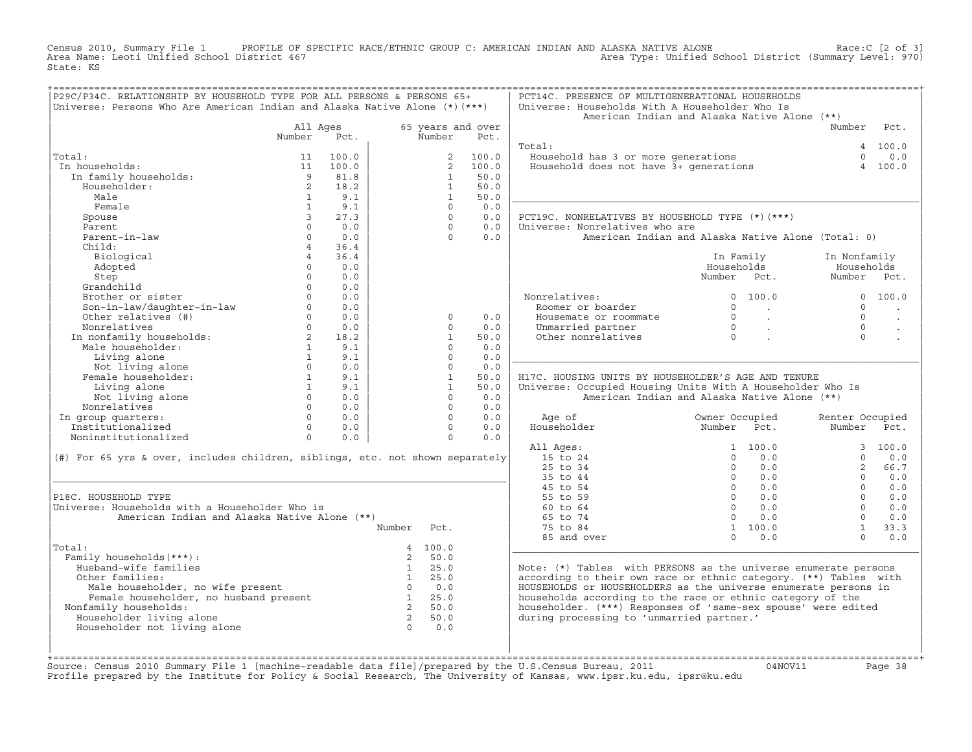Census 2010, Summary File 1 PROFILE OF SPECIFIC RACE/ETHNIC GROUP C: AMERICAN INDIAN AND ALASKA NATIVE ALONE Race:C [2 of 3]<br>Area Name: Leoti Unified School District 467 area Type: Unified School District (Summary Level: 9 Area Type: Unified School District (Summary Level: 970) State: KS

| P29C/P34C. RELATIONSHIP BY HOUSEHOLD TYPE FOR ALL PERSONS & PERSONS 65+<br>Universe: Persons Who Are American Indian and Alaska Native Alone (*) (***) |                                |             |                         |                          |                   | PCT14C. PRESENCE OF MULTIGENERATIONAL HOUSEHOLDS<br>Universe: Households With A Householder Who Is<br>American Indian and Alaska Native Alone (**) |                |                 |                      |                      |
|--------------------------------------------------------------------------------------------------------------------------------------------------------|--------------------------------|-------------|-------------------------|--------------------------|-------------------|----------------------------------------------------------------------------------------------------------------------------------------------------|----------------|-----------------|----------------------|----------------------|
|                                                                                                                                                        | All Ages                       |             |                         |                          | 65 years and over |                                                                                                                                                    |                |                 | Number Pct.          |                      |
|                                                                                                                                                        | Number                         | Pct.        |                         | Number                   | Pct.              |                                                                                                                                                    |                |                 |                      |                      |
|                                                                                                                                                        |                                |             |                         |                          |                   | Total:                                                                                                                                             |                |                 |                      | 4 100.0              |
| Total:                                                                                                                                                 | 11                             | 100.0       |                         | $\overline{2}$           | 100.0             | Household has 3 or more generations<br>Household does not have 3+ generations                                                                      |                |                 | $\Omega$             | 0.0                  |
| In households:                                                                                                                                         | 11                             | 100.0       |                         | 2                        | 100.0             |                                                                                                                                                    |                |                 | $\overline{4}$       | 100.0                |
| In family households:                                                                                                                                  | $\overline{9}$                 | 81.8        |                         | $\mathbf{1}$             | 50.0              |                                                                                                                                                    |                |                 |                      |                      |
| Householder:                                                                                                                                           | 2                              | 18.2        |                         | $\mathbf{1}$             | 50.0              |                                                                                                                                                    |                |                 |                      |                      |
| Male                                                                                                                                                   | $\mathbf{1}$                   | 9.1         |                         | $\mathbf{1}$             | 50.0              |                                                                                                                                                    |                |                 |                      |                      |
| Female                                                                                                                                                 | $\mathbf{1}$                   | 9.1         |                         | $\Omega$                 | 0.0               |                                                                                                                                                    |                |                 |                      |                      |
| Spouse                                                                                                                                                 | $\overline{3}$                 | 27.3        |                         | $\Omega$                 | 0.0               | PCT19C. NONRELATIVES BY HOUSEHOLD TYPE (*)(***)                                                                                                    |                |                 |                      |                      |
| Parent                                                                                                                                                 | $\Omega$                       | 0.0         |                         | $\Omega$                 | 0.0               | Universe: Nonrelatives who are                                                                                                                     |                |                 |                      |                      |
| Parent-in-law                                                                                                                                          | $\Omega$                       | 0.0         |                         | $\cap$                   | 0.0               | American Indian and Alaska Native Alone (Total: 0)                                                                                                 |                |                 |                      |                      |
| Child:                                                                                                                                                 | $\overline{4}$                 | 36.4        |                         |                          |                   |                                                                                                                                                    |                |                 |                      |                      |
| Biological                                                                                                                                             | $\overline{4}$                 | 36.4        |                         |                          |                   |                                                                                                                                                    | In Family      |                 | In Nonfamily         |                      |
| Adopted                                                                                                                                                | $\Omega$                       | 0.0         |                         |                          |                   |                                                                                                                                                    | Households     |                 | Households           |                      |
| Step                                                                                                                                                   | $\Omega$                       | 0.0         |                         |                          |                   |                                                                                                                                                    | Number Pct.    |                 | Number Pct.          |                      |
| Grandchild                                                                                                                                             | $\Omega$                       | 0.0         |                         |                          |                   |                                                                                                                                                    |                |                 |                      |                      |
| Brother or sister                                                                                                                                      | $\Omega$<br>$\Omega$           | 0.0         |                         |                          |                   | Nonrelatives:<br>Roomer or boarder                                                                                                                 | $\Omega$       | 0 100.0         | $\Omega$             | 0 100.0              |
| Son-in-law/daughter-in-law                                                                                                                             | $\Omega$                       | 0.0         |                         |                          |                   |                                                                                                                                                    | $\Omega$       | <b>Contract</b> |                      | $\ddot{\phantom{a}}$ |
| Other relatives (#)                                                                                                                                    | $\Omega$                       | 0.0<br>0.0  |                         | $\Omega$<br>$\Omega$     | 0.0               | Housemate or roommate                                                                                                                              | $\Omega$       | $\sim$          | $\Omega$<br>$\Omega$ |                      |
| Nonrelatives                                                                                                                                           |                                |             |                         |                          | 0.0               | Unmarried partner                                                                                                                                  | $\overline{0}$ |                 | $\Omega$             |                      |
| In nonfamily households:<br>Male householder.<br>Male householder:                                                                                     | $\overline{2}$<br>$\mathbf{1}$ | 18.2<br>9.1 |                         | $\mathbf{1}$<br>$\Omega$ | 50.0<br>0.0       | Other nonrelatives                                                                                                                                 |                |                 |                      |                      |
| Living alone                                                                                                                                           | 1                              | 9.1         |                         | $\Omega$                 | 0.0               |                                                                                                                                                    |                |                 |                      |                      |
| Not living alone                                                                                                                                       | $\circ$                        | 0.0         |                         | $\Omega$                 | 0.0               |                                                                                                                                                    |                |                 |                      |                      |
| Female householder:                                                                                                                                    | $\mathbf{1}$                   | 9.1         |                         | $\mathbf{1}$             | 50.0              | H17C. HOUSING UNITS BY HOUSEHOLDER'S AGE AND TENURE                                                                                                |                |                 |                      |                      |
| Living alone                                                                                                                                           | $\mathbf{1}$                   | 9.1         |                         | $\mathbf{1}$             | 50.0              | Universe: Occupied Housing Units With A Householder Who Is                                                                                         |                |                 |                      |                      |
| Not living alone                                                                                                                                       | $\Omega$                       | 0.0         |                         | $\Omega$                 | 0.0               | American Indian and Alaska Native Alone (**)                                                                                                       |                |                 |                      |                      |
| Nonrelatives                                                                                                                                           | $\circ$                        | 0.0         |                         | $\Omega$                 | 0.0               |                                                                                                                                                    |                |                 |                      |                      |
| In group quarters:                                                                                                                                     | $\Omega$                       | 0.0         |                         | $\Omega$                 | 0.0               | Age of                                                                                                                                             | Owner Occupied |                 | Renter Occupied      |                      |
| Institutionalized                                                                                                                                      | $\Omega$                       | 0.0         |                         | $\Omega$                 | 0.0               | Householder                                                                                                                                        | Number Pct.    |                 | Number               | Pct.                 |
| Noninstitutionalized                                                                                                                                   | $\Omega$                       | 0.0         |                         | $\Omega$                 | 0.0               |                                                                                                                                                    |                |                 |                      |                      |
|                                                                                                                                                        |                                |             |                         |                          |                   | All Ages:                                                                                                                                          |                | 1 100.0         |                      | 3, 100.0             |
| $(\#)$ For 65 yrs & over, includes children, siblings, etc. not shown separately                                                                       |                                |             |                         |                          |                   | $15$ to $24$                                                                                                                                       | $\Omega$       | 0.0             | $\Omega$             | 0.0                  |
|                                                                                                                                                        |                                |             |                         |                          |                   | $25$ to $34$                                                                                                                                       | $\Omega$       | 0.0             | 2                    | 66.7                 |
|                                                                                                                                                        |                                |             |                         |                          |                   | 35 to 44                                                                                                                                           | $\Omega$       | 0.0             | $\Omega$             | 0.0                  |
|                                                                                                                                                        |                                |             |                         |                          |                   | 45 to 54                                                                                                                                           |                | $0 \t 0.0$      | $\Omega$             | 0.0                  |
| P18C. HOUSEHOLD TYPE                                                                                                                                   |                                |             |                         |                          |                   | 55 to 59                                                                                                                                           |                | $0 \qquad 0.0$  | $\cap$               | 0.0                  |
| Universe: Households with a Householder Who is                                                                                                         |                                |             |                         |                          |                   | 60 to 64                                                                                                                                           | $\Omega$       | 0.0             | $\Omega$             | 0.0                  |
| American Indian and Alaska Native Alone (**)                                                                                                           |                                |             |                         |                          |                   | 65 to 74                                                                                                                                           | $\Omega$       | 0.0             | $\Omega$             | 0.0                  |
|                                                                                                                                                        |                                |             | Number                  | Pct.                     |                   | 75 to 84                                                                                                                                           |                | 1 100.0         | $\mathbf{1}$         | 33.3                 |
|                                                                                                                                                        |                                |             |                         |                          |                   | 85 and over                                                                                                                                        | $\Omega$       | 0.0             | $\Omega$             | 0.0                  |
| Total:                                                                                                                                                 |                                |             |                         | 4 100.0                  |                   |                                                                                                                                                    |                |                 |                      |                      |
| Family households (***) :                                                                                                                              |                                |             |                         | 2, 50.0                  |                   |                                                                                                                                                    |                |                 |                      |                      |
| Husband-wife families                                                                                                                                  |                                |             | $\mathbf{1}$            | 25.0                     |                   | Note: $(*)$ Tables with PERSONS as the universe enumerate persons                                                                                  |                |                 |                      |                      |
| Other families:                                                                                                                                        |                                |             | 1                       | 25.0                     |                   | according to their own race or ethnic category. (**) Tables with                                                                                   |                |                 |                      |                      |
| maie nouseholder, no wife present<br>Female householder, no husband present<br>iamily households:<br>weakeholds:                                       |                                |             |                         | $0 \t 0.0$               |                   | HOUSEHOLDS or HOUSEHOLDERS as the universe enumerate persons in                                                                                    |                |                 |                      |                      |
|                                                                                                                                                        |                                |             | $\frac{1}{2}$           | 25.0                     |                   | households according to the race or ethnic category of the                                                                                         |                |                 |                      |                      |
| Nonfamily households:                                                                                                                                  |                                |             | $\overline{2}$          | 50.0                     |                   | householder. (***) Responses of 'same-sex spouse' were edited                                                                                      |                |                 |                      |                      |
| Householder living alone                                                                                                                               |                                |             | $\overline{\mathbf{c}}$ | 50.0                     |                   | during processing to 'unmarried partner.'                                                                                                          |                |                 |                      |                      |
| Householder not living alone                                                                                                                           |                                |             | $\bigcap$               | 0.0                      |                   |                                                                                                                                                    |                |                 |                      |                      |
|                                                                                                                                                        |                                |             |                         |                          |                   |                                                                                                                                                    |                |                 |                      |                      |
|                                                                                                                                                        |                                |             |                         |                          |                   |                                                                                                                                                    |                |                 |                      |                      |
|                                                                                                                                                        |                                |             |                         |                          |                   |                                                                                                                                                    |                |                 |                      |                      |

+===================================================================================================================================================+Source: Census 2010 Summary File 1 [machine−readable data file]/prepared by the U.S.Census Bureau, 2011 04NOV11 Page 38 Profile prepared by the Institute for Policy & Social Research, The University of Kansas, www.ipsr.ku.edu, ipsr@ku.edu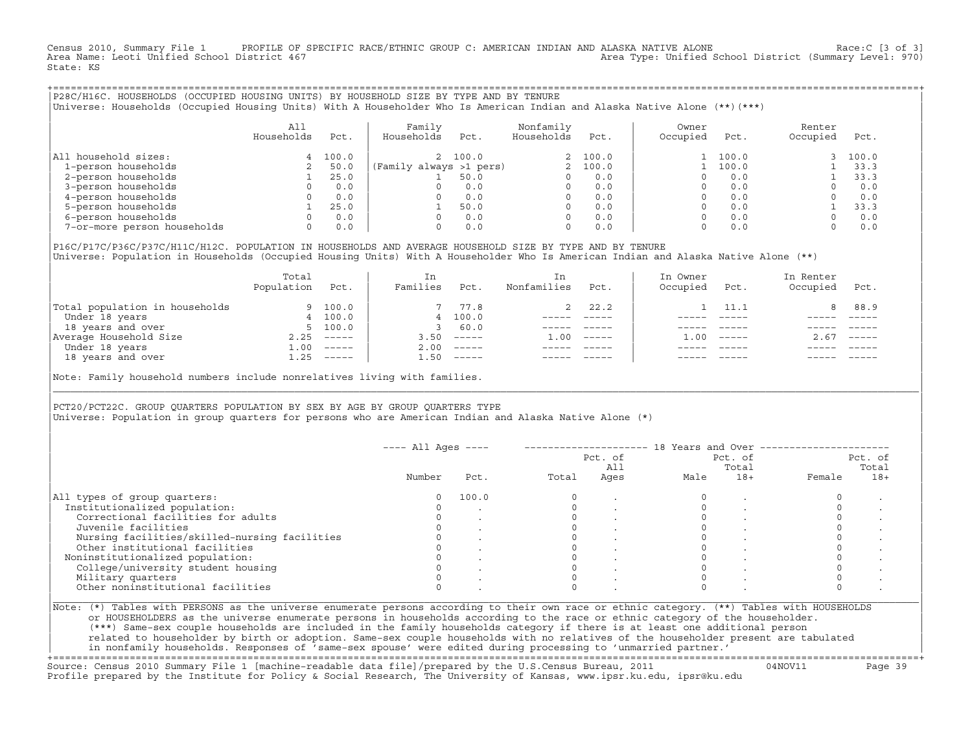Census 2010, Summary File 1 PROFILE OF SPECIFIC RACE/ETHNIC GROUP C: AMERICAN INDIAN AND ALASKA NATIVE ALONE Race:C [3 of 3]<br>Area Name: Leoti Unified School District 467 Area Type: Unified School District (Summary Level: 970) State: KS

+===================================================================================================================================================+|P28C/H16C. HOUSEHOLDS (OCCUPIED HOUSING UNITS) BY HOUSEHOLD SIZE BY TYPE AND BY TENURE | |Universe: Households (Occupied Housing Units) With A Householder Who Is American Indian and Alaska Native Alone (\*\*)(\*\*\*) |

|                             | All<br>Households | Pct.  | Family<br>Households    | Pct.    | Nonfamily<br>Households | Pct.    | Owner<br>Occupied | Pct.  | Renter<br>Occupied | Pct.  |
|-----------------------------|-------------------|-------|-------------------------|---------|-------------------------|---------|-------------------|-------|--------------------|-------|
| All household sizes:        | 4                 | 100.0 |                         | 2 100.0 |                         | 2 100.0 |                   | 100.0 |                    | 100.0 |
| 1-person households         |                   | 50.0  | (Family always >1 pers) |         |                         | 100.0   |                   | 100.0 |                    | 33.3  |
| 2-person households         |                   | 25.0  |                         | 50.0    |                         | 0.0     |                   | 0.0   |                    | 33.3  |
| 3-person households         |                   | 0.0   | 0                       | 0.0     | 0                       | 0.0     |                   | 0.0   |                    | 0.0   |
| 4-person households         |                   | 0.0   | O.                      | 0.0     | 0                       | 0.0     |                   | 0.0   |                    | 0.0   |
| 5-person households         |                   | 25.0  |                         | 50.0    |                         | 0.0     |                   | 0.0   |                    | 33.3  |
| 6-person households         |                   | 0.0   | O.                      | 0.0     |                         | 0.0     |                   | 0.0   |                    | 0.0   |
| 7-or-more person households | 0                 | 0.0   | 0                       | 0.0     | 0                       | 0.0     |                   | 0.0   |                    | 0.0   |

|P16C/P17C/P36C/P37C/H11C/H12C. POPULATION IN HOUSEHOLDS AND AVERAGE HOUSEHOLD SIZE BY TYPE AND BY TENURE | Universe: Population in Households (Occupied Housing Units) With A Householder Who Is American Indian and Alaska Native Alone (\*\*)

|                                | Total<br>Population | Pct.     | In<br>Families | Pct.     | In.<br>Nonfamilies | Pct.     | In Owner<br>Occupied | Pct.          | In Renter<br>Occupied | Pct.        |
|--------------------------------|---------------------|----------|----------------|----------|--------------------|----------|----------------------|---------------|-----------------------|-------------|
| Total population in households |                     | 9 100.0  |                | 7 77.8   |                    | 2, 22.2  |                      | 11.1          | 8                     | 88.9        |
| Under 18 years                 |                     | 4 100.0  |                | 4 100.0  |                    |          |                      |               |                       |             |
| 18 years and over              |                     | 5, 100.0 |                | 60.0     |                    |          |                      |               |                       |             |
| Average Household Size         | 2.25                | $------$ | 3.50           | $------$ | 1.00               | $------$ | .00                  | $- - - - - -$ | 2.67                  | $------$    |
| Under 18 years                 | 1.00                | $------$ | 2.00           | $------$ |                    |          |                      |               |                       |             |
| 18 years and over              | 1.25                | $------$ | 1.50           |          |                    |          |                      | $- - - - -$   |                       | $- - - - -$ |
|                                |                     |          |                |          |                    |          |                      |               |                       |             |

Note: Family household numbers include nonrelatives living with families.

| | PCT20/PCT22C. GROUP OUARTERS POPULATION BY SEX BY AGE BY GROUP OUARTERS TYPE Universe: Population in group quarters for persons who are American Indian and Alaska Native Alone (\*)

|                                               |        |       |       | Pct. of<br>All |      | Pct. of<br>Total |        | Pct. of<br>Total |
|-----------------------------------------------|--------|-------|-------|----------------|------|------------------|--------|------------------|
|                                               | Number | Pct.  | Total | Ages           | Male | $18+$            | Female | $18+$            |
| All types of group quarters:                  |        | 100.0 |       |                |      |                  |        |                  |
| Institutionalized population:                 |        |       |       |                |      |                  |        |                  |
| Correctional facilities for adults            |        |       |       |                |      |                  |        |                  |
| Juvenile facilities                           |        |       |       |                |      |                  |        |                  |
| Nursing facilities/skilled-nursing facilities |        |       |       |                |      |                  |        |                  |
| Other institutional facilities                |        |       |       |                |      |                  |        |                  |
| Noninstitutionalized population:              |        |       |       |                |      |                  |        |                  |
| College/university student housing            |        |       |       |                |      |                  |        |                  |
| Military quarters                             |        |       |       |                |      |                  |        |                  |
| Other noninstitutional facilities             |        |       |       |                |      |                  |        |                  |

|\_\_\_\_\_\_\_\_\_\_\_\_\_\_\_\_\_\_\_\_\_\_\_\_\_\_\_\_\_\_\_\_\_\_\_\_\_\_\_\_\_\_\_\_\_\_\_\_\_\_\_\_\_\_\_\_\_\_\_\_\_\_\_\_\_\_\_\_\_\_\_\_\_\_\_\_\_\_\_\_\_\_\_\_\_\_\_\_\_\_\_\_\_\_\_\_\_\_\_\_\_\_\_\_\_\_\_\_\_\_\_\_\_\_\_\_\_\_\_\_\_\_\_\_\_\_\_\_\_\_\_\_\_\_\_\_\_\_\_\_\_\_\_\_\_\_\_|

| |

| or HOUSEHOLDERS as the universe enumerate persons in households according to the race or ethnic category of the householder. | | (\*\*\*) Same−sex couple households are included in the family households category if there is at least one additional person | | related to householder by birth or adoption. Same−sex couple households with no relatives of the householder present are tabulated | | in nonfamily households. Responses of 'same−sex spouse' were edited during processing to 'unmarried partner.' | +===================================================================================================================================================+

Source: Census 2010 Summary File 1 [machine−readable data file]/prepared by the U.S.Census Bureau, 2011 04NOV11 Page 39 Profile prepared by the Institute for Policy & Social Research, The University of Kansas, www.ipsr.ku.edu, ipsr@ku.edu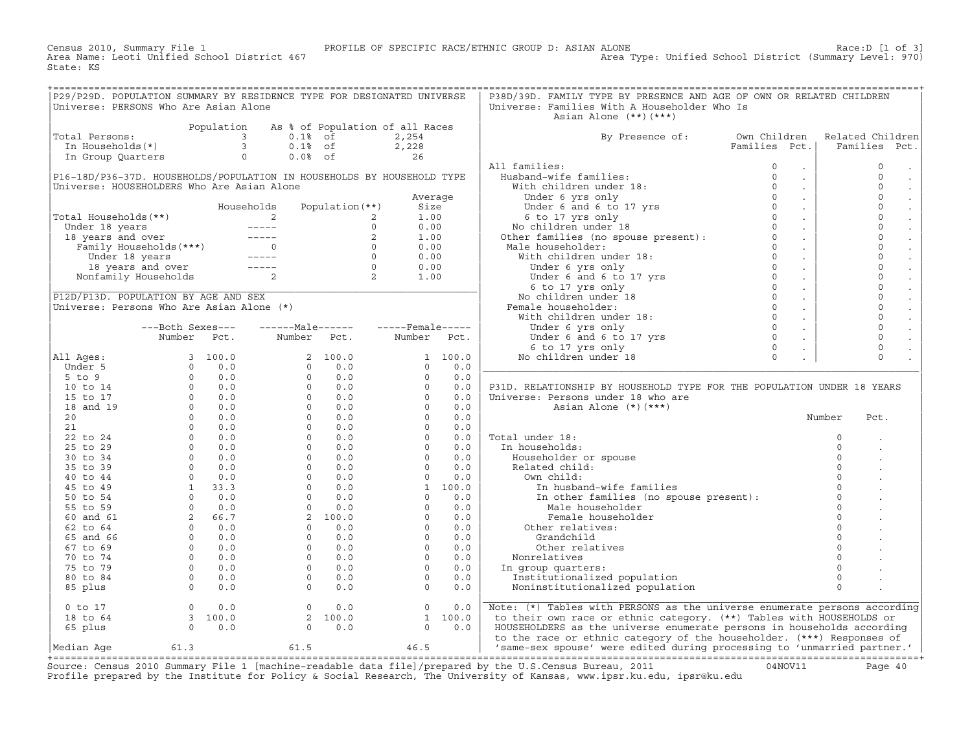Census 2010, Summary File 1 PROFILE OF SPECIFIC RACE/ETHNIC GROUP D: ASIAN ALONE Race:D [1 of 3]<br>Area Name: Leoti Unified School District 467 Area Type: Unified School District (Summary Level: 970) State: KS

| P29/P29D. POPULATION SUMMARY BY RESIDENCE TYPE FOR DESIGNATED UNIVERSE<br>Universe: PERSONS Who Are Asian Alone                                                                                                                                                                                                                                                                                                                                   |                                                                     |                |                   |                                            |             |         | P38D/39D. FAMILY TYPE BY PRESENCE AND AGE OF OWN OR RELATED CHILDREN<br>Universe: Families With A Householder Who Is                                                                                                           |               |                             |          |                       |
|---------------------------------------------------------------------------------------------------------------------------------------------------------------------------------------------------------------------------------------------------------------------------------------------------------------------------------------------------------------------------------------------------------------------------------------------------|---------------------------------------------------------------------|----------------|-------------------|--------------------------------------------|-------------|---------|--------------------------------------------------------------------------------------------------------------------------------------------------------------------------------------------------------------------------------|---------------|-----------------------------|----------|-----------------------|
|                                                                                                                                                                                                                                                                                                                                                                                                                                                   |                                                                     |                |                   |                                            |             |         | Asian Alone $(**)$ $(***)$                                                                                                                                                                                                     |               |                             |          |                       |
|                                                                                                                                                                                                                                                                                                                                                                                                                                                   |                                                                     | Population     |                   | As % of Population of all Races            |             |         |                                                                                                                                                                                                                                |               |                             |          |                       |
| $\begin{array}{ccc}\text{1} & \text{1} & \text{1} & \text{1} & \text{1} & \text{1} \\ \text{2} & \text{2} & \text{3} & \text{2} & \text{3} \\ \text{3} & \text{4} & \text{5} & \text{6} & \text{7} \\ \text{4} & \text{5} & \text{6} & \text{7} & \text{8} \\ \text{5} & \text{6} & \text{7} & \text{8} & \text{9} \\ \text{7} & \text{8} & \text{9} & \text{1} & \text{1} \\ \text{9} & \text{10} & \text{11} & \text{12} & \$<br>Total Persons: |                                                                     |                | $0.1$ % of        |                                            | 2,254       |         | By Presence of:                                                                                                                                                                                                                | Own Children  |                             |          | Related Children      |
|                                                                                                                                                                                                                                                                                                                                                                                                                                                   |                                                                     |                | $0.1$ % of        |                                            | 2,228       |         |                                                                                                                                                                                                                                | Families Pct. |                             |          | Families Pct.         |
| In Group Quarters                                                                                                                                                                                                                                                                                                                                                                                                                                 |                                                                     | $\overline{0}$ | $0.0%$ of         |                                            | 26          |         |                                                                                                                                                                                                                                |               |                             |          |                       |
|                                                                                                                                                                                                                                                                                                                                                                                                                                                   |                                                                     |                |                   |                                            |             |         | All families:                                                                                                                                                                                                                  | $\circ$       | $\bullet$                   |          | $\mathsf O$           |
| P16-18D/P36-37D. HOUSEHOLDS/POPULATION IN HOUSEHOLDS BY HOUSEHOLD TYPE                                                                                                                                                                                                                                                                                                                                                                            |                                                                     |                |                   |                                            |             |         | Husband-wife families:                                                                                                                                                                                                         | $\Omega$      | $\ddot{\phantom{a}}$        |          | $\Omega$              |
| Universe: HOUSEHOLDERS Who Are Asian Alone                                                                                                                                                                                                                                                                                                                                                                                                        |                                                                     |                |                   |                                            |             |         | Number of the control of the set of the set of the set of the set of the set of the set of the set of the set of the set of the set of the set of the set of the set of the set of the set of the set of the set of the set of |               | $\mathbb{Z}^2$              |          | $\mathbf 0$           |
|                                                                                                                                                                                                                                                                                                                                                                                                                                                   |                                                                     |                |                   |                                            | Average     |         |                                                                                                                                                                                                                                |               | $\sim$                      |          | $\mathbf 0$<br>$\Box$ |
|                                                                                                                                                                                                                                                                                                                                                                                                                                                   |                                                                     |                | Households        | Population $(**)$                          | Size        |         |                                                                                                                                                                                                                                |               | $\sim$                      |          | $\mathbf 0$           |
| Total Households (**)                                                                                                                                                                                                                                                                                                                                                                                                                             |                                                                     |                |                   | 2                                          | 1.00        |         |                                                                                                                                                                                                                                |               | $\sim$                      |          | $\mathbf 0$           |
|                                                                                                                                                                                                                                                                                                                                                                                                                                                   |                                                                     |                |                   | $\Omega$                                   | 0.00        |         |                                                                                                                                                                                                                                |               | $\mathbb{Z}^2$              |          | $\mathbf 0$           |
|                                                                                                                                                                                                                                                                                                                                                                                                                                                   |                                                                     |                |                   | 2                                          | 1.00        |         |                                                                                                                                                                                                                                |               | $\sim$                      |          | $\mathbf 0$           |
|                                                                                                                                                                                                                                                                                                                                                                                                                                                   |                                                                     |                |                   | $\overline{\phantom{0}}$                   | 0.00        |         | Male householder:                                                                                                                                                                                                              | $\Omega$      | $\sim$                      |          | $\Omega$              |
|                                                                                                                                                                                                                                                                                                                                                                                                                                                   |                                                                     |                |                   |                                            | 0.00        |         | With children under 18:                                                                                                                                                                                                        |               | $\sim$                      |          | $\mathbf 0$           |
|                                                                                                                                                                                                                                                                                                                                                                                                                                                   | Under 18 years<br>18 years and over -----<br>Nonfamily Households 2 |                |                   | $\begin{array}{c} 0 \\ 0 \\ 2 \end{array}$ | 0.00        |         | e householder:<br>ith children under 18:<br>Under 6 yrs only<br>Under 6 and 6 to 17 yrs<br>0                                                                                                                                   |               | $\sim$                      |          | $\mathbf 0$<br>$\sim$ |
|                                                                                                                                                                                                                                                                                                                                                                                                                                                   |                                                                     |                |                   |                                            | 1.00        |         |                                                                                                                                                                                                                                |               | $\sim$                      |          | $\mathbf 0$           |
|                                                                                                                                                                                                                                                                                                                                                                                                                                                   |                                                                     |                |                   |                                            |             |         | 6 to 17 yrs only                                                                                                                                                                                                               | $\circ$       | $\sim$                      |          | $\mathbf 0$           |
| P12D/P13D. POPULATION BY AGE AND SEX                                                                                                                                                                                                                                                                                                                                                                                                              |                                                                     |                |                   |                                            |             |         | No children under 18                                                                                                                                                                                                           | $\Omega$      | $\sim$                      |          | $\mathbf 0$           |
| Universe: Persons Who Are Asian Alone (*)                                                                                                                                                                                                                                                                                                                                                                                                         |                                                                     |                |                   |                                            |             |         | Female householder:                                                                                                                                                                                                            | $\circ$       | $\sim$                      |          | $\mathbf 0$           |
|                                                                                                                                                                                                                                                                                                                                                                                                                                                   |                                                                     |                |                   |                                            |             |         | With children under 18:                                                                                                                                                                                                        | $\Omega$      | $\sim$                      |          | $\mathbf 0$           |
|                                                                                                                                                                                                                                                                                                                                                                                                                                                   | ---Both Sexes---                                                    |                |                   |                                            |             |         |                                                                                                                                                                                                                                |               | $\sim$                      |          | $\mathbf 0$           |
|                                                                                                                                                                                                                                                                                                                                                                                                                                                   | Number Pct.                                                         |                | Number Pct.       |                                            | Number Pct. |         |                                                                                                                                                                                                                                |               | $\mathcal{L}^{\mathcal{L}}$ |          | $\mathbf 0$           |
|                                                                                                                                                                                                                                                                                                                                                                                                                                                   |                                                                     |                |                   |                                            |             |         |                                                                                                                                                                                                                                |               |                             |          | $\Omega$              |
| All Ages:                                                                                                                                                                                                                                                                                                                                                                                                                                         |                                                                     |                |                   | 2 100.0                                    |             | 1 100.0 | Under 6 and 6 to 17 yrs<br>0 b to 17 yrs<br>6 to 17 yrs only<br>2 children under 18<br>10<br>2 children under 18<br>No children under 18                                                                                       |               |                             |          | $\circ$               |
| Under 5                                                                                                                                                                                                                                                                                                                                                                                                                                           |                                                                     |                |                   | 0.0<br>$\overline{0}$                      | $\circ$     | 0.0     |                                                                                                                                                                                                                                |               |                             |          |                       |
| $5$ to $9$                                                                                                                                                                                                                                                                                                                                                                                                                                        |                                                                     |                |                   | 0.0<br>$0 \qquad \qquad$                   | $\Omega$    | 0.0     |                                                                                                                                                                                                                                |               |                             |          |                       |
|                                                                                                                                                                                                                                                                                                                                                                                                                                                   |                                                                     |                |                   | $0 \t 0.0$                                 | $\Omega$    | 0.0     | P31D. RELATIONSHIP BY HOUSEHOLD TYPE FOR THE POPULATION UNDER 18 YEARS                                                                                                                                                         |               |                             |          |                       |
| 10 to 14                                                                                                                                                                                                                                                                                                                                                                                                                                          |                                                                     |                |                   | $0 \t 0.0$                                 | $\Omega$    |         |                                                                                                                                                                                                                                |               |                             |          |                       |
| 15 to 17                                                                                                                                                                                                                                                                                                                                                                                                                                          |                                                                     |                |                   |                                            |             | 0.0     | Universe: Persons under 18 who are                                                                                                                                                                                             |               |                             |          |                       |
| 18 and 19                                                                                                                                                                                                                                                                                                                                                                                                                                         |                                                                     |                |                   | $0 \t 0.0$                                 | $\circ$     | 0.0     | Asian Alone $(*)$ $(***)$                                                                                                                                                                                                      |               |                             |          |                       |
| 20                                                                                                                                                                                                                                                                                                                                                                                                                                                |                                                                     |                |                   | $0 \t 0.0$                                 | $\Omega$    | 0.0     |                                                                                                                                                                                                                                |               |                             | Number   | Pct.                  |
| 21                                                                                                                                                                                                                                                                                                                                                                                                                                                |                                                                     |                |                   | $0 \t 0.0$                                 | $\circ$     | 0.0     |                                                                                                                                                                                                                                |               |                             |          |                       |
| 22 to 24                                                                                                                                                                                                                                                                                                                                                                                                                                          |                                                                     |                |                   | $0 \t 0.0$                                 | $\Omega$    | 0.0     | Total under 18:                                                                                                                                                                                                                |               |                             | $\circ$  |                       |
| 25 to 29                                                                                                                                                                                                                                                                                                                                                                                                                                          |                                                                     |                |                   | $0 \qquad \qquad$<br>0.0                   | $\Omega$    | 0.0     | In households:                                                                                                                                                                                                                 |               |                             | $\circ$  |                       |
| 30 to 34                                                                                                                                                                                                                                                                                                                                                                                                                                          |                                                                     |                |                   | $0 \t 0.0$                                 | $\circ$     | 0.0     | Householder or spouse                                                                                                                                                                                                          |               |                             | $\circ$  |                       |
| 35 to 39                                                                                                                                                                                                                                                                                                                                                                                                                                          |                                                                     |                |                   | $0 \t 0.0$                                 | $\circ$     | 0.0     | Related child:                                                                                                                                                                                                                 |               |                             | $\Omega$ |                       |
| 40 to 44                                                                                                                                                                                                                                                                                                                                                                                                                                          |                                                                     |                |                   | $0 \t 0.0$                                 | $\circ$     | 0.0     | Own child:                                                                                                                                                                                                                     |               |                             | $\Omega$ |                       |
| 45 to 49                                                                                                                                                                                                                                                                                                                                                                                                                                          |                                                                     |                |                   | $0 \qquad \qquad$<br>0.0                   |             | 1 100.0 | In husband-wife families                                                                                                                                                                                                       |               |                             | $\Omega$ |                       |
| 50 to 54                                                                                                                                                                                                                                                                                                                                                                                                                                          |                                                                     |                |                   | $\Omega$<br>0.0                            | $\Omega$    | 0.0     | In other families (no spouse present):                                                                                                                                                                                         |               |                             | $\Omega$ |                       |
| 55 to 59                                                                                                                                                                                                                                                                                                                                                                                                                                          |                                                                     |                | $0 \qquad \qquad$ | 0.0                                        | $\circ$     | 0.0     | Male householder                                                                                                                                                                                                               |               |                             | $\Omega$ |                       |
| 60 and 61                                                                                                                                                                                                                                                                                                                                                                                                                                         |                                                                     |                |                   | 2, 100.0                                   | $\cap$      | 0.0     | Female householder                                                                                                                                                                                                             |               |                             | $\Omega$ |                       |
| 62 to 64                                                                                                                                                                                                                                                                                                                                                                                                                                          |                                                                     |                |                   | 0.0<br>$0 \qquad \qquad$                   | $\circ$     | 0.0     | Other relatives:                                                                                                                                                                                                               |               |                             | $\Omega$ |                       |
| 65 and 66                                                                                                                                                                                                                                                                                                                                                                                                                                         |                                                                     |                |                   | $0 \t 0.0$                                 | $\Omega$    | 0.0     | Grandchild                                                                                                                                                                                                                     |               |                             | $\Omega$ |                       |
| 67 to 69                                                                                                                                                                                                                                                                                                                                                                                                                                          |                                                                     |                |                   | $0 \t 0.0$                                 | $\Omega$    | 0.0     | Other relatives                                                                                                                                                                                                                |               |                             | $\Omega$ |                       |
| 70 to 74                                                                                                                                                                                                                                                                                                                                                                                                                                          |                                                                     |                |                   | $0 \t 0.0$                                 | $\Omega$    | 0.0     | Nonrelatives                                                                                                                                                                                                                   |               |                             | $\Omega$ |                       |
| 75 to 79                                                                                                                                                                                                                                                                                                                                                                                                                                          |                                                                     |                |                   | $0 \t 0.0$                                 | $\Omega$    | 0.0     | In group quarters:                                                                                                                                                                                                             |               |                             | $\Omega$ |                       |
| 80 to 84                                                                                                                                                                                                                                                                                                                                                                                                                                          |                                                                     |                |                   | 0.0<br>$\overline{0}$                      | $\circ$     | 0.0     | Institutionalized population                                                                                                                                                                                                   |               |                             | $\circ$  |                       |
|                                                                                                                                                                                                                                                                                                                                                                                                                                                   |                                                                     |                |                   | $\Omega$<br>0.0                            | $\Omega$    | 0.0     | Noninstitutionalized population                                                                                                                                                                                                |               |                             | $\Omega$ |                       |
| 85 plus                                                                                                                                                                                                                                                                                                                                                                                                                                           |                                                                     |                |                   |                                            |             |         |                                                                                                                                                                                                                                |               |                             |          |                       |
| $0$ to $17$                                                                                                                                                                                                                                                                                                                                                                                                                                       | $\Omega$                                                            | 0.0            |                   | $\Omega$<br>0.0                            | $\Omega$    | 0.0     | Note: (*) Tables with PERSONS as the universe enumerate persons according                                                                                                                                                      |               |                             |          |                       |
| 18 to 64                                                                                                                                                                                                                                                                                                                                                                                                                                          | $\frac{3}{3}$ 100.0                                                 |                |                   | 2 100.0                                    |             | 1 100.0 | to their own race or ethnic category. (**) Tables with HOUSEHOLDS or                                                                                                                                                           |               |                             |          |                       |
| 65 plus                                                                                                                                                                                                                                                                                                                                                                                                                                           | $0 \qquad 0.0$                                                      |                |                   | 0.0<br>$\overline{0}$                      | $\circ$     | 0.0     | HOUSEHOLDERS as the universe enumerate persons in households according                                                                                                                                                         |               |                             |          |                       |
|                                                                                                                                                                                                                                                                                                                                                                                                                                                   |                                                                     |                |                   |                                            |             |         | to the race or ethnic category of the householder. (***) Responses of                                                                                                                                                          |               |                             |          |                       |
| Median Age                                                                                                                                                                                                                                                                                                                                                                                                                                        | 61.3                                                                |                | 61.5              |                                            | 46.5        |         | 'same-sex spouse' were edited during processing to 'unmarried partner.'                                                                                                                                                        |               |                             |          |                       |
|                                                                                                                                                                                                                                                                                                                                                                                                                                                   |                                                                     |                |                   |                                            |             |         |                                                                                                                                                                                                                                |               |                             |          |                       |

+===================================================================================================================================================+Source: Census 2010 Summary File 1 [machine−readable data file]/prepared by the U.S.Census Bureau, 2011 04NOV11 Page 40 Profile prepared by the Institute for Policy & Social Research, The University of Kansas, www.ipsr.ku.edu, ipsr@ku.edu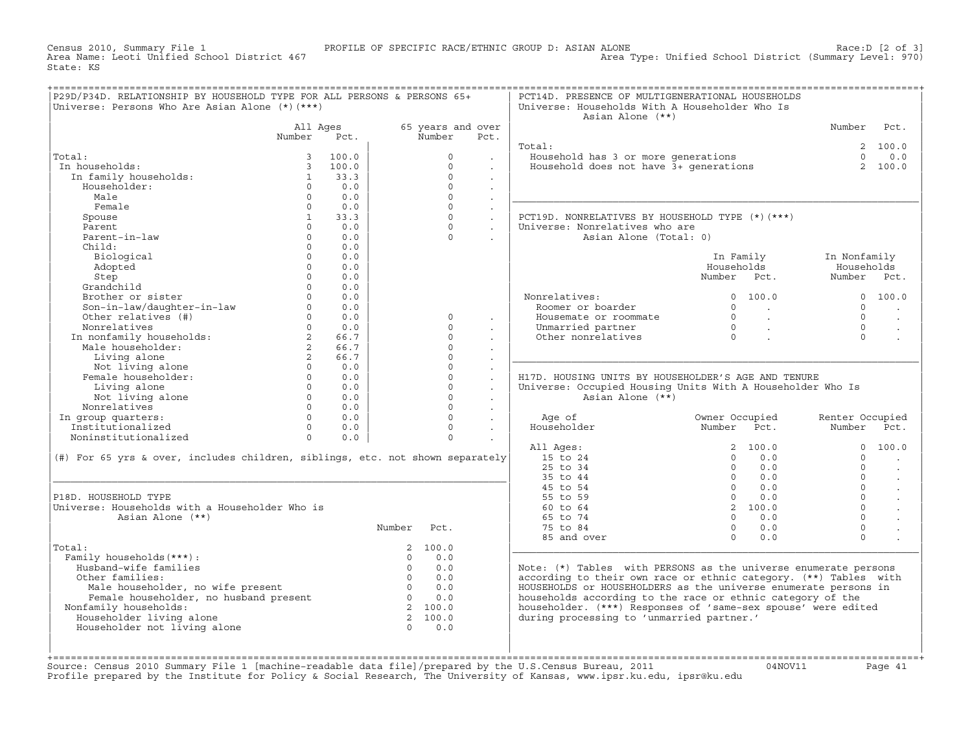Census 2010, Summary File 1 PROFILE OF SPECIFIC RACE/ETHNIC GROUP D: ASIAN ALONE Race:D [2 of 3] State: KS

| P29D/P34D. RELATIONSHIP BY HOUSEHOLD TYPE FOR ALL PERSONS & PERSONS 65+<br>Universe: Persons Who Are Asian Alone (*) (***)                                                                                                                                                                       |                   |                                 |                |                         |                             | PCT14D. PRESENCE OF MULTIGENERATIONAL HOUSEHOLDS<br>Universe: Households With A Householder Who Is<br>Asian Alone (**) |                                                                             |                                |                      |
|--------------------------------------------------------------------------------------------------------------------------------------------------------------------------------------------------------------------------------------------------------------------------------------------------|-------------------|---------------------------------|----------------|-------------------------|-----------------------------|------------------------------------------------------------------------------------------------------------------------|-----------------------------------------------------------------------------|--------------------------------|----------------------|
|                                                                                                                                                                                                                                                                                                  |                   | All Ages                        |                | 65 years and over       |                             |                                                                                                                        |                                                                             | Number                         | Pct.                 |
|                                                                                                                                                                                                                                                                                                  | Number            | Pct.                            |                | Number                  | Pct.                        |                                                                                                                        |                                                                             |                                |                      |
|                                                                                                                                                                                                                                                                                                  |                   |                                 |                |                         |                             | Total:                                                                                                                 |                                                                             |                                | 2, 100.0             |
| Total:                                                                                                                                                                                                                                                                                           | $\overline{3}$    | 100.0                           |                | $\Omega$                |                             | Household has 3 or more generations                                                                                    |                                                                             | $\Omega$                       | 0.0                  |
| In households:                                                                                                                                                                                                                                                                                   |                   | 3, 100.0                        |                | $\Omega$                | $\sim$                      | Household does not have 3+ generations                                                                                 |                                                                             |                                | 2 100.0              |
| In family households:                                                                                                                                                                                                                                                                            | 1                 | 33.3                            |                | $\Omega$                | $\ddot{\phantom{0}}$        |                                                                                                                        |                                                                             |                                |                      |
| Householder:                                                                                                                                                                                                                                                                                     | $\Omega$          | 0.0                             |                | $\Omega$                |                             |                                                                                                                        |                                                                             |                                |                      |
| Male                                                                                                                                                                                                                                                                                             | $\Omega$          | 0.0                             |                | $\Omega$                | $\ddot{\phantom{0}}$        |                                                                                                                        |                                                                             |                                |                      |
| Female                                                                                                                                                                                                                                                                                           | $\Omega$          | 0.0                             |                | $\Omega$                | $\ddot{\phantom{a}}$        |                                                                                                                        |                                                                             |                                |                      |
| Spouse                                                                                                                                                                                                                                                                                           | 1                 | 33.3                            |                | $\circ$                 | $\mathcal{L}^{\mathcal{L}}$ | PCT19D. NONRELATIVES BY HOUSEHOLD TYPE (*)(***)                                                                        |                                                                             |                                |                      |
| Parent                                                                                                                                                                                                                                                                                           | $\Omega$          | 0.0                             |                | $\Omega$                | $\sim$                      | Universe: Nonrelatives who are                                                                                         |                                                                             |                                |                      |
| Parent-in-law                                                                                                                                                                                                                                                                                    | $\Omega$          | 0.0                             |                | $\Omega$                |                             | Asian Alone (Total: 0)                                                                                                 |                                                                             |                                |                      |
| Child:                                                                                                                                                                                                                                                                                           | $\Omega$          | 0.0                             |                |                         |                             |                                                                                                                        |                                                                             |                                |                      |
| Biological                                                                                                                                                                                                                                                                                       | $\Omega$          | 0.0                             |                |                         |                             |                                                                                                                        | In Family                                                                   | In Nonfamily                   |                      |
| Adopted                                                                                                                                                                                                                                                                                          | $\circ$           | 0.0                             |                |                         |                             |                                                                                                                        | Households                                                                  | Households                     |                      |
| Step                                                                                                                                                                                                                                                                                             | $\Omega$          | 0.0                             |                |                         |                             |                                                                                                                        | Number Pct.                                                                 | Number Pct.                    |                      |
| Grandchild                                                                                                                                                                                                                                                                                       | $\Omega$          | 0.0                             |                |                         |                             |                                                                                                                        |                                                                             |                                |                      |
| Brother or sister                                                                                                                                                                                                                                                                                | $\Omega$          | 0.0                             |                |                         |                             | Nonrelatives:                                                                                                          | 0 100.0                                                                     |                                | 0 100.0              |
| Son-in-law/daughter-in-law<br>Other relatives (#)                                                                                                                                                                                                                                                | $\Omega$          | 0.0                             |                |                         |                             | Roomer or boarder                                                                                                      | $\overline{0}$<br><b>Contract Contract Contract</b>                         | $\Omega$                       |                      |
|                                                                                                                                                                                                                                                                                                  | $0 \qquad \qquad$ | 0.0                             |                | $\circ$                 | $\mathbf{r}$                | Housemate or roommate                                                                                                  |                                                                             | $\Omega$                       | $\ddot{\phantom{a}}$ |
| Nonrelatives                                                                                                                                                                                                                                                                                     | $\Omega$          | 0.0                             |                | $\Omega$                |                             | Unmarried partner                                                                                                      | $\begin{matrix} 0 & & & \\ & 0 & & \\ 0 & & & \\ & & 0 & & \\ \end{matrix}$ | $\Omega$                       | $\sim$               |
| In nonfamily households:<br>Male householder:                                                                                                                                                                                                                                                    | $\overline{2}$    | 66.7                            |                | $\Omega$                |                             | Other nonrelatives                                                                                                     |                                                                             | $\Omega$                       |                      |
|                                                                                                                                                                                                                                                                                                  | $2^{\circ}$       | 66.7                            |                | $\mathbf 0$<br>$\Omega$ |                             |                                                                                                                        |                                                                             |                                |                      |
| Living alone                                                                                                                                                                                                                                                                                     | $2^{\circ}$       | 66.7                            |                |                         |                             |                                                                                                                        |                                                                             |                                |                      |
| Not living alone<br>Female householder:                                                                                                                                                                                                                                                          | $\overline{0}$    | 0.0                             |                | $\circ$                 | $\ddot{\phantom{a}}$        |                                                                                                                        |                                                                             |                                |                      |
|                                                                                                                                                                                                                                                                                                  | $\overline{0}$    | 0.0                             |                | $\Omega$                | $\ddot{\phantom{a}}$        | H17D. HOUSING UNITS BY HOUSEHOLDER'S AGE AND TENURE                                                                    |                                                                             |                                |                      |
| Living alone                                                                                                                                                                                                                                                                                     | $0 \qquad \qquad$ | 0.0<br>$0 \qquad \qquad$<br>0.0 |                | $\mathbf 0$<br>$\Omega$ | $\ddot{\phantom{a}}$        | Universe: Occupied Housing Units With A Householder Who Is                                                             |                                                                             |                                |                      |
| Not living alone<br>Nonrelatives                                                                                                                                                                                                                                                                 | $\Omega$          | 0.0                             |                | $\Omega$                |                             | Asian Alone (**)                                                                                                       |                                                                             |                                |                      |
|                                                                                                                                                                                                                                                                                                  |                   | $\Omega$<br>0.0                 |                | $\Omega$                | $\ddot{\phantom{a}}$        |                                                                                                                        |                                                                             |                                |                      |
| In group quarters:<br>Institutionalized                                                                                                                                                                                                                                                          | $\Omega$          | 0.0                             |                | $\Omega$                | $\sim$                      | Age of<br>Householder                                                                                                  | Owner Occupied<br>Number Pct.                                               | Renter Occupied<br>Number Pct. |                      |
| Noninstitutionalized                                                                                                                                                                                                                                                                             | $0 \qquad \qquad$ | 0.0                             |                | $\circ$                 | $\sim$                      |                                                                                                                        |                                                                             |                                |                      |
|                                                                                                                                                                                                                                                                                                  |                   |                                 |                |                         |                             | All Ages:                                                                                                              | 2, 100.0                                                                    | $\Omega$                       | 100.0                |
| (#) For 65 yrs & over, includes children, siblings, etc. not shown separately                                                                                                                                                                                                                    |                   |                                 |                |                         |                             | 15 to 24                                                                                                               | $0 \qquad 0.0$                                                              | $\Omega$                       |                      |
|                                                                                                                                                                                                                                                                                                  |                   |                                 |                |                         |                             | 25 to 34                                                                                                               | $\circ$<br>0.0                                                              | $\Omega$                       |                      |
|                                                                                                                                                                                                                                                                                                  |                   |                                 |                |                         |                             | 35 to 44                                                                                                               | $0 \qquad 0.0$                                                              | $\Omega$                       |                      |
|                                                                                                                                                                                                                                                                                                  |                   |                                 |                |                         |                             | 45 to 54                                                                                                               | $0 \t 0.0$                                                                  | $\Omega$                       | $\ddot{\phantom{a}}$ |
| P18D. HOUSEHOLD TYPE                                                                                                                                                                                                                                                                             |                   |                                 |                |                         |                             | 55 to 59                                                                                                               | $\Omega$<br>0.0                                                             | $\Omega$                       | $\sim$               |
| Universe: Households with a Householder Who is                                                                                                                                                                                                                                                   |                   |                                 |                |                         |                             | 60 to 64                                                                                                               | 2 100.0                                                                     | $\Omega$                       |                      |
| Asian Alone (**)                                                                                                                                                                                                                                                                                 |                   |                                 |                |                         |                             | 65 to 74                                                                                                               | $\Omega$<br>0.0                                                             | $\Omega$                       |                      |
|                                                                                                                                                                                                                                                                                                  |                   |                                 | Number         | Pct.                    |                             | 75 to 84                                                                                                               | $0 \qquad 0.0$                                                              | $\Omega$                       |                      |
|                                                                                                                                                                                                                                                                                                  |                   |                                 |                |                         |                             | 85 and over                                                                                                            | $0 \t 0.0$                                                                  | $\Omega$                       |                      |
| Total:                                                                                                                                                                                                                                                                                           |                   |                                 |                | 2 100.0                 |                             |                                                                                                                        |                                                                             |                                |                      |
| Family households (***) :                                                                                                                                                                                                                                                                        |                   |                                 | $\Omega$       | 0.0                     |                             |                                                                                                                        |                                                                             |                                |                      |
|                                                                                                                                                                                                                                                                                                  |                   |                                 |                | 0.0                     |                             | Note: (*) Tables with PERSONS as the universe enumerate persons                                                        |                                                                             |                                |                      |
|                                                                                                                                                                                                                                                                                                  |                   |                                 |                |                         |                             |                                                                                                                        |                                                                             |                                |                      |
| Husband-wife families                                                                                                                                                                                                                                                                            |                   |                                 | $\overline{0}$ |                         |                             |                                                                                                                        |                                                                             |                                |                      |
| Other families:                                                                                                                                                                                                                                                                                  |                   |                                 |                | $0 \qquad 0.0$          |                             | according to their own race or ethnic category. (**) Tables with                                                       |                                                                             |                                |                      |
|                                                                                                                                                                                                                                                                                                  |                   |                                 |                |                         |                             | HOUSEHOLDS or HOUSEHOLDERS as the universe enumerate persons in                                                        |                                                                             |                                |                      |
|                                                                                                                                                                                                                                                                                                  |                   |                                 |                |                         |                             | households according to the race or ethnic category of the                                                             |                                                                             |                                |                      |
| Nonfamily households:                                                                                                                                                                                                                                                                            |                   |                                 |                |                         |                             | householder. (***) Responses of 'same-sex spouse' were edited                                                          |                                                                             |                                |                      |
| Householder living alone                                                                                                                                                                                                                                                                         |                   |                                 |                |                         |                             | during processing to 'unmarried partner.'                                                                              |                                                                             |                                |                      |
| many nouseholder, no wife present<br>Female householder, no husband present<br>5. Samily households:<br>10 0.0<br>10 0.0<br>10 0.0<br>10 0.0<br>2 100.0<br>10 0.0<br>2 100.0<br>10 0.0<br>10 0.0<br>2 100.0<br>10 0.0<br>2 100.0<br>10 0.0<br>2 100.0<br>2 100.0<br>Householder not living alone |                   |                                 | $\Omega$       | 0.0                     |                             |                                                                                                                        |                                                                             |                                |                      |
|                                                                                                                                                                                                                                                                                                  |                   |                                 |                |                         |                             |                                                                                                                        |                                                                             |                                |                      |

Source: Census 2010 Summary File 1 [machine-readable data file]/prepared by the U.S.Census Bureau, 2011 Page 41<br>Profile prepared by the Institute for Policy & Social Research, The University of Kansas, www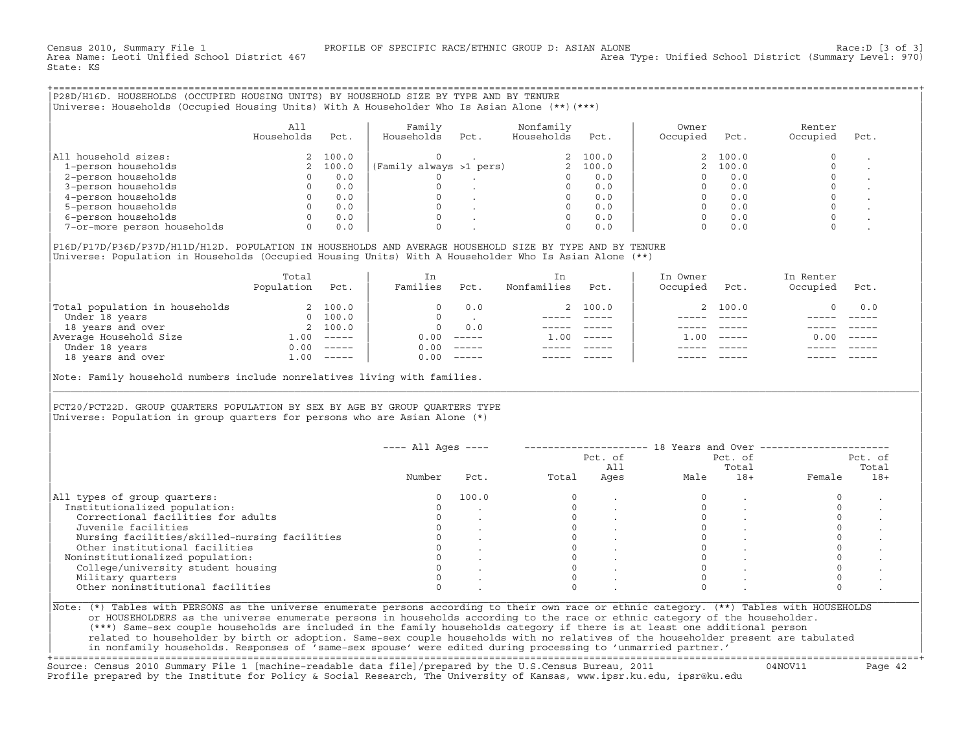State: KS

+===================================================================================================================================================+|P28D/H16D. HOUSEHOLDS (OCCUPIED HOUSING UNITS) BY HOUSEHOLD SIZE BY TYPE AND BY TENURE | |Universe: Households (Occupied Housing Units) With A Householder Who Is Asian Alone (\*\*)(\*\*\*) |

|                             | All<br>Households | Pct.     | Family<br>Households    | Pct. | Nonfamily<br>Households | Pct.    | Owner<br>Occupied | Pct.    | Renter<br>Occupied | Pct. |
|-----------------------------|-------------------|----------|-------------------------|------|-------------------------|---------|-------------------|---------|--------------------|------|
| All household sizes:        |                   | 2, 100.0 |                         |      |                         | 2 100.0 |                   | 2 100.0 |                    |      |
| 1-person households         |                   | 100.0    | (Family always >1 pers) |      |                         | 100.0   |                   | 100.0   |                    |      |
| 2-person households         |                   | 0.0      |                         |      |                         | 0.0     |                   | 0.0     |                    |      |
| 3-person households         |                   | 0.0      |                         |      |                         | 0.0     |                   | 0.0     |                    |      |
| 4-person households         |                   | 0.0      |                         |      |                         | 0.0     |                   | 0.0     |                    |      |
| 5-person households         |                   | 0.0      |                         |      |                         | 0.0     |                   | 0.0     |                    |      |
| 6-person households         |                   | 0.0      |                         |      |                         | 0.0     |                   | 0.0     |                    |      |
| 7-or-more person households | 0                 | 0.0      |                         |      | O                       | 0.0     |                   | 0.0     |                    |      |

|P16D/P17D/P36D/P37D/H11D/H12D. POPULATION IN HOUSEHOLDS AND AVERAGE HOUSEHOLD SIZE BY TYPE AND BY TENURE | Universe: Population in Households (Occupied Housing Units) With A Householder Who Is Asian Alone (\*\*)

|                                | Total<br>Population | Pct.     | In<br>Families | Pct.                      | In<br>Nonfamilies | Pct.     | In Owner<br>Occupied | Pct.          | In Renter<br>Occupied | Pct.     |  |
|--------------------------------|---------------------|----------|----------------|---------------------------|-------------------|----------|----------------------|---------------|-----------------------|----------|--|
| Total population in households |                     | 2 100.0  |                | 0.0                       |                   | 2 100.0  |                      | 2 100.0       |                       | 0.0      |  |
| Under 18 years                 | $\Omega$            | 100.0    |                |                           |                   |          |                      |               |                       |          |  |
| 18 years and over              |                     | 2 100.0  | $\Omega$       | 0.0                       |                   |          |                      |               |                       |          |  |
| Average Household Size         | .00                 | $------$ | 0.00           | $------$                  | 1.00              | $------$ | .00                  | $- - - - - -$ | 0.00                  | $------$ |  |
| Under 18 years                 | 0.00                | $------$ | 0.00           | $------$                  |                   |          |                      |               |                       |          |  |
| 18 years and over              | $\pm 00$            | $------$ | 0.00           | $\qquad \qquad - - - - -$ |                   |          |                      |               |                       | $------$ |  |
|                                |                     |          |                |                           |                   |          |                      |               |                       |          |  |

Note: Family household numbers include nonrelatives living with families.

## | | PCT20/PCT22D. GROUP OUARTERS POPULATION BY SEX BY AGE BY GROUP OUARTERS TYPE Universe: Population in group quarters for persons who are Asian Alone  $(*)$

|                                               | $---$ All Ages $---$ |       |       | Pct. of<br>All | 18 Years and Over ------------ | Pct. of<br>Total |        | Pct. of<br>Total |
|-----------------------------------------------|----------------------|-------|-------|----------------|--------------------------------|------------------|--------|------------------|
|                                               | Number               | Pct.  | Total | Ages           | Male                           | $18+$            | Female | $18+$            |
| All types of group quarters:                  |                      | 100.0 |       |                |                                |                  |        |                  |
| Institutionalized population:                 |                      |       |       |                |                                |                  |        |                  |
| Correctional facilities for adults            |                      |       |       |                |                                |                  |        |                  |
| Juvenile facilities                           |                      |       |       |                |                                |                  |        |                  |
| Nursing facilities/skilled-nursing facilities |                      |       |       |                |                                |                  |        |                  |
| Other institutional facilities                |                      |       |       |                |                                |                  |        |                  |
| Noninstitutionalized population:              |                      |       |       |                |                                |                  |        |                  |
| College/university student housing            |                      |       |       |                |                                |                  |        |                  |
| Military quarters                             |                      |       |       |                |                                |                  |        |                  |
| Other noninstitutional facilities             |                      |       |       |                |                                |                  |        |                  |

|\_\_\_\_\_\_\_\_\_\_\_\_\_\_\_\_\_\_\_\_\_\_\_\_\_\_\_\_\_\_\_\_\_\_\_\_\_\_\_\_\_\_\_\_\_\_\_\_\_\_\_\_\_\_\_\_\_\_\_\_\_\_\_\_\_\_\_\_\_\_\_\_\_\_\_\_\_\_\_\_\_\_\_\_\_\_\_\_\_\_\_\_\_\_\_\_\_\_\_\_\_\_\_\_\_\_\_\_\_\_\_\_\_\_\_\_\_\_\_\_\_\_\_\_\_\_\_\_\_\_\_\_\_\_\_\_\_\_\_\_\_\_\_\_\_\_\_|

| |

|Note: (\*) Tables with PERSONS as the universe enumerate persons according to their own race or ethnic category. (\*\*) Tables with HOUSEHOLDS | | or HOUSEHOLDERS as the universe enumerate persons in households according to the race or ethnic category of the householder. | | (\*\*\*) Same−sex couple households are included in the family households category if there is at least one additional person | | related to householder by birth or adoption. Same−sex couple households with no relatives of the householder present are tabulated | | in nonfamily households. Responses of 'same−sex spouse' were edited during processing to 'unmarried partner.' | +===================================================================================================================================================+

Source: Census 2010 Summary File 1 [machine−readable data file]/prepared by the U.S.Census Bureau, 2011 04NOV11 Page 42 Profile prepared by the Institute for Policy & Social Research, The University of Kansas, www.ipsr.ku.edu, ipsr@ku.edu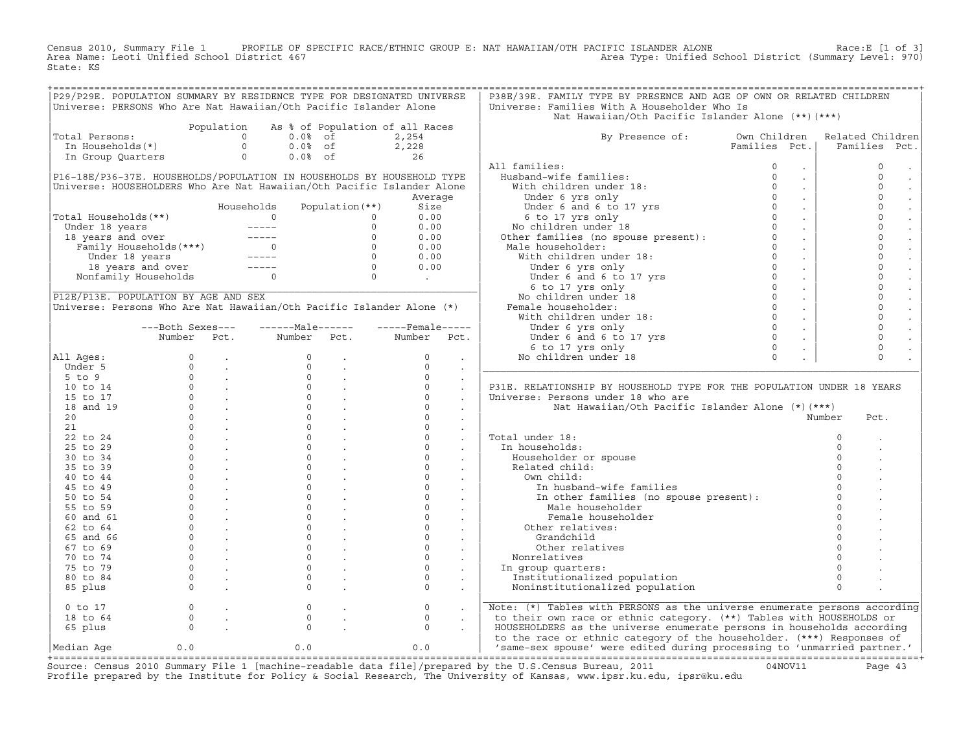Census 2010, Summary File 1 PROFILE OF SPECIFIC RACE/ETHNIC GROUP E: NAT HAWAIIAN/OTH PACIFIC ISLANDER ALONE<br>Area Name: Leoti Unified School District 467 Area Type: Unified School Distri State: KS

|                                                                              |                                                                                |            |                                                         |                   | P29/P29E. POPULATION SUMMARY BY RESIDENCE TYPE FOR DESIGNATED UNIVERSE                                                                                                                                                                                                                                                                                                                                                  | P38E/39E. FAMILY TYPE BY PRESENCE AND AGE OF OWN OR RELATED CHILDREN                                            |               |                     |
|------------------------------------------------------------------------------|--------------------------------------------------------------------------------|------------|---------------------------------------------------------|-------------------|-------------------------------------------------------------------------------------------------------------------------------------------------------------------------------------------------------------------------------------------------------------------------------------------------------------------------------------------------------------------------------------------------------------------------|-----------------------------------------------------------------------------------------------------------------|---------------|---------------------|
| Universe: PERSONS Who Are Nat Hawaiian/Oth Pacific Islander Alone            |                                                                                |            |                                                         |                   |                                                                                                                                                                                                                                                                                                                                                                                                                         | Universe: Families With A Householder Who Is                                                                    |               |                     |
|                                                                              |                                                                                |            |                                                         |                   |                                                                                                                                                                                                                                                                                                                                                                                                                         | Nat Hawaiian/Oth Pacific Islander Alone (**) (***)                                                              |               |                     |
|                                                                              |                                                                                | Population |                                                         |                   | As % of Population of all Races                                                                                                                                                                                                                                                                                                                                                                                         |                                                                                                                 |               |                     |
| Total Persons:<br>otal Persons:<br>In Households(*) 0<br>In Group Quarters 0 |                                                                                |            |                                                         | $0.0$ % of        | 2,254                                                                                                                                                                                                                                                                                                                                                                                                                   | By Presence of: Own Children                                                                                    |               | Related Children    |
|                                                                              |                                                                                |            |                                                         |                   |                                                                                                                                                                                                                                                                                                                                                                                                                         |                                                                                                                 | Families Pct. | Families<br>Pct.    |
|                                                                              |                                                                                |            | $0.0$ <sup>2</sup> of 2,228<br>$0.0$ <sup>2</sup> of 26 |                   |                                                                                                                                                                                                                                                                                                                                                                                                                         |                                                                                                                 |               |                     |
|                                                                              |                                                                                |            |                                                         |                   |                                                                                                                                                                                                                                                                                                                                                                                                                         | All families:                                                                                                   |               | $\mathbf{0}$        |
|                                                                              |                                                                                |            |                                                         |                   | P16-18E/P36-37E. HOUSEHOLDS/POPULATION IN HOUSEHOLDS BY HOUSEHOLD TYPE                                                                                                                                                                                                                                                                                                                                                  |                                                                                                                 |               | $\Omega$            |
|                                                                              |                                                                                |            |                                                         |                   |                                                                                                                                                                                                                                                                                                                                                                                                                         |                                                                                                                 |               | $\circ$             |
|                                                                              |                                                                                |            |                                                         |                   | Universe: HOUSEHOLDERS Who Are Nat Hawaiian/Oth Pacific Islander Alone                                                                                                                                                                                                                                                                                                                                                  |                                                                                                                 |               |                     |
|                                                                              |                                                                                |            |                                                         |                   | Average                                                                                                                                                                                                                                                                                                                                                                                                                 |                                                                                                                 |               | $\mathbf 0$         |
|                                                                              |                                                                                |            | Households                                              | Population $(**)$ | Size                                                                                                                                                                                                                                                                                                                                                                                                                    |                                                                                                                 |               | $\circ$             |
| Total Households(**)                                                         |                                                                                |            |                                                         |                   |                                                                                                                                                                                                                                                                                                                                                                                                                         |                                                                                                                 |               | $\circ$             |
|                                                                              |                                                                                |            |                                                         |                   |                                                                                                                                                                                                                                                                                                                                                                                                                         |                                                                                                                 |               | $\circ$             |
|                                                                              |                                                                                |            |                                                         |                   |                                                                                                                                                                                                                                                                                                                                                                                                                         |                                                                                                                 |               | $\mathbf 0$         |
|                                                                              |                                                                                |            |                                                         |                   |                                                                                                                                                                                                                                                                                                                                                                                                                         |                                                                                                                 |               | $\mathbf{0}$        |
|                                                                              |                                                                                |            |                                                         |                   |                                                                                                                                                                                                                                                                                                                                                                                                                         |                                                                                                                 |               | $\mathbf{0}$        |
|                                                                              |                                                                                |            |                                                         |                   |                                                                                                                                                                                                                                                                                                                                                                                                                         |                                                                                                                 |               | $\circ$             |
|                                                                              |                                                                                |            |                                                         |                   |                                                                                                                                                                                                                                                                                                                                                                                                                         |                                                                                                                 |               | $\mathbf 0$         |
|                                                                              |                                                                                |            |                                                         |                   |                                                                                                                                                                                                                                                                                                                                                                                                                         |                                                                                                                 |               | $\mathbf 0$         |
| P12E/P13E. POPULATION BY AGE AND SEX                                         |                                                                                |            |                                                         |                   |                                                                                                                                                                                                                                                                                                                                                                                                                         |                                                                                                                 |               | $\mathbf{0}$        |
| Universe: Persons Who Are Nat Hawaiian/Oth Pacific Islander Alone (*)        |                                                                                |            |                                                         |                   |                                                                                                                                                                                                                                                                                                                                                                                                                         |                                                                                                                 |               | $\mathsf{O}\xspace$ |
|                                                                              |                                                                                |            |                                                         |                   |                                                                                                                                                                                                                                                                                                                                                                                                                         |                                                                                                                 |               |                     |
|                                                                              |                                                                                |            |                                                         |                   |                                                                                                                                                                                                                                                                                                                                                                                                                         |                                                                                                                 |               | $\circ$             |
|                                                                              | ---Both Sexes---                                                               |            | $---Male----$                                           |                   | -----Female-----                                                                                                                                                                                                                                                                                                                                                                                                        |                                                                                                                 |               | $\mathbf{0}$        |
|                                                                              | Number Pct.                                                                    |            | Number                                                  | Pct.              | Number Pct.                                                                                                                                                                                                                                                                                                                                                                                                             |                                                                                                                 |               | $\circ$             |
|                                                                              |                                                                                |            |                                                         |                   |                                                                                                                                                                                                                                                                                                                                                                                                                         |                                                                                                                 |               | $\circ$             |
| All Ages:                                                                    |                                                                                |            |                                                         |                   |                                                                                                                                                                                                                                                                                                                                                                                                                         |                                                                                                                 |               | $\Omega$            |
|                                                                              |                                                                                |            |                                                         |                   |                                                                                                                                                                                                                                                                                                                                                                                                                         |                                                                                                                 |               |                     |
|                                                                              |                                                                                |            |                                                         |                   |                                                                                                                                                                                                                                                                                                                                                                                                                         |                                                                                                                 |               |                     |
|                                                                              |                                                                                |            |                                                         |                   |                                                                                                                                                                                                                                                                                                                                                                                                                         | P31E. RELATIONSHIP BY HOUSEHOLD TYPE FOR THE POPULATION UNDER 18 YEARS                                          |               |                     |
|                                                                              |                                                                                |            |                                                         |                   |                                                                                                                                                                                                                                                                                                                                                                                                                         | Universe: Persons under 18 who are                                                                              |               |                     |
|                                                                              |                                                                                |            |                                                         |                   |                                                                                                                                                                                                                                                                                                                                                                                                                         | Nat Hawaiian/Oth Pacific Islander Alone (*)(***)                                                                |               |                     |
|                                                                              |                                                                                |            |                                                         |                   |                                                                                                                                                                                                                                                                                                                                                                                                                         |                                                                                                                 |               | Number<br>Pct.      |
|                                                                              |                                                                                |            |                                                         |                   |                                                                                                                                                                                                                                                                                                                                                                                                                         |                                                                                                                 |               |                     |
|                                                                              |                                                                                |            |                                                         |                   |                                                                                                                                                                                                                                                                                                                                                                                                                         |                                                                                                                 |               |                     |
|                                                                              |                                                                                |            |                                                         |                   |                                                                                                                                                                                                                                                                                                                                                                                                                         | Total under 18:                                                                                                 |               | $\Omega$            |
|                                                                              |                                                                                |            |                                                         |                   |                                                                                                                                                                                                                                                                                                                                                                                                                         | In households:                                                                                                  |               | $\mathbf 0$         |
|                                                                              |                                                                                |            |                                                         |                   |                                                                                                                                                                                                                                                                                                                                                                                                                         | Householder or spouse                                                                                           |               |                     |
|                                                                              |                                                                                |            |                                                         |                   |                                                                                                                                                                                                                                                                                                                                                                                                                         | Related child:                                                                                                  |               | $\Omega$            |
|                                                                              |                                                                                |            |                                                         |                   |                                                                                                                                                                                                                                                                                                                                                                                                                         | Own child:                                                                                                      |               |                     |
|                                                                              |                                                                                |            |                                                         |                   |                                                                                                                                                                                                                                                                                                                                                                                                                         | In husband-wife families                                                                                        |               |                     |
|                                                                              |                                                                                |            |                                                         |                   |                                                                                                                                                                                                                                                                                                                                                                                                                         | In other families (no spouse present):<br>Male householder                                                      |               | $\circ$             |
|                                                                              |                                                                                |            |                                                         |                   |                                                                                                                                                                                                                                                                                                                                                                                                                         | Male householder                                                                                                |               | $\Omega$            |
|                                                                              |                                                                                |            |                                                         |                   |                                                                                                                                                                                                                                                                                                                                                                                                                         | Female householder                                                                                              |               | $\Omega$            |
|                                                                              |                                                                                |            |                                                         |                   |                                                                                                                                                                                                                                                                                                                                                                                                                         | Other relatives:                                                                                                |               | $\Omega$            |
|                                                                              |                                                                                |            |                                                         |                   |                                                                                                                                                                                                                                                                                                                                                                                                                         | Grandchild                                                                                                      |               |                     |
|                                                                              |                                                                                |            |                                                         |                   |                                                                                                                                                                                                                                                                                                                                                                                                                         |                                                                                                                 |               | $\Omega$            |
|                                                                              |                                                                                |            |                                                         |                   |                                                                                                                                                                                                                                                                                                                                                                                                                         | Other relatives                                                                                                 |               |                     |
|                                                                              |                                                                                |            |                                                         |                   |                                                                                                                                                                                                                                                                                                                                                                                                                         | Nonrelatives                                                                                                    |               |                     |
|                                                                              |                                                                                |            |                                                         |                   |                                                                                                                                                                                                                                                                                                                                                                                                                         | In group quarters:                                                                                              |               | $\Omega$            |
|                                                                              |                                                                                |            |                                                         |                   |                                                                                                                                                                                                                                                                                                                                                                                                                         | Institutionalized population                                                                                    |               | $\mathbf 0$         |
|                                                                              |                                                                                |            |                                                         |                   | $\begin{array}{cccccccc} \text{Null} & \text{Number} & \text{Pct.} & \text{Number} & \text{Pct.} & \text{Number} & \text{Pct.} \\ \text{all} & \text{Ages:} & 0 & . & 0 & . & 0 & . & 0 \\ \text{Inders 5} & 0 & . & 0 & . & 0 & . & 0 & . & 0 \\ \text{5 to 5} & 0 & . & 0 & . & 0 & . & 0 & . & 0 \\ \text{15 to 11} & 0 & . & 0 & . & 0 & . & 0 & . & 0 \\ \text{20} & 0 & . & 0 & . & 0 & . & 0 & . & 0 \\ \text{2$ | Noninstitutionalized population                                                                                 |               | $\Omega$            |
| 0 to 17                                                                      | $\begin{matrix} 0 & & \cdot \\ & & 0 \\ & & & \cdot \\ & & & & 0 \end{matrix}$ |            | $\circ$                                                 |                   | $\circ$<br>$\sim$                                                                                                                                                                                                                                                                                                                                                                                                       | Note: (*) Tables with PERSONS as the universe enumerate persons according                                       |               |                     |
| 18 to 64                                                                     |                                                                                |            | $\circ$                                                 |                   | $\circ$                                                                                                                                                                                                                                                                                                                                                                                                                 | to their own race or ethnic category. (**) Tables with HOUSEHOLDS or                                            |               |                     |
| 65 plus                                                                      |                                                                                |            | $\Omega$                                                |                   | $\circ$                                                                                                                                                                                                                                                                                                                                                                                                                 | HOUSEHOLDERS as the universe enumerate persons in households according                                          |               |                     |
|                                                                              |                                                                                |            |                                                         |                   |                                                                                                                                                                                                                                                                                                                                                                                                                         | to the race or ethnic category of the householder. (***) Responses of                                           |               |                     |
| Median Age                                                                   | 0.0                                                                            |            | 0.0                                                     |                   | 0.0                                                                                                                                                                                                                                                                                                                                                                                                                     | 'same-sex spouse' were edited during processing to 'unmarried partner.'                                         |               |                     |
|                                                                              |                                                                                |            |                                                         |                   |                                                                                                                                                                                                                                                                                                                                                                                                                         |                                                                                                                 |               |                     |
|                                                                              |                                                                                |            |                                                         |                   |                                                                                                                                                                                                                                                                                                                                                                                                                         | Course: Census 2010 Summary File 1 [mashine_readable data file]/prepared by the H S Census Bureau, 2011 (100711 |               |                     |

Source: Census 2010 Summary File 1 [machine-readable data file]/prepared by the U.S.Census Bureau, 2011 Page 43<br>Profile prepared by the Institute for Policy & Social Research, The University of Kansas, www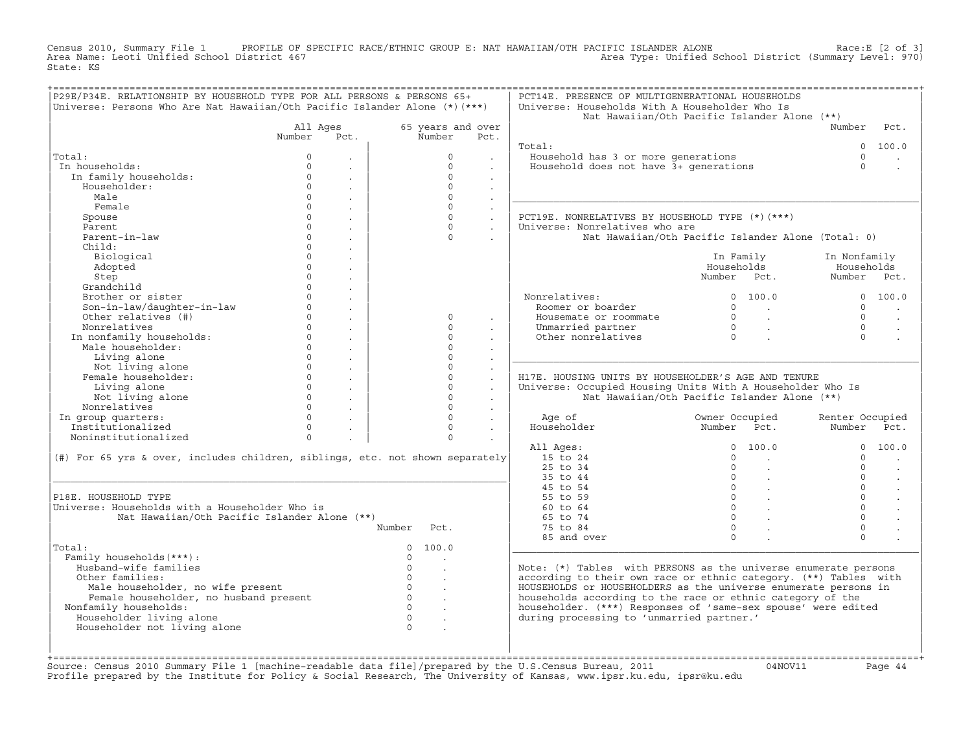Census 2010, Summary File 1 PROFILE OF SPECIFIC RACE/ETHNIC GROUP E: NAT HAWAIIAN/OTH PACIFIC ISLANDER ALONE Race:E [2 of 3]<br>Area Name: Leoti Unified School District 467 area Type: Unified School District (Summary Level: 9 Area Type: Unified School District (Summary Level: 970) State: KS

| 65 years and over<br>Number<br>$\Omega$<br>$\Omega$<br>$\Omega$<br>$\Omega$<br>$\Omega$<br>$\Omega$<br>$\Omega$<br>$\Omega$<br>$\Omega$<br>$\Omega$<br>$\Omega$<br>$\Omega$<br>$\Omega$ | Pct.<br>$\sim$<br>$\sim$<br>$\ddot{\phantom{a}}$<br>$\sim$<br>$\sim$<br>$\ddot{\phantom{a}}$<br>$\sim$<br>$\sim$<br>$\sim$<br>$\mathbf{r}$ | Total:<br>Household has 3 or more generations<br>Household does not have 3+ generations<br>PCT19E. NONRELATIVES BY HOUSEHOLD TYPE (*)(***)<br>Universe: Nonrelatives who are<br>Nonrelatives:<br>Roomer or boarder<br>Housemate or roommate<br>Unmarried partner<br>Other nonrelatives | Nat Hawaiian/Oth Pacific Islander Alone (**)<br>Nat Hawaiian/Oth Pacific Islander Alone (Total: 0)<br>In Family<br>Households<br>Number Pct.<br>0 100.0<br>$\begin{array}{ccc} 0 & & \cdot \end{array}$<br>$\begin{matrix} 0 & & \cdot \\ & & \cdot \\ & & & \cdot \\ 0 & & & \cdot \end{matrix}$ | Number<br>$\cap$<br>$\Omega$<br>In Nonfamily<br>Households<br>Number Pct.<br>$\cap$<br>$\Omega$<br>$\Omega$<br>$\Omega$ | Pct.<br>0 100.0<br>0 100.0                                                                                                                                                                                                                                                                                                              |
|-----------------------------------------------------------------------------------------------------------------------------------------------------------------------------------------|--------------------------------------------------------------------------------------------------------------------------------------------|----------------------------------------------------------------------------------------------------------------------------------------------------------------------------------------------------------------------------------------------------------------------------------------|---------------------------------------------------------------------------------------------------------------------------------------------------------------------------------------------------------------------------------------------------------------------------------------------------|-------------------------------------------------------------------------------------------------------------------------|-----------------------------------------------------------------------------------------------------------------------------------------------------------------------------------------------------------------------------------------------------------------------------------------------------------------------------------------|
|                                                                                                                                                                                         |                                                                                                                                            |                                                                                                                                                                                                                                                                                        |                                                                                                                                                                                                                                                                                                   |                                                                                                                         |                                                                                                                                                                                                                                                                                                                                         |
|                                                                                                                                                                                         |                                                                                                                                            |                                                                                                                                                                                                                                                                                        |                                                                                                                                                                                                                                                                                                   |                                                                                                                         |                                                                                                                                                                                                                                                                                                                                         |
|                                                                                                                                                                                         |                                                                                                                                            |                                                                                                                                                                                                                                                                                        |                                                                                                                                                                                                                                                                                                   |                                                                                                                         |                                                                                                                                                                                                                                                                                                                                         |
|                                                                                                                                                                                         |                                                                                                                                            |                                                                                                                                                                                                                                                                                        |                                                                                                                                                                                                                                                                                                   |                                                                                                                         |                                                                                                                                                                                                                                                                                                                                         |
|                                                                                                                                                                                         |                                                                                                                                            |                                                                                                                                                                                                                                                                                        |                                                                                                                                                                                                                                                                                                   |                                                                                                                         |                                                                                                                                                                                                                                                                                                                                         |
|                                                                                                                                                                                         |                                                                                                                                            |                                                                                                                                                                                                                                                                                        |                                                                                                                                                                                                                                                                                                   |                                                                                                                         |                                                                                                                                                                                                                                                                                                                                         |
|                                                                                                                                                                                         |                                                                                                                                            |                                                                                                                                                                                                                                                                                        |                                                                                                                                                                                                                                                                                                   |                                                                                                                         |                                                                                                                                                                                                                                                                                                                                         |
|                                                                                                                                                                                         |                                                                                                                                            |                                                                                                                                                                                                                                                                                        |                                                                                                                                                                                                                                                                                                   |                                                                                                                         |                                                                                                                                                                                                                                                                                                                                         |
|                                                                                                                                                                                         |                                                                                                                                            |                                                                                                                                                                                                                                                                                        |                                                                                                                                                                                                                                                                                                   |                                                                                                                         |                                                                                                                                                                                                                                                                                                                                         |
|                                                                                                                                                                                         |                                                                                                                                            |                                                                                                                                                                                                                                                                                        |                                                                                                                                                                                                                                                                                                   |                                                                                                                         |                                                                                                                                                                                                                                                                                                                                         |
|                                                                                                                                                                                         |                                                                                                                                            |                                                                                                                                                                                                                                                                                        |                                                                                                                                                                                                                                                                                                   |                                                                                                                         |                                                                                                                                                                                                                                                                                                                                         |
|                                                                                                                                                                                         |                                                                                                                                            |                                                                                                                                                                                                                                                                                        |                                                                                                                                                                                                                                                                                                   |                                                                                                                         |                                                                                                                                                                                                                                                                                                                                         |
|                                                                                                                                                                                         |                                                                                                                                            |                                                                                                                                                                                                                                                                                        |                                                                                                                                                                                                                                                                                                   |                                                                                                                         |                                                                                                                                                                                                                                                                                                                                         |
|                                                                                                                                                                                         |                                                                                                                                            |                                                                                                                                                                                                                                                                                        |                                                                                                                                                                                                                                                                                                   |                                                                                                                         |                                                                                                                                                                                                                                                                                                                                         |
|                                                                                                                                                                                         |                                                                                                                                            |                                                                                                                                                                                                                                                                                        |                                                                                                                                                                                                                                                                                                   |                                                                                                                         |                                                                                                                                                                                                                                                                                                                                         |
|                                                                                                                                                                                         |                                                                                                                                            |                                                                                                                                                                                                                                                                                        |                                                                                                                                                                                                                                                                                                   |                                                                                                                         |                                                                                                                                                                                                                                                                                                                                         |
|                                                                                                                                                                                         |                                                                                                                                            |                                                                                                                                                                                                                                                                                        |                                                                                                                                                                                                                                                                                                   |                                                                                                                         |                                                                                                                                                                                                                                                                                                                                         |
|                                                                                                                                                                                         |                                                                                                                                            |                                                                                                                                                                                                                                                                                        |                                                                                                                                                                                                                                                                                                   |                                                                                                                         |                                                                                                                                                                                                                                                                                                                                         |
|                                                                                                                                                                                         |                                                                                                                                            |                                                                                                                                                                                                                                                                                        |                                                                                                                                                                                                                                                                                                   |                                                                                                                         |                                                                                                                                                                                                                                                                                                                                         |
|                                                                                                                                                                                         |                                                                                                                                            |                                                                                                                                                                                                                                                                                        |                                                                                                                                                                                                                                                                                                   |                                                                                                                         | $\sim$                                                                                                                                                                                                                                                                                                                                  |
|                                                                                                                                                                                         |                                                                                                                                            |                                                                                                                                                                                                                                                                                        |                                                                                                                                                                                                                                                                                                   |                                                                                                                         |                                                                                                                                                                                                                                                                                                                                         |
|                                                                                                                                                                                         |                                                                                                                                            |                                                                                                                                                                                                                                                                                        |                                                                                                                                                                                                                                                                                                   |                                                                                                                         |                                                                                                                                                                                                                                                                                                                                         |
| $\Omega$                                                                                                                                                                                |                                                                                                                                            |                                                                                                                                                                                                                                                                                        |                                                                                                                                                                                                                                                                                                   |                                                                                                                         |                                                                                                                                                                                                                                                                                                                                         |
| $\Omega$                                                                                                                                                                                |                                                                                                                                            |                                                                                                                                                                                                                                                                                        |                                                                                                                                                                                                                                                                                                   |                                                                                                                         |                                                                                                                                                                                                                                                                                                                                         |
| $\Omega$                                                                                                                                                                                |                                                                                                                                            | H17E. HOUSING UNITS BY HOUSEHOLDER'S AGE AND TENURE                                                                                                                                                                                                                                    |                                                                                                                                                                                                                                                                                                   |                                                                                                                         |                                                                                                                                                                                                                                                                                                                                         |
| $\Omega$                                                                                                                                                                                | $\mathbf{r}$<br>$\ddot{\phantom{a}}$                                                                                                       | Universe: Occupied Housing Units With A Householder Who Is                                                                                                                                                                                                                             |                                                                                                                                                                                                                                                                                                   |                                                                                                                         |                                                                                                                                                                                                                                                                                                                                         |
| $\Omega$                                                                                                                                                                                | $\sim$                                                                                                                                     |                                                                                                                                                                                                                                                                                        | Nat Hawaiian/Oth Pacific Islander Alone (**)                                                                                                                                                                                                                                                      |                                                                                                                         |                                                                                                                                                                                                                                                                                                                                         |
| $\Omega$                                                                                                                                                                                | $\ddot{\phantom{0}}$                                                                                                                       |                                                                                                                                                                                                                                                                                        |                                                                                                                                                                                                                                                                                                   |                                                                                                                         |                                                                                                                                                                                                                                                                                                                                         |
| $\Omega$                                                                                                                                                                                | $\sim$                                                                                                                                     | Age of                                                                                                                                                                                                                                                                                 | Owner Occupied                                                                                                                                                                                                                                                                                    | Renter Occupied                                                                                                         |                                                                                                                                                                                                                                                                                                                                         |
| $\Omega$                                                                                                                                                                                | $\sim$                                                                                                                                     | Householder                                                                                                                                                                                                                                                                            | Number Pct.                                                                                                                                                                                                                                                                                       | Number Pct.                                                                                                             |                                                                                                                                                                                                                                                                                                                                         |
| $\Omega$                                                                                                                                                                                |                                                                                                                                            |                                                                                                                                                                                                                                                                                        |                                                                                                                                                                                                                                                                                                   |                                                                                                                         |                                                                                                                                                                                                                                                                                                                                         |
|                                                                                                                                                                                         |                                                                                                                                            | All Ages:                                                                                                                                                                                                                                                                              | 0 100.0                                                                                                                                                                                                                                                                                           |                                                                                                                         | 0 100.0                                                                                                                                                                                                                                                                                                                                 |
| (#) For 65 yrs & over, includes children, siblings, etc. not shown separately                                                                                                           |                                                                                                                                            | 15 to 24                                                                                                                                                                                                                                                                               | $\Omega$<br><b>Contract Contract</b>                                                                                                                                                                                                                                                              | $\cap$                                                                                                                  |                                                                                                                                                                                                                                                                                                                                         |
|                                                                                                                                                                                         |                                                                                                                                            | 25 to 34                                                                                                                                                                                                                                                                               | $\Omega$                                                                                                                                                                                                                                                                                          | $\cap$                                                                                                                  |                                                                                                                                                                                                                                                                                                                                         |
|                                                                                                                                                                                         |                                                                                                                                            | 35 to 44                                                                                                                                                                                                                                                                               | $0 \qquad \qquad .$                                                                                                                                                                                                                                                                               | $\cap$                                                                                                                  | $\ddot{\phantom{a}}$                                                                                                                                                                                                                                                                                                                    |
|                                                                                                                                                                                         |                                                                                                                                            | 45 to 54                                                                                                                                                                                                                                                                               | $\begin{matrix} 0 & \cdots & \cdots \end{matrix}$                                                                                                                                                                                                                                                 | $\Omega$                                                                                                                | $\ddot{\phantom{a}}$                                                                                                                                                                                                                                                                                                                    |
|                                                                                                                                                                                         |                                                                                                                                            | 55 to 59                                                                                                                                                                                                                                                                               | $\begin{array}{ccc} & & & \\ & & & \end{array}$                                                                                                                                                                                                                                                   | $\Omega$                                                                                                                |                                                                                                                                                                                                                                                                                                                                         |
|                                                                                                                                                                                         |                                                                                                                                            | 60 to 64                                                                                                                                                                                                                                                                               | $\begin{matrix} 0 & \cdots & \cdots \end{matrix}$                                                                                                                                                                                                                                                 | $\Omega$                                                                                                                |                                                                                                                                                                                                                                                                                                                                         |
|                                                                                                                                                                                         |                                                                                                                                            | 65 to 74                                                                                                                                                                                                                                                                               | $0 \qquad \qquad$                                                                                                                                                                                                                                                                                 | $\Omega$                                                                                                                |                                                                                                                                                                                                                                                                                                                                         |
| Number<br>Pct.                                                                                                                                                                          |                                                                                                                                            | 75 to 84                                                                                                                                                                                                                                                                               | $\Omega$                                                                                                                                                                                                                                                                                          | $\Omega$                                                                                                                |                                                                                                                                                                                                                                                                                                                                         |
|                                                                                                                                                                                         |                                                                                                                                            | 85 and over                                                                                                                                                                                                                                                                            | $\Omega$                                                                                                                                                                                                                                                                                          | $\Omega$                                                                                                                |                                                                                                                                                                                                                                                                                                                                         |
| 100.0<br>$\Omega$                                                                                                                                                                       |                                                                                                                                            |                                                                                                                                                                                                                                                                                        |                                                                                                                                                                                                                                                                                                   |                                                                                                                         |                                                                                                                                                                                                                                                                                                                                         |
|                                                                                                                                                                                         |                                                                                                                                            |                                                                                                                                                                                                                                                                                        |                                                                                                                                                                                                                                                                                                   |                                                                                                                         |                                                                                                                                                                                                                                                                                                                                         |
| $\Omega$<br><b>Contract</b>                                                                                                                                                             |                                                                                                                                            |                                                                                                                                                                                                                                                                                        |                                                                                                                                                                                                                                                                                                   |                                                                                                                         |                                                                                                                                                                                                                                                                                                                                         |
| $\sim$                                                                                                                                                                                  |                                                                                                                                            |                                                                                                                                                                                                                                                                                        |                                                                                                                                                                                                                                                                                                   |                                                                                                                         |                                                                                                                                                                                                                                                                                                                                         |
|                                                                                                                                                                                         |                                                                                                                                            |                                                                                                                                                                                                                                                                                        |                                                                                                                                                                                                                                                                                                   |                                                                                                                         |                                                                                                                                                                                                                                                                                                                                         |
|                                                                                                                                                                                         |                                                                                                                                            |                                                                                                                                                                                                                                                                                        |                                                                                                                                                                                                                                                                                                   |                                                                                                                         |                                                                                                                                                                                                                                                                                                                                         |
|                                                                                                                                                                                         |                                                                                                                                            |                                                                                                                                                                                                                                                                                        |                                                                                                                                                                                                                                                                                                   |                                                                                                                         |                                                                                                                                                                                                                                                                                                                                         |
| $\sim$                                                                                                                                                                                  |                                                                                                                                            |                                                                                                                                                                                                                                                                                        |                                                                                                                                                                                                                                                                                                   |                                                                                                                         |                                                                                                                                                                                                                                                                                                                                         |
| $\mathcal{L}^{\mathcal{L}}$                                                                                                                                                             |                                                                                                                                            |                                                                                                                                                                                                                                                                                        |                                                                                                                                                                                                                                                                                                   |                                                                                                                         |                                                                                                                                                                                                                                                                                                                                         |
|                                                                                                                                                                                         |                                                                                                                                            |                                                                                                                                                                                                                                                                                        |                                                                                                                                                                                                                                                                                                   |                                                                                                                         |                                                                                                                                                                                                                                                                                                                                         |
|                                                                                                                                                                                         | $\circ$<br>$\begin{array}{ccccccc}\n0 & & & \end{array}$<br>$\begin{array}{ccc} & & & \\ & & & \end{array}$<br>$\Omega$                    |                                                                                                                                                                                                                                                                                        |                                                                                                                                                                                                                                                                                                   | $\Omega$<br>during processing to 'unmarried partner.'<br>$\overline{a}$                                                 | Note: $(*)$ Tables with PERSONS as the universe enumerate persons<br>according to their own race or ethnic category. (**) Tables with<br>HOUSEHOLDS or HOUSEHOLDERS as the universe enumerate persons in<br>households according to the race or ethnic category of the<br>householder. (***) Responses of 'same-sex spouse' were edited |

+===================================================================================================================================================+Source: Census 2010 Summary File 1 [machine−readable data file]/prepared by the U.S.Census Bureau, 2011 04NOV11 Page 44 Profile prepared by the Institute for Policy & Social Research, The University of Kansas, www.ipsr.ku.edu, ipsr@ku.edu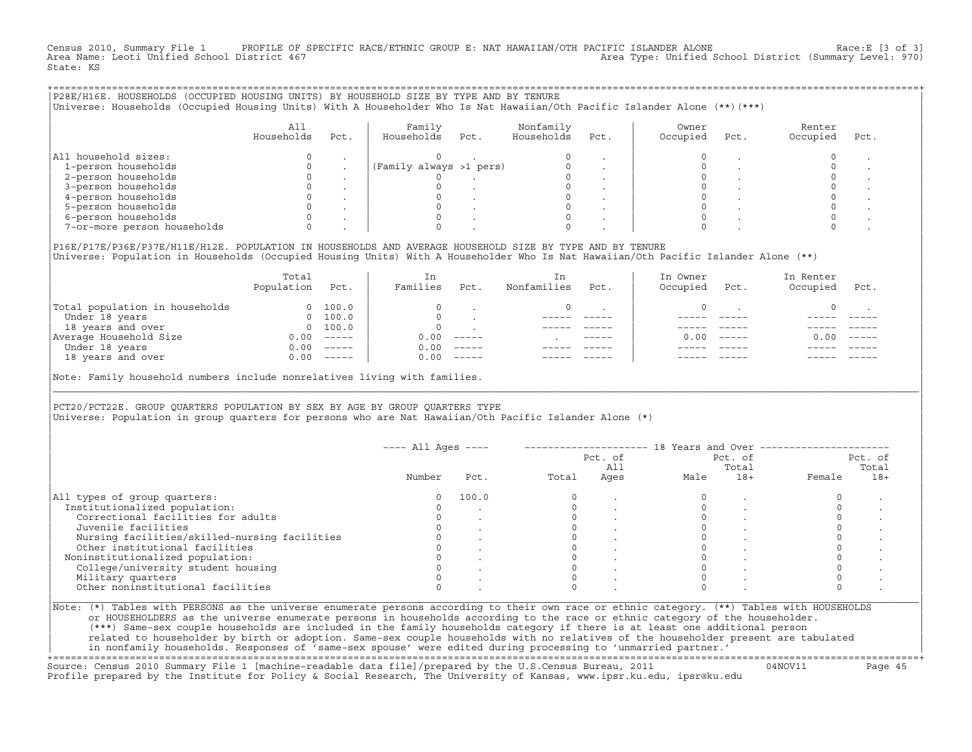Census 2010, Summary File 1 PROFILE OF SPECIFIC RACE/ETHNIC GROUP E: NAT HAWAIIAN/OTH PACIFIC ISLANDER ALONE Race:E [3 of 3]<br>Area Name: Leoti Unified School District 467 Area Type: Unified School District (Summary Level: 970) State: KS

| P28E/H16E. HOUSEHOLDS (OCCUPIED HOUSING UNITS) BY HOUSEHOLD SIZE BY TYPE AND BY TENURE<br>Universe: Households (Occupied Housing Units) With A Householder Who Is Nat Hawaiian/Oth Pacific Islander Alone (**)(***) |                   |      |                         |      |                         |      |                   |      |                    |      |
|---------------------------------------------------------------------------------------------------------------------------------------------------------------------------------------------------------------------|-------------------|------|-------------------------|------|-------------------------|------|-------------------|------|--------------------|------|
|                                                                                                                                                                                                                     | All<br>Households | Pct. | Family<br>Households    | Pct. | Nonfamily<br>Households | Pct. | Owner<br>Occupied | Pct. | Renter<br>Occupied | Pct. |
| All household sizes:                                                                                                                                                                                                |                   |      |                         |      |                         |      |                   |      |                    |      |
| 1-person households                                                                                                                                                                                                 |                   |      | (Family always >1 pers) |      |                         |      |                   |      |                    |      |
| 2-person households                                                                                                                                                                                                 |                   |      |                         |      |                         |      |                   |      |                    |      |
| 3-person households                                                                                                                                                                                                 |                   |      |                         |      |                         |      |                   |      |                    |      |
| 4-person households                                                                                                                                                                                                 |                   |      |                         |      |                         |      |                   |      |                    |      |
| 5-person households                                                                                                                                                                                                 |                   |      |                         |      |                         |      |                   |      |                    |      |
| 6-person households                                                                                                                                                                                                 |                   |      |                         |      |                         |      |                   |      |                    |      |
| 7-or-more person households                                                                                                                                                                                         |                   |      |                         |      |                         |      |                   |      |                    |      |
|                                                                                                                                                                                                                     |                   |      |                         |      |                         |      |                   |      |                    |      |

|P16E/P17E/P36E/P37E/H11E/H12E. POPULATION IN HOUSEHOLDS AND AVERAGE HOUSEHOLD SIZE BY TYPE AND BY TENURE | |Universe: Population in Households (Occupied Housing Units) With A Householder Who Is Nat Hawaiian/Oth Pacific Islander Alone (\*\*) |

|                                | Total<br>Population | Pct.     | In<br>Families | Pct.     | In<br>Nonfamilies | Pct.        | In Owner<br>Occupied | Pct.          | In Renter<br>Occupied | Pct.     |  |
|--------------------------------|---------------------|----------|----------------|----------|-------------------|-------------|----------------------|---------------|-----------------------|----------|--|
| Total population in households |                     | 100.0    | $\Omega$       |          |                   |             |                      |               |                       |          |  |
| Under 18 years                 | $\Omega$            | 100.0    | $\Omega$       |          |                   |             |                      |               |                       |          |  |
| 18 years and over              | $\Omega$            | 100.0    | $\Omega$       |          |                   |             |                      |               |                       |          |  |
| Average Household Size         | 0.00                | $------$ | 0.00           | $------$ |                   | $- - - - -$ | 0.00                 | $\frac{1}{2}$ | 0.00                  | $------$ |  |
| Under 18 years                 | 0.00                | $------$ | 0.00           | $------$ |                   |             |                      |               |                       |          |  |
| 18 years and over              | 0.00                | $------$ | 0.00           | $------$ |                   |             |                      |               |                       |          |  |
|                                |                     |          |                |          |                   |             |                      |               |                       |          |  |

|Note: Family household numbers include nonrelatives living with families. |

| | PCT20/PCT22E. GROUP OUARTERS POPULATION BY SEX BY AGE BY GROUP OUARTERS TYPE |Universe: Population in group quarters for persons who are Nat Hawaiian/Oth Pacific Islander Alone (\*) |

|                                               |        |       |       | Pct. of<br>All |      | Pct. of<br>Total |        | Pct. of<br>Total |
|-----------------------------------------------|--------|-------|-------|----------------|------|------------------|--------|------------------|
|                                               | Number | Pct.  | Total | Ages           | Male | $18+$            | Female | $18+$            |
| All types of group quarters:                  |        | 100.0 |       |                |      |                  |        |                  |
| Institutionalized population:                 |        |       |       |                |      |                  |        |                  |
| Correctional facilities for adults            |        |       |       |                |      |                  |        |                  |
| Juvenile facilities                           |        |       |       |                |      |                  |        |                  |
| Nursing facilities/skilled-nursing facilities |        |       |       |                |      |                  |        |                  |
| Other institutional facilities                |        |       |       |                |      |                  |        |                  |
| Noninstitutionalized population:              |        |       |       |                |      |                  |        |                  |
| College/university student housing            |        |       |       |                |      |                  |        |                  |
| Military quarters                             |        |       |       |                |      |                  |        |                  |
| Other noninstitutional facilities             |        |       |       |                |      |                  |        |                  |

|\_\_\_\_\_\_\_\_\_\_\_\_\_\_\_\_\_\_\_\_\_\_\_\_\_\_\_\_\_\_\_\_\_\_\_\_\_\_\_\_\_\_\_\_\_\_\_\_\_\_\_\_\_\_\_\_\_\_\_\_\_\_\_\_\_\_\_\_\_\_\_\_\_\_\_\_\_\_\_\_\_\_\_\_\_\_\_\_\_\_\_\_\_\_\_\_\_\_\_\_\_\_\_\_\_\_\_\_\_\_\_\_\_\_\_\_\_\_\_\_\_\_\_\_\_\_\_\_\_\_\_\_\_\_\_\_\_\_\_\_\_\_\_\_\_\_\_|

| |

| (\*\*\*) Same−sex couple households are included in the family households category if there is at least one additional person | | related to householder by birth or adoption. Same−sex couple households with no relatives of the householder present are tabulated | | in nonfamily households. Responses of 'same−sex spouse' were edited during processing to 'unmarried partner.' |

+===================================================================================================================================================+ Source: Census 2010 Summary File 1 [machine−readable data file]/prepared by the U.S.Census Bureau, 2011 04NOV11 Page 45 Profile prepared by the Institute for Policy & Social Research, The University of Kansas, www.ipsr.ku.edu, ipsr@ku.edu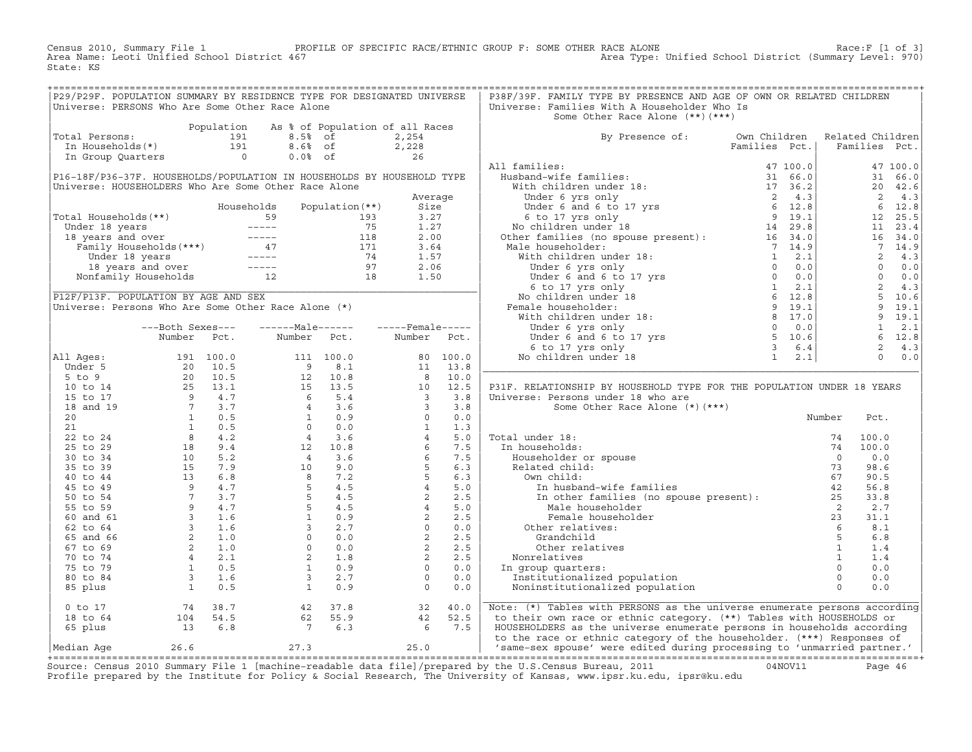Census 2010, Summary File 1 PROFILE OF SPECIFIC RACE/ETHNIC GROUP F: SOME OTHER RACE ALONE Race:F [1 of 3]<br>Area Name: Leoti Unified School District 467 Area Type: Unified School District (Summary Level: 970) Area Type: Unified School District (Summary Level: 970) State: KS

| P29/P29F. POPULATION SUMMARY BY RESIDENCE TYPE FOR DESIGNATED UNIVERSE<br>Universe: PERSONS Who Are Some Other Race Alone                                                                                                                              |                  |                                            |                        |                  | P38F/39F. FAMILY TYPE BY PRESENCE AND AGE OF OWN OR RELATED CHILDREN<br>Universe: Families With A Householder Who Is<br>Some Other Race Alone (**) (***)                                                                                                                                                                                                                                                                                                                                                                                                                                                                                                                                                                                                                                                                                                                                                              |        |      |  |
|--------------------------------------------------------------------------------------------------------------------------------------------------------------------------------------------------------------------------------------------------------|------------------|--------------------------------------------|------------------------|------------------|-----------------------------------------------------------------------------------------------------------------------------------------------------------------------------------------------------------------------------------------------------------------------------------------------------------------------------------------------------------------------------------------------------------------------------------------------------------------------------------------------------------------------------------------------------------------------------------------------------------------------------------------------------------------------------------------------------------------------------------------------------------------------------------------------------------------------------------------------------------------------------------------------------------------------|--------|------|--|
| Total Persons:                                                                                                                                                                                                                                         |                  | Population As % of Population of all Races |                        |                  | By Presence of: Own Children Related Children                                                                                                                                                                                                                                                                                                                                                                                                                                                                                                                                                                                                                                                                                                                                                                                                                                                                         |        |      |  |
|                                                                                                                                                                                                                                                        |                  |                                            |                        |                  |                                                                                                                                                                                                                                                                                                                                                                                                                                                                                                                                                                                                                                                                                                                                                                                                                                                                                                                       |        |      |  |
|                                                                                                                                                                                                                                                        |                  |                                            |                        |                  | All families:                                                                                                                                                                                                                                                                                                                                                                                                                                                                                                                                                                                                                                                                                                                                                                                                                                                                                                         |        |      |  |
| P16-18F/P36-37F. HOUSEHOLDS/POPULATION IN HOUSEHOLDS BY HOUSEHOLD TYPE                                                                                                                                                                                 |                  |                                            |                        |                  |                                                                                                                                                                                                                                                                                                                                                                                                                                                                                                                                                                                                                                                                                                                                                                                                                                                                                                                       |        |      |  |
| Universe: HOUSEHOLDERS Who Are Some Other Race Alone                                                                                                                                                                                                   |                  |                                            |                        |                  |                                                                                                                                                                                                                                                                                                                                                                                                                                                                                                                                                                                                                                                                                                                                                                                                                                                                                                                       |        |      |  |
|                                                                                                                                                                                                                                                        |                  |                                            |                        | Average          |                                                                                                                                                                                                                                                                                                                                                                                                                                                                                                                                                                                                                                                                                                                                                                                                                                                                                                                       |        |      |  |
|                                                                                                                                                                                                                                                        |                  | Households                                 | Population $(**)$ Size |                  |                                                                                                                                                                                                                                                                                                                                                                                                                                                                                                                                                                                                                                                                                                                                                                                                                                                                                                                       |        |      |  |
|                                                                                                                                                                                                                                                        |                  |                                            |                        |                  |                                                                                                                                                                                                                                                                                                                                                                                                                                                                                                                                                                                                                                                                                                                                                                                                                                                                                                                       |        |      |  |
| Total Households (**)<br>Under 18 years<br>193 1.27<br>18 years and over<br>Family Households (***)<br>Under 18 years<br>18 years and over<br>Family Households (***)<br>171 3.64<br>171 3.64<br>171 3.64<br>175 18 years and over<br>18 years and ove |                  |                                            |                        |                  |                                                                                                                                                                                                                                                                                                                                                                                                                                                                                                                                                                                                                                                                                                                                                                                                                                                                                                                       |        |      |  |
|                                                                                                                                                                                                                                                        |                  |                                            |                        |                  |                                                                                                                                                                                                                                                                                                                                                                                                                                                                                                                                                                                                                                                                                                                                                                                                                                                                                                                       |        |      |  |
|                                                                                                                                                                                                                                                        |                  |                                            |                        |                  |                                                                                                                                                                                                                                                                                                                                                                                                                                                                                                                                                                                                                                                                                                                                                                                                                                                                                                                       |        |      |  |
|                                                                                                                                                                                                                                                        |                  |                                            |                        |                  |                                                                                                                                                                                                                                                                                                                                                                                                                                                                                                                                                                                                                                                                                                                                                                                                                                                                                                                       |        |      |  |
|                                                                                                                                                                                                                                                        |                  |                                            |                        |                  |                                                                                                                                                                                                                                                                                                                                                                                                                                                                                                                                                                                                                                                                                                                                                                                                                                                                                                                       |        |      |  |
|                                                                                                                                                                                                                                                        |                  |                                            |                        |                  |                                                                                                                                                                                                                                                                                                                                                                                                                                                                                                                                                                                                                                                                                                                                                                                                                                                                                                                       |        |      |  |
| P12F/P13F. POPULATION BY AGE AND SEX                                                                                                                                                                                                                   |                  |                                            |                        |                  |                                                                                                                                                                                                                                                                                                                                                                                                                                                                                                                                                                                                                                                                                                                                                                                                                                                                                                                       |        |      |  |
| P12F/P13F. POPULATION BY AGE AND SEX<br>Universe: Persons Who Are Some Other Race Alone (*)                                                                                                                                                            |                  |                                            |                        |                  |                                                                                                                                                                                                                                                                                                                                                                                                                                                                                                                                                                                                                                                                                                                                                                                                                                                                                                                       |        |      |  |
|                                                                                                                                                                                                                                                        |                  |                                            |                        |                  |                                                                                                                                                                                                                                                                                                                                                                                                                                                                                                                                                                                                                                                                                                                                                                                                                                                                                                                       |        |      |  |
|                                                                                                                                                                                                                                                        | ---Both Sexes--- | -------Male------                          |                        | -----Female----- |                                                                                                                                                                                                                                                                                                                                                                                                                                                                                                                                                                                                                                                                                                                                                                                                                                                                                                                       |        |      |  |
|                                                                                                                                                                                                                                                        |                  |                                            |                        |                  |                                                                                                                                                                                                                                                                                                                                                                                                                                                                                                                                                                                                                                                                                                                                                                                                                                                                                                                       |        |      |  |
|                                                                                                                                                                                                                                                        |                  | Number Pct. Number Pct. Number Pct.        |                        |                  |                                                                                                                                                                                                                                                                                                                                                                                                                                                                                                                                                                                                                                                                                                                                                                                                                                                                                                                       |        |      |  |
|                                                                                                                                                                                                                                                        |                  |                                            |                        |                  |                                                                                                                                                                                                                                                                                                                                                                                                                                                                                                                                                                                                                                                                                                                                                                                                                                                                                                                       |        |      |  |
|                                                                                                                                                                                                                                                        |                  |                                            |                        |                  |                                                                                                                                                                                                                                                                                                                                                                                                                                                                                                                                                                                                                                                                                                                                                                                                                                                                                                                       |        |      |  |
|                                                                                                                                                                                                                                                        |                  |                                            |                        |                  |                                                                                                                                                                                                                                                                                                                                                                                                                                                                                                                                                                                                                                                                                                                                                                                                                                                                                                                       |        |      |  |
|                                                                                                                                                                                                                                                        |                  |                                            |                        |                  | P31F. RELATIONSHIP BY HOUSEHOLD TYPE FOR THE POPULATION UNDER 18 YEARS                                                                                                                                                                                                                                                                                                                                                                                                                                                                                                                                                                                                                                                                                                                                                                                                                                                |        |      |  |
|                                                                                                                                                                                                                                                        |                  |                                            |                        |                  | Universe: Persons under 18 who are                                                                                                                                                                                                                                                                                                                                                                                                                                                                                                                                                                                                                                                                                                                                                                                                                                                                                    |        |      |  |
|                                                                                                                                                                                                                                                        |                  |                                            |                        |                  | Some Other Race Alone (*)(***)                                                                                                                                                                                                                                                                                                                                                                                                                                                                                                                                                                                                                                                                                                                                                                                                                                                                                        |        |      |  |
|                                                                                                                                                                                                                                                        |                  |                                            |                        |                  |                                                                                                                                                                                                                                                                                                                                                                                                                                                                                                                                                                                                                                                                                                                                                                                                                                                                                                                       | Number | Pct. |  |
|                                                                                                                                                                                                                                                        |                  |                                            |                        |                  |                                                                                                                                                                                                                                                                                                                                                                                                                                                                                                                                                                                                                                                                                                                                                                                                                                                                                                                       |        |      |  |
|                                                                                                                                                                                                                                                        |                  |                                            |                        |                  |                                                                                                                                                                                                                                                                                                                                                                                                                                                                                                                                                                                                                                                                                                                                                                                                                                                                                                                       |        |      |  |
|                                                                                                                                                                                                                                                        |                  |                                            |                        |                  |                                                                                                                                                                                                                                                                                                                                                                                                                                                                                                                                                                                                                                                                                                                                                                                                                                                                                                                       |        |      |  |
|                                                                                                                                                                                                                                                        |                  |                                            |                        |                  |                                                                                                                                                                                                                                                                                                                                                                                                                                                                                                                                                                                                                                                                                                                                                                                                                                                                                                                       |        |      |  |
|                                                                                                                                                                                                                                                        |                  |                                            |                        |                  |                                                                                                                                                                                                                                                                                                                                                                                                                                                                                                                                                                                                                                                                                                                                                                                                                                                                                                                       |        |      |  |
|                                                                                                                                                                                                                                                        |                  |                                            |                        |                  |                                                                                                                                                                                                                                                                                                                                                                                                                                                                                                                                                                                                                                                                                                                                                                                                                                                                                                                       |        |      |  |
|                                                                                                                                                                                                                                                        |                  |                                            |                        |                  |                                                                                                                                                                                                                                                                                                                                                                                                                                                                                                                                                                                                                                                                                                                                                                                                                                                                                                                       |        |      |  |
|                                                                                                                                                                                                                                                        |                  |                                            |                        |                  |                                                                                                                                                                                                                                                                                                                                                                                                                                                                                                                                                                                                                                                                                                                                                                                                                                                                                                                       |        |      |  |
|                                                                                                                                                                                                                                                        |                  |                                            |                        |                  |                                                                                                                                                                                                                                                                                                                                                                                                                                                                                                                                                                                                                                                                                                                                                                                                                                                                                                                       |        |      |  |
|                                                                                                                                                                                                                                                        |                  |                                            |                        |                  |                                                                                                                                                                                                                                                                                                                                                                                                                                                                                                                                                                                                                                                                                                                                                                                                                                                                                                                       |        |      |  |
|                                                                                                                                                                                                                                                        |                  |                                            |                        |                  |                                                                                                                                                                                                                                                                                                                                                                                                                                                                                                                                                                                                                                                                                                                                                                                                                                                                                                                       |        |      |  |
|                                                                                                                                                                                                                                                        |                  |                                            |                        |                  |                                                                                                                                                                                                                                                                                                                                                                                                                                                                                                                                                                                                                                                                                                                                                                                                                                                                                                                       |        |      |  |
|                                                                                                                                                                                                                                                        |                  |                                            |                        |                  |                                                                                                                                                                                                                                                                                                                                                                                                                                                                                                                                                                                                                                                                                                                                                                                                                                                                                                                       |        |      |  |
|                                                                                                                                                                                                                                                        |                  |                                            |                        |                  |                                                                                                                                                                                                                                                                                                                                                                                                                                                                                                                                                                                                                                                                                                                                                                                                                                                                                                                       |        |      |  |
|                                                                                                                                                                                                                                                        |                  |                                            |                        |                  |                                                                                                                                                                                                                                                                                                                                                                                                                                                                                                                                                                                                                                                                                                                                                                                                                                                                                                                       |        |      |  |
|                                                                                                                                                                                                                                                        |                  |                                            |                        |                  |                                                                                                                                                                                                                                                                                                                                                                                                                                                                                                                                                                                                                                                                                                                                                                                                                                                                                                                       |        |      |  |
|                                                                                                                                                                                                                                                        |                  |                                            |                        |                  | ${\small \begin{tabular}{ c  c  c } \hline & \multicolumn{3}{ c  c } \hline & \multicolumn{3}{ c  }{Mul Ages:} & \multicolumn{3}{ c  }{Mul Ages:} & \multicolumn{3}{ c  }{Mul Ages:} & \multicolumn{3}{ c  }{Mul Ages:} & \multicolumn{3}{ c  }{Mul Ages:} & \multicolumn{3}{ c  }{Mul Ages:} & \multicolumn{3}{ c  }{Mul Ages:} & \multicolumn{3}{ c  }{Mul Ages:} & \multicolumn{3}{ c  }{S} & \multicolumn{3}{ c  }{S} & \multicolumn{3}{ c  }{$<br>Fotal under 18:<br>In households:<br>$\begin{array}{cccccc} 74 & 100.0 \\ \text{Hoseholder or spouse} & 74 & 100.0 \\ \text{Related child:} & 73 & 98.6 \\ \text{Own child:} & 73 & 98.6 \\ \text{Im other families (no spouse present):} & 42 & 56.8 \\ \text{In other families (no spouse present):} & 42 & 56.8 \\ \text{Male householder} & 2 & 2.7 \\ \text{Pemeale householder} & 2 & 3.1.1 \\ \text{Grandchild} & 5 & 6.8 \\ \text{Order relatives} & $ |        |      |  |
|                                                                                                                                                                                                                                                        |                  |                                            |                        |                  |                                                                                                                                                                                                                                                                                                                                                                                                                                                                                                                                                                                                                                                                                                                                                                                                                                                                                                                       |        |      |  |
|                                                                                                                                                                                                                                                        |                  |                                            |                        |                  |                                                                                                                                                                                                                                                                                                                                                                                                                                                                                                                                                                                                                                                                                                                                                                                                                                                                                                                       |        |      |  |
|                                                                                                                                                                                                                                                        |                  |                                            |                        |                  |                                                                                                                                                                                                                                                                                                                                                                                                                                                                                                                                                                                                                                                                                                                                                                                                                                                                                                                       |        |      |  |
|                                                                                                                                                                                                                                                        |                  |                                            |                        |                  | 0 to 17 (18 to 64 (19 = 18 to 64 (19 = 18 to 64 (19 = 18 to 64 = 104 = 54.5 ) (18 to 64 = 104 = 54.5 ) (18 to 64 = 104 = 54.5 ) (18 to 64 = 104 = 54.5 ) (18 to 64 = 104 = 54.5 ) (18 to 64 = 104 = 54.5 ) (18 to 65 plus = 13                                                                                                                                                                                                                                                                                                                                                                                                                                                                                                                                                                                                                                                                                        |        |      |  |

+===================================================================================================================================================+Source: Census 2010 Summary File 1 [machine−readable data file]/prepared by the U.S.Census Bureau, 2011 04NOV11 Page 46 Profile prepared by the Institute for Policy & Social Research, The University of Kansas, www.ipsr.ku.edu, ipsr@ku.edu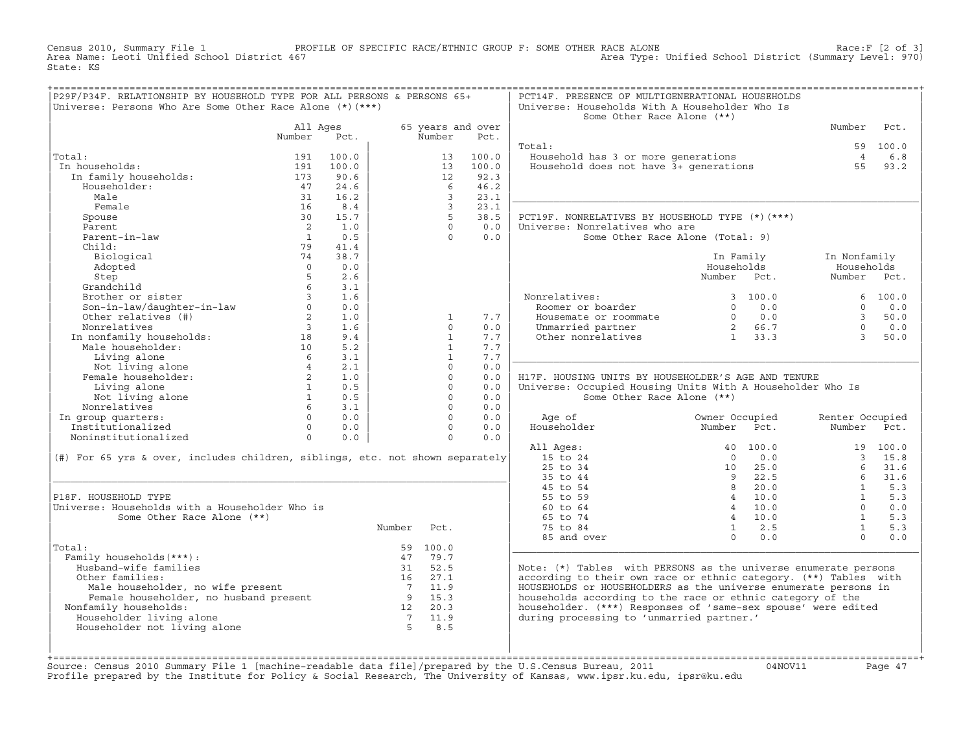Census 2010, Summary File 1 PROFILE OF SPECIFIC RACE/ETHNIC GROUP F: SOME OTHER RACE ALONE RACE OF SPECIFIC RACE ALONE<br>Area Name: Leoti Unified School District 467 Area Type: Unified School District (Summary Level: 970) Area Type: Unified School District (Summary Level: 970) State: KS

| P29F/P34F. RELATIONSHIP BY HOUSEHOLD TYPE FOR ALL PERSONS & PERSONS 65+<br>Universe: Persons Who Are Some Other Race Alone $(*)$ $(***)$ |                 |            |        |                              |                   | PCT14F. PRESENCE OF MULTIGENERATIONAL HOUSEHOLDS<br>Universe: Households With A Householder Who Is |                                                                  |                 |          |
|------------------------------------------------------------------------------------------------------------------------------------------|-----------------|------------|--------|------------------------------|-------------------|----------------------------------------------------------------------------------------------------|------------------------------------------------------------------|-----------------|----------|
|                                                                                                                                          |                 |            |        |                              |                   | Some Other Race Alone (**)                                                                         |                                                                  |                 |          |
|                                                                                                                                          | All Ages        |            |        |                              | 65 years and over |                                                                                                    |                                                                  | Number          | Pct.     |
|                                                                                                                                          | Number          | Pct.       |        | Number                       | Pct.              |                                                                                                    |                                                                  |                 |          |
|                                                                                                                                          |                 |            |        |                              |                   | Total:                                                                                             |                                                                  |                 | 59 100.0 |
| Total:                                                                                                                                   | 191             | 100.0      |        | 13                           | 100.0             | Household has 3 or more generations<br>Household does not have 3+ generations                      |                                                                  | $\overline{4}$  | 6.8      |
| In households:                                                                                                                           | 191             | 100.0      |        | 13                           | 100.0             |                                                                                                    |                                                                  | 55              | 93.2     |
| In family households:                                                                                                                    | 173             | 90.6       |        | 12                           | 92.3              |                                                                                                    |                                                                  |                 |          |
| Householder:                                                                                                                             | 47              | 24.6       |        | 6                            | 46.2              |                                                                                                    |                                                                  |                 |          |
| Male                                                                                                                                     | 31              | 16.2       |        | $\overline{3}$               | 23.1              |                                                                                                    |                                                                  |                 |          |
| Female                                                                                                                                   | 16              | 8.4        |        | $\overline{3}$               | 23.1              |                                                                                                    |                                                                  |                 |          |
| Spouse                                                                                                                                   | 30              | 15.7       |        | 5                            | 38.5              | PCT19F. NONRELATIVES BY HOUSEHOLD TYPE (*) (***)                                                   |                                                                  |                 |          |
| Parent                                                                                                                                   | $\overline{2}$  | 1.0        |        | $\cap$                       | 0.0               | Universe: Nonrelatives who are                                                                     |                                                                  |                 |          |
| Parent-in-law                                                                                                                            | $\overline{1}$  | 0.5        |        | $\Omega$                     | 0.0               | Some Other Race Alone (Total: 9)                                                                   |                                                                  |                 |          |
| Child:                                                                                                                                   | 79              | 41.4       |        |                              |                   |                                                                                                    |                                                                  |                 |          |
| Biological                                                                                                                               | 74              | 38.7       |        |                              |                   |                                                                                                    | In Family                                                        | In Nonfamily    |          |
| Adopted                                                                                                                                  | $\Omega$        | 0.0        |        |                              |                   |                                                                                                    | Households                                                       | Households      |          |
| Step                                                                                                                                     | 5               | 2.6        |        |                              |                   |                                                                                                    | Number Pct.                                                      | Number Pct.     |          |
| Grandchild                                                                                                                               | 6 <sup>1</sup>  | 3.1        |        |                              |                   |                                                                                                    |                                                                  |                 |          |
| Brother or sister                                                                                                                        | $\overline{3}$  | 1.6        |        |                              |                   | Nonrelatives:                                                                                      | 3, 100.0                                                         |                 | 6, 100.0 |
| Son-in-law/daughter-in-law                                                                                                               | $\Omega$        | 0.0        |        |                              |                   | Roomer or boarder                                                                                  | $0 \t 0.0$                                                       | $\Omega$        | 0.0      |
| Other relatives (#)                                                                                                                      | $2^{\circ}$     | 1.0        |        | $\mathbf{1}$                 | 7.7               | Housemate or roommate                                                                              | $\begin{array}{ccc} 0 & 0.0 \\ 2 & 66.7 \\ 1 & 33.3 \end{array}$ | $\overline{3}$  | 50.0     |
| Nonrelatives                                                                                                                             | $\overline{3}$  | 1.6        |        | $\Omega$                     | 0.0               | Unmarried partner                                                                                  |                                                                  | $\Omega$        | 0.0      |
| In nonfamily households: 18<br>Male householder: 10                                                                                      |                 | 9.4        |        | $\mathbf{1}$<br>$\mathbf{1}$ | 7.7<br>7.7        | Other nonrelatives                                                                                 |                                                                  | $\mathcal{R}$   | 50.0     |
|                                                                                                                                          | $6\overline{6}$ | 5.2<br>3.1 |        | $\mathbf{1}$                 | 7.7               |                                                                                                    |                                                                  |                 |          |
| Living alone                                                                                                                             |                 | 2.1        |        | $\Omega$                     | 0.0               |                                                                                                    |                                                                  |                 |          |
| Not living alone<br>Not living alone<br>emale householder:<br>2<br>Female householder:                                                   |                 | 1.0        |        | $\Omega$                     | 0.0               | H17F. HOUSING UNITS BY HOUSEHOLDER'S AGE AND TENURE                                                |                                                                  |                 |          |
| Living alone                                                                                                                             | $\mathbf{1}$    | 0.5        |        | $\Omega$                     | 0.0               | Universe: Occupied Housing Units With A Householder Who Is                                         |                                                                  |                 |          |
|                                                                                                                                          | $\mathbf{1}$    | 0.5        |        | $\Omega$                     | 0.0               | Some Other Race Alone (**)                                                                         |                                                                  |                 |          |
| Not living alone<br>Nonrelatives                                                                                                         | $6\overline{6}$ | 3.1        |        | $\Omega$                     | 0.0               |                                                                                                    |                                                                  |                 |          |
| In group quarters:                                                                                                                       | $\Omega$        | 0.0        |        | $\Omega$                     | 0.0               | Age of                                                                                             | Owner Occupied                                                   | Renter Occupied |          |
| Institutionalized                                                                                                                        | $\Omega$        | 0.0        |        | $\Omega$                     | 0.0               | Householder                                                                                        | Number<br>Pct.                                                   | Number Pct.     |          |
| Noninstitutionalized                                                                                                                     | $\overline{0}$  | 0.0        |        | $\Omega$                     | 0.0               |                                                                                                    |                                                                  |                 |          |
|                                                                                                                                          |                 |            |        |                              |                   | All Ages:                                                                                          | 40 100.0                                                         |                 | 19 100.0 |
| (#) For 65 yrs & over, includes children, siblings, etc. not shown separately                                                            |                 |            |        |                              |                   | 15 to 24                                                                                           | 0.0<br>$\bigcap$                                                 |                 | 3, 15.8  |
|                                                                                                                                          |                 |            |        |                              |                   | $25$ to $34$                                                                                       | $10 \t 25.0$                                                     | 6               | 31.6     |
|                                                                                                                                          |                 |            |        |                              |                   | 35 to 44                                                                                           | $\overline{9}$<br>22.5                                           | 6               | 31.6     |
|                                                                                                                                          |                 |            |        |                              |                   | 45 to 54                                                                                           | 8 20.0                                                           | $\overline{1}$  | 5.3      |
| P18F. HOUSEHOLD TYPE                                                                                                                     |                 |            |        |                              |                   | 55 to 59                                                                                           | $4 \quad 10.0$                                                   | $\mathbf{1}$    | 5.3      |
| Universe: Households with a Householder Who is                                                                                           |                 |            |        |                              |                   | $60 \text{ to } 64$                                                                                | $4 \quad 10.0$                                                   | $\Omega$        | 0.0      |
| Some Other Race Alone (**)                                                                                                               |                 |            |        |                              |                   | 65 to 74                                                                                           | $4 \quad 10.0$                                                   | $\mathbf{1}$    | 5.3      |
|                                                                                                                                          |                 |            | Number | Pct.                         |                   | 75 to 84                                                                                           | $1 \t 2.5$                                                       | $\mathbf{1}$    | 5.3      |
|                                                                                                                                          |                 |            |        |                              |                   | 85 and over                                                                                        | $\Omega$<br>0.0                                                  | $\Omega$        | 0.0      |
| Total:                                                                                                                                   |                 |            |        | 59 100.0                     |                   |                                                                                                    |                                                                  |                 |          |
| Family households (***) :                                                                                                                |                 |            |        | 47 79.7                      |                   |                                                                                                    |                                                                  |                 |          |
| Husband-wife families                                                                                                                    |                 |            |        | 31 52.5                      |                   | Note: (*) Tables with PERSONS as the universe enumerate persons                                    |                                                                  |                 |          |
| Other families:                                                                                                                          |                 |            |        | 16 27.1                      |                   | according to their own race or ethnic category. (**) Tables with                                   |                                                                  |                 |          |
| her families:<br>Male householder, no wife present<br>Female householder, no husband present                                             |                 |            |        | $7 \quad 11.9$               |                   | HOUSEHOLDS or HOUSEHOLDERS as the universe enumerate persons in                                    |                                                                  |                 |          |
|                                                                                                                                          |                 |            |        | $9 \t 15.3$                  |                   | households according to the race or ethnic category of the                                         |                                                                  |                 |          |
| Nonfamily households:                                                                                                                    |                 |            |        | 12 20.3                      |                   | householder. (***) Responses of 'same-sex spouse' were edited                                      |                                                                  |                 |          |
| Householder living alone                                                                                                                 |                 |            |        | 7 11.9                       |                   | during processing to 'unmarried partner.'                                                          |                                                                  |                 |          |
| Householder not living alone                                                                                                             |                 |            | $-5$   | 8.5                          |                   |                                                                                                    |                                                                  |                 |          |
|                                                                                                                                          |                 |            |        |                              |                   |                                                                                                    |                                                                  |                 |          |
|                                                                                                                                          |                 |            |        |                              |                   |                                                                                                    |                                                                  |                 |          |

+===================================================================================================================================================+Source: Census 2010 Summary File 1 [machine−readable data file]/prepared by the U.S.Census Bureau, 2011 04NOV11 Page 47 Profile prepared by the Institute for Policy & Social Research, The University of Kansas, www.ipsr.ku.edu, ipsr@ku.edu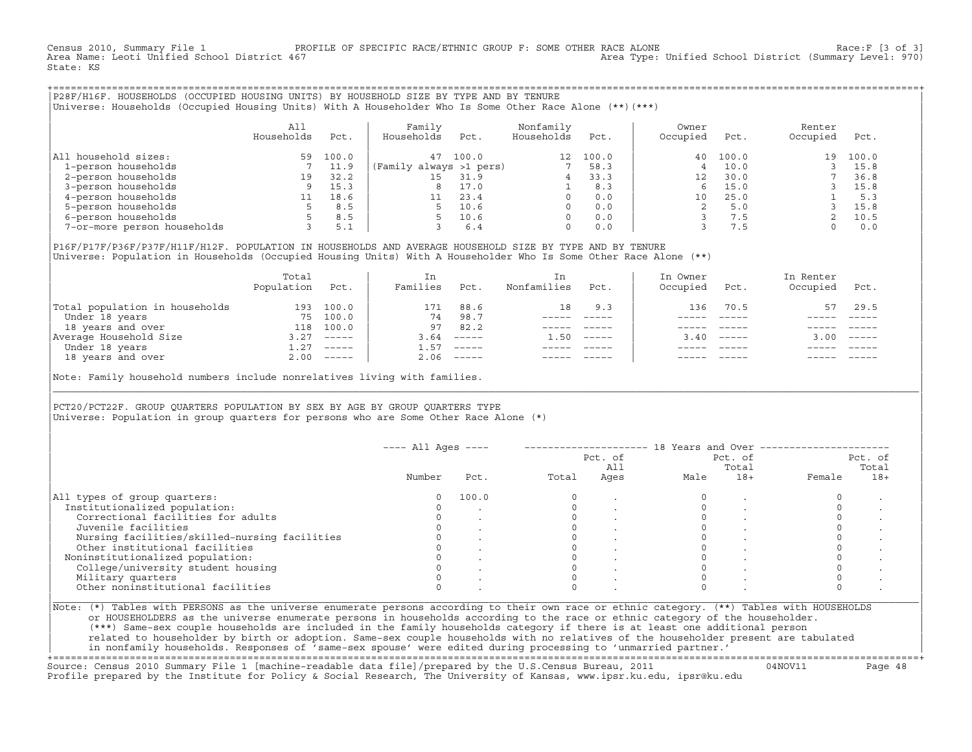Census 2010, Summary File 1 PROFILE OF SPECIFIC RACE/ETHNIC GROUP F: SOME OTHER RACE ALONE Race:F [3 of 3]<br>Area Name: Leoti Unified School District 467 area Type: Unified School District (Summary Level: 970) Area Type: Unified School District (Summary Level: 970) State: KS

+===================================================================================================================================================+|P28F/H16F. HOUSEHOLDS (OCCUPIED HOUSING UNITS) BY HOUSEHOLD SIZE BY TYPE AND BY TENURE | |Universe: Households (Occupied Housing Units) With A Householder Who Is Some Other Race Alone (\*\*)(\*\*\*) |

|                             | All<br>Households | Pct.  | Family<br>Households    | Pct.  | Nonfamily<br>Households | Pct.  | Owner<br>Occupied | Pct.  | Renter<br>Occupied | Pct.  |  |
|-----------------------------|-------------------|-------|-------------------------|-------|-------------------------|-------|-------------------|-------|--------------------|-------|--|
| household sizes:<br>All     | 59                | 100.0 | 47                      | 100.0 | 12 <sup>°</sup>         | 100.0 | 40                | 100.0 | 19                 | 100.0 |  |
| 1-person households         |                   | 11.9  | (Family always >1 pers) |       |                         | 58.3  |                   | 10.0  |                    | 15.8  |  |
| 2-person households         | 19                | 32.2  | 15                      | 31.9  |                         | 33.3  | 12                | 30.0  |                    | 36.8  |  |
| 3-person households         |                   | 15.3  | 8                       | 17.0  |                         | 8.3   |                   | 15.0  |                    | 15.8  |  |
| 4-person households         |                   | 18.6  |                         | 23.4  | $\Omega$                | 0.0   | 10                | 25.0  |                    | 5.3   |  |
| 5-person households         |                   | 8.5   | 5                       | 10.6  | $\Omega$                | 0.0   |                   | 5.0   |                    | 15.8  |  |
| 6-person households         |                   | 8.5   |                         | 10.6  | $\Omega$                | 0.0   |                   | 7.5   |                    | 10.5  |  |
| 7-or-more person households |                   | 5.1   |                         | 6.4   | $\mathbf 0$             | 0.0   |                   | 7.5   |                    | 0.0   |  |

|P16F/P17F/P36F/P37F/H11F/H12F. POPULATION IN HOUSEHOLDS AND AVERAGE HOUSEHOLD SIZE BY TYPE AND BY TENURE | Universe: Population in Households (Occupied Housing Units) With A Householder Who Is Some Other Race Alone (\*\*)

|          |                                                  |          | Nonfamilies | Pct.     | Occupied | Pct.                      | Occupied | Pct.                      |
|----------|--------------------------------------------------|----------|-------------|----------|----------|---------------------------|----------|---------------------------|
| 100.0    | 171                                              | 88.6     | 18          | 9.3      | 136      | 70.5                      |          | 29.5                      |
| 100.0    | 74                                               | 98.7     |             |          |          |                           |          |                           |
| 100.0    | 97                                               | 82.2     |             |          |          |                           |          |                           |
| $------$ | 3.64                                             | $------$ | 1.50        | $------$ |          | $\qquad \qquad - - - - -$ | 3.00     | $\qquad \qquad - - - - -$ |
| $------$ | 1.57                                             | $------$ |             |          |          |                           |          |                           |
|          | 2.06                                             |          |             |          |          | $- - - - -$               |          | $- - - - -$               |
|          | 193<br>75<br>118<br>3.27<br>1.27<br>$2.00$ ----- |          |             |          |          | 3.40                      |          | 57                        |

Note: Family household numbers include nonrelatives living with families.

| | PCT20/PCT22F. GROUP OUARTERS POPULATION BY SEX BY AGE BY GROUP OUARTERS TYPE Universe: Population in group quarters for persons who are Some Other Race Alone (\*)

|                                               |          |       |       | Pct. of<br>All |      | Pct. of<br>Total |        | Pct. of<br>Total |
|-----------------------------------------------|----------|-------|-------|----------------|------|------------------|--------|------------------|
|                                               | Number   | Pct.  | Total | Ages           | Male | $18+$            | Female | $18+$            |
| All types of group quarters:                  | $\Omega$ | 100.0 |       |                |      |                  |        |                  |
| Institutionalized population:                 |          |       |       |                |      |                  |        |                  |
| Correctional facilities for adults            |          |       |       |                |      |                  |        |                  |
| Juvenile facilities                           |          |       |       |                |      |                  |        |                  |
| Nursing facilities/skilled-nursing facilities |          |       |       |                |      |                  |        |                  |
| Other institutional facilities                |          |       |       |                |      |                  |        |                  |
| Noninstitutionalized population:              |          |       |       |                |      |                  |        |                  |
| College/university student housing            |          |       |       |                |      |                  |        |                  |
| Military quarters                             |          |       |       |                |      |                  |        |                  |
| Other noninstitutional facilities             |          |       |       |                |      |                  |        |                  |

|\_\_\_\_\_\_\_\_\_\_\_\_\_\_\_\_\_\_\_\_\_\_\_\_\_\_\_\_\_\_\_\_\_\_\_\_\_\_\_\_\_\_\_\_\_\_\_\_\_\_\_\_\_\_\_\_\_\_\_\_\_\_\_\_\_\_\_\_\_\_\_\_\_\_\_\_\_\_\_\_\_\_\_\_\_\_\_\_\_\_\_\_\_\_\_\_\_\_\_\_\_\_\_\_\_\_\_\_\_\_\_\_\_\_\_\_\_\_\_\_\_\_\_\_\_\_\_\_\_\_\_\_\_\_\_\_\_\_\_\_\_\_\_\_\_\_\_|

| |

or HOUSEHOLDERS as the universe enumerate persons in households according to the race or ethnic category of the householder. | (\*\*\*) Same−sex couple households are included in the family households category if there is at least one additional person | | related to householder by birth or adoption. Same−sex couple households with no relatives of the householder present are tabulated | | in nonfamily households. Responses of 'same−sex spouse' were edited during processing to 'unmarried partner.' |

+===================================================================================================================================================+ Source: Census 2010 Summary File 1 [machine−readable data file]/prepared by the U.S.Census Bureau, 2011 04NOV11 Page 48 Profile prepared by the Institute for Policy & Social Research, The University of Kansas, www.ipsr.ku.edu, ipsr@ku.edu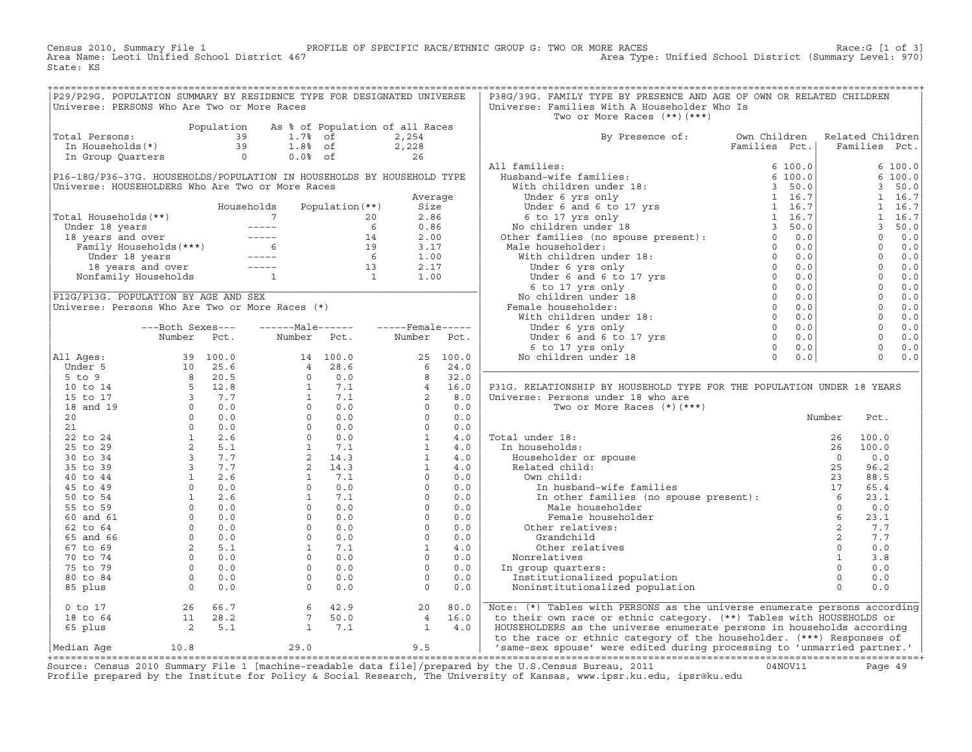Census 2010, Summary File 1 PROFILE OF SPECIFIC RACE/ETHNIC GROUP G: TWO OR MORE RACES Race:G [1 of 3]<br>Area Name: Leoti Unified School District 467 Area Type: Unified School District (Summary Level: 970) Area Type: Unified School District (Summary Level: 970) State: KS

| P29/P29G. POPULATION SUMMARY BY RESIDENCE TYPE FOR DESIGNATED UNIVERSE<br>Universe: PERSONS Who Are Two or More Races                                                                                                            |  |                                                          |                 |         | P38G/39G. FAMILY TYPE BY PRESENCE AND AGE OF OWN OR RELATED CHILDREN<br>Universe: Families With A Householder Who Is<br>Two or More Races $(**)$ $(***)$                                                                                                                                                                                                                                                                                                                                                                                                   |               |                                                                                                                                                                                                                                                                                                                        |                |
|----------------------------------------------------------------------------------------------------------------------------------------------------------------------------------------------------------------------------------|--|----------------------------------------------------------|-----------------|---------|------------------------------------------------------------------------------------------------------------------------------------------------------------------------------------------------------------------------------------------------------------------------------------------------------------------------------------------------------------------------------------------------------------------------------------------------------------------------------------------------------------------------------------------------------------|---------------|------------------------------------------------------------------------------------------------------------------------------------------------------------------------------------------------------------------------------------------------------------------------------------------------------------------------|----------------|
| Population As * or ropulation of all not all not all not all not all not all not all not all not all not all n<br>In Households (*) 39 1.8% of 2,228<br>In Group Quarters 0 0.0% of 26<br>Total Persons:                         |  | Population As % of Population of all Races               |                 |         | By Presence of: Own Children Related Children                                                                                                                                                                                                                                                                                                                                                                                                                                                                                                              |               |                                                                                                                                                                                                                                                                                                                        |                |
|                                                                                                                                                                                                                                  |  |                                                          |                 |         |                                                                                                                                                                                                                                                                                                                                                                                                                                                                                                                                                            | Families Pct. | Families Pct.                                                                                                                                                                                                                                                                                                          |                |
|                                                                                                                                                                                                                                  |  |                                                          |                 |         | All families:                                                                                                                                                                                                                                                                                                                                                                                                                                                                                                                                              |               |                                                                                                                                                                                                                                                                                                                        | 6 100.0        |
| P16-18G/P36-37G. HOUSEHOLDS/POPULATION IN HOUSEHOLDS BY HOUSEHOLD TYPE                                                                                                                                                           |  |                                                          |                 |         |                                                                                                                                                                                                                                                                                                                                                                                                                                                                                                                                                            |               |                                                                                                                                                                                                                                                                                                                        | 6 100.0        |
| Universe: HOUSEHOLDERS Who Are Two or More Races                                                                                                                                                                                 |  |                                                          |                 |         |                                                                                                                                                                                                                                                                                                                                                                                                                                                                                                                                                            |               |                                                                                                                                                                                                                                                                                                                        | 3, 50.0        |
|                                                                                                                                                                                                                                  |  |                                                          |                 | Average |                                                                                                                                                                                                                                                                                                                                                                                                                                                                                                                                                            |               |                                                                                                                                                                                                                                                                                                                        | $1 \quad 16.7$ |
|                                                                                                                                                                                                                                  |  | Households                                               | Population (**) | Size    |                                                                                                                                                                                                                                                                                                                                                                                                                                                                                                                                                            |               |                                                                                                                                                                                                                                                                                                                        |                |
| Fotal Households (**)<br>Under 18 years<br>18 years and over<br>Family Households (***)<br>14 2.00<br>Family Households (***)<br>14 2.00<br>19 3.17<br>15 3.17<br>15 2.17<br>16 1.00<br>16 1.00<br>16 1.00<br>16 1.00<br>17 1.00 |  |                                                          |                 |         |                                                                                                                                                                                                                                                                                                                                                                                                                                                                                                                                                            |               |                                                                                                                                                                                                                                                                                                                        |                |
|                                                                                                                                                                                                                                  |  |                                                          |                 |         |                                                                                                                                                                                                                                                                                                                                                                                                                                                                                                                                                            |               |                                                                                                                                                                                                                                                                                                                        |                |
|                                                                                                                                                                                                                                  |  |                                                          |                 |         |                                                                                                                                                                                                                                                                                                                                                                                                                                                                                                                                                            |               |                                                                                                                                                                                                                                                                                                                        |                |
|                                                                                                                                                                                                                                  |  |                                                          |                 |         |                                                                                                                                                                                                                                                                                                                                                                                                                                                                                                                                                            |               |                                                                                                                                                                                                                                                                                                                        |                |
|                                                                                                                                                                                                                                  |  |                                                          |                 |         |                                                                                                                                                                                                                                                                                                                                                                                                                                                                                                                                                            |               |                                                                                                                                                                                                                                                                                                                        |                |
|                                                                                                                                                                                                                                  |  |                                                          |                 |         |                                                                                                                                                                                                                                                                                                                                                                                                                                                                                                                                                            |               |                                                                                                                                                                                                                                                                                                                        |                |
|                                                                                                                                                                                                                                  |  |                                                          |                 |         |                                                                                                                                                                                                                                                                                                                                                                                                                                                                                                                                                            |               |                                                                                                                                                                                                                                                                                                                        |                |
|                                                                                                                                                                                                                                  |  |                                                          |                 |         |                                                                                                                                                                                                                                                                                                                                                                                                                                                                                                                                                            |               | $\begin{bmatrix} 1 & 16.7 \\ 1 & 16.7 \\ 1 & 6.7 \\ 3 & 50.0 \\ 0 & 0.0 \\ 0 & 0.0 \\ 0 & 0.0 \\ 0 & 0.0 \\ 0 & 0.0 \\ 0 & 0.0 \\ 0 & 0.0 \\ 0 & 0.0 \\ 0 & 0.0 \\ 0 & 0.0 \\ 0 & 0.0 \\ 0 & 0.0 \\ 0 & 0.0 \\ 0 & 0.0 \\ 0 & 0.0 \\ 0 & 0.0 \\ 0 & 0.0 \\ 0 & 0.0 \\ 0 & 0.0 \\ 0 & 0.0 \\ 0 & 0.0 \\ 0 & 0.0 \\ 0 &$ |                |
| P12G/P13G. POPULATION BY AGE AND SEX                                                                                                                                                                                             |  |                                                          |                 |         |                                                                                                                                                                                                                                                                                                                                                                                                                                                                                                                                                            |               |                                                                                                                                                                                                                                                                                                                        |                |
| P12G/P13G. POPULATION BY AGE AND SEX<br>Universe: Persons Who Are Two or More Races (*)                                                                                                                                          |  |                                                          |                 |         |                                                                                                                                                                                                                                                                                                                                                                                                                                                                                                                                                            |               |                                                                                                                                                                                                                                                                                                                        |                |
|                                                                                                                                                                                                                                  |  |                                                          |                 |         |                                                                                                                                                                                                                                                                                                                                                                                                                                                                                                                                                            |               |                                                                                                                                                                                                                                                                                                                        |                |
|                                                                                                                                                                                                                                  |  | ---Both Sexes---    ------Male------    -----Female----- |                 |         |                                                                                                                                                                                                                                                                                                                                                                                                                                                                                                                                                            |               |                                                                                                                                                                                                                                                                                                                        |                |
|                                                                                                                                                                                                                                  |  | Number Pct. Number Pct. Number Pct.                      |                 |         |                                                                                                                                                                                                                                                                                                                                                                                                                                                                                                                                                            |               |                                                                                                                                                                                                                                                                                                                        |                |
|                                                                                                                                                                                                                                  |  |                                                          |                 |         |                                                                                                                                                                                                                                                                                                                                                                                                                                                                                                                                                            |               |                                                                                                                                                                                                                                                                                                                        |                |
| All Ages:                                                                                                                                                                                                                        |  |                                                          |                 |         |                                                                                                                                                                                                                                                                                                                                                                                                                                                                                                                                                            |               |                                                                                                                                                                                                                                                                                                                        |                |
|                                                                                                                                                                                                                                  |  |                                                          |                 |         |                                                                                                                                                                                                                                                                                                                                                                                                                                                                                                                                                            |               |                                                                                                                                                                                                                                                                                                                        |                |
|                                                                                                                                                                                                                                  |  |                                                          |                 |         |                                                                                                                                                                                                                                                                                                                                                                                                                                                                                                                                                            |               |                                                                                                                                                                                                                                                                                                                        |                |
|                                                                                                                                                                                                                                  |  |                                                          |                 |         | P31G. RELATIONSHIP BY HOUSEHOLD TYPE FOR THE POPULATION UNDER 18 YEARS                                                                                                                                                                                                                                                                                                                                                                                                                                                                                     |               |                                                                                                                                                                                                                                                                                                                        |                |
|                                                                                                                                                                                                                                  |  |                                                          |                 |         |                                                                                                                                                                                                                                                                                                                                                                                                                                                                                                                                                            |               |                                                                                                                                                                                                                                                                                                                        |                |
|                                                                                                                                                                                                                                  |  |                                                          |                 |         |                                                                                                                                                                                                                                                                                                                                                                                                                                                                                                                                                            |               |                                                                                                                                                                                                                                                                                                                        |                |
|                                                                                                                                                                                                                                  |  |                                                          |                 |         |                                                                                                                                                                                                                                                                                                                                                                                                                                                                                                                                                            |               | Pct.                                                                                                                                                                                                                                                                                                                   |                |
|                                                                                                                                                                                                                                  |  |                                                          |                 |         |                                                                                                                                                                                                                                                                                                                                                                                                                                                                                                                                                            |               |                                                                                                                                                                                                                                                                                                                        |                |
|                                                                                                                                                                                                                                  |  |                                                          |                 |         |                                                                                                                                                                                                                                                                                                                                                                                                                                                                                                                                                            |               | 100.0                                                                                                                                                                                                                                                                                                                  |                |
|                                                                                                                                                                                                                                  |  |                                                          |                 |         |                                                                                                                                                                                                                                                                                                                                                                                                                                                                                                                                                            |               | 100.0                                                                                                                                                                                                                                                                                                                  |                |
|                                                                                                                                                                                                                                  |  |                                                          |                 |         |                                                                                                                                                                                                                                                                                                                                                                                                                                                                                                                                                            |               | 0.0<br>96.2                                                                                                                                                                                                                                                                                                            |                |
|                                                                                                                                                                                                                                  |  |                                                          |                 |         |                                                                                                                                                                                                                                                                                                                                                                                                                                                                                                                                                            |               |                                                                                                                                                                                                                                                                                                                        |                |
|                                                                                                                                                                                                                                  |  |                                                          |                 |         |                                                                                                                                                                                                                                                                                                                                                                                                                                                                                                                                                            |               | 88.5<br>65.4                                                                                                                                                                                                                                                                                                           |                |
|                                                                                                                                                                                                                                  |  |                                                          |                 |         |                                                                                                                                                                                                                                                                                                                                                                                                                                                                                                                                                            |               | 23.1                                                                                                                                                                                                                                                                                                                   |                |
|                                                                                                                                                                                                                                  |  |                                                          |                 |         |                                                                                                                                                                                                                                                                                                                                                                                                                                                                                                                                                            |               | 0.0                                                                                                                                                                                                                                                                                                                    |                |
|                                                                                                                                                                                                                                  |  |                                                          |                 |         |                                                                                                                                                                                                                                                                                                                                                                                                                                                                                                                                                            |               | 23.1                                                                                                                                                                                                                                                                                                                   |                |
|                                                                                                                                                                                                                                  |  |                                                          |                 |         |                                                                                                                                                                                                                                                                                                                                                                                                                                                                                                                                                            |               | 7.7                                                                                                                                                                                                                                                                                                                    |                |
|                                                                                                                                                                                                                                  |  |                                                          |                 |         |                                                                                                                                                                                                                                                                                                                                                                                                                                                                                                                                                            |               | 7.7                                                                                                                                                                                                                                                                                                                    |                |
|                                                                                                                                                                                                                                  |  |                                                          |                 |         |                                                                                                                                                                                                                                                                                                                                                                                                                                                                                                                                                            |               | 0.0                                                                                                                                                                                                                                                                                                                    |                |
|                                                                                                                                                                                                                                  |  |                                                          |                 |         |                                                                                                                                                                                                                                                                                                                                                                                                                                                                                                                                                            |               | 3.8                                                                                                                                                                                                                                                                                                                    |                |
|                                                                                                                                                                                                                                  |  |                                                          |                 |         |                                                                                                                                                                                                                                                                                                                                                                                                                                                                                                                                                            |               | 0.0                                                                                                                                                                                                                                                                                                                    |                |
|                                                                                                                                                                                                                                  |  |                                                          |                 |         |                                                                                                                                                                                                                                                                                                                                                                                                                                                                                                                                                            |               | 0.0                                                                                                                                                                                                                                                                                                                    |                |
|                                                                                                                                                                                                                                  |  |                                                          |                 |         |                                                                                                                                                                                                                                                                                                                                                                                                                                                                                                                                                            |               | 0.0                                                                                                                                                                                                                                                                                                                    |                |
|                                                                                                                                                                                                                                  |  |                                                          |                 |         | All Ages: $\begin{bmatrix} \text{Number} & \text{Point} & \text{Point} & \text{Point} & \text{Point} & \text{Point} & \text{Point} & \text{Point} & \text{Point} & \text{Point} & \text{Point} & \text{Point} & \text{Point} & \text{Point} & \text{Point} & \text{Point} & \text{Point} & \text{Point} & \text{Point} & \text{Point} & \text{Point} & \text{Point} & \text{Point} & \text{Point} & \text{Point} & \text{Point} & \text{Point} & \text{Point} & \text{Point} & \text{Point} & \text{Point} & \text{Point} & \text{Point} & \text{Point} &$ |               |                                                                                                                                                                                                                                                                                                                        |                |
|                                                                                                                                                                                                                                  |  |                                                          |                 |         |                                                                                                                                                                                                                                                                                                                                                                                                                                                                                                                                                            |               |                                                                                                                                                                                                                                                                                                                        |                |
|                                                                                                                                                                                                                                  |  |                                                          |                 |         |                                                                                                                                                                                                                                                                                                                                                                                                                                                                                                                                                            |               |                                                                                                                                                                                                                                                                                                                        |                |
|                                                                                                                                                                                                                                  |  |                                                          |                 |         |                                                                                                                                                                                                                                                                                                                                                                                                                                                                                                                                                            |               |                                                                                                                                                                                                                                                                                                                        |                |
|                                                                                                                                                                                                                                  |  |                                                          |                 |         | 0 to 17 $26\,66.7$ 66.7 $11\,28.2$ 7 $50.0$ $18\,$ 42.9 $25\,$ 11 $28.2$ 7 $50.0$ $10.8$<br>10.8 $10.8$<br>10.8 $10.8$<br>10.8 $29.0$                                                                                                                                                                                                                                                                                                                                                                                                                      |               |                                                                                                                                                                                                                                                                                                                        |                |

+===================================================================================================================================================+Source: Census 2010 Summary File 1 [machine−readable data file]/prepared by the U.S.Census Bureau, 2011 04NOV11 Page 49 Profile prepared by the Institute for Policy & Social Research, The University of Kansas, www.ipsr.ku.edu, ipsr@ku.edu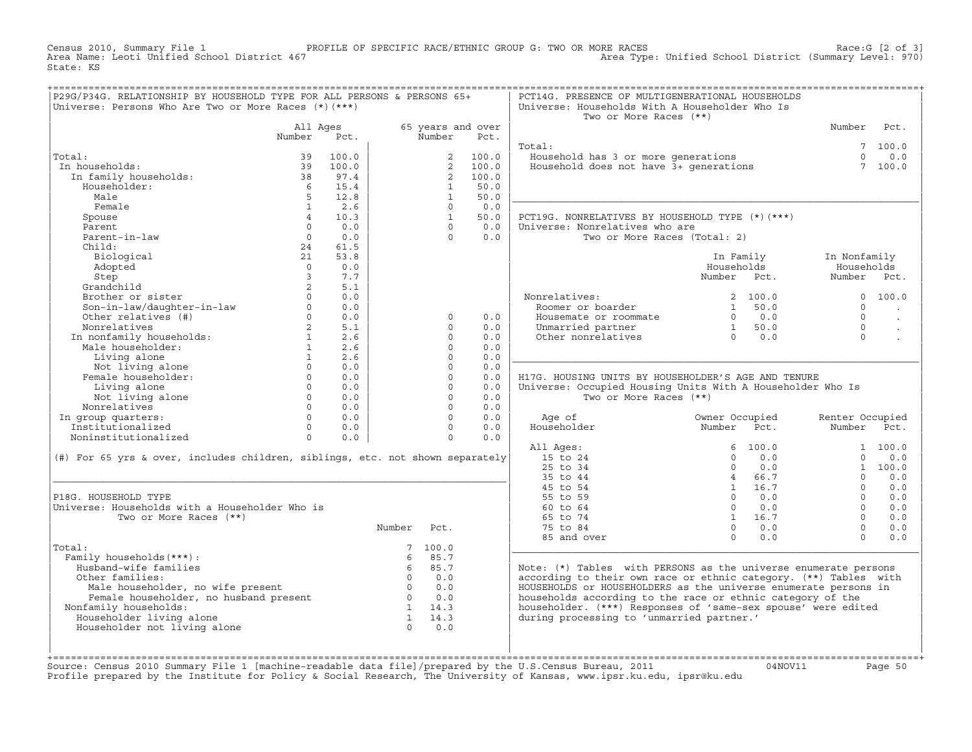Census 2010, Summary File 1 PROFILE OF SPECIFIC RACE/ETHNIC GROUP G: TWO OR MORE RACES Race:G [2 of 3]<br>Area Name: Leoti Unified School District 467 Area Type: Unified School District (Summary Level: 970) Area Type: Unified School District (Summary Level: 970) State: KS

| P29G/P34G. RELATIONSHIP BY HOUSEHOLD TYPE FOR ALL PERSONS & PERSONS 65+<br>Universe: Persons Who Are Two or More Races (*) (***)                                                                                     |                         |                                   |                   |                |                   | PCT14G. PRESENCE OF MULTIGENERATIONAL HOUSEHOLDS<br>Universe: Households With A Householder Who Is |                                                                |                 |                      |
|----------------------------------------------------------------------------------------------------------------------------------------------------------------------------------------------------------------------|-------------------------|-----------------------------------|-------------------|----------------|-------------------|----------------------------------------------------------------------------------------------------|----------------------------------------------------------------|-----------------|----------------------|
|                                                                                                                                                                                                                      |                         |                                   |                   |                |                   | Two or More Races (**)                                                                             |                                                                |                 |                      |
|                                                                                                                                                                                                                      | All Ages                |                                   |                   |                | 65 years and over |                                                                                                    |                                                                | Number Pct.     |                      |
|                                                                                                                                                                                                                      | Number                  | Pct.                              |                   | Number         | Pct.              |                                                                                                    |                                                                |                 |                      |
|                                                                                                                                                                                                                      |                         |                                   |                   |                |                   | Total:                                                                                             |                                                                |                 | 7100.0               |
| Total:                                                                                                                                                                                                               | 39                      | 100.0                             |                   |                | 2 100.0           | Household has 3 or more generations<br>Household does not have 3+ generations                      |                                                                |                 | $\Omega$<br>0.0      |
| In households:                                                                                                                                                                                                       | 39                      | 100.0                             |                   |                | 2 100.0           |                                                                                                    |                                                                |                 | 7 100.0              |
| In family households:                                                                                                                                                                                                | $\frac{38}{10}$         | 97.4                              |                   |                | 2 100.0           |                                                                                                    |                                                                |                 |                      |
| Householder:                                                                                                                                                                                                         |                         | 6 15.4                            |                   | $\mathbf{1}$   | 50.0              |                                                                                                    |                                                                |                 |                      |
| Male                                                                                                                                                                                                                 | 5 <sup>5</sup>          | 12.8                              |                   | $\mathbf{1}$   | 50.0              |                                                                                                    |                                                                |                 |                      |
| Female                                                                                                                                                                                                               | $\mathbf{1}$            | 2.6                               |                   | $\Omega$       | 0.0               |                                                                                                    |                                                                |                 |                      |
| Spouse                                                                                                                                                                                                               | $\overline{4}$          | 10.3                              |                   | $\mathbf{1}$   | 50.0              | PCT19G. NONRELATIVES BY HOUSEHOLD TYPE (*) (***)                                                   |                                                                |                 |                      |
| Parent                                                                                                                                                                                                               | $\Omega$                | 0.0                               |                   | $\Omega$       | 0.0               | Universe: Nonrelatives who are                                                                     |                                                                |                 |                      |
| Parent-in-law                                                                                                                                                                                                        | $\overline{0}$          | 0.0                               |                   | $\Omega$       | 0.0               | Two or More Races (Total: 2)                                                                       |                                                                |                 |                      |
| Child:                                                                                                                                                                                                               | 24                      | 61.5                              |                   |                |                   |                                                                                                    |                                                                |                 |                      |
| Biological                                                                                                                                                                                                           | 21                      | 53.8                              |                   |                |                   |                                                                                                    | In Family                                                      | In Nonfamily    |                      |
| Adopted                                                                                                                                                                                                              | $\Omega$                | 0.0                               |                   |                |                   |                                                                                                    | Households                                                     | Households      |                      |
| Step                                                                                                                                                                                                                 | $\overline{\mathbf{3}}$ | 7.7                               |                   |                |                   |                                                                                                    | Number Pct.                                                    | Number Pct.     |                      |
| Grandchild                                                                                                                                                                                                           | $2^{\circ}$             | 5.1                               |                   |                |                   |                                                                                                    |                                                                |                 |                      |
|                                                                                                                                                                                                                      |                         | 0.0                               |                   |                |                   | Nonrelatives:                                                                                      |                                                                |                 | 0 100.0              |
| Brother or sister<br>Son-in-law/daughter-in-law<br>Other relatives (#) 0                                                                                                                                             |                         |                                   |                   |                |                   | Roomer or boarder                                                                                  | 2 100.0<br>1 50.0                                              | $\Omega$        |                      |
|                                                                                                                                                                                                                      |                         | 0.0                               |                   |                |                   |                                                                                                    |                                                                |                 | $\ddot{\phantom{a}}$ |
|                                                                                                                                                                                                                      |                         | 0.0                               |                   | $\circ$        | 0.0               | Housemate or roommate $\begin{array}{cccc} 0 & 0.0 \\ 0.0 \\ 0 & 0.0 \\ 0 & 0.0 \end{array}$       |                                                                | $\Omega$        | $\ddot{\phantom{a}}$ |
|                                                                                                                                                                                                                      |                         | 2 5.1                             |                   | $\Omega$       | 0.0               |                                                                                                    |                                                                | $\Omega$        |                      |
|                                                                                                                                                                                                                      |                         | 2.6                               |                   | $\Omega$       | 0.0               |                                                                                                    |                                                                | $\Omega$        |                      |
|                                                                                                                                                                                                                      |                         | 2.6                               |                   | $\Omega$       | 0.0               |                                                                                                    |                                                                |                 |                      |
| Nonrelatives<br>In nonfamily households:<br>Male householder:<br>1<br>1                                                                                                                                              |                         |                                   |                   | $\Omega$       | 0.0               |                                                                                                    |                                                                |                 |                      |
|                                                                                                                                                                                                                      |                         |                                   |                   | $\mathbf 0$    | 0.0               |                                                                                                    |                                                                |                 |                      |
|                                                                                                                                                                                                                      |                         |                                   |                   | $\circ$        | 0.0               | H17G. HOUSING UNITS BY HOUSEHOLDER'S AGE AND TENURE                                                |                                                                |                 |                      |
|                                                                                                                                                                                                                      |                         |                                   |                   | $\circ$        | 0.0               | Universe: Occupied Housing Units With A Householder Who Is                                         |                                                                |                 |                      |
|                                                                                                                                                                                                                      |                         |                                   |                   | $\Omega$       | 0.0               | Two or More Races (**)                                                                             |                                                                |                 |                      |
| Nonrelatives                                                                                                                                                                                                         |                         |                                   |                   | $\Omega$       | 0.0               |                                                                                                    |                                                                |                 |                      |
| Univing alone<br>Not living alone<br>onrelatives<br>on mistars<br>$\begin{array}{ccc}\n0 & 0.0 \\ 0 & 0.0 \\ 0 & 0.0\n\end{array}$<br>NOTTERLIVES<br>In group quarters:<br>Institutionalized<br>Noningtitutionalized |                         |                                   |                   |                | $\Omega$<br>0.0   | Age of                                                                                             | Owner Occupied                                                 | Renter Occupied |                      |
|                                                                                                                                                                                                                      |                         | $\begin{matrix}0&0.0\end{matrix}$ |                   | $\Omega$       | 0.0               | Householder                                                                                        | Number Pct.                                                    | Number Pct.     |                      |
| Noninstitutionalized 0                                                                                                                                                                                               |                         | 0.0                               |                   | $\overline{0}$ | 0.0               |                                                                                                    |                                                                |                 |                      |
|                                                                                                                                                                                                                      |                         |                                   |                   |                |                   | All Ages:                                                                                          | 6 100.0                                                        |                 | 1 100.0              |
| (#) For 65 yrs & over, includes children, siblings, etc. not shown separately                                                                                                                                        |                         |                                   |                   |                |                   | 15 to 24                                                                                           | $0 \t 0.0$                                                     | $\Omega$        | 0.0                  |
|                                                                                                                                                                                                                      |                         |                                   |                   |                |                   | 25 to 34                                                                                           | $\overline{0}$<br>0.0                                          |                 | 1 100.0              |
|                                                                                                                                                                                                                      |                         |                                   |                   |                |                   | 35 to 44                                                                                           | 4 66.7                                                         | $\Omega$        | 0.0                  |
|                                                                                                                                                                                                                      |                         |                                   |                   |                |                   | 45 to 54                                                                                           | 1 16.7                                                         | $\Omega$        | 0.0                  |
| P18G. HOUSEHOLD TYPE                                                                                                                                                                                                 |                         |                                   |                   |                |                   | 55 to 59                                                                                           | $0 \t 0.0$                                                     | $\Omega$        | 0.0                  |
| Universe: Households with a Householder Who is                                                                                                                                                                       |                         |                                   |                   |                |                   | 60 to 64                                                                                           | $0 \qquad 0.0$                                                 | $\Omega$        | 0.0                  |
| Two or More Races (**)                                                                                                                                                                                               |                         |                                   |                   |                |                   | 65 to 74                                                                                           | 1 16.7                                                         | $\Omega$        | 0.0                  |
|                                                                                                                                                                                                                      |                         |                                   | Number            | Pct.           |                   | 75 to 84                                                                                           |                                                                | $\Omega$        | 0.0                  |
|                                                                                                                                                                                                                      |                         |                                   |                   |                |                   | 85 and over                                                                                        | $\begin{matrix} 0 && 0\, . \,0 \\ 0 && 0\, . \,0 \end{matrix}$ | $\Omega$        | 0.0                  |
| Total:                                                                                                                                                                                                               |                         |                                   |                   | 7, 100.0       |                   |                                                                                                    |                                                                |                 |                      |
| Family households (***) :                                                                                                                                                                                            |                         |                                   |                   | 6 85.7         |                   |                                                                                                    |                                                                |                 |                      |
| Husband-wife families                                                                                                                                                                                                |                         |                                   |                   |                |                   | Note: (*) Tables with PERSONS as the universe enumerate persons                                    |                                                                |                 |                      |
| Other families:                                                                                                                                                                                                      |                         |                                   | $6$ 85.7<br>0 0.0 |                |                   | according to their own race or ethnic category. (**) Tables with                                   |                                                                |                 |                      |
| Male householder, no wife present $0$ 0.0<br>Female householder, no husband present $0$ 0.0<br>iamily households:<br>useholder living alone                                                                          |                         |                                   |                   |                |                   | HOUSEHOLDS or HOUSEHOLDERS as the universe enumerate persons in                                    |                                                                |                 |                      |
|                                                                                                                                                                                                                      |                         |                                   |                   |                |                   |                                                                                                    |                                                                |                 |                      |
|                                                                                                                                                                                                                      |                         |                                   |                   |                |                   | households according to the race or ethnic category of the                                         |                                                                |                 |                      |
| Nonfamily households:                                                                                                                                                                                                |                         |                                   |                   |                |                   | householder. (***) Responses of 'same-sex spouse' were edited                                      |                                                                |                 |                      |
| Householder living alone                                                                                                                                                                                             |                         |                                   |                   | $1 \t14.3$     |                   | during processing to 'unmarried partner.'                                                          |                                                                |                 |                      |
| Householder not living alone                                                                                                                                                                                         |                         |                                   |                   | $0 \qquad 0.0$ |                   |                                                                                                    |                                                                |                 |                      |
|                                                                                                                                                                                                                      |                         |                                   |                   |                |                   |                                                                                                    |                                                                |                 |                      |
|                                                                                                                                                                                                                      |                         |                                   |                   |                |                   |                                                                                                    |                                                                |                 |                      |
|                                                                                                                                                                                                                      |                         |                                   |                   |                |                   |                                                                                                    |                                                                |                 |                      |

+===================================================================================================================================================+Source: Census 2010 Summary File 1 [machine−readable data file]/prepared by the U.S.Census Bureau, 2011 04NOV11 Page 50 Profile prepared by the Institute for Policy & Social Research, The University of Kansas, www.ipsr.ku.edu, ipsr@ku.edu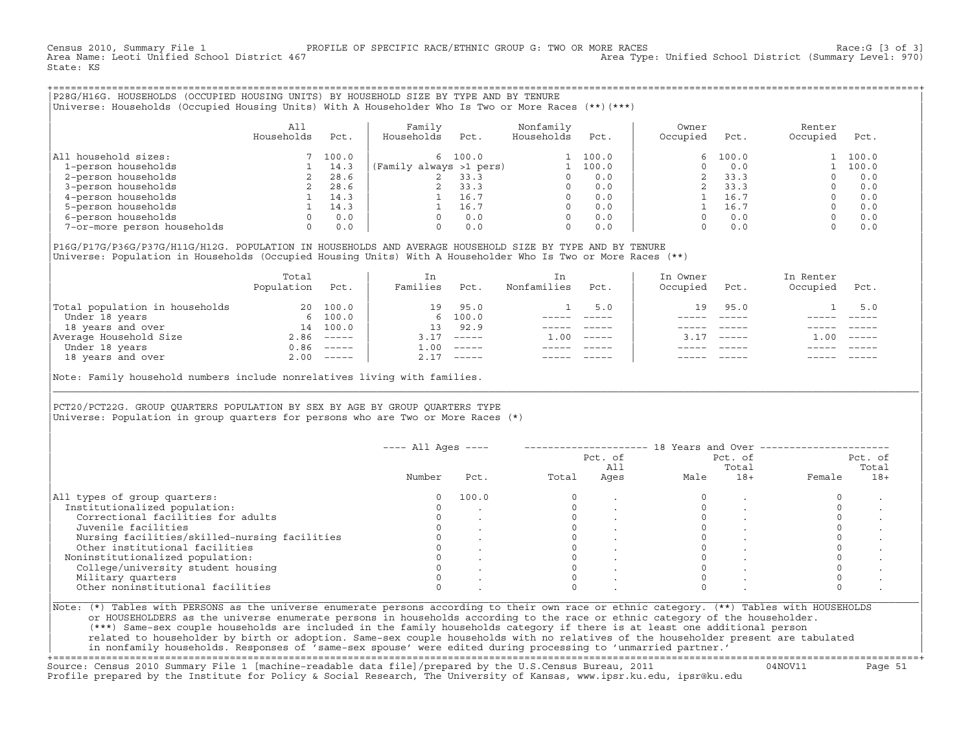Census 2010, Summary File 1 PROFILE OF SPECIFIC RACE/ETHNIC GROUP G: TWO OR MORE RACES Race:G [3 of 3] Area Type: Unified School District (Summary Level: 970) State: KS

+===================================================================================================================================================+|P28G/H16G. HOUSEHOLDS (OCCUPIED HOUSING UNITS) BY HOUSEHOLD SIZE BY TYPE AND BY TENURE | |Universe: Households (Occupied Housing Units) With A Householder Who Is Two or More Races (\*\*)(\*\*\*) |

|                             | All<br>Households | Pct.  | Family<br>Households    | Pct. | Nonfamily<br>Households | Pct.  | Owner<br>Occupied | Pct.  | Renter<br>Occupied | Pct.  |
|-----------------------------|-------------------|-------|-------------------------|------|-------------------------|-------|-------------------|-------|--------------------|-------|
| household sizes:<br>All     |                   | 100.0 | 6 100.0                 |      |                         | 100.0 | 6                 | 100.0 |                    | 100.0 |
| 1-person households         |                   | 14.3  | (Family always >1 pers) |      |                         | 100.0 |                   | 0.0   |                    | 100.0 |
| 2-person households         |                   | 28.6  |                         | 33.3 |                         | 0.0   |                   | 33.3  |                    | 0.0   |
| 3-person households         |                   | 28.6  |                         | 33.3 | $\Omega$                | 0.0   |                   | 33.3  |                    | 0.0   |
| 4-person households         |                   | 14.3  |                         | 16.7 | $\Omega$                | 0.0   |                   | 16.7  |                    | 0.0   |
| 5-person households         |                   | 14.3  |                         | 16.7 | $\Omega$                | 0.0   |                   | 16.7  |                    | 0.0   |
| 6-person households         |                   | 0.0   |                         | 0.0  | $\Omega$                | 0.0   |                   | 0.0   |                    | 0.0   |
| 7-or-more person households | $\Omega$          | 0.0   |                         | 0.0  | 0                       | 0.0   |                   | 0.0   |                    | 0.0   |

|P16G/P17G/P36G/P37G/H11G/H12G. POPULATION IN HOUSEHOLDS AND AVERAGE HOUSEHOLD SIZE BY TYPE AND BY TENURE | Universe: Population in Households (Occupied Housing Units) With A Householder Who Is Two or More Races (\*\*)

|                                | Total<br>Population | Pct.         | In<br>Families | Pct.                      | In.<br>Nonfamilies | Pct.     | In Owner<br>Occupied | Pct.          | In Renter<br>Occupied | Pct.        |  |
|--------------------------------|---------------------|--------------|----------------|---------------------------|--------------------|----------|----------------------|---------------|-----------------------|-------------|--|
| Total population in households | 20                  | 100.0        | 19             | 95.0                      |                    | 5.0      | 19                   | 95.0          |                       | 5.0         |  |
| Under 18 years                 |                     | 6 100.0      |                | 6 100.0                   |                    |          |                      |               |                       |             |  |
| 18 years and over              | 14                  | 100.0        | 13             | 92.9                      |                    |          |                      |               |                       |             |  |
| Average Household Size         |                     | $2.86$ ----- | 3.17           | $------$                  | 1.00               | $------$ |                      | $- - - - - -$ | .00                   | $------$    |  |
| Under 18 years                 |                     | $0.86$ ----- | 1.00           | $------$                  |                    |          |                      |               |                       |             |  |
| 18 years and over              |                     | $2.00$ ----- | 2.17           | $\qquad \qquad - - - - -$ |                    |          |                      | $- - - - -$   |                       | $- - - - -$ |  |
|                                |                     |              |                |                           |                    |          |                      |               |                       |             |  |

Note: Family household numbers include nonrelatives living with families.

| | PCT20/PCT22G. GROUP OUARTERS POPULATION BY SEX BY AGE BY GROUP OUARTERS TYPE Universe: Population in group quarters for persons who are Two or More Races (\*)

|                                               |        |       |       | Pct. of<br>All |      | Pct. of<br>Total |        | Pct. of<br>Total |
|-----------------------------------------------|--------|-------|-------|----------------|------|------------------|--------|------------------|
|                                               | Number | Pct.  | Total | Ages           | Male | $18+$            | Female | $18+$            |
| All types of group quarters:                  |        | 100.0 |       |                |      |                  |        |                  |
| Institutionalized population:                 |        |       |       |                |      |                  |        |                  |
| Correctional facilities for adults            |        |       |       |                |      |                  |        |                  |
| Juvenile facilities                           |        |       |       |                |      |                  |        |                  |
| Nursing facilities/skilled-nursing facilities |        |       |       |                |      |                  |        |                  |
| Other institutional facilities                |        |       |       |                |      |                  |        |                  |
| Noninstitutionalized population:              |        |       |       |                |      |                  |        |                  |
| College/university student housing            |        |       |       |                |      |                  |        |                  |
| Military quarters                             |        |       |       |                |      |                  |        |                  |
| Other noninstitutional facilities             |        |       |       |                |      |                  |        |                  |

|\_\_\_\_\_\_\_\_\_\_\_\_\_\_\_\_\_\_\_\_\_\_\_\_\_\_\_\_\_\_\_\_\_\_\_\_\_\_\_\_\_\_\_\_\_\_\_\_\_\_\_\_\_\_\_\_\_\_\_\_\_\_\_\_\_\_\_\_\_\_\_\_\_\_\_\_\_\_\_\_\_\_\_\_\_\_\_\_\_\_\_\_\_\_\_\_\_\_\_\_\_\_\_\_\_\_\_\_\_\_\_\_\_\_\_\_\_\_\_\_\_\_\_\_\_\_\_\_\_\_\_\_\_\_\_\_\_\_\_\_\_\_\_\_\_\_\_|

| |

or HOUSEHOLDERS as the universe enumerate persons in households according to the race or ethnic category of the householder. | (\*\*\*) Same−sex couple households are included in the family households category if there is at least one additional person | | related to householder by birth or adoption. Same−sex couple households with no relatives of the householder present are tabulated | | in nonfamily households. Responses of 'same−sex spouse' were edited during processing to 'unmarried partner.' |

+===================================================================================================================================================+ Source: Census 2010 Summary File 1 [machine−readable data file]/prepared by the U.S.Census Bureau, 2011 04NOV11 Page 51 Profile prepared by the Institute for Policy & Social Research, The University of Kansas, www.ipsr.ku.edu, ipsr@ku.edu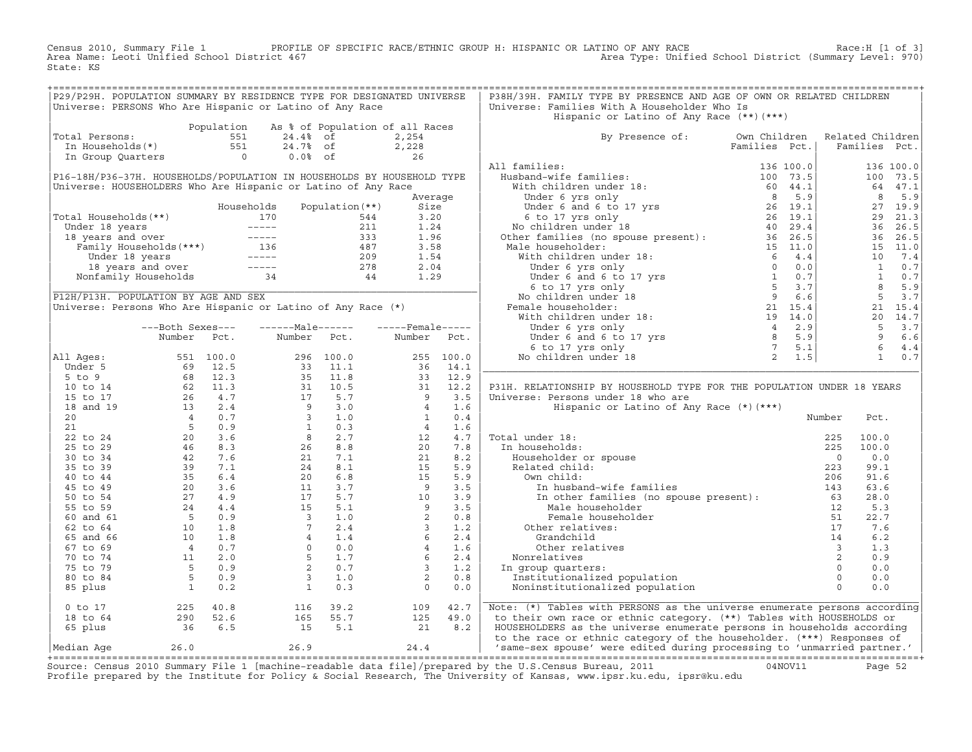Census 2010, Summary File 1 PROFILE OF SPECIFIC RACE/ETHNIC GROUP H: HISPANIC OR LATINO OF ANY RACE Race:H [1 of 3]<br>Area Name: Leoti Unified School District 467 area Type: Unified School District (Summary Level: 970) Area Type: Unified School District (Summary Level: 970) State: KS

| P29/P29H. POPULATION SUMMARY BY RESIDENCE TYPE FOR DESIGNATED UNIVERSE                                                          |  |  |  | P38H/39H. FAMILY TYPE BY PRESENCE AND AGE OF OWN OR RELATED CHILDREN                                                                                                                                                                |  |  |  |
|---------------------------------------------------------------------------------------------------------------------------------|--|--|--|-------------------------------------------------------------------------------------------------------------------------------------------------------------------------------------------------------------------------------------|--|--|--|
| Universe: PERSONS Who Are Hispanic or Latino of Any Race                                                                        |  |  |  | Universe: Families With A Householder Who Is                                                                                                                                                                                        |  |  |  |
|                                                                                                                                 |  |  |  | Hispanic or Latino of Any Race (**)(***)                                                                                                                                                                                            |  |  |  |
| Population As % of Population of all Races<br>10 1 24.4% of 2,254<br>10 1 24.4% of 2,254<br>10 24.7% of 2,228<br>10 26<br>26 26 |  |  |  |                                                                                                                                                                                                                                     |  |  |  |
| Total Persons:                                                                                                                  |  |  |  | By Presence of: Own Children Related Children<br>Families Pct.   Families Pct.                                                                                                                                                      |  |  |  |
|                                                                                                                                 |  |  |  |                                                                                                                                                                                                                                     |  |  |  |
|                                                                                                                                 |  |  |  |                                                                                                                                                                                                                                     |  |  |  |
|                                                                                                                                 |  |  |  |                                                                                                                                                                                                                                     |  |  |  |
|                                                                                                                                 |  |  |  |                                                                                                                                                                                                                                     |  |  |  |
|                                                                                                                                 |  |  |  |                                                                                                                                                                                                                                     |  |  |  |
|                                                                                                                                 |  |  |  |                                                                                                                                                                                                                                     |  |  |  |
|                                                                                                                                 |  |  |  |                                                                                                                                                                                                                                     |  |  |  |
|                                                                                                                                 |  |  |  |                                                                                                                                                                                                                                     |  |  |  |
|                                                                                                                                 |  |  |  |                                                                                                                                                                                                                                     |  |  |  |
|                                                                                                                                 |  |  |  |                                                                                                                                                                                                                                     |  |  |  |
|                                                                                                                                 |  |  |  |                                                                                                                                                                                                                                     |  |  |  |
|                                                                                                                                 |  |  |  |                                                                                                                                                                                                                                     |  |  |  |
|                                                                                                                                 |  |  |  |                                                                                                                                                                                                                                     |  |  |  |
|                                                                                                                                 |  |  |  |                                                                                                                                                                                                                                     |  |  |  |
|                                                                                                                                 |  |  |  |                                                                                                                                                                                                                                     |  |  |  |
|                                                                                                                                 |  |  |  |                                                                                                                                                                                                                                     |  |  |  |
|                                                                                                                                 |  |  |  |                                                                                                                                                                                                                                     |  |  |  |
|                                                                                                                                 |  |  |  |                                                                                                                                                                                                                                     |  |  |  |
|                                                                                                                                 |  |  |  |                                                                                                                                                                                                                                     |  |  |  |
|                                                                                                                                 |  |  |  |                                                                                                                                                                                                                                     |  |  |  |
|                                                                                                                                 |  |  |  |                                                                                                                                                                                                                                     |  |  |  |
|                                                                                                                                 |  |  |  |                                                                                                                                                                                                                                     |  |  |  |
|                                                                                                                                 |  |  |  |                                                                                                                                                                                                                                     |  |  |  |
|                                                                                                                                 |  |  |  | P31H. RELATIONSHIP BY HOUSEHOLD TYPE FOR THE POPULATION UNDER 18 YEARS                                                                                                                                                              |  |  |  |
|                                                                                                                                 |  |  |  |                                                                                                                                                                                                                                     |  |  |  |
|                                                                                                                                 |  |  |  |                                                                                                                                                                                                                                     |  |  |  |
|                                                                                                                                 |  |  |  |                                                                                                                                                                                                                                     |  |  |  |
|                                                                                                                                 |  |  |  |                                                                                                                                                                                                                                     |  |  |  |
|                                                                                                                                 |  |  |  |                                                                                                                                                                                                                                     |  |  |  |
|                                                                                                                                 |  |  |  |                                                                                                                                                                                                                                     |  |  |  |
|                                                                                                                                 |  |  |  |                                                                                                                                                                                                                                     |  |  |  |
|                                                                                                                                 |  |  |  |                                                                                                                                                                                                                                     |  |  |  |
|                                                                                                                                 |  |  |  |                                                                                                                                                                                                                                     |  |  |  |
|                                                                                                                                 |  |  |  |                                                                                                                                                                                                                                     |  |  |  |
|                                                                                                                                 |  |  |  |                                                                                                                                                                                                                                     |  |  |  |
|                                                                                                                                 |  |  |  |                                                                                                                                                                                                                                     |  |  |  |
|                                                                                                                                 |  |  |  |                                                                                                                                                                                                                                     |  |  |  |
|                                                                                                                                 |  |  |  |                                                                                                                                                                                                                                     |  |  |  |
|                                                                                                                                 |  |  |  |                                                                                                                                                                                                                                     |  |  |  |
|                                                                                                                                 |  |  |  |                                                                                                                                                                                                                                     |  |  |  |
|                                                                                                                                 |  |  |  |                                                                                                                                                                                                                                     |  |  |  |
|                                                                                                                                 |  |  |  |                                                                                                                                                                                                                                     |  |  |  |
|                                                                                                                                 |  |  |  |                                                                                                                                                                                                                                     |  |  |  |
|                                                                                                                                 |  |  |  |                                                                                                                                                                                                                                     |  |  |  |
|                                                                                                                                 |  |  |  |                                                                                                                                                                                                                                     |  |  |  |
|                                                                                                                                 |  |  |  | 0 to 17 225 40.8 116 39.2 109 42.7 Note: (*) Tables with PERSONS as the universe enumerate persons according<br>18 to 64 290 52.6 165 55.7 125 49.0 to their own race or ethnic category. (**) Tables with HOUSEHOLDS or<br>65 plus |  |  |  |
|                                                                                                                                 |  |  |  |                                                                                                                                                                                                                                     |  |  |  |
|                                                                                                                                 |  |  |  |                                                                                                                                                                                                                                     |  |  |  |
|                                                                                                                                 |  |  |  |                                                                                                                                                                                                                                     |  |  |  |
|                                                                                                                                 |  |  |  |                                                                                                                                                                                                                                     |  |  |  |

+===================================================================================================================================================+Source: Census 2010 Summary File 1 [machine−readable data file]/prepared by the U.S.Census Bureau, 2011 04NOV11 Page 52 Profile prepared by the Institute for Policy & Social Research, The University of Kansas, www.ipsr.ku.edu, ipsr@ku.edu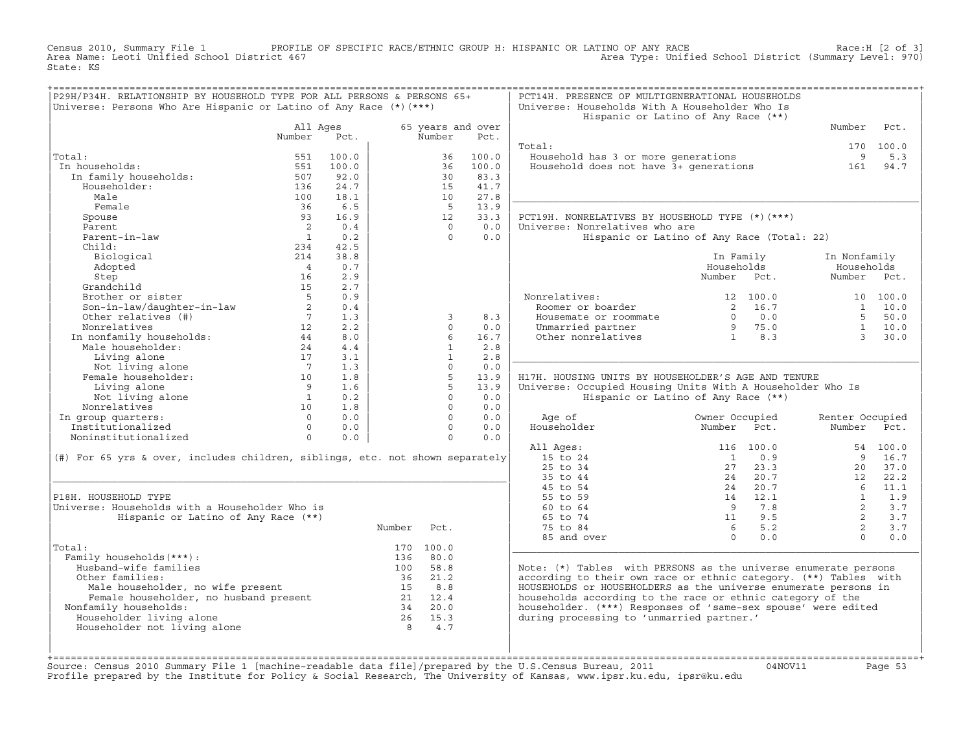Census 2010, Summary File 1 PROFILE OF SPECIFIC RACE/ETHNIC GROUP H: HISPANIC OR LATINO OF ANY RACE Race:H [2 of 3]<br>Area Name: Leoti Unified School District 467 area Type: Unified School District (Summary Level: 970) Area Type: Unified School District (Summary Level: 970) State: KS

| P29H/P34H. RELATIONSHIP BY HOUSEHOLD TYPE FOR ALL PERSONS & PERSONS 65+<br>Universe: Persons Who Are Hispanic or Latino of Any Race $(*)$ $(***)$ |                 |       |                |              |                   | PCT14H. PRESENCE OF MULTIGENERATIONAL HOUSEHOLDS<br>Universe: Households With A Householder Who Is<br>Hispanic or Latino of Any Race (**) |                 |                                                     |                      |                  |
|---------------------------------------------------------------------------------------------------------------------------------------------------|-----------------|-------|----------------|--------------|-------------------|-------------------------------------------------------------------------------------------------------------------------------------------|-----------------|-----------------------------------------------------|----------------------|------------------|
|                                                                                                                                                   | All Ages        |       |                |              | 65 years and over |                                                                                                                                           |                 |                                                     | Number               | Pct.             |
|                                                                                                                                                   | Number          | Pct.  |                | Number       | Pct.              | Total:                                                                                                                                    |                 |                                                     |                      |                  |
| Total:                                                                                                                                            | 551             | 100.0 |                | 36           | 100.0             | Household has 3 or more generations                                                                                                       |                 |                                                     | 9                    | 170 100.0<br>5.3 |
| In households:                                                                                                                                    | 551             | 100.0 |                | 36           | 100.0             | Household does not have 3+ generations                                                                                                    |                 |                                                     | 161                  | 94.7             |
| In family households:                                                                                                                             | 507             | 92.0  |                | 30           | 83.3              |                                                                                                                                           |                 |                                                     |                      |                  |
| Householder:                                                                                                                                      | 136             | 24.7  |                | 15           | 41.7              |                                                                                                                                           |                 |                                                     |                      |                  |
| Male                                                                                                                                              | 100             | 18.1  |                | 10           | 27.8              |                                                                                                                                           |                 |                                                     |                      |                  |
| Female                                                                                                                                            | 36              | 6.5   |                | $-5$         | 13.9              |                                                                                                                                           |                 |                                                     |                      |                  |
| Spouse                                                                                                                                            | 93              | 16.9  |                | $12^{\circ}$ | 33.3              | PCT19H. NONRELATIVES BY HOUSEHOLD TYPE (*)(***)                                                                                           |                 |                                                     |                      |                  |
| Parent                                                                                                                                            | $\overline{2}$  | 0.4   |                | $\Omega$     | 0.0               | Universe: Nonrelatives who are                                                                                                            |                 |                                                     |                      |                  |
| Parent-in-law                                                                                                                                     | $\overline{1}$  | 0.2   |                | $\Omega$     | 0.0               | Hispanic or Latino of Any Race (Total: 22)                                                                                                |                 |                                                     |                      |                  |
| Child:                                                                                                                                            | 234             | 42.5  |                |              |                   |                                                                                                                                           |                 |                                                     |                      |                  |
| Biological                                                                                                                                        | 214             | 38.8  |                |              |                   |                                                                                                                                           |                 | In Family                                           | In Nonfamily         |                  |
| Adopted                                                                                                                                           | $\overline{4}$  | 0.7   |                |              |                   |                                                                                                                                           | Households      |                                                     |                      |                  |
| Step                                                                                                                                              | 16              | 2.9   |                |              |                   |                                                                                                                                           | Number Pct.     |                                                     | Number Pct.          |                  |
| Grandchild                                                                                                                                        | 15              | 2.7   |                |              |                   |                                                                                                                                           |                 |                                                     |                      |                  |
| Brother or sister                                                                                                                                 | $5^{\circ}$     | 0.9   |                |              |                   | Nonrelatives:                                                                                                                             |                 | 12 100.0                                            |                      | 10 100.0         |
| Son-in-law/daughter-in-law                                                                                                                        | 2               | 0.4   |                |              |                   | Roomer or boarder                                                                                                                         |                 | 2 16.7                                              |                      | $1 \quad 10.0$   |
| Other relatives (#)                                                                                                                               | $7\overline{ }$ | 1.3   |                | 3            | 8.3               | Housemate or roommate                                                                                                                     |                 | $0 \qquad 0.0$                                      | $5 -$                | 50.0             |
| Nonrelatives                                                                                                                                      | 12              | 2.2   |                | $\cap$       | 0.0               | Unmarried partner                                                                                                                         |                 | $\begin{bmatrix} 9 & 75.0 \\ 1 & 8.3 \end{bmatrix}$ | 1                    | 10.0             |
| Nonrelatives<br>In nonfamily households:                                                                                                          | 44              | 8.0   |                | 6            | 16.7              | Other nonrelatives                                                                                                                        |                 |                                                     | $\mathcal{L}$        | 30.0             |
| Male householder:                                                                                                                                 | 24              | 4.4   |                | $\mathbf{1}$ | 2.8               |                                                                                                                                           |                 |                                                     |                      |                  |
| Living alone                                                                                                                                      | 17              | 3.1   |                | $\mathbf{1}$ | 2.8               |                                                                                                                                           |                 |                                                     |                      |                  |
| Not living alone                                                                                                                                  | $\overline{7}$  | 1.3   |                | $\Omega$     | 0.0               |                                                                                                                                           |                 |                                                     |                      |                  |
| Female householder:                                                                                                                               | 10              | 1.8   |                | 5            | 13.9              | H17H. HOUSING UNITS BY HOUSEHOLDER'S AGE AND TENURE                                                                                       |                 |                                                     |                      |                  |
| Living alone                                                                                                                                      | 9 <sup>1</sup>  | 1.6   |                | 5            | 13.9              | Universe: Occupied Housing Units With A Householder Who Is                                                                                |                 |                                                     |                      |                  |
| Not living alone                                                                                                                                  | $\overline{1}$  | 0.2   |                | $\Omega$     | 0.0               | Hispanic or Latino of Any Race (**)                                                                                                       |                 |                                                     |                      |                  |
| Nonrelatives                                                                                                                                      | 10              | 1.8   |                | $\Omega$     | 0.0               |                                                                                                                                           |                 |                                                     |                      |                  |
| In group quarters:                                                                                                                                | $\Omega$        | 0.0   |                | $\Omega$     | 0.0               | Age of                                                                                                                                    | Owner Occupied  |                                                     | Renter Occupied      |                  |
| Institutionalized                                                                                                                                 | $\Omega$        | 0.0   |                | $\Omega$     | 0.0               | Householder                                                                                                                               | Number          | Pct.                                                | Number               | Pct.             |
| Noninstitutionalized                                                                                                                              | $\circ$         | 0.0   |                | $\Omega$     | 0.0               |                                                                                                                                           |                 |                                                     |                      |                  |
|                                                                                                                                                   |                 |       |                |              |                   | All Ages:                                                                                                                                 |                 | 116 100.0                                           |                      | 54 100.0         |
| (#) For 65 yrs & over, includes children, siblings, etc. not shown separately                                                                     |                 |       |                |              |                   | 15 to 24                                                                                                                                  | $\overline{1}$  | 0.9                                                 | $\overline{9}$       | 16.7             |
|                                                                                                                                                   |                 |       |                |              |                   | 25 to 34                                                                                                                                  | 27              | 23.3                                                | 20                   | 37.0             |
|                                                                                                                                                   |                 |       |                |              |                   | 35 to 44                                                                                                                                  |                 | 24 20.7                                             | 12<br>6 <sup>6</sup> | 22.2             |
| P18H. HOUSEHOLD TYPE                                                                                                                              |                 |       |                |              |                   | 45 to 54<br>55 to 59                                                                                                                      |                 | 24 20.7<br>14 12.1                                  | $\overline{1}$       | 11.1<br>1.9      |
| Universe: Households with a Householder Who is                                                                                                    |                 |       |                |              |                   | 60 to 64                                                                                                                                  | $\overline{9}$  | 7.8                                                 | 2                    | 3.7              |
| Hispanic or Latino of Any Race (**)                                                                                                               |                 |       |                |              |                   | 65 to 74                                                                                                                                  |                 | 11 9.5                                              | 2                    | 3.7              |
|                                                                                                                                                   |                 |       | Number         | Pct.         |                   | 75 to 84                                                                                                                                  | $6\overline{6}$ | 5.2                                                 | 2                    | 3.7              |
|                                                                                                                                                   |                 |       |                |              |                   | 85 and over                                                                                                                               | $\Omega$        | 0.0                                                 | $\Omega$             | 0.0              |
| Total:                                                                                                                                            |                 |       |                | 170 100.0    |                   |                                                                                                                                           |                 |                                                     |                      |                  |
| Family households (***) :                                                                                                                         |                 |       | 136            | 80.0         |                   |                                                                                                                                           |                 |                                                     |                      |                  |
| Husband-wife families                                                                                                                             |                 |       | 100            | 58.8         |                   | Note: $(*)$ Tables with PERSONS as the universe enumerate persons                                                                         |                 |                                                     |                      |                  |
| Other families:                                                                                                                                   |                 |       | 36             | 21.2         |                   | according to their own race or ethnic category. (**) Tables with                                                                          |                 |                                                     |                      |                  |
|                                                                                                                                                   |                 |       | 15             | 8.8          |                   | HOUSEHOLDS or HOUSEHOLDERS as the universe enumerate persons in                                                                           |                 |                                                     |                      |                  |
| Male householder, no wife present<br>Female householder, no husband present<br>Family households:                                                 |                 |       |                | 21 12.4      |                   | households according to the race or ethnic category of the                                                                                |                 |                                                     |                      |                  |
| Nonfamily households:                                                                                                                             |                 |       | 34             | 20.0         |                   | householder. (***) Responses of 'same-sex spouse' were edited                                                                             |                 |                                                     |                      |                  |
| Householder living alone                                                                                                                          |                 |       |                | 26 15.3      |                   | during processing to 'unmarried partner.'                                                                                                 |                 |                                                     |                      |                  |
| Householder not living alone                                                                                                                      |                 |       | 8 <sup>1</sup> | 4.7          |                   |                                                                                                                                           |                 |                                                     |                      |                  |
|                                                                                                                                                   |                 |       |                |              |                   |                                                                                                                                           |                 |                                                     |                      |                  |
|                                                                                                                                                   |                 |       |                |              |                   |                                                                                                                                           |                 |                                                     |                      |                  |
|                                                                                                                                                   |                 |       |                |              |                   |                                                                                                                                           |                 |                                                     |                      |                  |

+===================================================================================================================================================+Source: Census 2010 Summary File 1 [machine−readable data file]/prepared by the U.S.Census Bureau, 2011 04NOV11 Page 53 Profile prepared by the Institute for Policy & Social Research, The University of Kansas, www.ipsr.ku.edu, ipsr@ku.edu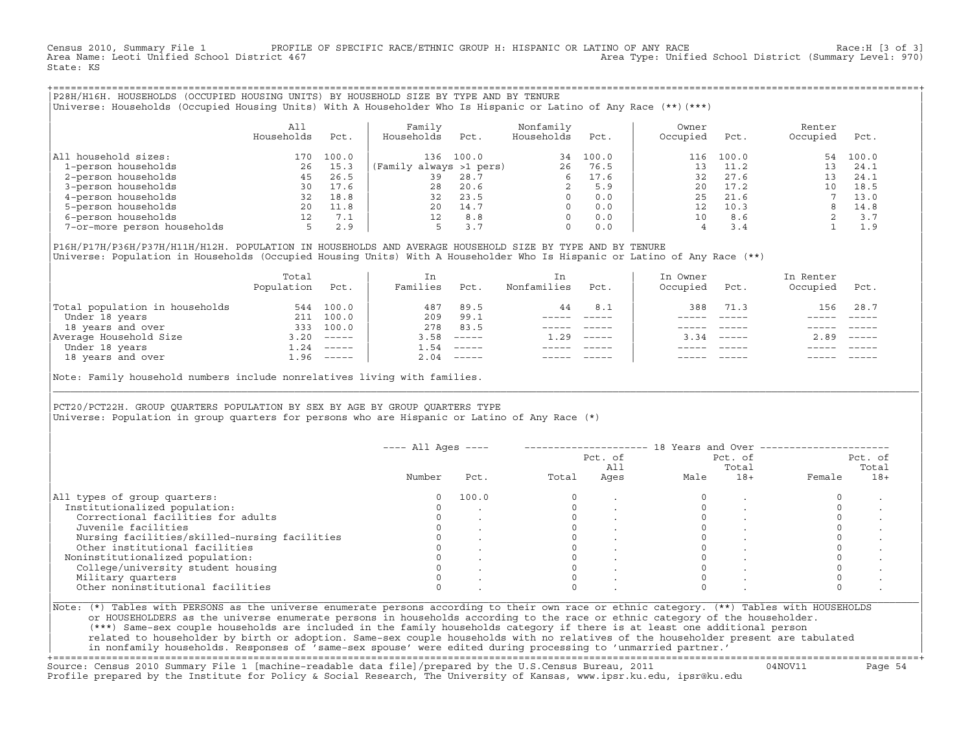Census 2010, Summary File 1 PROFILE OF SPECIFIC RACE/ETHNIC GROUP H: HISPANIC OR LATINO OF ANY RACE Race:H [3 of 3]<br>Area Name: Leoti Unified School District 467 area Type: Unified School District (Summary Level: 970) Area Type: Unified School District (Summary Level: 970) State: KS

+===================================================================================================================================================+|P28H/H16H. HOUSEHOLDS (OCCUPIED HOUSING UNITS) BY HOUSEHOLD SIZE BY TYPE AND BY TENURE | |Universe: Households (Occupied Housing Units) With A Householder Who Is Hispanic or Latino of Any Race (\*\*)(\*\*\*) |

|                             | All<br>Households | Pct.  | Family<br>Households    | Pct.  | Nonfamily<br>Households | Pct.  | Owner<br>Occupied | Pct.  | Renter<br>Occupied | Pct.  |  |
|-----------------------------|-------------------|-------|-------------------------|-------|-------------------------|-------|-------------------|-------|--------------------|-------|--|
| household sizes:<br>All     | 170               | 100.0 | 136                     | 100.0 | 34                      | 100.0 | 116               | 100.0 | 54                 | 100.0 |  |
| 1-person households         | 26                | 15.3  | (Family always >1 pers) |       | 26                      | 76.5  | ך י               | 11.2  |                    | 24.1  |  |
| 2-person households         | 45                | 26.5  | 39                      | 28.7  | 6                       | 17.6  | 32                | 27.6  | 13                 | 24.1  |  |
| 3-person households         | 30                | 17.6  | 28                      | 20.6  |                         | 5.9   | 20                | 17.2  |                    | 18.5  |  |
| 4-person households         | 32                | 18.8  | 32                      | 23.5  | $\Omega$                | 0.0   | 25                | 21.6  |                    | 13.0  |  |
| 5-person households         | 20                | 11.8  | 20                      | 14.7  | $\Omega$                | 0.0   | 12                | 10.3  |                    | 14.8  |  |
| 6-person households         | 12.               | 7.1   | 12 <sup>°</sup>         | 8.8   | $\Omega$                | 0.0   | 10                | 8.6   |                    | 3.7   |  |
| 7-or-more person households |                   | 2.9   |                         | 3.7   | $\mathbf 0$             | 0.0   |                   | 3.4   |                    | 1.9   |  |

|P16H/P17H/P36H/P37H/H11H/H12H. POPULATION IN HOUSEHOLDS AND AVERAGE HOUSEHOLD SIZE BY TYPE AND BY TENURE | Universe: Population in Households (Occupied Housing Units) With A Householder Who Is Hispanic or Latino of Any Race (\*\*)

|                                | Total<br>Population | Pct.         | In<br>Families | Pct.                      | In.<br>Nonfamilies | Pct.     | In Owner<br>Occupied | Pct.          | In Renter<br>Occupied | Pct.                      |
|--------------------------------|---------------------|--------------|----------------|---------------------------|--------------------|----------|----------------------|---------------|-----------------------|---------------------------|
| Total population in households | 544                 | 100.0        | 487            | 89.5                      | 44                 | 8.1      | 388                  | 71.3          | 156                   | 28.7                      |
| Under 18 years                 | 211                 | 100.0        | 209            | 99.1                      |                    |          |                      |               |                       |                           |
| 18 years and over              | 333                 | 100.0        | 278            | 83.5                      |                    |          |                      |               |                       |                           |
| Average Household Size         | 3.20                | $------$     | 3.58           | $------$                  | 1.29               | $------$ | 3.34                 | $- - - - - -$ | 2.89                  | $\qquad \qquad - - - - -$ |
| Under 18 years                 | 1.24                | $------$     | 1.54           | $------$                  |                    |          |                      |               |                       |                           |
| 18 years and over              |                     | $1.96$ ----- | 2.04           | $\qquad \qquad - - - - -$ |                    |          |                      | $- - - - -$   |                       | $- - - - -$               |
|                                |                     |              |                |                           |                    |          |                      |               |                       |                           |

Note: Family household numbers include nonrelatives living with families.

| | PCT20/PCT22H. GROUP OUARTERS POPULATION BY SEX BY AGE BY GROUP OUARTERS TYPE Universe: Population in group quarters for persons who are Hispanic or Latino of Any Race (\*)

|                                               |        |       |       | Pct. of<br>All | Pct. of<br>Total |       |        | Pct. of<br>Total |  |
|-----------------------------------------------|--------|-------|-------|----------------|------------------|-------|--------|------------------|--|
|                                               | Number | Pct.  | Total | Ages           | Male             | $18+$ | Female | $18+$            |  |
| All types of group quarters:                  | 0      | 100.0 |       |                |                  |       |        |                  |  |
| Institutionalized population:                 |        |       |       |                |                  |       |        |                  |  |
| Correctional facilities for adults            |        |       |       |                |                  |       |        |                  |  |
| Juvenile facilities                           |        |       |       |                |                  |       |        |                  |  |
| Nursing facilities/skilled-nursing facilities |        |       |       |                |                  |       |        |                  |  |
| Other institutional facilities                |        |       |       |                |                  |       |        |                  |  |
| Noninstitutionalized population:              |        |       |       |                |                  |       |        |                  |  |
| College/university student housing            |        |       |       |                |                  |       |        |                  |  |
| Military quarters                             |        |       |       |                |                  |       |        |                  |  |
| Other noninstitutional facilities             |        |       |       |                |                  |       |        |                  |  |

|\_\_\_\_\_\_\_\_\_\_\_\_\_\_\_\_\_\_\_\_\_\_\_\_\_\_\_\_\_\_\_\_\_\_\_\_\_\_\_\_\_\_\_\_\_\_\_\_\_\_\_\_\_\_\_\_\_\_\_\_\_\_\_\_\_\_\_\_\_\_\_\_\_\_\_\_\_\_\_\_\_\_\_\_\_\_\_\_\_\_\_\_\_\_\_\_\_\_\_\_\_\_\_\_\_\_\_\_\_\_\_\_\_\_\_\_\_\_\_\_\_\_\_\_\_\_\_\_\_\_\_\_\_\_\_\_\_\_\_\_\_\_\_\_\_\_\_|

| |

or HOUSEHOLDERS as the universe enumerate persons in households according to the race or ethnic category of the householder. | (\*\*\*) Same−sex couple households are included in the family households category if there is at least one additional person | | related to householder by birth or adoption. Same−sex couple households with no relatives of the householder present are tabulated | | in nonfamily households. Responses of 'same−sex spouse' were edited during processing to 'unmarried partner.' |

+===================================================================================================================================================+ Source: Census 2010 Summary File 1 [machine−readable data file]/prepared by the U.S.Census Bureau, 2011 04NOV11 Page 54 Profile prepared by the Institute for Policy & Social Research, The University of Kansas, www.ipsr.ku.edu, ipsr@ku.edu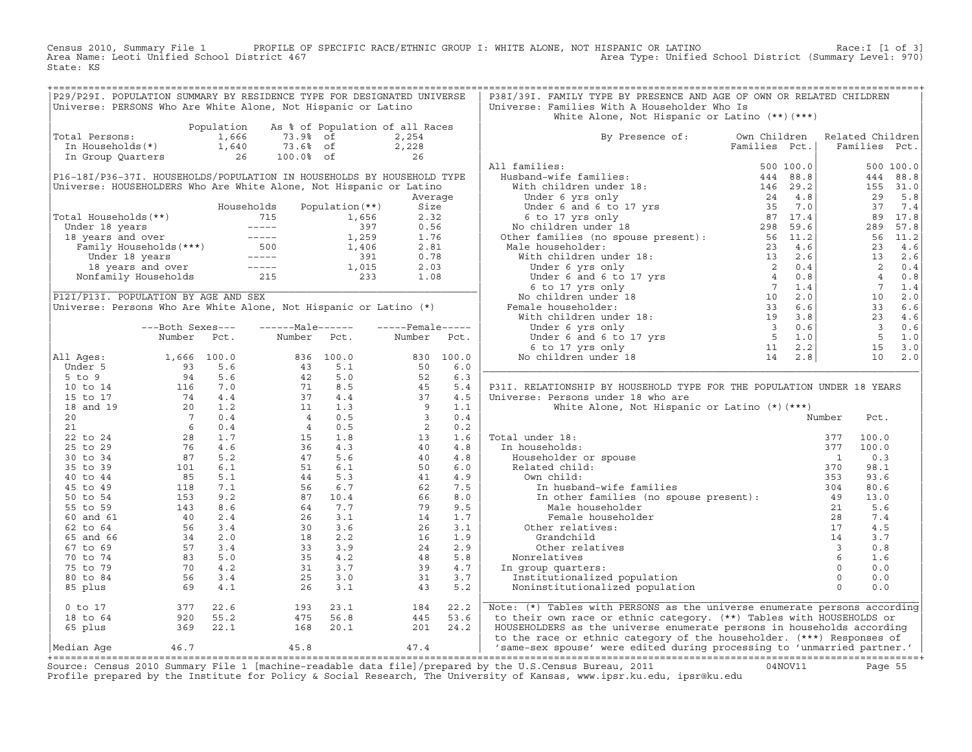Census 2010, Summary File 1 PROFILE OF SPECIFIC RACE/ETHNIC GROUP I: WHITE ALONE, NOT HISPANIC OR LATINO Race:I [1 of 3] Area Name: Leoti Unified School District 467 Area Type: Unified School District (Summary Level: 970) State: KS

| P29/P291. POPULATION SUMMARY BY RESIDENCE TYPE FOR DESIGNATED UNIVERSE<br>P38I/39I. FAMILY TYPE BY PRESENCE AND AGE OF OWN OR RELATED CHILDREN<br>Universe: PERSONS Who Are White Alone, Not Hispanic or Latino<br>Universe: Families With A Householder Who Is<br>White Alone, Not Hispanic or Latino $(**)$ $(***)$<br>Population<br>As % of Population of all Races<br>1,666<br>Total Persons:<br>73.9% of<br>2,254<br>By Presence of: Own Children Related Children<br>Families Pct.<br>$2,228$<br>$26$<br>Families Pct.<br>All families:<br>500 100.0<br>P16-18I/P36-37I. HOUSEHOLDS/POPULATION IN HOUSEHOLDS BY HOUSEHOLD TYPE<br>444 88.8<br>155 31.0<br>Universe: HOUSEHOLDERS Who Are White Alone, Not Hispanic or Latino<br>29 5.8<br>Average<br>37 7.4<br>Households<br>Population (**)<br>Size<br>Total Households (**)<br>Under 18 years<br>1,656<br>18 years and over<br>Tamily Households (***)<br>The Tamily Households (***)<br>1,259<br>Tamily Households (***)<br>1,406<br>1,406<br>1,406<br>1,406<br>1,1015<br>Nonfamily Households<br>215<br>233<br>2.32<br>89 17.8<br>289 57.8<br>0.56<br>1.76<br>56 11.2<br>2.81<br>23 4.6<br>0.78<br>13 2.6<br>$2 \t 0.4$<br>2.03<br>40.8<br>1.08<br>$\begin{array}{ccc} 4 & 0.8 \\ 7 & 1.4 \\ 10 & 2.0 \\ 33 & 6.6 \\ 23 & 4.6 \end{array}$<br>P12I/P13I. POPULATION BY AGE AND SEX<br>Universe: Persons Who Are White Alone, Not Hispanic or Latino (*)<br>$\overline{\mathbf{3}}$<br>------Male------ -----Female-----<br>0.6<br>---Both Sexes---<br>5 <sup>5</sup><br>Number<br>Number<br>1.0<br>Number<br>Pct.<br>Pct.<br>Pct.<br>$15 \t 3.0$<br>All Ages:<br>Number FCC:<br>11 Ages:<br>1,666 100.0<br>5 to 9<br>5 to 9<br>10 to 14<br>116 7.0<br>116 17<br>14 4.4<br>15 to 17<br>17 4 4.4<br>16 7.0<br>20<br>20<br>20<br>20<br>20<br>5 to 34<br>6 0.4<br>6 0.4<br>6 1.7<br>6 0.4<br>6 0.4<br>5 1.7<br>6 1.7<br>6 1.7<br>6 1.2<br>76<br>4.6<br>28<br>1.<br>10 2.0<br>P31I. RELATIONSHIP BY HOUSEHOLD TYPE FOR THE POPULATION UNDER 18 YEARS<br>Universe: Persons under 18 who are<br>White Alone, Not Hispanic or Latino (*) (***)<br>Number<br>Pct.<br>al under 18:<br>n households:<br>Householder or spouse<br>Related child:<br>Own child:<br>In husband-wife families<br>Total under 18:<br>100.0<br>377<br>In households:<br>100.0<br>377<br>0.3<br>$\overline{1}$<br>370<br>98.1<br>353<br>93.6<br>10 husband-wife families<br>In other families (no spouse present): 304<br>Male householder<br>Famale bourght?<br>80.6<br>13.0<br>5.6<br>mount and householder<br>Male householder<br>Female householder<br>female householder<br>$28$<br>ther relatives:<br>$17$<br>other relatives<br>$18$<br>relatives<br>oup quarters:<br>$6$<br>oup quarters:<br>$0$<br>institutionalized population<br>institut<br>7.4<br>Other relatives:<br>4.5<br>3.7<br>0.8<br>$\frac{48}{39}$<br>5.8<br>Nonrelatives<br>1.6<br>39<br>4.7<br>0.0<br>In group quarters:<br>Institutionalized population<br>31<br>3.7<br>0.0<br>26<br>3.1<br>43<br>5.2<br>Noninstitutionalized population<br>0.0<br>377 22.6<br>920 55.2<br>369 22.1<br>22.2<br>Note: (*) Tables with PERSONS as the universe enumerate persons according<br>0 to 17<br>193 23.1<br>475 56.8<br>184<br>445<br>53.6<br>to their own race or ethnic category. (**) Tables with HOUSEHOLDS or<br>18 to 64<br>65 plus<br>168 20.1<br>$20.1$ $201$ $24.2$<br>$47.4$<br>HOUSEHOLDERS as the universe enumerate persons in households according<br>to the race or ethnic category of the householder. (***) Responses of<br>/ same-sex spouse' were edited during processing to 'unmarried partner.'<br>46.7<br>45.8<br>Median Aqe<br>Course: Cansus 2010 Summary File 1 [mashine_readable data file]/prepared by the U.S Cansus Bureau 2011 (1400) 011 |  |  |  |  |  |  |  |
|-----------------------------------------------------------------------------------------------------------------------------------------------------------------------------------------------------------------------------------------------------------------------------------------------------------------------------------------------------------------------------------------------------------------------------------------------------------------------------------------------------------------------------------------------------------------------------------------------------------------------------------------------------------------------------------------------------------------------------------------------------------------------------------------------------------------------------------------------------------------------------------------------------------------------------------------------------------------------------------------------------------------------------------------------------------------------------------------------------------------------------------------------------------------------------------------------------------------------------------------------------------------------------------------------------------------------------------------------------------------------------------------------------------------------------------------------------------------------------------------------------------------------------------------------------------------------------------------------------------------------------------------------------------------------------------------------------------------------------------------------------------------------------------------------------------------------------------------------------------------------------------------------------------------------------------------------------------------------------------------------------------------------------------------------------------------------------------------------------------------------------------------------------------------------------------------------------------------------------------------------------------------------------------------------------------------------------------------------------------------------------------------------------------------------------------------------------------------------------------------------------------------------------------------------------------------------------------------------------------------------------------------------------------------------------------------------------------------------------------------------------------------------------------------------------------------------------------------------------------------------------------------------------------------------------------------------------------------------------------------------------------------------------------------------------------------------------------------------------------------------------------------------------------------------------------------------------------------------------------------------------------------------------------------------------------------------------------------------------------------------------------------------------------------------------------------------------------------------------------------------------------------------------------------------------------------------------------------------------------------------------------------------------------------------------------------------------------------------------------------------------------------|--|--|--|--|--|--|--|
|                                                                                                                                                                                                                                                                                                                                                                                                                                                                                                                                                                                                                                                                                                                                                                                                                                                                                                                                                                                                                                                                                                                                                                                                                                                                                                                                                                                                                                                                                                                                                                                                                                                                                                                                                                                                                                                                                                                                                                                                                                                                                                                                                                                                                                                                                                                                                                                                                                                                                                                                                                                                                                                                                                                                                                                                                                                                                                                                                                                                                                                                                                                                                                                                                                                                                                                                                                                                                                                                                                                                                                                                                                                                                                                                                                 |  |  |  |  |  |  |  |
|                                                                                                                                                                                                                                                                                                                                                                                                                                                                                                                                                                                                                                                                                                                                                                                                                                                                                                                                                                                                                                                                                                                                                                                                                                                                                                                                                                                                                                                                                                                                                                                                                                                                                                                                                                                                                                                                                                                                                                                                                                                                                                                                                                                                                                                                                                                                                                                                                                                                                                                                                                                                                                                                                                                                                                                                                                                                                                                                                                                                                                                                                                                                                                                                                                                                                                                                                                                                                                                                                                                                                                                                                                                                                                                                                                 |  |  |  |  |  |  |  |
|                                                                                                                                                                                                                                                                                                                                                                                                                                                                                                                                                                                                                                                                                                                                                                                                                                                                                                                                                                                                                                                                                                                                                                                                                                                                                                                                                                                                                                                                                                                                                                                                                                                                                                                                                                                                                                                                                                                                                                                                                                                                                                                                                                                                                                                                                                                                                                                                                                                                                                                                                                                                                                                                                                                                                                                                                                                                                                                                                                                                                                                                                                                                                                                                                                                                                                                                                                                                                                                                                                                                                                                                                                                                                                                                                                 |  |  |  |  |  |  |  |
|                                                                                                                                                                                                                                                                                                                                                                                                                                                                                                                                                                                                                                                                                                                                                                                                                                                                                                                                                                                                                                                                                                                                                                                                                                                                                                                                                                                                                                                                                                                                                                                                                                                                                                                                                                                                                                                                                                                                                                                                                                                                                                                                                                                                                                                                                                                                                                                                                                                                                                                                                                                                                                                                                                                                                                                                                                                                                                                                                                                                                                                                                                                                                                                                                                                                                                                                                                                                                                                                                                                                                                                                                                                                                                                                                                 |  |  |  |  |  |  |  |
|                                                                                                                                                                                                                                                                                                                                                                                                                                                                                                                                                                                                                                                                                                                                                                                                                                                                                                                                                                                                                                                                                                                                                                                                                                                                                                                                                                                                                                                                                                                                                                                                                                                                                                                                                                                                                                                                                                                                                                                                                                                                                                                                                                                                                                                                                                                                                                                                                                                                                                                                                                                                                                                                                                                                                                                                                                                                                                                                                                                                                                                                                                                                                                                                                                                                                                                                                                                                                                                                                                                                                                                                                                                                                                                                                                 |  |  |  |  |  |  |  |
|                                                                                                                                                                                                                                                                                                                                                                                                                                                                                                                                                                                                                                                                                                                                                                                                                                                                                                                                                                                                                                                                                                                                                                                                                                                                                                                                                                                                                                                                                                                                                                                                                                                                                                                                                                                                                                                                                                                                                                                                                                                                                                                                                                                                                                                                                                                                                                                                                                                                                                                                                                                                                                                                                                                                                                                                                                                                                                                                                                                                                                                                                                                                                                                                                                                                                                                                                                                                                                                                                                                                                                                                                                                                                                                                                                 |  |  |  |  |  |  |  |
|                                                                                                                                                                                                                                                                                                                                                                                                                                                                                                                                                                                                                                                                                                                                                                                                                                                                                                                                                                                                                                                                                                                                                                                                                                                                                                                                                                                                                                                                                                                                                                                                                                                                                                                                                                                                                                                                                                                                                                                                                                                                                                                                                                                                                                                                                                                                                                                                                                                                                                                                                                                                                                                                                                                                                                                                                                                                                                                                                                                                                                                                                                                                                                                                                                                                                                                                                                                                                                                                                                                                                                                                                                                                                                                                                                 |  |  |  |  |  |  |  |
|                                                                                                                                                                                                                                                                                                                                                                                                                                                                                                                                                                                                                                                                                                                                                                                                                                                                                                                                                                                                                                                                                                                                                                                                                                                                                                                                                                                                                                                                                                                                                                                                                                                                                                                                                                                                                                                                                                                                                                                                                                                                                                                                                                                                                                                                                                                                                                                                                                                                                                                                                                                                                                                                                                                                                                                                                                                                                                                                                                                                                                                                                                                                                                                                                                                                                                                                                                                                                                                                                                                                                                                                                                                                                                                                                                 |  |  |  |  |  |  |  |
|                                                                                                                                                                                                                                                                                                                                                                                                                                                                                                                                                                                                                                                                                                                                                                                                                                                                                                                                                                                                                                                                                                                                                                                                                                                                                                                                                                                                                                                                                                                                                                                                                                                                                                                                                                                                                                                                                                                                                                                                                                                                                                                                                                                                                                                                                                                                                                                                                                                                                                                                                                                                                                                                                                                                                                                                                                                                                                                                                                                                                                                                                                                                                                                                                                                                                                                                                                                                                                                                                                                                                                                                                                                                                                                                                                 |  |  |  |  |  |  |  |
|                                                                                                                                                                                                                                                                                                                                                                                                                                                                                                                                                                                                                                                                                                                                                                                                                                                                                                                                                                                                                                                                                                                                                                                                                                                                                                                                                                                                                                                                                                                                                                                                                                                                                                                                                                                                                                                                                                                                                                                                                                                                                                                                                                                                                                                                                                                                                                                                                                                                                                                                                                                                                                                                                                                                                                                                                                                                                                                                                                                                                                                                                                                                                                                                                                                                                                                                                                                                                                                                                                                                                                                                                                                                                                                                                                 |  |  |  |  |  |  |  |
|                                                                                                                                                                                                                                                                                                                                                                                                                                                                                                                                                                                                                                                                                                                                                                                                                                                                                                                                                                                                                                                                                                                                                                                                                                                                                                                                                                                                                                                                                                                                                                                                                                                                                                                                                                                                                                                                                                                                                                                                                                                                                                                                                                                                                                                                                                                                                                                                                                                                                                                                                                                                                                                                                                                                                                                                                                                                                                                                                                                                                                                                                                                                                                                                                                                                                                                                                                                                                                                                                                                                                                                                                                                                                                                                                                 |  |  |  |  |  |  |  |
|                                                                                                                                                                                                                                                                                                                                                                                                                                                                                                                                                                                                                                                                                                                                                                                                                                                                                                                                                                                                                                                                                                                                                                                                                                                                                                                                                                                                                                                                                                                                                                                                                                                                                                                                                                                                                                                                                                                                                                                                                                                                                                                                                                                                                                                                                                                                                                                                                                                                                                                                                                                                                                                                                                                                                                                                                                                                                                                                                                                                                                                                                                                                                                                                                                                                                                                                                                                                                                                                                                                                                                                                                                                                                                                                                                 |  |  |  |  |  |  |  |
|                                                                                                                                                                                                                                                                                                                                                                                                                                                                                                                                                                                                                                                                                                                                                                                                                                                                                                                                                                                                                                                                                                                                                                                                                                                                                                                                                                                                                                                                                                                                                                                                                                                                                                                                                                                                                                                                                                                                                                                                                                                                                                                                                                                                                                                                                                                                                                                                                                                                                                                                                                                                                                                                                                                                                                                                                                                                                                                                                                                                                                                                                                                                                                                                                                                                                                                                                                                                                                                                                                                                                                                                                                                                                                                                                                 |  |  |  |  |  |  |  |
|                                                                                                                                                                                                                                                                                                                                                                                                                                                                                                                                                                                                                                                                                                                                                                                                                                                                                                                                                                                                                                                                                                                                                                                                                                                                                                                                                                                                                                                                                                                                                                                                                                                                                                                                                                                                                                                                                                                                                                                                                                                                                                                                                                                                                                                                                                                                                                                                                                                                                                                                                                                                                                                                                                                                                                                                                                                                                                                                                                                                                                                                                                                                                                                                                                                                                                                                                                                                                                                                                                                                                                                                                                                                                                                                                                 |  |  |  |  |  |  |  |
|                                                                                                                                                                                                                                                                                                                                                                                                                                                                                                                                                                                                                                                                                                                                                                                                                                                                                                                                                                                                                                                                                                                                                                                                                                                                                                                                                                                                                                                                                                                                                                                                                                                                                                                                                                                                                                                                                                                                                                                                                                                                                                                                                                                                                                                                                                                                                                                                                                                                                                                                                                                                                                                                                                                                                                                                                                                                                                                                                                                                                                                                                                                                                                                                                                                                                                                                                                                                                                                                                                                                                                                                                                                                                                                                                                 |  |  |  |  |  |  |  |
|                                                                                                                                                                                                                                                                                                                                                                                                                                                                                                                                                                                                                                                                                                                                                                                                                                                                                                                                                                                                                                                                                                                                                                                                                                                                                                                                                                                                                                                                                                                                                                                                                                                                                                                                                                                                                                                                                                                                                                                                                                                                                                                                                                                                                                                                                                                                                                                                                                                                                                                                                                                                                                                                                                                                                                                                                                                                                                                                                                                                                                                                                                                                                                                                                                                                                                                                                                                                                                                                                                                                                                                                                                                                                                                                                                 |  |  |  |  |  |  |  |
|                                                                                                                                                                                                                                                                                                                                                                                                                                                                                                                                                                                                                                                                                                                                                                                                                                                                                                                                                                                                                                                                                                                                                                                                                                                                                                                                                                                                                                                                                                                                                                                                                                                                                                                                                                                                                                                                                                                                                                                                                                                                                                                                                                                                                                                                                                                                                                                                                                                                                                                                                                                                                                                                                                                                                                                                                                                                                                                                                                                                                                                                                                                                                                                                                                                                                                                                                                                                                                                                                                                                                                                                                                                                                                                                                                 |  |  |  |  |  |  |  |
|                                                                                                                                                                                                                                                                                                                                                                                                                                                                                                                                                                                                                                                                                                                                                                                                                                                                                                                                                                                                                                                                                                                                                                                                                                                                                                                                                                                                                                                                                                                                                                                                                                                                                                                                                                                                                                                                                                                                                                                                                                                                                                                                                                                                                                                                                                                                                                                                                                                                                                                                                                                                                                                                                                                                                                                                                                                                                                                                                                                                                                                                                                                                                                                                                                                                                                                                                                                                                                                                                                                                                                                                                                                                                                                                                                 |  |  |  |  |  |  |  |
|                                                                                                                                                                                                                                                                                                                                                                                                                                                                                                                                                                                                                                                                                                                                                                                                                                                                                                                                                                                                                                                                                                                                                                                                                                                                                                                                                                                                                                                                                                                                                                                                                                                                                                                                                                                                                                                                                                                                                                                                                                                                                                                                                                                                                                                                                                                                                                                                                                                                                                                                                                                                                                                                                                                                                                                                                                                                                                                                                                                                                                                                                                                                                                                                                                                                                                                                                                                                                                                                                                                                                                                                                                                                                                                                                                 |  |  |  |  |  |  |  |
|                                                                                                                                                                                                                                                                                                                                                                                                                                                                                                                                                                                                                                                                                                                                                                                                                                                                                                                                                                                                                                                                                                                                                                                                                                                                                                                                                                                                                                                                                                                                                                                                                                                                                                                                                                                                                                                                                                                                                                                                                                                                                                                                                                                                                                                                                                                                                                                                                                                                                                                                                                                                                                                                                                                                                                                                                                                                                                                                                                                                                                                                                                                                                                                                                                                                                                                                                                                                                                                                                                                                                                                                                                                                                                                                                                 |  |  |  |  |  |  |  |
|                                                                                                                                                                                                                                                                                                                                                                                                                                                                                                                                                                                                                                                                                                                                                                                                                                                                                                                                                                                                                                                                                                                                                                                                                                                                                                                                                                                                                                                                                                                                                                                                                                                                                                                                                                                                                                                                                                                                                                                                                                                                                                                                                                                                                                                                                                                                                                                                                                                                                                                                                                                                                                                                                                                                                                                                                                                                                                                                                                                                                                                                                                                                                                                                                                                                                                                                                                                                                                                                                                                                                                                                                                                                                                                                                                 |  |  |  |  |  |  |  |
|                                                                                                                                                                                                                                                                                                                                                                                                                                                                                                                                                                                                                                                                                                                                                                                                                                                                                                                                                                                                                                                                                                                                                                                                                                                                                                                                                                                                                                                                                                                                                                                                                                                                                                                                                                                                                                                                                                                                                                                                                                                                                                                                                                                                                                                                                                                                                                                                                                                                                                                                                                                                                                                                                                                                                                                                                                                                                                                                                                                                                                                                                                                                                                                                                                                                                                                                                                                                                                                                                                                                                                                                                                                                                                                                                                 |  |  |  |  |  |  |  |
|                                                                                                                                                                                                                                                                                                                                                                                                                                                                                                                                                                                                                                                                                                                                                                                                                                                                                                                                                                                                                                                                                                                                                                                                                                                                                                                                                                                                                                                                                                                                                                                                                                                                                                                                                                                                                                                                                                                                                                                                                                                                                                                                                                                                                                                                                                                                                                                                                                                                                                                                                                                                                                                                                                                                                                                                                                                                                                                                                                                                                                                                                                                                                                                                                                                                                                                                                                                                                                                                                                                                                                                                                                                                                                                                                                 |  |  |  |  |  |  |  |
|                                                                                                                                                                                                                                                                                                                                                                                                                                                                                                                                                                                                                                                                                                                                                                                                                                                                                                                                                                                                                                                                                                                                                                                                                                                                                                                                                                                                                                                                                                                                                                                                                                                                                                                                                                                                                                                                                                                                                                                                                                                                                                                                                                                                                                                                                                                                                                                                                                                                                                                                                                                                                                                                                                                                                                                                                                                                                                                                                                                                                                                                                                                                                                                                                                                                                                                                                                                                                                                                                                                                                                                                                                                                                                                                                                 |  |  |  |  |  |  |  |
|                                                                                                                                                                                                                                                                                                                                                                                                                                                                                                                                                                                                                                                                                                                                                                                                                                                                                                                                                                                                                                                                                                                                                                                                                                                                                                                                                                                                                                                                                                                                                                                                                                                                                                                                                                                                                                                                                                                                                                                                                                                                                                                                                                                                                                                                                                                                                                                                                                                                                                                                                                                                                                                                                                                                                                                                                                                                                                                                                                                                                                                                                                                                                                                                                                                                                                                                                                                                                                                                                                                                                                                                                                                                                                                                                                 |  |  |  |  |  |  |  |
|                                                                                                                                                                                                                                                                                                                                                                                                                                                                                                                                                                                                                                                                                                                                                                                                                                                                                                                                                                                                                                                                                                                                                                                                                                                                                                                                                                                                                                                                                                                                                                                                                                                                                                                                                                                                                                                                                                                                                                                                                                                                                                                                                                                                                                                                                                                                                                                                                                                                                                                                                                                                                                                                                                                                                                                                                                                                                                                                                                                                                                                                                                                                                                                                                                                                                                                                                                                                                                                                                                                                                                                                                                                                                                                                                                 |  |  |  |  |  |  |  |
|                                                                                                                                                                                                                                                                                                                                                                                                                                                                                                                                                                                                                                                                                                                                                                                                                                                                                                                                                                                                                                                                                                                                                                                                                                                                                                                                                                                                                                                                                                                                                                                                                                                                                                                                                                                                                                                                                                                                                                                                                                                                                                                                                                                                                                                                                                                                                                                                                                                                                                                                                                                                                                                                                                                                                                                                                                                                                                                                                                                                                                                                                                                                                                                                                                                                                                                                                                                                                                                                                                                                                                                                                                                                                                                                                                 |  |  |  |  |  |  |  |
|                                                                                                                                                                                                                                                                                                                                                                                                                                                                                                                                                                                                                                                                                                                                                                                                                                                                                                                                                                                                                                                                                                                                                                                                                                                                                                                                                                                                                                                                                                                                                                                                                                                                                                                                                                                                                                                                                                                                                                                                                                                                                                                                                                                                                                                                                                                                                                                                                                                                                                                                                                                                                                                                                                                                                                                                                                                                                                                                                                                                                                                                                                                                                                                                                                                                                                                                                                                                                                                                                                                                                                                                                                                                                                                                                                 |  |  |  |  |  |  |  |
|                                                                                                                                                                                                                                                                                                                                                                                                                                                                                                                                                                                                                                                                                                                                                                                                                                                                                                                                                                                                                                                                                                                                                                                                                                                                                                                                                                                                                                                                                                                                                                                                                                                                                                                                                                                                                                                                                                                                                                                                                                                                                                                                                                                                                                                                                                                                                                                                                                                                                                                                                                                                                                                                                                                                                                                                                                                                                                                                                                                                                                                                                                                                                                                                                                                                                                                                                                                                                                                                                                                                                                                                                                                                                                                                                                 |  |  |  |  |  |  |  |
|                                                                                                                                                                                                                                                                                                                                                                                                                                                                                                                                                                                                                                                                                                                                                                                                                                                                                                                                                                                                                                                                                                                                                                                                                                                                                                                                                                                                                                                                                                                                                                                                                                                                                                                                                                                                                                                                                                                                                                                                                                                                                                                                                                                                                                                                                                                                                                                                                                                                                                                                                                                                                                                                                                                                                                                                                                                                                                                                                                                                                                                                                                                                                                                                                                                                                                                                                                                                                                                                                                                                                                                                                                                                                                                                                                 |  |  |  |  |  |  |  |
|                                                                                                                                                                                                                                                                                                                                                                                                                                                                                                                                                                                                                                                                                                                                                                                                                                                                                                                                                                                                                                                                                                                                                                                                                                                                                                                                                                                                                                                                                                                                                                                                                                                                                                                                                                                                                                                                                                                                                                                                                                                                                                                                                                                                                                                                                                                                                                                                                                                                                                                                                                                                                                                                                                                                                                                                                                                                                                                                                                                                                                                                                                                                                                                                                                                                                                                                                                                                                                                                                                                                                                                                                                                                                                                                                                 |  |  |  |  |  |  |  |
|                                                                                                                                                                                                                                                                                                                                                                                                                                                                                                                                                                                                                                                                                                                                                                                                                                                                                                                                                                                                                                                                                                                                                                                                                                                                                                                                                                                                                                                                                                                                                                                                                                                                                                                                                                                                                                                                                                                                                                                                                                                                                                                                                                                                                                                                                                                                                                                                                                                                                                                                                                                                                                                                                                                                                                                                                                                                                                                                                                                                                                                                                                                                                                                                                                                                                                                                                                                                                                                                                                                                                                                                                                                                                                                                                                 |  |  |  |  |  |  |  |
|                                                                                                                                                                                                                                                                                                                                                                                                                                                                                                                                                                                                                                                                                                                                                                                                                                                                                                                                                                                                                                                                                                                                                                                                                                                                                                                                                                                                                                                                                                                                                                                                                                                                                                                                                                                                                                                                                                                                                                                                                                                                                                                                                                                                                                                                                                                                                                                                                                                                                                                                                                                                                                                                                                                                                                                                                                                                                                                                                                                                                                                                                                                                                                                                                                                                                                                                                                                                                                                                                                                                                                                                                                                                                                                                                                 |  |  |  |  |  |  |  |
|                                                                                                                                                                                                                                                                                                                                                                                                                                                                                                                                                                                                                                                                                                                                                                                                                                                                                                                                                                                                                                                                                                                                                                                                                                                                                                                                                                                                                                                                                                                                                                                                                                                                                                                                                                                                                                                                                                                                                                                                                                                                                                                                                                                                                                                                                                                                                                                                                                                                                                                                                                                                                                                                                                                                                                                                                                                                                                                                                                                                                                                                                                                                                                                                                                                                                                                                                                                                                                                                                                                                                                                                                                                                                                                                                                 |  |  |  |  |  |  |  |
|                                                                                                                                                                                                                                                                                                                                                                                                                                                                                                                                                                                                                                                                                                                                                                                                                                                                                                                                                                                                                                                                                                                                                                                                                                                                                                                                                                                                                                                                                                                                                                                                                                                                                                                                                                                                                                                                                                                                                                                                                                                                                                                                                                                                                                                                                                                                                                                                                                                                                                                                                                                                                                                                                                                                                                                                                                                                                                                                                                                                                                                                                                                                                                                                                                                                                                                                                                                                                                                                                                                                                                                                                                                                                                                                                                 |  |  |  |  |  |  |  |
|                                                                                                                                                                                                                                                                                                                                                                                                                                                                                                                                                                                                                                                                                                                                                                                                                                                                                                                                                                                                                                                                                                                                                                                                                                                                                                                                                                                                                                                                                                                                                                                                                                                                                                                                                                                                                                                                                                                                                                                                                                                                                                                                                                                                                                                                                                                                                                                                                                                                                                                                                                                                                                                                                                                                                                                                                                                                                                                                                                                                                                                                                                                                                                                                                                                                                                                                                                                                                                                                                                                                                                                                                                                                                                                                                                 |  |  |  |  |  |  |  |
|                                                                                                                                                                                                                                                                                                                                                                                                                                                                                                                                                                                                                                                                                                                                                                                                                                                                                                                                                                                                                                                                                                                                                                                                                                                                                                                                                                                                                                                                                                                                                                                                                                                                                                                                                                                                                                                                                                                                                                                                                                                                                                                                                                                                                                                                                                                                                                                                                                                                                                                                                                                                                                                                                                                                                                                                                                                                                                                                                                                                                                                                                                                                                                                                                                                                                                                                                                                                                                                                                                                                                                                                                                                                                                                                                                 |  |  |  |  |  |  |  |
|                                                                                                                                                                                                                                                                                                                                                                                                                                                                                                                                                                                                                                                                                                                                                                                                                                                                                                                                                                                                                                                                                                                                                                                                                                                                                                                                                                                                                                                                                                                                                                                                                                                                                                                                                                                                                                                                                                                                                                                                                                                                                                                                                                                                                                                                                                                                                                                                                                                                                                                                                                                                                                                                                                                                                                                                                                                                                                                                                                                                                                                                                                                                                                                                                                                                                                                                                                                                                                                                                                                                                                                                                                                                                                                                                                 |  |  |  |  |  |  |  |
|                                                                                                                                                                                                                                                                                                                                                                                                                                                                                                                                                                                                                                                                                                                                                                                                                                                                                                                                                                                                                                                                                                                                                                                                                                                                                                                                                                                                                                                                                                                                                                                                                                                                                                                                                                                                                                                                                                                                                                                                                                                                                                                                                                                                                                                                                                                                                                                                                                                                                                                                                                                                                                                                                                                                                                                                                                                                                                                                                                                                                                                                                                                                                                                                                                                                                                                                                                                                                                                                                                                                                                                                                                                                                                                                                                 |  |  |  |  |  |  |  |
|                                                                                                                                                                                                                                                                                                                                                                                                                                                                                                                                                                                                                                                                                                                                                                                                                                                                                                                                                                                                                                                                                                                                                                                                                                                                                                                                                                                                                                                                                                                                                                                                                                                                                                                                                                                                                                                                                                                                                                                                                                                                                                                                                                                                                                                                                                                                                                                                                                                                                                                                                                                                                                                                                                                                                                                                                                                                                                                                                                                                                                                                                                                                                                                                                                                                                                                                                                                                                                                                                                                                                                                                                                                                                                                                                                 |  |  |  |  |  |  |  |
|                                                                                                                                                                                                                                                                                                                                                                                                                                                                                                                                                                                                                                                                                                                                                                                                                                                                                                                                                                                                                                                                                                                                                                                                                                                                                                                                                                                                                                                                                                                                                                                                                                                                                                                                                                                                                                                                                                                                                                                                                                                                                                                                                                                                                                                                                                                                                                                                                                                                                                                                                                                                                                                                                                                                                                                                                                                                                                                                                                                                                                                                                                                                                                                                                                                                                                                                                                                                                                                                                                                                                                                                                                                                                                                                                                 |  |  |  |  |  |  |  |
|                                                                                                                                                                                                                                                                                                                                                                                                                                                                                                                                                                                                                                                                                                                                                                                                                                                                                                                                                                                                                                                                                                                                                                                                                                                                                                                                                                                                                                                                                                                                                                                                                                                                                                                                                                                                                                                                                                                                                                                                                                                                                                                                                                                                                                                                                                                                                                                                                                                                                                                                                                                                                                                                                                                                                                                                                                                                                                                                                                                                                                                                                                                                                                                                                                                                                                                                                                                                                                                                                                                                                                                                                                                                                                                                                                 |  |  |  |  |  |  |  |
|                                                                                                                                                                                                                                                                                                                                                                                                                                                                                                                                                                                                                                                                                                                                                                                                                                                                                                                                                                                                                                                                                                                                                                                                                                                                                                                                                                                                                                                                                                                                                                                                                                                                                                                                                                                                                                                                                                                                                                                                                                                                                                                                                                                                                                                                                                                                                                                                                                                                                                                                                                                                                                                                                                                                                                                                                                                                                                                                                                                                                                                                                                                                                                                                                                                                                                                                                                                                                                                                                                                                                                                                                                                                                                                                                                 |  |  |  |  |  |  |  |
|                                                                                                                                                                                                                                                                                                                                                                                                                                                                                                                                                                                                                                                                                                                                                                                                                                                                                                                                                                                                                                                                                                                                                                                                                                                                                                                                                                                                                                                                                                                                                                                                                                                                                                                                                                                                                                                                                                                                                                                                                                                                                                                                                                                                                                                                                                                                                                                                                                                                                                                                                                                                                                                                                                                                                                                                                                                                                                                                                                                                                                                                                                                                                                                                                                                                                                                                                                                                                                                                                                                                                                                                                                                                                                                                                                 |  |  |  |  |  |  |  |
|                                                                                                                                                                                                                                                                                                                                                                                                                                                                                                                                                                                                                                                                                                                                                                                                                                                                                                                                                                                                                                                                                                                                                                                                                                                                                                                                                                                                                                                                                                                                                                                                                                                                                                                                                                                                                                                                                                                                                                                                                                                                                                                                                                                                                                                                                                                                                                                                                                                                                                                                                                                                                                                                                                                                                                                                                                                                                                                                                                                                                                                                                                                                                                                                                                                                                                                                                                                                                                                                                                                                                                                                                                                                                                                                                                 |  |  |  |  |  |  |  |
|                                                                                                                                                                                                                                                                                                                                                                                                                                                                                                                                                                                                                                                                                                                                                                                                                                                                                                                                                                                                                                                                                                                                                                                                                                                                                                                                                                                                                                                                                                                                                                                                                                                                                                                                                                                                                                                                                                                                                                                                                                                                                                                                                                                                                                                                                                                                                                                                                                                                                                                                                                                                                                                                                                                                                                                                                                                                                                                                                                                                                                                                                                                                                                                                                                                                                                                                                                                                                                                                                                                                                                                                                                                                                                                                                                 |  |  |  |  |  |  |  |
|                                                                                                                                                                                                                                                                                                                                                                                                                                                                                                                                                                                                                                                                                                                                                                                                                                                                                                                                                                                                                                                                                                                                                                                                                                                                                                                                                                                                                                                                                                                                                                                                                                                                                                                                                                                                                                                                                                                                                                                                                                                                                                                                                                                                                                                                                                                                                                                                                                                                                                                                                                                                                                                                                                                                                                                                                                                                                                                                                                                                                                                                                                                                                                                                                                                                                                                                                                                                                                                                                                                                                                                                                                                                                                                                                                 |  |  |  |  |  |  |  |
|                                                                                                                                                                                                                                                                                                                                                                                                                                                                                                                                                                                                                                                                                                                                                                                                                                                                                                                                                                                                                                                                                                                                                                                                                                                                                                                                                                                                                                                                                                                                                                                                                                                                                                                                                                                                                                                                                                                                                                                                                                                                                                                                                                                                                                                                                                                                                                                                                                                                                                                                                                                                                                                                                                                                                                                                                                                                                                                                                                                                                                                                                                                                                                                                                                                                                                                                                                                                                                                                                                                                                                                                                                                                                                                                                                 |  |  |  |  |  |  |  |
|                                                                                                                                                                                                                                                                                                                                                                                                                                                                                                                                                                                                                                                                                                                                                                                                                                                                                                                                                                                                                                                                                                                                                                                                                                                                                                                                                                                                                                                                                                                                                                                                                                                                                                                                                                                                                                                                                                                                                                                                                                                                                                                                                                                                                                                                                                                                                                                                                                                                                                                                                                                                                                                                                                                                                                                                                                                                                                                                                                                                                                                                                                                                                                                                                                                                                                                                                                                                                                                                                                                                                                                                                                                                                                                                                                 |  |  |  |  |  |  |  |
|                                                                                                                                                                                                                                                                                                                                                                                                                                                                                                                                                                                                                                                                                                                                                                                                                                                                                                                                                                                                                                                                                                                                                                                                                                                                                                                                                                                                                                                                                                                                                                                                                                                                                                                                                                                                                                                                                                                                                                                                                                                                                                                                                                                                                                                                                                                                                                                                                                                                                                                                                                                                                                                                                                                                                                                                                                                                                                                                                                                                                                                                                                                                                                                                                                                                                                                                                                                                                                                                                                                                                                                                                                                                                                                                                                 |  |  |  |  |  |  |  |
|                                                                                                                                                                                                                                                                                                                                                                                                                                                                                                                                                                                                                                                                                                                                                                                                                                                                                                                                                                                                                                                                                                                                                                                                                                                                                                                                                                                                                                                                                                                                                                                                                                                                                                                                                                                                                                                                                                                                                                                                                                                                                                                                                                                                                                                                                                                                                                                                                                                                                                                                                                                                                                                                                                                                                                                                                                                                                                                                                                                                                                                                                                                                                                                                                                                                                                                                                                                                                                                                                                                                                                                                                                                                                                                                                                 |  |  |  |  |  |  |  |
|                                                                                                                                                                                                                                                                                                                                                                                                                                                                                                                                                                                                                                                                                                                                                                                                                                                                                                                                                                                                                                                                                                                                                                                                                                                                                                                                                                                                                                                                                                                                                                                                                                                                                                                                                                                                                                                                                                                                                                                                                                                                                                                                                                                                                                                                                                                                                                                                                                                                                                                                                                                                                                                                                                                                                                                                                                                                                                                                                                                                                                                                                                                                                                                                                                                                                                                                                                                                                                                                                                                                                                                                                                                                                                                                                                 |  |  |  |  |  |  |  |
|                                                                                                                                                                                                                                                                                                                                                                                                                                                                                                                                                                                                                                                                                                                                                                                                                                                                                                                                                                                                                                                                                                                                                                                                                                                                                                                                                                                                                                                                                                                                                                                                                                                                                                                                                                                                                                                                                                                                                                                                                                                                                                                                                                                                                                                                                                                                                                                                                                                                                                                                                                                                                                                                                                                                                                                                                                                                                                                                                                                                                                                                                                                                                                                                                                                                                                                                                                                                                                                                                                                                                                                                                                                                                                                                                                 |  |  |  |  |  |  |  |
|                                                                                                                                                                                                                                                                                                                                                                                                                                                                                                                                                                                                                                                                                                                                                                                                                                                                                                                                                                                                                                                                                                                                                                                                                                                                                                                                                                                                                                                                                                                                                                                                                                                                                                                                                                                                                                                                                                                                                                                                                                                                                                                                                                                                                                                                                                                                                                                                                                                                                                                                                                                                                                                                                                                                                                                                                                                                                                                                                                                                                                                                                                                                                                                                                                                                                                                                                                                                                                                                                                                                                                                                                                                                                                                                                                 |  |  |  |  |  |  |  |
|                                                                                                                                                                                                                                                                                                                                                                                                                                                                                                                                                                                                                                                                                                                                                                                                                                                                                                                                                                                                                                                                                                                                                                                                                                                                                                                                                                                                                                                                                                                                                                                                                                                                                                                                                                                                                                                                                                                                                                                                                                                                                                                                                                                                                                                                                                                                                                                                                                                                                                                                                                                                                                                                                                                                                                                                                                                                                                                                                                                                                                                                                                                                                                                                                                                                                                                                                                                                                                                                                                                                                                                                                                                                                                                                                                 |  |  |  |  |  |  |  |
|                                                                                                                                                                                                                                                                                                                                                                                                                                                                                                                                                                                                                                                                                                                                                                                                                                                                                                                                                                                                                                                                                                                                                                                                                                                                                                                                                                                                                                                                                                                                                                                                                                                                                                                                                                                                                                                                                                                                                                                                                                                                                                                                                                                                                                                                                                                                                                                                                                                                                                                                                                                                                                                                                                                                                                                                                                                                                                                                                                                                                                                                                                                                                                                                                                                                                                                                                                                                                                                                                                                                                                                                                                                                                                                                                                 |  |  |  |  |  |  |  |
|                                                                                                                                                                                                                                                                                                                                                                                                                                                                                                                                                                                                                                                                                                                                                                                                                                                                                                                                                                                                                                                                                                                                                                                                                                                                                                                                                                                                                                                                                                                                                                                                                                                                                                                                                                                                                                                                                                                                                                                                                                                                                                                                                                                                                                                                                                                                                                                                                                                                                                                                                                                                                                                                                                                                                                                                                                                                                                                                                                                                                                                                                                                                                                                                                                                                                                                                                                                                                                                                                                                                                                                                                                                                                                                                                                 |  |  |  |  |  |  |  |
|                                                                                                                                                                                                                                                                                                                                                                                                                                                                                                                                                                                                                                                                                                                                                                                                                                                                                                                                                                                                                                                                                                                                                                                                                                                                                                                                                                                                                                                                                                                                                                                                                                                                                                                                                                                                                                                                                                                                                                                                                                                                                                                                                                                                                                                                                                                                                                                                                                                                                                                                                                                                                                                                                                                                                                                                                                                                                                                                                                                                                                                                                                                                                                                                                                                                                                                                                                                                                                                                                                                                                                                                                                                                                                                                                                 |  |  |  |  |  |  |  |
|                                                                                                                                                                                                                                                                                                                                                                                                                                                                                                                                                                                                                                                                                                                                                                                                                                                                                                                                                                                                                                                                                                                                                                                                                                                                                                                                                                                                                                                                                                                                                                                                                                                                                                                                                                                                                                                                                                                                                                                                                                                                                                                                                                                                                                                                                                                                                                                                                                                                                                                                                                                                                                                                                                                                                                                                                                                                                                                                                                                                                                                                                                                                                                                                                                                                                                                                                                                                                                                                                                                                                                                                                                                                                                                                                                 |  |  |  |  |  |  |  |
|                                                                                                                                                                                                                                                                                                                                                                                                                                                                                                                                                                                                                                                                                                                                                                                                                                                                                                                                                                                                                                                                                                                                                                                                                                                                                                                                                                                                                                                                                                                                                                                                                                                                                                                                                                                                                                                                                                                                                                                                                                                                                                                                                                                                                                                                                                                                                                                                                                                                                                                                                                                                                                                                                                                                                                                                                                                                                                                                                                                                                                                                                                                                                                                                                                                                                                                                                                                                                                                                                                                                                                                                                                                                                                                                                                 |  |  |  |  |  |  |  |
|                                                                                                                                                                                                                                                                                                                                                                                                                                                                                                                                                                                                                                                                                                                                                                                                                                                                                                                                                                                                                                                                                                                                                                                                                                                                                                                                                                                                                                                                                                                                                                                                                                                                                                                                                                                                                                                                                                                                                                                                                                                                                                                                                                                                                                                                                                                                                                                                                                                                                                                                                                                                                                                                                                                                                                                                                                                                                                                                                                                                                                                                                                                                                                                                                                                                                                                                                                                                                                                                                                                                                                                                                                                                                                                                                                 |  |  |  |  |  |  |  |

Source: Census 2010 Summary File 1 [machine-readable data file]/prepared by the U.S.Census Bureau, 2011 Page 55<br>Profile prepared by the Institute for Policy & Social Research, The University of Kansas, www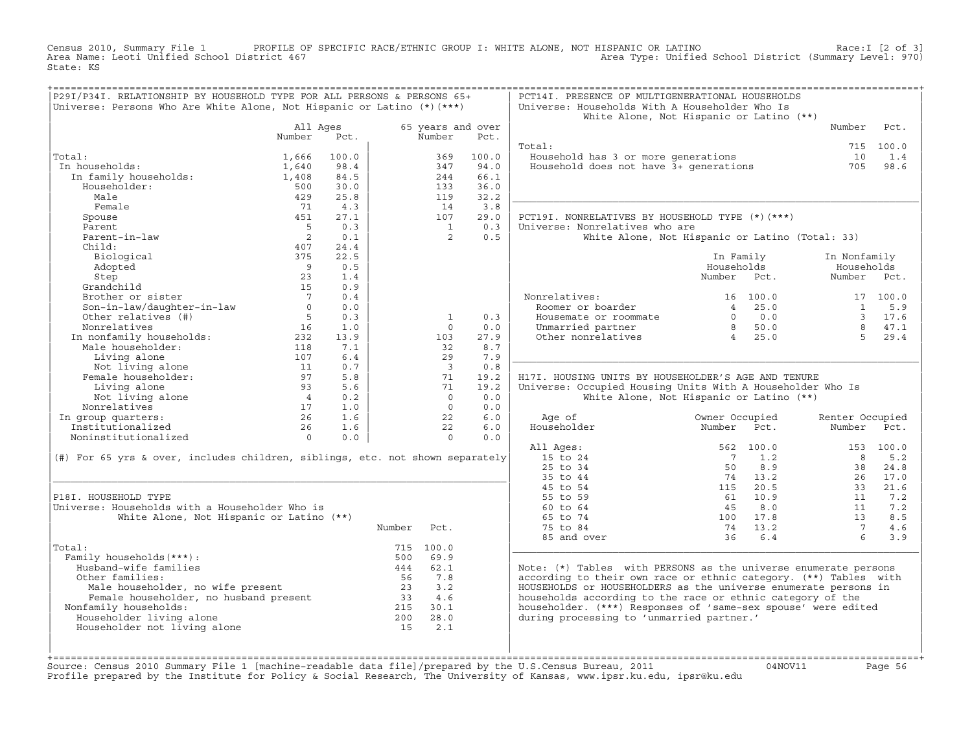Census 2010, Summary File 1 PROFILE OF SPECIFIC RACE/ETHNIC GROUP I: WHITE ALONE, NOT HISPANIC OR LATINO Race:I [2 of 3] Area Name: Leoti Unified School District 467 Area Type: Unified School District (Summary Level: 970) State: KS

| P29I/P34I. RELATIONSHIP BY HOUSEHOLD TYPE FOR ALL PERSONS & PERSONS 65+<br>Universe: Persons Who Are White Alone, Not Hispanic or Latino $(*)$ (***)                                                                          |                                         |       |        |                             |       | PCT14I. PRESENCE OF MULTIGENERATIONAL HOUSEHOLDS<br>Universe: Households With A Householder Who Is |                                                                  |      |                 |           |
|-------------------------------------------------------------------------------------------------------------------------------------------------------------------------------------------------------------------------------|-----------------------------------------|-------|--------|-----------------------------|-------|----------------------------------------------------------------------------------------------------|------------------------------------------------------------------|------|-----------------|-----------|
|                                                                                                                                                                                                                               |                                         |       |        |                             |       | White Alone, Not Hispanic or Latino (**)                                                           |                                                                  |      |                 |           |
|                                                                                                                                                                                                                               | All Ages<br>Number                      | Pct.  |        | 65 years and over<br>Number | Pct.  |                                                                                                    |                                                                  |      | Number          | Pct.      |
|                                                                                                                                                                                                                               |                                         |       |        |                             |       | Total:                                                                                             |                                                                  |      |                 | 715 100.0 |
| Total:                                                                                                                                                                                                                        | 1,666                                   | 100.0 |        | 369                         | 100.0 | Household has 3 or more generations                                                                |                                                                  |      | 10              | 1.4       |
| In households:                                                                                                                                                                                                                | 1,640                                   | 98.4  |        | 347                         | 94.0  | Household has 3 or more generations<br>Household does not have 3+ generations                      |                                                                  |      | 705             | 98.6      |
| In family households:                                                                                                                                                                                                         | 1,408                                   | 84.5  |        | 244                         | 66.1  |                                                                                                    |                                                                  |      |                 |           |
| Householder:                                                                                                                                                                                                                  | 500                                     | 30.0  |        | 133                         | 36.0  |                                                                                                    |                                                                  |      |                 |           |
| Male                                                                                                                                                                                                                          | 429                                     | 25.8  |        | 119                         | 32.2  |                                                                                                    |                                                                  |      |                 |           |
| Female                                                                                                                                                                                                                        | 71                                      | 4.3   |        | 14                          | 3.8   |                                                                                                    |                                                                  |      |                 |           |
| Spouse                                                                                                                                                                                                                        | 451                                     | 27.1  |        | 107                         | 29.0  | PCT19I. NONRELATIVES BY HOUSEHOLD TYPE (*) (***)                                                   |                                                                  |      |                 |           |
| Parent                                                                                                                                                                                                                        | $5^{\circ}$                             | 0.3   |        | $\overline{1}$              | 0.3   | Universe: Nonrelatives who are                                                                     |                                                                  |      |                 |           |
| Parent-in-law                                                                                                                                                                                                                 | $\overline{2}$                          | 0.1   |        | 2                           | 0.5   | White Alone, Not Hispanic or Latino (Total: 33)                                                    |                                                                  |      |                 |           |
| Child:                                                                                                                                                                                                                        | 407                                     | 24.4  |        |                             |       |                                                                                                    |                                                                  |      |                 |           |
| Biological                                                                                                                                                                                                                    | 375                                     | 22.5  |        |                             |       |                                                                                                    | In Family                                                        |      | In Nonfamily    |           |
| Adopted                                                                                                                                                                                                                       | $\overline{9}$                          | 0.5   |        |                             |       |                                                                                                    | Households                                                       |      | Households      |           |
| Step                                                                                                                                                                                                                          | 23                                      | 1.4   |        |                             |       |                                                                                                    | Number Pct.                                                      |      | Number          | Pct.      |
| Grandchild                                                                                                                                                                                                                    | 15                                      | 0.9   |        |                             |       |                                                                                                    |                                                                  |      |                 |           |
| Brother or sister                                                                                                                                                                                                             | $\overline{7}$                          | 0.4   |        |                             |       | Nonrelatives:                                                                                      | 16 100.0                                                         |      |                 | 17 100.0  |
| Son-in-law/daughter-in-law                                                                                                                                                                                                    | $\Omega$                                | 0.0   |        |                             |       | Roomer or boarder                                                                                  | 4 25.0                                                           |      | $\mathbf{1}$    | 5.9       |
| Other relatives (#)                                                                                                                                                                                                           | $5^{\circ}$                             | 0.3   |        | 1                           | 0.3   | Housemate or roommate                                                                              |                                                                  |      |                 | 3 17.6    |
| Nonrelatives                                                                                                                                                                                                                  | 16                                      | 1.0   |        | $\Omega$                    | 0.0   | Unmarried partner                                                                                  | $\begin{array}{ccc} 0 & 0.0 \\ 8 & 50.0 \\ 4 & 25.0 \end{array}$ |      | $\mathsf{R}$    | 47.1      |
|                                                                                                                                                                                                                               |                                         | 13.9  |        | 103                         | 27.9  | Other nonrelatives                                                                                 |                                                                  |      | $5 -$           | 29.4      |
|                                                                                                                                                                                                                               |                                         | 7.1   |        | 32                          | 8.7   |                                                                                                    |                                                                  |      |                 |           |
| Non-contract the households:<br>118 Male householder:<br>232 Male householder:<br>118 Living alone 107                                                                                                                        |                                         | 6.4   |        | 29                          | 7.9   |                                                                                                    |                                                                  |      |                 |           |
| Not living alone                                                                                                                                                                                                              | $\begin{array}{c} 11 \\ 97 \end{array}$ | 0.7   |        | $\overline{\phantom{a}}$    | 0.8   |                                                                                                    |                                                                  |      |                 |           |
| Female householder:                                                                                                                                                                                                           |                                         | 5.8   |        | 71                          | 19.2  | H17I. HOUSING UNITS BY HOUSEHOLDER'S AGE AND TENURE                                                |                                                                  |      |                 |           |
| Living alone                                                                                                                                                                                                                  | 93                                      | 5.6   |        | 71                          | 19.2  | Universe: Occupied Housing Units With A Householder Who Is                                         |                                                                  |      |                 |           |
| Not living alone                                                                                                                                                                                                              | $4\overline{4}$                         | 0.2   |        | $\overline{0}$              | 0.0   | White Alone, Not Hispanic or Latino (**)                                                           |                                                                  |      |                 |           |
| Nonrelatives                                                                                                                                                                                                                  | $\frac{17}{26}$                         | 1.0   |        | $\Omega$                    | 0.0   |                                                                                                    |                                                                  |      |                 |           |
| In group quarters:                                                                                                                                                                                                            |                                         | 1.6   |        | 22                          | 6.0   | Age of                                                                                             | Owner Occupied                                                   |      | Renter Occupied |           |
| Institutionalized                                                                                                                                                                                                             | 26                                      | 1.6   |        | 22                          | 6.0   | Householder                                                                                        | Number                                                           | Pct. | Number          | Pct.      |
| Noninstitutionalized                                                                                                                                                                                                          | $\Omega$                                | 0.0   |        | $\Omega$                    | 0.0   |                                                                                                    |                                                                  |      |                 |           |
|                                                                                                                                                                                                                               |                                         |       |        |                             |       | All Ages:                                                                                          | 562 100.0                                                        |      |                 | 153 100.0 |
| (#) For 65 yrs & over, includes children, siblings, etc. not shown separately                                                                                                                                                 |                                         |       |        |                             |       | 15 to 24                                                                                           | $\overline{7}$                                                   | 1.2  | $\mathsf{R}$    | 5.2       |
|                                                                                                                                                                                                                               |                                         |       |        |                             |       | 25 to 34                                                                                           | 50                                                               | 8.9  | 38              | 24.8      |
|                                                                                                                                                                                                                               |                                         |       |        |                             |       | 35 to 44                                                                                           | 74 13.2                                                          |      | 26              | 17.0      |
|                                                                                                                                                                                                                               |                                         |       |        |                             |       | 45 to 54                                                                                           | 115 20.5                                                         |      | 33              | 21.6      |
| P18I. HOUSEHOLD TYPE                                                                                                                                                                                                          |                                         |       |        |                             |       | 55 to 59                                                                                           | 61 10.9                                                          |      | 11              | 7.2       |
| Universe: Households with a Householder Who is                                                                                                                                                                                |                                         |       |        |                             |       | 60 to 64                                                                                           | 45                                                               | 8.0  | 11              | 7.2       |
| White Alone, Not Hispanic or Latino (**)                                                                                                                                                                                      |                                         |       |        |                             |       | 65 to 74                                                                                           | 100 17.8                                                         |      | 13              | 8.5       |
|                                                                                                                                                                                                                               |                                         |       | Number | Pct.                        |       | 75 to 84                                                                                           | 74 13.2                                                          |      | $\overline{7}$  | 4.6       |
|                                                                                                                                                                                                                               |                                         |       |        |                             |       | 85 and over                                                                                        | 36                                                               | 6.4  | 6               | 3.9       |
| Total:                                                                                                                                                                                                                        |                                         |       |        | 715 100.0                   |       |                                                                                                    |                                                                  |      |                 |           |
| Family households (***) :                                                                                                                                                                                                     |                                         |       |        | 500 69.9                    |       |                                                                                                    |                                                                  |      |                 |           |
| Husband-wife families                                                                                                                                                                                                         |                                         |       |        | 444 62.1                    |       | Note: (*) Tables with PERSONS as the universe enumerate persons                                    |                                                                  |      |                 |           |
| Other families:                                                                                                                                                                                                               |                                         |       | 56     | 7.8                         |       | according to their own race or ethnic category. (**) Tables with                                   |                                                                  |      |                 |           |
|                                                                                                                                                                                                                               |                                         |       |        |                             |       | HOUSEHOLDS or HOUSEHOLDERS as the universe enumerate persons in                                    |                                                                  |      |                 |           |
| Male householder, no wife present and the bouseholder, no husband present and the same of the same of the same of the same of the same of the same of the same of the same of the same of the same of the same of the same of |                                         |       |        |                             |       | households according to the race or ethnic category of the                                         |                                                                  |      |                 |           |
| Nonfamily households:                                                                                                                                                                                                         |                                         |       |        |                             |       | householder. (***) Responses of 'same-sex spouse' were edited                                      |                                                                  |      |                 |           |
| Householder living alone                                                                                                                                                                                                      |                                         |       | 200    | 28.0                        |       | during processing to 'unmarried partner.'                                                          |                                                                  |      |                 |           |
| Householder not living alone                                                                                                                                                                                                  |                                         |       | 15     | 2.1                         |       |                                                                                                    |                                                                  |      |                 |           |
|                                                                                                                                                                                                                               |                                         |       |        |                             |       |                                                                                                    |                                                                  |      |                 |           |
|                                                                                                                                                                                                                               |                                         |       |        |                             |       |                                                                                                    |                                                                  |      |                 |           |
| +=============                                                                                                                                                                                                                |                                         |       |        |                             |       |                                                                                                    |                                                                  |      |                 |           |

+===================================================================================================================================================+Source: Census 2010 Summary File 1 [machine−readable data file]/prepared by the U.S.Census Bureau, 2011 04NOV11 Page 56 Profile prepared by the Institute for Policy & Social Research, The University of Kansas, www.ipsr.ku.edu, ipsr@ku.edu